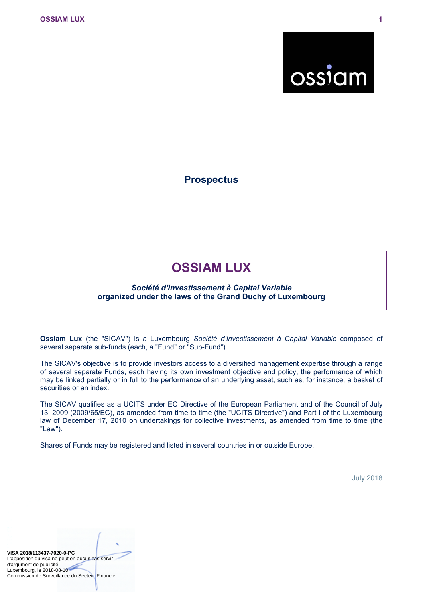

**Prospectus**

# **OSSIAM LUX**

### *Société d'Investissement à Capital Variable* **organized under the laws of the Grand Duchy of Luxembourg**

**Ossiam Lux** (the "SICAV") is a Luxembourg *Société d'Investissement à Capital Variable* composed of several separate sub-funds (each, a "Fund" or "Sub-Fund").

The SICAV's objective is to provide investors access to a diversified management expertise through a range of several separate Funds, each having its own investment objective and policy, the performance of which may be linked partially or in full to the performance of an underlying asset, such as, for instance, a basket of securities or an index.

The SICAV qualifies as a UCITS under EC Directive of the European Parliament and of the Council of July 13, 2009 (2009/65/EC), as amended from time to time (the "UCITS Directive") and Part I of the Luxembourg law of December 17, 2010 on undertakings for collective investments, as amended from time to time (the "Law").

Shares of Funds may be registered and listed in several countries in or outside Europe.

July 2018

**VISA 2018/113437-7020-0-PC** L'apposition du visa ne peut en aucun cas servir d'argument de publicité Luxembourg, le 2018-08-10 Commission de Surveillance du Secteur Financier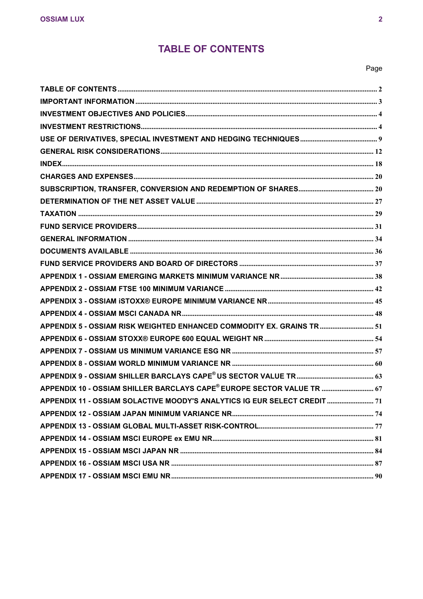# <span id="page-1-0"></span>**TABLE OF CONTENTS**

### Page

| APPENDIX 5 - OSSIAM RISK WEIGHTED ENHANCED COMMODITY EX. GRAINS TR 51     |  |
|---------------------------------------------------------------------------|--|
|                                                                           |  |
|                                                                           |  |
|                                                                           |  |
|                                                                           |  |
| APPENDIX 10 - OSSIAM SHILLER BARCLAYS CAPE® EUROPE SECTOR VALUE TR  67    |  |
| APPENDIX 11 - OSSIAM SOLACTIVE MOODY'S ANALYTICS IG EUR SELECT CREDIT  71 |  |
|                                                                           |  |
|                                                                           |  |
|                                                                           |  |
|                                                                           |  |
|                                                                           |  |
|                                                                           |  |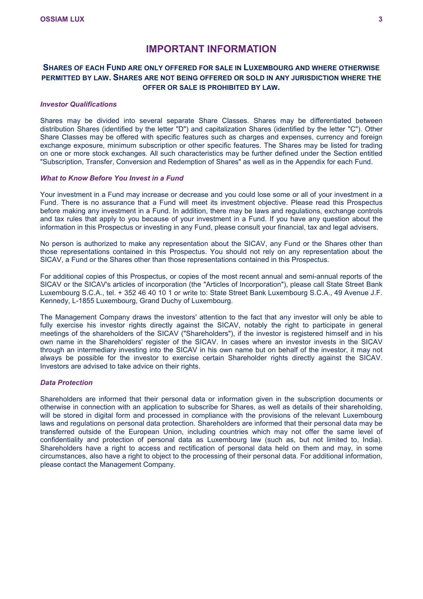### <span id="page-2-0"></span>**IMPORTANT INFORMATION**

### **SHARES OF EACH FUND ARE ONLY OFFERED FOR SALE IN LUXEMBOURG AND WHERE OTHERWISE PERMITTED BY LAW. SHARES ARE NOT BEING OFFERED OR SOLD IN ANY JURISDICTION WHERE THE OFFER OR SALE IS PROHIBITED BY LAW.**

### *Investor Qualifications*

Shares may be divided into several separate Share Classes. Shares may be differentiated between distribution Shares (identified by the letter "D") and capitalization Shares (identified by the letter "C"). Other Share Classes may be offered with specific features such as charges and expenses, currency and foreign exchange exposure, minimum subscription or other specific features. The Shares may be listed for trading on one or more stock exchanges. All such characteristics may be further defined under the Section entitled "Subscription, Transfer, Conversion and Redemption of Shares" as well as in the Appendix for each Fund.

### *What to Know Before You Invest in a Fund*

Your investment in a Fund may increase or decrease and you could lose some or all of your investment in a Fund. There is no assurance that a Fund will meet its investment objective. Please read this Prospectus before making any investment in a Fund. In addition, there may be laws and regulations, exchange controls and tax rules that apply to you because of your investment in a Fund. If you have any question about the information in this Prospectus or investing in any Fund, please consult your financial, tax and legal advisers.

No person is authorized to make any representation about the SICAV, any Fund or the Shares other than those representations contained in this Prospectus. You should not rely on any representation about the SICAV, a Fund or the Shares other than those representations contained in this Prospectus.

For additional copies of this Prospectus, or copies of the most recent annual and semi-annual reports of the SICAV or the SICAV's articles of incorporation (the "Articles of Incorporation"), please call State Street Bank Luxembourg S.C.A., tel. + 352 46 40 10 1 or write to: State Street Bank Luxembourg S.C.A., 49 Avenue J.F. Kennedy, L-1855 Luxembourg, Grand Duchy of Luxembourg.

The Management Company draws the investors' attention to the fact that any investor will only be able to fully exercise his investor rights directly against the SICAV, notably the right to participate in general meetings of the shareholders of the SICAV ("Shareholders"), if the investor is registered himself and in his own name in the Shareholders' register of the SICAV. In cases where an investor invests in the SICAV through an intermediary investing into the SICAV in his own name but on behalf of the investor, it may not always be possible for the investor to exercise certain Shareholder rights directly against the SICAV. Investors are advised to take advice on their rights.

### *Data Protection*

Shareholders are informed that their personal data or information given in the subscription documents or otherwise in connection with an application to subscribe for Shares, as well as details of their shareholding, will be stored in digital form and processed in compliance with the provisions of the relevant Luxembourg laws and regulations on personal data protection. Shareholders are informed that their personal data may be transferred outside of the European Union, including countries which may not offer the same level of confidentiality and protection of personal data as Luxembourg law (such as, but not limited to, India). Shareholders have a right to access and rectification of personal data held on them and may, in some circumstances, also have a right to object to the processing of their personal data. For additional information, please contact the Management Company.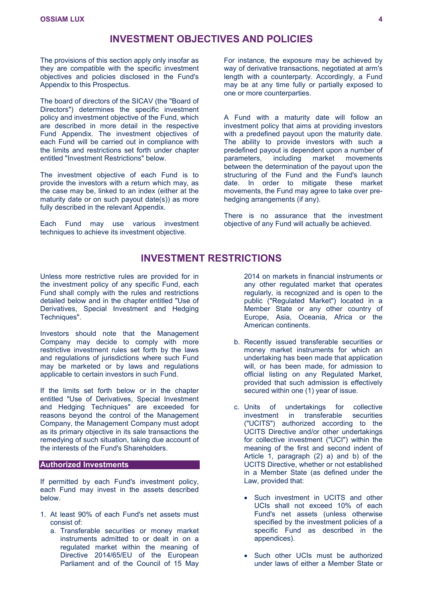### <span id="page-3-0"></span>**INVESTMENT OBJECTIVES AND POLICIES**

The provisions of this section apply only insofar as they are compatible with the specific investment objectives and policies disclosed in the Fund's Appendix to this Prospectus.

The board of directors of the SICAV (the "Board of Directors") determines the specific investment policy and investment objective of the Fund, which are described in more detail in the respective Fund Appendix. The investment objectives of each Fund will be carried out in compliance with the limits and restrictions set forth under chapter entitled "Investment Restrictions" below.

The investment objective of each Fund is to provide the investors with a return which may, as the case may be, linked to an index (either at the maturity date or on such payout date(s)) as more fully described in the relevant Appendix.

Each Fund may use various investment techniques to achieve its investment objective.

For instance, the exposure may be achieved by way of derivative transactions, negotiated at arm's length with a counterparty. Accordingly, a Fund may be at any time fully or partially exposed to one or more counterparties.

A Fund with a maturity date will follow an investment policy that aims at providing investors with a predefined payout upon the maturity date. The ability to provide investors with such a predefined payout is dependent upon a number of parameters, including market movements between the determination of the payout upon the structuring of the Fund and the Fund's launch date. In order to mitigate these market movements, the Fund may agree to take over prehedging arrangements (if any).

There is no assurance that the investment objective of any Fund will actually be achieved.

### <span id="page-3-1"></span>**INVESTMENT RESTRICTIONS**

Unless more restrictive rules are provided for in the investment policy of any specific Fund, each Fund shall comply with the rules and restrictions detailed below and in the chapter entitled "Use of Derivatives, Special Investment and Hedging Techniques".

Investors should note that the Management Company may decide to comply with more restrictive investment rules set forth by the laws and regulations of jurisdictions where such Fund may be marketed or by laws and regulations applicable to certain investors in such Fund.

If the limits set forth below or in the chapter entitled "Use of Derivatives, Special Investment and Hedging Techniques" are exceeded for reasons beyond the control of the Management Company, the Management Company must adopt as its primary objective in its sale transactions the remedying of such situation, taking due account of the interests of the Fund's Shareholders.

### **Authorized Investments**

If permitted by each Fund's investment policy, each Fund may invest in the assets described below.

- 1. At least 90% of each Fund's net assets must consist of:
	- a. Transferable securities or money market instruments admitted to or dealt in on a regulated market within the meaning of Directive 2014/65/EU of the European Parliament and of the Council of 15 May

2014 on markets in financial instruments or any other regulated market that operates regularly, is recognized and is open to the public ("Regulated Market") located in a Member State or any other country of Europe, Asia, Oceania, Africa or the American continents.

- b. Recently issued transferable securities or money market instruments for which an undertaking has been made that application will, or has been made, for admission to official listing on any Regulated Market, provided that such admission is effectively secured within one (1) year of issue.
- c. Units of undertakings for collective investment in transferable securities ("UCITS") authorized according to the UCITS Directive and/or other undertakings for collective investment ("UCI") within the meaning of the first and second indent of Article 1, paragraph (2) a) and b) of the UCITS Directive, whether or not established in a Member State (as defined under the Law, provided that:
	- Such investment in UCITS and other UCIs shall not exceed 10% of each Fund's net assets (unless otherwise specified by the investment policies of a specific Fund as described in the appendices).
	- Such other UCIs must be authorized under laws of either a Member State or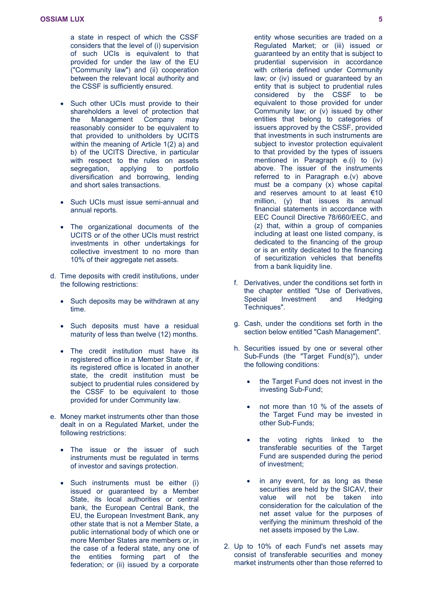a state in respect of which the CSSF considers that the level of (i) supervision of such UCIs is equivalent to that provided for under the law of the EU ("Community law") and (ii) cooperation between the relevant local authority and the CSSF is sufficiently ensured.

- Such other UCIs must provide to their shareholders a level of protection that the Management Company may reasonably consider to be equivalent to that provided to unitholders by UCITS within the meaning of Article 1(2) a) and b) of the UCITS Directive, in particular with respect to the rules on assets segregation, applying to portfolio diversification and borrowing, lending and short sales transactions.
- Such UCIs must issue semi-annual and annual reports.
- The organizational documents of the UCITS or of the other UCIs must restrict investments in other undertakings for collective investment to no more than 10% of their aggregate net assets.
- d. Time deposits with credit institutions, under the following restrictions:
	- Such deposits may be withdrawn at any time.
	- Such deposits must have a residual maturity of less than twelve (12) months.
	- The credit institution must have its registered office in a Member State or, if its registered office is located in another state, the credit institution must be subject to prudential rules considered by the CSSF to be equivalent to those provided for under Community law.
- e. Money market instruments other than those dealt in on a Regulated Market, under the following restrictions:
	- The issue or the issuer of such instruments must be regulated in terms of investor and savings protection.
	- Such instruments must be either (i) issued or guaranteed by a Member State, its local authorities or central bank, the European Central Bank, the EU, the European Investment Bank, any other state that is not a Member State, a public international body of which one or more Member States are members or, in the case of a federal state, any one of the entities forming part of the federation; or (ii) issued by a corporate

entity whose securities are traded on a Regulated Market; or (iii) issued or guaranteed by an entity that is subject to prudential supervision in accordance with criteria defined under Community law; or (iv) issued or guaranteed by an entity that is subject to prudential rules considered by the CSSF to be equivalent to those provided for under Community law; or (v) issued by other entities that belong to categories of issuers approved by the CSSF, provided that investments in such instruments are subject to investor protection equivalent to that provided by the types of issuers mentioned in Paragraph e.(i) to (iv) above. The issuer of the instruments referred to in Paragraph e.(v) above must be a company (x) whose capital and reserves amount to at least €10 million, (y) that issues its annual financial statements in accordance with EEC Council Directive 78/660/EEC, and (z) that, within a group of companies including at least one listed company, is dedicated to the financing of the group or is an entity dedicated to the financing of securitization vehicles that benefits from a bank liquidity line.

- f. Derivatives, under the conditions set forth in the chapter entitled "Use of Derivatives, Special Investment and Hedging Techniques".
- g. Cash, under the conditions set forth in the section below entitled "Cash Management".
- h. Securities issued by one or several other Sub-Funds (the "Target Fund(s)"), under the following conditions:
	- the Target Fund does not invest in the investing Sub-Fund;
	- not more than 10 % of the assets of the Target Fund may be invested in other Sub-Funds;
	- the voting rights linked to the transferable securities of the Target Fund are suspended during the period of investment;
	- in any event, for as long as these securities are held by the SICAV, their value will not be taken into consideration for the calculation of the net asset value for the purposes of verifying the minimum threshold of the net assets imposed by the Law.
- 2. Up to 10% of each Fund's net assets may consist of transferable securities and money market instruments other than those referred to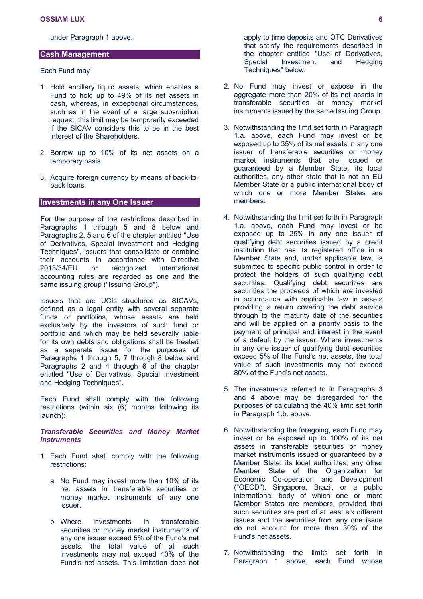under Paragraph 1 above.

### **Cash Management**

Each Fund may:

- 1. Hold ancillary liquid assets, which enables a Fund to hold up to 49% of its net assets in cash, whereas, in exceptional circumstances, such as in the event of a large subscription request, this limit may be temporarily exceeded if the SICAV considers this to be in the best interest of the Shareholders.
- 2. Borrow up to 10% of its net assets on a temporary basis.
- 3. Acquire foreign currency by means of back-toback loans.

### **Investments in any One Issuer**

For the purpose of the restrictions described in Paragraphs 1 through 5 and 8 below and Paragraphs 2, 5 and 6 of the chapter entitled "Use of Derivatives, Special Investment and Hedging Techniques", issuers that consolidate or combine their accounts in accordance with Directive 2013/34/EU or recognized international accounting rules are regarded as one and the same issuing group ("Issuing Group").

Issuers that are UCIs structured as SICAVs, defined as a legal entity with several separate funds or portfolios, whose assets are held exclusively by the investors of such fund or portfolio and which may be held severally liable for its own debts and obligations shall be treated as a separate issuer for the purposes of Paragraphs 1 through 5, 7 through 8 below and Paragraphs 2 and 4 through 6 of the chapter entitled "Use of Derivatives, Special Investment and Hedging Techniques".

Each Fund shall comply with the following restrictions (within six (6) months following its launch):

### *Transferable Securities and Money Market Instruments*

- 1. Each Fund shall comply with the following restrictions:
	- a. No Fund may invest more than 10% of its net assets in transferable securities or money market instruments of any one issuer.
	- b. Where investments in transferable securities or money market instruments of any one issuer exceed 5% of the Fund's net assets, the total value of all such investments may not exceed 40% of the Fund's net assets. This limitation does not

apply to time deposits and OTC Derivatives that satisfy the requirements described in the chapter entitled "Use of Derivatives, Special Investment and Hedging Techniques" below.

- 2. No Fund may invest or expose in the aggregate more than 20% of its net assets in transferable securities or money market instruments issued by the same Issuing Group.
- 3. Notwithstanding the limit set forth in Paragraph 1.a. above, each Fund may invest or be exposed up to 35% of its net assets in any one issuer of transferable securities or money market instruments that are issued or guaranteed by a Member State, its local authorities, any other state that is not an EU Member State or a public international body of which one or more Member States are members.
- 4. Notwithstanding the limit set forth in Paragraph 1.a. above, each Fund may invest or be exposed up to 25% in any one issuer of qualifying debt securities issued by a credit institution that has its registered office in a Member State and, under applicable law, is submitted to specific public control in order to protect the holders of such qualifying debt securities. Qualifying debt securities are securities the proceeds of which are invested in accordance with applicable law in assets providing a return covering the debt service through to the maturity date of the securities and will be applied on a priority basis to the payment of principal and interest in the event of a default by the issuer. Where investments in any one issuer of qualifying debt securities exceed 5% of the Fund's net assets, the total value of such investments may not exceed 80% of the Fund's net assets.
- 5. The investments referred to in Paragraphs 3 and 4 above may be disregarded for the purposes of calculating the 40% limit set forth in Paragraph 1.b. above.
- 6. Notwithstanding the foregoing, each Fund may invest or be exposed up to 100% of its net assets in transferable securities or money market instruments issued or guaranteed by a Member State, its local authorities, any other Member State of the Organization for Economic Co-operation and Development ("OECD"), Singapore, Brazil, or a public international body of which one or more Member States are members, provided that such securities are part of at least six different issues and the securities from any one issue do not account for more than 30% of the Fund's net assets.
- 7. Notwithstanding the limits set forth in Paragraph 1 above, each Fund whose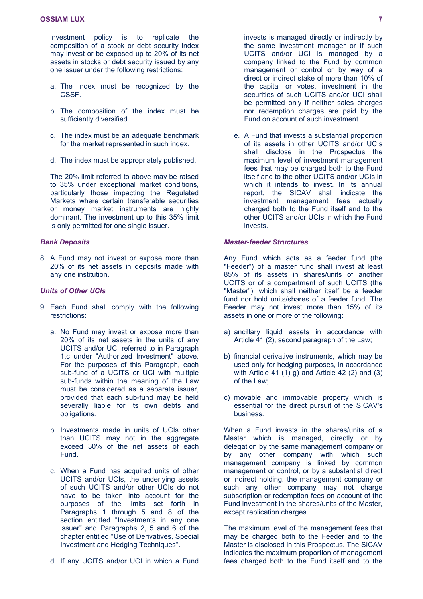investment policy is to replicate the composition of a stock or debt security index may invest or be exposed up to 20% of its net assets in stocks or debt security issued by any one issuer under the following restrictions:

- a. The index must be recognized by the CSSF.
- b. The composition of the index must be sufficiently diversified.
- c. The index must be an adequate benchmark for the market represented in such index.
- d. The index must be appropriately published.

The 20% limit referred to above may be raised to 35% under exceptional market conditions, particularly those impacting the Regulated Markets where certain transferable securities or money market instruments are highly dominant. The investment up to this 35% limit is only permitted for one single issuer.

#### *Bank Deposits*

8. A Fund may not invest or expose more than 20% of its net assets in deposits made with any one institution.

### *Units of Other UCIs*

- 9. Each Fund shall comply with the following restrictions:
	- a. No Fund may invest or expose more than 20% of its net assets in the units of any UCITS and/or UCI referred to in Paragraph 1.c under "Authorized Investment" above. For the purposes of this Paragraph, each sub-fund of a UCITS or UCI with multiple sub-funds within the meaning of the Law must be considered as a separate issuer, provided that each sub-fund may be held severally liable for its own debts and obligations.
	- b. Investments made in units of UCIs other than UCITS may not in the aggregate exceed 30% of the net assets of each Fund.
	- c. When a Fund has acquired units of other UCITS and/or UCIs, the underlying assets of such UCITS and/or other UCIs do not have to be taken into account for the purposes of the limits set forth in Paragraphs 1 through 5 and 8 of the section entitled "Investments in any one issuer" and Paragraphs 2, 5 and 6 of the chapter entitled "Use of Derivatives, Special Investment and Hedging Techniques".
	- d. If any UCITS and/or UCI in which a Fund

invests is managed directly or indirectly by the same investment manager or if such UCITS and/or UCI is managed by a company linked to the Fund by common management or control or by way of a direct or indirect stake of more than 10% of the capital or votes, investment in the securities of such UCITS and/or UCI shall be permitted only if neither sales charges nor redemption charges are paid by the Fund on account of such investment.

e. A Fund that invests a substantial proportion of its assets in other UCITS and/or UCIs shall disclose in the Prospectus the maximum level of investment management fees that may be charged both to the Fund itself and to the other UCITS and/or UCIs in which it intends to invest. In its annual report, the SICAV shall indicate the investment management fees actually charged both to the Fund itself and to the other UCITS and/or UCIs in which the Fund invests.

### *Master-feeder Structures*

Any Fund which acts as a feeder fund (the "Feeder") of a master fund shall invest at least 85% of its assets in shares/units of another UCITS or of a compartment of such UCITS (the "Master"), which shall neither itself be a feeder fund nor hold units/shares of a feeder fund. The Feeder may not invest more than 15% of its assets in one or more of the following:

- a) ancillary liquid assets in accordance with Article 41 (2), second paragraph of the Law;
- b) financial derivative instruments, which may be used only for hedging purposes, in accordance with Article 41  $(1)$  g) and Article 42  $(2)$  and  $(3)$ of the Law;
- c) movable and immovable property which is essential for the direct pursuit of the SICAV's business.

When a Fund invests in the shares/units of a Master which is managed, directly or by delegation by the same management company or by any other company with which such management company is linked by common management or control, or by a substantial direct or indirect holding, the management company or such any other company may not charge subscription or redemption fees on account of the Fund investment in the shares/units of the Master, except replication charges.

The maximum level of the management fees that may be charged both to the Feeder and to the Master is disclosed in this Prospectus. The SICAV indicates the maximum proportion of management fees charged both to the Fund itself and to the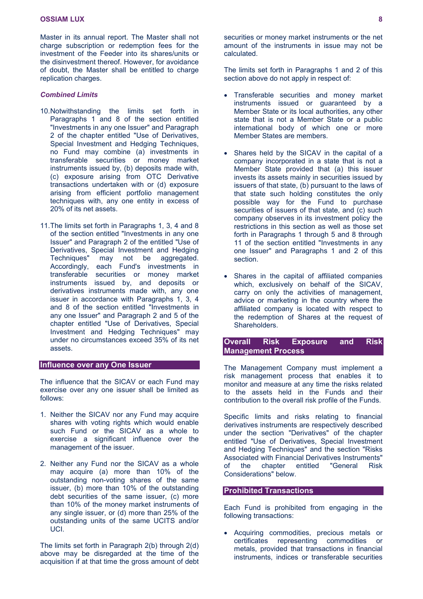Master in its annual report. The Master shall not charge subscription or redemption fees for the investment of the Feeder into its shares/units or the disinvestment thereof. However, for avoidance of doubt, the Master shall be entitled to charge replication charges.

### *Combined Limits*

- 10.Notwithstanding the limits set forth in Paragraphs 1 and 8 of the section entitled "Investments in any one Issuer" and Paragraph 2 of the chapter entitled "Use of Derivatives, Special Investment and Hedging Techniques, no Fund may combine (a) investments in transferable securities or money market instruments issued by, (b) deposits made with, (c) exposure arising from OTC Derivative transactions undertaken with or (d) exposure arising from efficient portfolio management techniques with, any one entity in excess of 20% of its net assets.
- 11.The limits set forth in Paragraphs 1, 3, 4 and 8 of the section entitled "Investments in any one Issuer" and Paragraph 2 of the entitled "Use of Derivatives, Special Investment and Hedging Techniques" may not be aggregated. Accordingly, each Fund's investments in transferable securities or money market instruments issued by, and deposits or derivatives instruments made with, any one issuer in accordance with Paragraphs 1, 3, 4 and 8 of the section entitled "Investments in any one Issuer" and Paragraph 2 and 5 of the chapter entitled "Use of Derivatives, Special Investment and Hedging Techniques" may under no circumstances exceed 35% of its net assets.

### **Influence over any One Issuer**

The influence that the SICAV or each Fund may exercise over any one issuer shall be limited as follows:

- 1. Neither the SICAV nor any Fund may acquire shares with voting rights which would enable such Fund or the SICAV as a whole to exercise a significant influence over the management of the issuer.
- 2. Neither any Fund nor the SICAV as a whole may acquire (a) more than 10% of the outstanding non-voting shares of the same issuer, (b) more than 10% of the outstanding debt securities of the same issuer, (c) more than 10% of the money market instruments of any single issuer, or (d) more than 25% of the outstanding units of the same UCITS and/or UCI.

The limits set forth in Paragraph 2(b) through 2(d) above may be disregarded at the time of the acquisition if at that time the gross amount of debt

securities or money market instruments or the net amount of the instruments in issue may not be calculated.

The limits set forth in Paragraphs 1 and 2 of this section above do not apply in respect of:

- Transferable securities and money market instruments issued or guaranteed by a Member State or its local authorities, any other state that is not a Member State or a public international body of which one or more Member States are members.
- Shares held by the SICAV in the capital of a company incorporated in a state that is not a Member State provided that (a) this issuer invests its assets mainly in securities issued by issuers of that state, (b) pursuant to the laws of that state such holding constitutes the only possible way for the Fund to purchase securities of issuers of that state, and (c) such company observes in its investment policy the restrictions in this section as well as those set forth in Paragraphs 1 through 5 and 8 through 11 of the section entitled "Investments in any one Issuer" and Paragraphs 1 and 2 of this section.
- Shares in the capital of affiliated companies which, exclusively on behalf of the SICAV, carry on only the activities of management, advice or marketing in the country where the affiliated company is located with respect to the redemption of Shares at the request of Shareholders.

### **Overall Risk Exposure and Risk Management Process**

The Management Company must implement a risk management process that enables it to monitor and measure at any time the risks related to the assets held in the Funds and their contribution to the overall risk profile of the Funds.

Specific limits and risks relating to financial derivatives instruments are respectively described under the section "Derivatives" of the chapter entitled "Use of Derivatives, Special Investment and Hedging Techniques" and the section "Risks Associated with Financial Derivatives Instruments" of the chapter entitled "General Risk Considerations" below.

### **Prohibited Transactions**

Each Fund is prohibited from engaging in the following transactions:

 Acquiring commodities, precious metals or certificates representing commodities or metals, provided that transactions in financial instruments, indices or transferable securities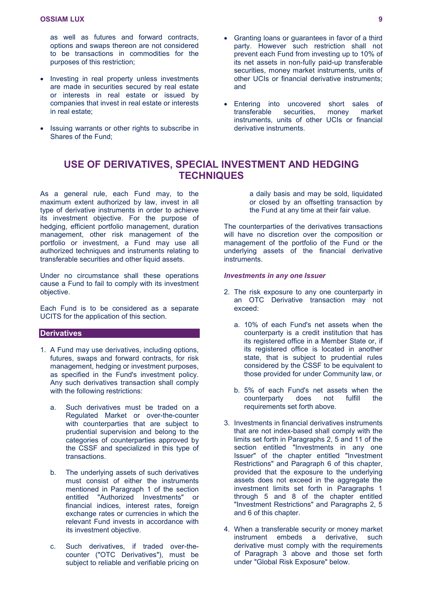as well as futures and forward contracts, options and swaps thereon are not considered to be transactions in commodities for the purposes of this restriction;

- Investing in real property unless investments are made in securities secured by real estate or interests in real estate or issued by companies that invest in real estate or interests in real estate;
- Issuing warrants or other rights to subscribe in Shares of the Fund;
- Granting loans or guarantees in favor of a third party. However such restriction shall not prevent each Fund from investing up to 10% of its net assets in non-fully paid-up transferable securities, money market instruments, units of other UCIs or financial derivative instruments; and
- Entering into uncovered short sales of transferable securities, money market instruments, units of other UCIs or financial derivative instruments.

### <span id="page-8-0"></span>**USE OF DERIVATIVES, SPECIAL INVESTMENT AND HEDGING TECHNIQUES**

As a general rule, each Fund may, to the maximum extent authorized by law, invest in all type of derivative instruments in order to achieve its investment objective. For the purpose of hedging, efficient portfolio management, duration management, other risk management of the portfolio or investment, a Fund may use all authorized techniques and instruments relating to transferable securities and other liquid assets.

Under no circumstance shall these operations cause a Fund to fail to comply with its investment objective.

Each Fund is to be considered as a separate UCITS for the application of this section.

### **Derivatives**

- 1. A Fund may use derivatives, including options, futures, swaps and forward contracts, for risk management, hedging or investment purposes, as specified in the Fund's investment policy. Any such derivatives transaction shall comply with the following restrictions:
	- a. Such derivatives must be traded on a Regulated Market or over-the-counter with counterparties that are subject to prudential supervision and belong to the categories of counterparties approved by the CSSF and specialized in this type of transactions.
	- b. The underlying assets of such derivatives must consist of either the instruments mentioned in Paragraph 1 of the section entitled "Authorized Investments" or financial indices, interest rates, foreign exchange rates or currencies in which the relevant Fund invests in accordance with its investment objective.
	- c. Such derivatives, if traded over-thecounter ("OTC Derivatives"), must be subject to reliable and verifiable pricing on

a daily basis and may be sold, liquidated or closed by an offsetting transaction by the Fund at any time at their fair value.

The counterparties of the derivatives transactions will have no discretion over the composition or management of the portfolio of the Fund or the underlying assets of the financial derivative instruments.

### *Investments in any one Issuer*

- 2. The risk exposure to any one counterparty in an OTC Derivative transaction may not exceed:
	- a. 10% of each Fund's net assets when the counterparty is a credit institution that has its registered office in a Member State or, if its registered office is located in another state, that is subject to prudential rules considered by the CSSF to be equivalent to those provided for under Community law, or
	- b. 5% of each Fund's net assets when the counterparty does not fulfill the requirements set forth above.
- 3. Investments in financial derivatives instruments that are not index-based shall comply with the limits set forth in Paragraphs 2, 5 and 11 of the section entitled "Investments in any one Issuer" of the chapter entitled "Investment Restrictions" and Paragraph 6 of this chapter, provided that the exposure to the underlying assets does not exceed in the aggregate the investment limits set forth in Paragraphs 1 through 5 and 8 of the chapter entitled "Investment Restrictions" and Paragraphs 2, 5 and 6 of this chapter.
- 4. When a transferable security or money market instrument embeds a derivative, such derivative must comply with the requirements of Paragraph 3 above and those set forth under "Global Risk Exposure" below.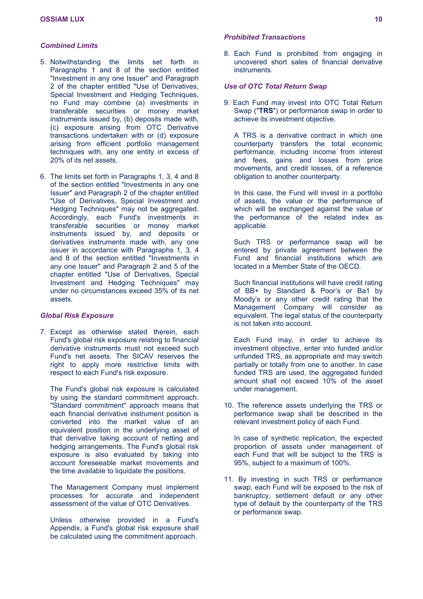### *Combined Limits*

- 5. Notwithstanding the limits set forth in Paragraphs 1 and 8 of the section entitled "Investment in any one Issuer" and Paragraph 2 of the chapter entitled "Use of Derivatives, Special Investment and Hedging Techniques, no Fund may combine (a) investments in transferable securities or money market instruments issued by, (b) deposits made with, (c) exposure arising from OTC Derivative transactions undertaken with or (d) exposure arising from efficient portfolio management techniques with, any one entity in excess of 20% of its net assets.
- 6. The limits set forth in Paragraphs 1, 3, 4 and 8 of the section entitled "Investments in any one Issuer" and Paragraph 2 of the chapter entitled "Use of Derivatives, Special Investment and Hedging Techniques" may not be aggregated. Accordingly, each Fund's investments in transferable securities or money market instruments issued by, and deposits or derivatives instruments made with, any one issuer in accordance with Paragraphs 1, 3, 4 and 8 of the section entitled "Investments in any one Issuer" and Paragraph 2 and 5 of the chapter entitled "Use of Derivatives, Special Investment and Hedging Techniques" may under no circumstances exceed 35% of its net assets.

### *Global Risk Exposure*

7. Except as otherwise stated therein, each Fund's global risk exposure relating to financial derivative instruments must not exceed such Fund's net assets. The SICAV reserves the right to apply more restrictive limits with respect to each Fund's risk exposure.

The Fund's global risk exposure is calculated by using the standard commitment approach. "Standard commitment" approach means that each financial derivative instrument position is converted into the market value of an equivalent position in the underlying asset of that derivative taking account of netting and hedging arrangements. The Fund's global risk exposure is also evaluated by taking into account foreseeable market movements and the time available to liquidate the positions.

The Management Company must implement processes for accurate and independent assessment of the value of OTC Derivatives.

Unless otherwise provided in a Fund's Appendix, a Fund's global risk exposure shall be calculated using the commitment approach.

### *Prohibited Transactions*

8. Each Fund is prohibited from engaging in uncovered short sales of financial derivative **instruments** 

### *Use of OTC Total Return Swap*

9. Each Fund may invest into OTC Total Return Swap ("**TRS**") or performance swap in order to achieve its investment objective.

A TRS is a derivative contract in which one counterparty transfers the total economic performance, including income from interest and fees, gains and losses from price movements, and credit losses, of a reference obligation to another counterparty.

In this case, the Fund will invest in a portfolio of assets, the value or the performance of which will be exchanged against the value or the performance of the related index as applicable.

Such TRS or performance swap will be entered by private agreement between the Fund and financial institutions which are located in a Member State of the OECD.

Such financial institutions will have credit rating of BB+ by Standard & Poor's or Ba1 by Moody's or any other credit rating that the Management Company will consider as equivalent. The legal status of the counterparty is not taken into account.

Each Fund may, in order to achieve its investment objective, enter into funded and/or unfunded TRS, as appropriate and may switch partially or totally from one to another. In case funded TRS are used, the aggregated funded amount shall not exceed 10% of the asset under management.

10. The reference assets underlying the TRS or performance swap shall be described in the relevant investment policy of each Fund.

In case of synthetic replication, the expected proportion of assets under management of each Fund that will be subject to the TRS is 95%, subject to a maximum of 100%.

11. By investing in such TRS or performance swap, each Fund will be exposed to the risk of bankruptcy, settlement default or any other type of default by the counterparty of the TRS or performance swap.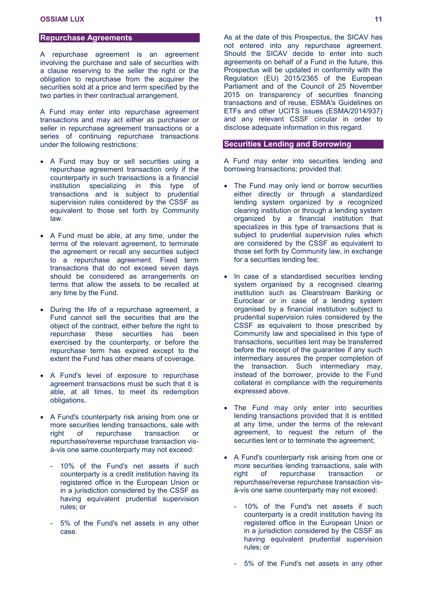### **Repurchase Agreements**

A repurchase agreement is an agreement involving the purchase and sale of securities with a clause reserving to the seller the right or the obligation to repurchase from the acquirer the securities sold at a price and term specified by the two parties in their contractual arrangement.

A Fund may enter into repurchase agreement transactions and may act either as purchaser or seller in repurchase agreement transactions or a series of continuing repurchase transactions under the following restrictions:

- A Fund may buy or sell securities using a repurchase agreement transaction only if the counterparty in such transactions is a financial institution specializing in this type of transactions and is subject to prudential supervision rules considered by the CSSF as equivalent to those set forth by Community law.
- A Fund must be able, at any time, under the terms of the relevant agreement, to terminate the agreement or recall any securities subject to a repurchase agreement. Fixed term transactions that do not exceed seven days should be considered as arrangements on terms that allow the assets to be recalled at any time by the Fund.
- During the life of a repurchase agreement, a Fund cannot sell the securities that are the object of the contract, either before the right to repurchase these securities has been exercised by the counterparty, or before the repurchase term has expired except to the extent the Fund has other means of coverage.
- A Fund's level of exposure to repurchase agreement transactions must be such that it is able, at all times, to meet its redemption obligations.
- A Fund's counterparty risk arising from one or more securities lending transactions, sale with right of repurchase transaction or repurchase/reverse repurchase transaction visà-vis one same counterparty may not exceed:
	- 10% of the Fund's net assets if such counterparty is a credit institution having its registered office in the European Union or in a jurisdiction considered by the CSSF as having equivalent prudential supervision rules; or
	- 5% of the Fund's net assets in any other case.

As at the date of this Prospectus, the SICAV has not entered into any repurchase agreement. Should the SICAV decide to enter into such agreements on behalf of a Fund in the future, this Prospectus will be updated in conformity with the Regulation (EU) 2015/2365 of the European Parliament and of the Council of 25 November 2015 on transparency of securities financing transactions and of reuse, ESMA's Guidelines on ETFs and other UCITS issues (ESMA/2014/937) and any relevant CSSF circular in order to disclose adequate information in this regard.

### **Securities Lending and Borrowing**

A Fund may enter into securities lending and borrowing transactions; provided that:

- The Fund may only lend or borrow securities either directly or through a standardized lending system organized by a recognized clearing institution or through a lending system organized by a financial institution that specializes in this type of transactions that is subject to prudential supervision rules which are considered by the CSSF as equivalent to those set forth by Community law, in exchange for a securities lending fee;
- In case of a standardised securities lending system organised by a recognised clearing institution such as Clearstream Banking or Euroclear or in case of a lending system organised by a financial institution subject to prudential supervision rules considered by the CSSF as equivalent to those prescribed by Community law and specialised in this type of transactions, securities lent may be transferred before the receipt of the guarantee if any such intermediary assures the proper completion of the transaction. Such intermediary may, instead of the borrower, provide to the Fund collateral in compliance with the requirements expressed above.
- The Fund may only enter into securities lending transactions provided that it is entitled at any time, under the terms of the relevant agreement, to request the return of the securities lent or to terminate the agreement;
- A Fund's counterparty risk arising from one or more securities lending transactions, sale with right of repurchase transaction or repurchase/reverse repurchase transaction visà-vis one same counterparty may not exceed:
	- 10% of the Fund's net assets if such counterparty is a credit institution having its registered office in the European Union or in a jurisdiction considered by the CSSF as having equivalent prudential supervision rules; or
	- 5% of the Fund's net assets in any other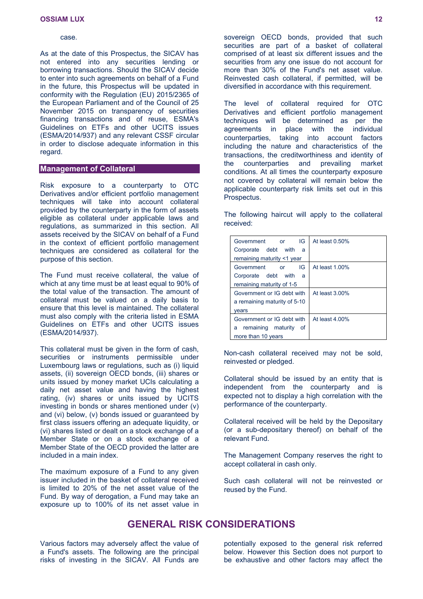#### case.

As at the date of this Prospectus, the SICAV has not entered into any securities lending or borrowing transactions. Should the SICAV decide to enter into such agreements on behalf of a Fund in the future, this Prospectus will be updated in conformity with the Regulation (EU) 2015/2365 of the European Parliament and of the Council of 25 November 2015 on transparency of securities financing transactions and of reuse, ESMA's Guidelines on ETFs and other UCITS issues (ESMA/2014/937) and any relevant CSSF circular in order to disclose adequate information in this regard.

### **Management of Collateral**

Risk exposure to a counterparty to OTC Derivatives and/or efficient portfolio management techniques will take into account collateral provided by the counterparty in the form of assets eligible as collateral under applicable laws and regulations, as summarized in this section. All assets received by the SICAV on behalf of a Fund in the context of efficient portfolio management techniques are considered as collateral for the purpose of this section.

The Fund must receive collateral, the value of which at any time must be at least equal to 90% of the total value of the transaction. The amount of collateral must be valued on a daily basis to ensure that this level is maintained. The collateral must also comply with the criteria listed in ESMA Guidelines on ETFs and other UCITS issues (ESMA/2014/937).

This collateral must be given in the form of cash, securities or instruments permissible under Luxembourg laws or regulations, such as (i) liquid assets, (ii) sovereign OECD bonds, (iii) shares or units issued by money market UCIs calculating a daily net asset value and having the highest rating, (iv) shares or units issued by UCITS investing in bonds or shares mentioned under (v) and (vi) below, (v) bonds issued or guaranteed by first class issuers offering an adequate liquidity, or (vi) shares listed or dealt on a stock exchange of a Member State or on a stock exchange of a Member State of the OECD provided the latter are included in a main index.

The maximum exposure of a Fund to any given issuer included in the basket of collateral received is limited to 20% of the net asset value of the Fund. By way of derogation, a Fund may take an exposure up to 100% of its net asset value in

sovereign OECD bonds, provided that such securities are part of a basket of collateral comprised of at least six different issues and the securities from any one issue do not account for more than 30% of the Fund's net asset value. Reinvested cash collateral, if permitted, will be diversified in accordance with this requirement.

The level of collateral required for OTC Derivatives and efficient portfolio management techniques will be determined as per the agreements in place with the individual counterparties, taking into account factors including the nature and characteristics of the transactions, the creditworthiness and identity of the counterparties and prevailing market conditions. At all times the counterparty exposure not covered by collateral will remain below the applicable counterparty risk limits set out in this Prospectus.

The following haircut will apply to the collateral received:

| IG<br>Government<br><b>or</b> | At least 0.50% |
|-------------------------------|----------------|
| Corporate debt with<br>- a    |                |
| remaining maturity <1 year    |                |
| Government<br>IG<br>or        | At least 1.00% |
| Corporate debt with<br>a      |                |
| remaining maturity of 1-5     |                |
| Government or IG debt with    | At least 3,00% |
| a remaining maturity of 5-10  |                |
| vears                         |                |
| Government or IG debt with    | At least 4,00% |
| remaining maturity of<br>a    |                |
| more than 10 years            |                |

Non-cash collateral received may not be sold, reinvested or pledged.

Collateral should be issued by an entity that is independent from the counterparty and is expected not to display a high correlation with the performance of the counterparty.

Collateral received will be held by the Depositary (or a sub-depositary thereof) on behalf of the relevant Fund.

The Management Company reserves the right to accept collateral in cash only.

Such cash collateral will not be reinvested or reused by the Fund.

### <span id="page-11-0"></span>**GENERAL RISK CONSIDERATIONS**

Various factors may adversely affect the value of a Fund's assets. The following are the principal risks of investing in the SICAV. All Funds are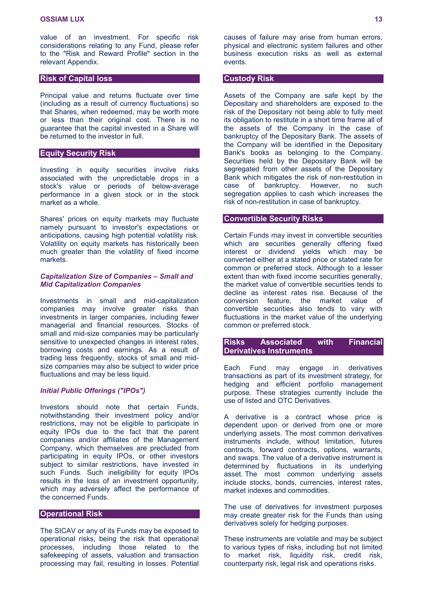value of an investment. For specific risk considerations relating to any Fund, please refer to the "Risk and Reward Profile" section in the relevant Appendix.

### **Risk of Capital loss**

Principal value and returns fluctuate over time (including as a result of currency fluctuations) so that Shares, when redeemed, may be worth more or less than their original cost. There is no guarantee that the capital invested in a Share will be returned to the investor in full.

### **Equity Security Risk**

Investing in equity securities involve risks associated with the unpredictable drops in a stock's value or periods of below-average performance in a given stock or in the stock market as a whole.

Shares' prices on equity markets may fluctuate namely pursuant to investor's expectations or anticipations, causing high potential volatility risk. Volatility on equity markets has historically been much greater than the volatility of fixed income markets.

### *Capitalization Size of Companies – Small and Mid Capitalization Companies*

Investments in small and mid-capitalization companies may involve greater risks than investments in larger companies, including fewer managerial and financial resources. Stocks of small and mid-size companies may be particularly sensitive to unexpected changes in interest rates, borrowing costs and earnings. As a result of trading less frequently, stocks of small and midsize companies may also be subject to wider price fluctuations and may be less liquid.

### *Initial Public Offerings ("IPOs")*

Investors should note that certain Funds, notwithstanding their investment policy and/or restrictions, may not be eligible to participate in equity IPOs due to the fact that the parent companies and/or affiliates of the Management Company, which themselves are precluded from participating in equity IPOs, or other investors subject to similar restrictions, have invested in such Funds. Such ineligibility for equity IPOs results in the loss of an investment opportunity, which may adversely affect the performance of the concerned Funds.

### **Operational Risk**

The SICAV or any of its Funds may be exposed to operational risks, being the risk that operational processes, including those related to the safekeeping of assets, valuation and transaction processing may fail, resulting in losses. Potential causes of failure may arise from human errors, physical and electronic system failures and other business execution risks as well as external events.

#### **Custody Risk**

Assets of the Company are safe kept by the Depositary and shareholders are exposed to the risk of the Depositary not being able to fully meet its obligation to restitute in a short time frame all of the assets of the Company in the case of bankruptcy of the Depositary Bank. The assets of the Company will be identified in the Depositary Bank's books as belonging to the Company. Securities held by the Depositary Bank will be segregated from other assets of the Depositary Bank which mitigates the risk of non-restitution in case of bankruptcy. However, no such segregation applies to cash which increases the risk of non-restitution in case of bankruptcy.

### **Convertible Security Risks**

Certain Funds may invest in convertible securities which are securities generally offering fixed interest or dividend yields which may be converted either at a stated price or stated rate for common or preferred stock. Although to a lesser extent than with fixed income securities generally, the market value of convertible securities tends to decline as interest rates rise. Because of the conversion feature, the market value of convertible securities also tends to vary with fluctuations in the market value of the underlying common or preferred stock.

**Risks Associated with Financial Derivatives Instruments**

Each Fund may engage in derivatives transactions as part of its investment strategy, for hedging and efficient portfolio management purpose. These strategies currently include the use of listed and OTC Derivatives.

A derivative is a contract whose price is dependent upon or derived from one or more underlying assets. The most common derivatives instruments include, without limitation, futures contracts, forward contracts, options, warrants, and swaps. The value of a derivative instrument is determined by fluctuations in its underlying asset. The most common underlying assets include stocks, bonds, currencies, interest rates, market indexes and commodities.

The use of derivatives for investment purposes may create greater risk for the Funds than using derivatives solely for hedging purposes.

These instruments are volatile and may be subject to various types of risks, including but not limited to market risk, liquidity risk, credit risk, counterparty risk, legal risk and operations risks.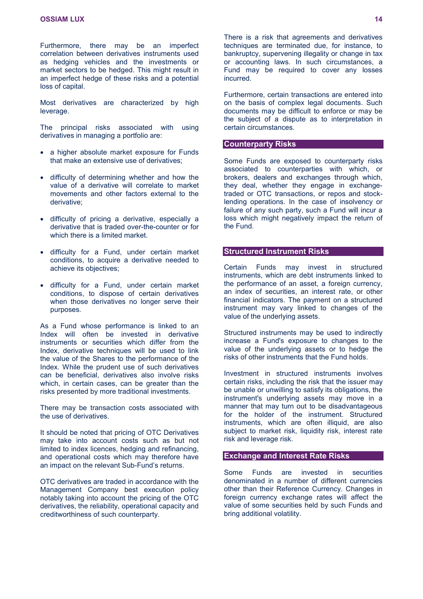Furthermore, there may be an imperfect correlation between derivatives instruments used as hedging vehicles and the investments or market sectors to be hedged. This might result in an imperfect hedge of these risks and a potential loss of capital.

Most derivatives are characterized by high leverage.

The principal risks associated with using derivatives in managing a portfolio are:

- a higher absolute market exposure for Funds that make an extensive use of derivatives;
- difficulty of determining whether and how the value of a derivative will correlate to market movements and other factors external to the derivative;
- difficulty of pricing a derivative, especially a derivative that is traded over-the-counter or for which there is a limited market.
- difficulty for a Fund, under certain market conditions, to acquire a derivative needed to achieve its objectives;
- difficulty for a Fund, under certain market conditions, to dispose of certain derivatives when those derivatives no longer serve their purposes.

As a Fund whose performance is linked to an Index will often be invested in derivative instruments or securities which differ from the Index, derivative techniques will be used to link the value of the Shares to the performance of the Index. While the prudent use of such derivatives can be beneficial, derivatives also involve risks which, in certain cases, can be greater than the risks presented by more traditional investments.

There may be transaction costs associated with the use of derivatives.

It should be noted that pricing of OTC Derivatives may take into account costs such as but not limited to index licences, hedging and refinancing, and operational costs which may therefore have an impact on the relevant Sub-Fund's returns.

OTC derivatives are traded in accordance with the Management Company best execution policy notably taking into account the pricing of the OTC derivatives, the reliability, operational capacity and creditworthiness of such counterparty.

There is a risk that agreements and derivatives techniques are terminated due, for instance, to bankruptcy, supervening illegality or change in tax or accounting laws. In such circumstances, a Fund may be required to cover any losses incurred.

Furthermore, certain transactions are entered into on the basis of complex legal documents. Such documents may be difficult to enforce or may be the subject of a dispute as to interpretation in certain circumstances.

### **Counterparty Risks**

Some Funds are exposed to counterparty risks associated to counterparties with which, or brokers, dealers and exchanges through which, they deal, whether they engage in exchangetraded or OTC transactions, or repos and stocklending operations. In the case of insolvency or failure of any such party, such a Fund will incur a loss which might negatively impact the return of the Fund.

### **Structured Instrument Risks**

Certain Funds may invest in structured instruments, which are debt instruments linked to the performance of an asset, a foreign currency, an index of securities, an interest rate, or other financial indicators. The payment on a structured instrument may vary linked to changes of the value of the underlying assets.

Structured instruments may be used to indirectly increase a Fund's exposure to changes to the value of the underlying assets or to hedge the risks of other instruments that the Fund holds.

Investment in structured instruments involves certain risks, including the risk that the issuer may be unable or unwilling to satisfy its obligations, the instrument's underlying assets may move in a manner that may turn out to be disadvantageous for the holder of the instrument. Structured instruments, which are often illiquid, are also subject to market risk, liquidity risk, interest rate risk and leverage risk.

### **Exchange and Interest Rate Risks**

Some Funds are invested in securities denominated in a number of different currencies other than their Reference Currency. Changes in foreign currency exchange rates will affect the value of some securities held by such Funds and bring additional volatility.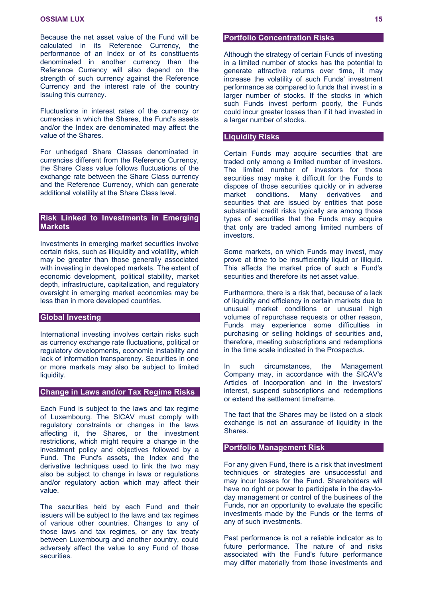Because the net asset value of the Fund will be calculated in its Reference Currency, the performance of an Index or of its constituents denominated in another currency than the Reference Currency will also depend on the strength of such currency against the Reference Currency and the interest rate of the country issuing this currency.

Fluctuations in interest rates of the currency or currencies in which the Shares, the Fund's assets and/or the Index are denominated may affect the value of the Shares.

For unhedged Share Classes denominated in currencies different from the Reference Currency, the Share Class value follows fluctuations of the exchange rate between the Share Class currency and the Reference Currency, which can generate additional volatility at the Share Class level.

### **Risk Linked to Investments in Emerging Markets**

Investments in emerging market securities involve certain risks, such as illiquidity and volatility, which may be greater than those generally associated with investing in developed markets. The extent of economic development, political stability, market depth, infrastructure, capitalization, and regulatory oversight in emerging market economies may be less than in more developed countries.

### **Global Investing**

International investing involves certain risks such as currency exchange rate fluctuations, political or regulatory developments, economic instability and lack of information transparency. Securities in one or more markets may also be subject to limited liquidity.

### **Change in Laws and/or Tax Regime Risks**

Each Fund is subject to the laws and tax regime of Luxembourg. The SICAV must comply with regulatory constraints or changes in the laws affecting it, the Shares, or the investment restrictions, which might require a change in the investment policy and objectives followed by a Fund. The Fund's assets, the Index and the derivative techniques used to link the two may also be subject to change in laws or regulations and/or regulatory action which may affect their value.

The securities held by each Fund and their issuers will be subject to the laws and tax regimes of various other countries. Changes to any of those laws and tax regimes, or any tax treaty between Luxembourg and another country, could adversely affect the value to any Fund of those securities.

### **Portfolio Concentration Risks**

Although the strategy of certain Funds of investing in a limited number of stocks has the potential to generate attractive returns over time, it may increase the volatility of such Funds' investment performance as compared to funds that invest in a larger number of stocks. If the stocks in which such Funds invest perform poorly, the Funds could incur greater losses than if it had invested in a larger number of stocks.

### **Liquidity Risks**

Certain Funds may acquire securities that are traded only among a limited number of investors. The limited number of investors for those securities may make it difficult for the Funds to dispose of those securities quickly or in adverse market conditions. Many derivatives and securities that are issued by entities that pose substantial credit risks typically are among those types of securities that the Funds may acquire that only are traded among limited numbers of investors.

Some markets, on which Funds may invest, may prove at time to be insufficiently liquid or illiquid. This affects the market price of such a Fund's securities and therefore its net asset value.

Furthermore, there is a risk that, because of a lack of liquidity and efficiency in certain markets due to unusual market conditions or unusual high volumes of repurchase requests or other reason, Funds may experience some difficulties in purchasing or selling holdings of securities and, therefore, meeting subscriptions and redemptions in the time scale indicated in the Prospectus.

In such circumstances, the Management Company may, in accordance with the SICAV's Articles of Incorporation and in the investors' interest, suspend subscriptions and redemptions or extend the settlement timeframe.

The fact that the Shares may be listed on a stock exchange is not an assurance of liquidity in the Shares.

#### **Portfolio Management Risk**

For any given Fund, there is a risk that investment techniques or strategies are unsuccessful and may incur losses for the Fund. Shareholders will have no right or power to participate in the day-today management or control of the business of the Funds, nor an opportunity to evaluate the specific investments made by the Funds or the terms of any of such investments.

Past performance is not a reliable indicator as to future performance. The nature of and risks associated with the Fund's future performance may differ materially from those investments and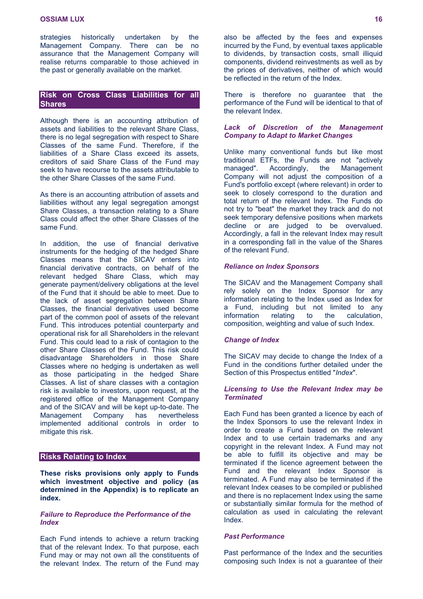strategies historically undertaken by the Management Company. There can be no assurance that the Management Company will realise returns comparable to those achieved in the past or generally available on the market.

### **Risk on Cross Class Liabilities for all Shares**

Although there is an accounting attribution of assets and liabilities to the relevant Share Class, there is no legal segregation with respect to Share Classes of the same Fund. Therefore, if the liabilities of a Share Class exceed its assets, creditors of said Share Class of the Fund may seek to have recourse to the assets attributable to the other Share Classes of the same Fund.

As there is an accounting attribution of assets and liabilities without any legal segregation amongst Share Classes, a transaction relating to a Share Class could affect the other Share Classes of the same Fund.

In addition, the use of financial derivative instruments for the hedging of the hedged Share Classes means that the SICAV enters into financial derivative contracts, on behalf of the relevant hedged Share Class, which may generate payment/delivery obligations at the level of the Fund that it should be able to meet. Due to the lack of asset segregation between Share Classes, the financial derivatives used become part of the common pool of assets of the relevant Fund. This introduces potential counterparty and operational risk for all Shareholders in the relevant Fund. This could lead to a risk of contagion to the other Share Classes of the Fund. This risk could disadvantage Shareholders in those Share Classes where no hedging is undertaken as well as those participating in the hedged Share Classes. A list of share classes with a contagion risk is available to investors, upon request, at the registered office of the Management Company and of the SICAV and will be kept up-to-date. The Management Company has nevertheless implemented additional controls in order to mitigate this risk.

### **Risks Relating to Index**

**These risks provisions only apply to Funds which investment objective and policy (as determined in the Appendix) is to replicate an index.**

### *Failure to Reproduce the Performance of the Index*

Each Fund intends to achieve a return tracking that of the relevant Index. To that purpose, each Fund may or may not own all the constituents of the relevant Index. The return of the Fund may also be affected by the fees and expenses incurred by the Fund, by eventual taxes applicable to dividends, by transaction costs, small illiquid components, dividend reinvestments as well as by the prices of derivatives, neither of which would be reflected in the return of the Index.

There is therefore no guarantee that the performance of the Fund will be identical to that of the relevant Index.

### *Lack of Discretion of the Management Company to Adapt to Market Changes*

Unlike many conventional funds but like most traditional ETFs, the Funds are not "actively managed". Accordingly, the Management Company will not adjust the composition of a Fund's portfolio except (where relevant) in order to seek to closely correspond to the duration and total return of the relevant Index. The Funds do not try to "beat" the market they track and do not seek temporary defensive positions when markets decline or are judged to be overvalued. Accordingly, a fall in the relevant Index may result in a corresponding fall in the value of the Shares of the relevant Fund.

### *Reliance on Index Sponsors*

The SICAV and the Management Company shall rely solely on the Index Sponsor for any information relating to the Index used as Index for a Fund, including but not limited to any information relating to the calculation, composition, weighting and value of such Index.

### *Change of Index*

The SICAV may decide to change the Index of a Fund in the conditions further detailed under the Section of this Prospectus entitled "*Index*".

### *Licensing to Use the Relevant Index may be Terminated*

Each Fund has been granted a licence by each of the Index Sponsors to use the relevant Index in order to create a Fund based on the relevant Index and to use certain trademarks and any copyright in the relevant Index. A Fund may not be able to fulfill its objective and may be terminated if the licence agreement between the Fund and the relevant Index Sponsor is terminated. A Fund may also be terminated if the relevant Index ceases to be compiled or published and there is no replacement Index using the same or substantially similar formula for the method of calculation as used in calculating the relevant Index.

### *Past Performance*

Past performance of the Index and the securities composing such Index is not a guarantee of their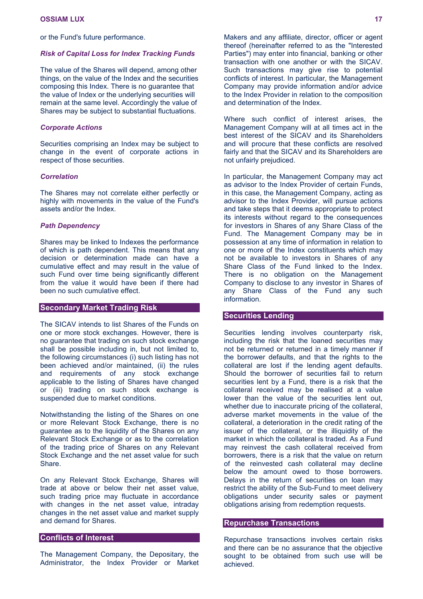or the Fund's future performance.

#### *Risk of Capital Loss for Index Tracking Funds*

The value of the Shares will depend, among other things, on the value of the Index and the securities composing this Index. There is no guarantee that the value of Index or the underlying securities will remain at the same level. Accordingly the value of Shares may be subject to substantial fluctuations.

#### *Corporate Actions*

Securities comprising an Index may be subject to change in the event of corporate actions in respect of those securities.

### *Correlation*

The Shares may not correlate either perfectly or highly with movements in the value of the Fund's assets and/or the Index.

### *Path Dependency*

Shares may be linked to Indexes the performance of which is path dependent. This means that any decision or determination made can have a cumulative effect and may result in the value of such Fund over time being significantly different from the value it would have been if there had been no such cumulative effect.

### **Secondary Market Trading Risk**

The SICAV intends to list Shares of the Funds on one or more stock exchanges. However, there is no guarantee that trading on such stock exchange shall be possible including in, but not limited to, the following circumstances (i) such listing has not been achieved and/or maintained, (ii) the rules and requirements of any stock exchange applicable to the listing of Shares have changed or (iii) trading on such stock exchange is suspended due to market conditions.

Notwithstanding the listing of the Shares on one or more Relevant Stock Exchange, there is no guarantee as to the liquidity of the Shares on any Relevant Stock Exchange or as to the correlation of the trading price of Shares on any Relevant Stock Exchange and the net asset value for such Share.

On any Relevant Stock Exchange, Shares will trade at above or below their net asset value, such trading price may fluctuate in accordance with changes in the net asset value, intraday changes in the net asset value and market supply and demand for Shares.

### **Conflicts of Interest**

The Management Company, the Depositary, the Administrator, the Index Provider or Market

Makers and any affiliate, director, officer or agent thereof (hereinafter referred to as the "Interested Parties") may enter into financial, banking or other transaction with one another or with the SICAV. Such transactions may give rise to potential conflicts of interest. In particular, the Management Company may provide information and/or advice to the Index Provider in relation to the composition and determination of the Index.

Where such conflict of interest arises, the Management Company will at all times act in the best interest of the SICAV and its Shareholders and will procure that these conflicts are resolved fairly and that the SICAV and its Shareholders are not unfairly prejudiced.

In particular, the Management Company may act as advisor to the Index Provider of certain Funds, in this case, the Management Company, acting as advisor to the Index Provider, will pursue actions and take steps that it deems appropriate to protect its interests without regard to the consequences for investors in Shares of any Share Class of the Fund. The Management Company may be in possession at any time of information in relation to one or more of the Index constituents which may not be available to investors in Shares of any Share Class of the Fund linked to the Index. There is no obligation on the Management Company to disclose to any investor in Shares of any Share Class of the Fund any such information.

### **Securities Lending**

Securities lending involves counterparty risk, including the risk that the loaned securities may not be returned or returned in a timely manner if the borrower defaults, and that the rights to the collateral are lost if the lending agent defaults. Should the borrower of securities fail to return securities lent by a Fund, there is a risk that the collateral received may be realised at a value lower than the value of the securities lent out, whether due to inaccurate pricing of the collateral, adverse market movements in the value of the collateral, a deterioration in the credit rating of the issuer of the collateral, or the illiquidity of the market in which the collateral is traded. As a Fund may reinvest the cash collateral received from borrowers, there is a risk that the value on return of the reinvested cash collateral may decline below the amount owed to those borrowers. Delays in the return of securities on loan may restrict the ability of the Sub-Fund to meet delivery obligations under security sales or payment obligations arising from redemption requests.

#### **Repurchase Transactions**

Repurchase transactions involves certain risks and there can be no assurance that the objective sought to be obtained from such use will be achieved.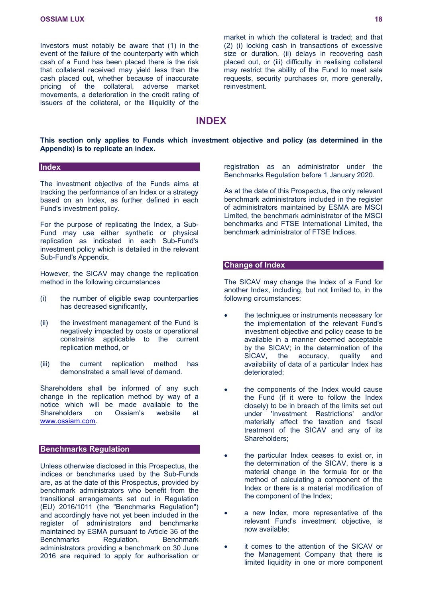Investors must notably be aware that (1) in the event of the failure of the counterparty with which cash of a Fund has been placed there is the risk that collateral received may yield less than the cash placed out, whether because of inaccurate pricing of the collateral, adverse market movements, a deterioration in the credit rating of issuers of the collateral, or the illiquidity of the

market in which the collateral is traded; and that (2) (i) locking cash in transactions of excessive size or duration. (ii) delays in recovering cash placed out, or (iii) difficulty in realising collateral may restrict the ability of the Fund to meet sale requests, security purchases or, more generally, reinvestment.

### <span id="page-17-0"></span>**INDEX**

### **This section only applies to Funds which investment objective and policy (as determined in the Appendix) is to replicate an index.**

### **Index**

The investment objective of the Funds aims at tracking the performance of an Index or a strategy based on an Index, as further defined in each Fund's investment policy.

For the purpose of replicating the Index, a Sub-Fund may use either synthetic or physical replication as indicated in each Sub-Fund's investment policy which is detailed in the relevant Sub-Fund's Appendix.

However, the SICAV may change the replication method in the following circumstances

- (i) the number of eligible swap counterparties has decreased significantly,
- (ii) the investment management of the Fund is negatively impacted by costs or operational constraints applicable to the current replication method, or
- (iii) the current replication method has demonstrated a small level of demand.

Shareholders shall be informed of any such change in the replication method by way of a notice which will be made available to the Shareholders on Ossiam's website at [www.ossiam.com.](http://www.ossiam.com/)

### **Benchmarks Regulation**

Unless otherwise disclosed in this Prospectus, the indices or benchmarks used by the Sub-Funds are, as at the date of this Prospectus, provided by benchmark administrators who benefit from the transitional arrangements set out in Regulation (EU) 2016/1011 (the "Benchmarks Regulation") and accordingly have not yet been included in the register of administrators and benchmarks maintained by ESMA pursuant to Article 36 of the Benchmarks Regulation. Benchmark administrators providing a benchmark on 30 June 2016 are required to apply for authorisation or

registration as an administrator under the Benchmarks Regulation before 1 January 2020.

As at the date of this Prospectus, the only relevant benchmark administrators included in the register of administrators maintained by ESMA are MSCI Limited, the benchmark administrator of the MSCI benchmarks and FTSE International Limited, the benchmark administrator of FTSE Indices.

### **Change of Index**

The SICAV may change the Index of a Fund for another Index, including, but not limited to, in the following circumstances:

- the techniques or instruments necessary for the implementation of the relevant Fund's investment objective and policy cease to be available in a manner deemed acceptable by the SICAV; in the determination of the SICAV, the accuracy, quality and availability of data of a particular Index has deteriorated;
- the components of the Index would cause the Fund (if it were to follow the Index closely) to be in breach of the limits set out under 'Investment Restrictions' and/or materially affect the taxation and fiscal treatment of the SICAV and any of its Shareholders;
- the particular Index ceases to exist or, in the determination of the SICAV, there is a material change in the formula for or the method of calculating a component of the Index or there is a material modification of the component of the Index;
- a new Index, more representative of the relevant Fund's investment objective, is now available;
- it comes to the attention of the SICAV or the Management Company that there is limited liquidity in one or more component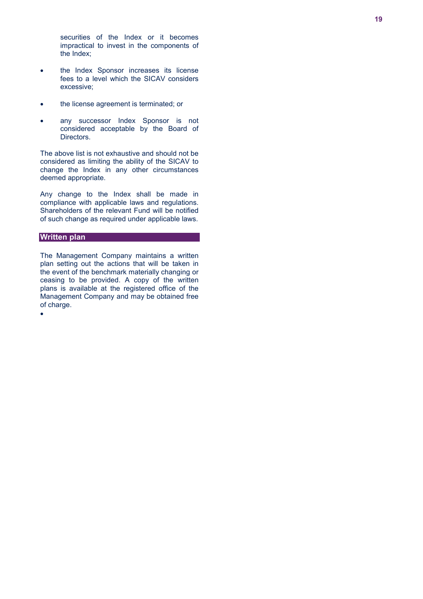securities of the Index or it becomes impractical to invest in the components of the Index;

- the Index Sponsor increases its license fees to a level which the SICAV considers excessive;
- the license agreement is terminated; or
- any successor Index Sponsor is not considered acceptable by the Board of Directors.

The above list is not exhaustive and should not be considered as limiting the ability of the SICAV to change the Index in any other circumstances deemed appropriate.

Any change to the Index shall be made in compliance with applicable laws and regulations. Shareholders of the relevant Fund will be notified of such change as required under applicable laws.

### **Written plan**

The Management Company maintains a written plan setting out the actions that will be taken in the event of the benchmark materially changing or ceasing to be provided. A copy of the written plans is available at the registered office of the Management Company and may be obtained free of charge.

 $\bullet$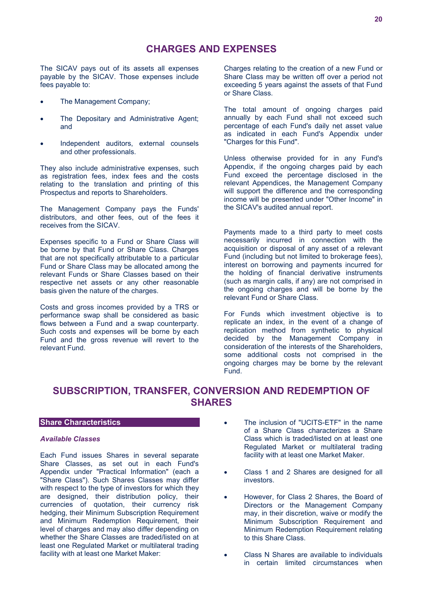The SICAV pays out of its assets all expenses payable by the SICAV. Those expenses include fees payable to:

- The Management Company;
- The Depositary and Administrative Agent; and
- Independent auditors, external counsels and other professionals.

They also include administrative expenses, such as registration fees, index fees and the costs relating to the translation and printing of this Prospectus and reports to Shareholders.

The Management Company pays the Funds' distributors, and other fees, out of the fees it receives from the SICAV.

Expenses specific to a Fund or Share Class will be borne by that Fund or Share Class. Charges that are not specifically attributable to a particular Fund or Share Class may be allocated among the relevant Funds or Share Classes based on their respective net assets or any other reasonable basis given the nature of the charges.

Costs and gross incomes provided by a TRS or performance swap shall be considered as basic flows between a Fund and a swap counterparty. Such costs and expenses will be borne by each Fund and the gross revenue will revert to the relevant Fund.

<span id="page-19-0"></span>Charges relating to the creation of a new Fund or Share Class may be written off over a period not exceeding 5 years against the assets of that Fund or Share Class.

The total amount of ongoing charges paid annually by each Fund shall not exceed such percentage of each Fund's daily net asset value as indicated in each Fund's Appendix under "Charges for this Fund".

Unless otherwise provided for in any Fund's Appendix, if the ongoing charges paid by each Fund exceed the percentage disclosed in the relevant Appendices, the Management Company will support the difference and the corresponding income will be presented under "Other Income" in the SICAV's audited annual report.

Payments made to a third party to meet costs necessarily incurred in connection with the acquisition or disposal of any asset of a relevant Fund (including but not limited to brokerage fees), interest on borrowing and payments incurred for the holding of financial derivative instruments (such as margin calls, if any) are not comprised in the ongoing charges and will be borne by the relevant Fund or Share Class.

For Funds which investment objective is to replicate an index, in the event of a change of replication method from synthetic to physical decided by the Management Company in consideration of the interests of the Shareholders, some additional costs not comprised in the ongoing charges may be borne by the relevant Fund.

### <span id="page-19-1"></span>**SUBSCRIPTION, TRANSFER, CONVERSION AND REDEMPTION OF SHARES**

### **Share Characteristics**

### *Available Classes*

Each Fund issues Shares in several separate Share Classes, as set out in each Fund's Appendix under "Practical Information" (each a "Share Class"). Such Shares Classes may differ with respect to the type of investors for which they are designed, their distribution policy, their currencies of quotation, their currency risk hedging, their Minimum Subscription Requirement and Minimum Redemption Requirement, their level of charges and may also differ depending on whether the Share Classes are traded/listed on at least one Regulated Market or multilateral trading facility with at least one Market Maker:

- The inclusion of "UCITS-ETF" in the name of a Share Class characterizes a Share Class which is traded/listed on at least one Regulated Market or multilateral trading facility with at least one Market Maker.
- Class 1 and 2 Shares are designed for all investors.
- However, for Class 2 Shares, the Board of Directors or the Management Company may, in their discretion, waive or modify the Minimum Subscription Requirement and Minimum Redemption Requirement relating to this Share Class.
- Class N Shares are available to individuals in certain limited circumstances when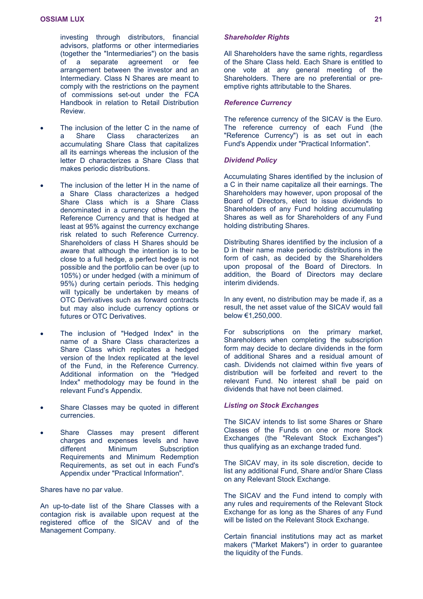investing through distributors, financial advisors, platforms or other intermediaries (together the "Intermediaries") on the basis of a separate agreement or fee arrangement between the investor and an Intermediary. Class N Shares are meant to comply with the restrictions on the payment of commissions set-out under the FCA Handbook in relation to Retail Distribution Review.

- The inclusion of the letter C in the name of<br>a Share Class characterizes an a Share Class characterizes an accumulating Share Class that capitalizes all its earnings whereas the inclusion of the letter D characterizes a Share Class that makes periodic distributions.
- The inclusion of the letter H in the name of a Share Class characterizes a hedged Share Class which is a Share Class denominated in a currency other than the Reference Currency and that is hedged at least at 95% against the currency exchange risk related to such Reference Currency. Shareholders of class H Shares should be aware that although the intention is to be close to a full hedge, a perfect hedge is not possible and the portfolio can be over (up to 105%) or under hedged (with a minimum of 95%) during certain periods. This hedging will typically be undertaken by means of OTC Derivatives such as forward contracts but may also include currency options or futures or OTC Derivatives.
- The inclusion of "Hedged Index" in the name of a Share Class characterizes a Share Class which replicates a hedged version of the Index replicated at the level of the Fund, in the Reference Currency. Additional information on the "Hedged Index" methodology may be found in the relevant Fund's Appendix.
- Share Classes may be quoted in different currencies.
- Share Classes may present different charges and expenses levels and have different Minimum Subscription Requirements and Minimum Redemption Requirements, as set out in each Fund's Appendix under "Practical Information".

Shares have no par value.

An up-to-date list of the Share Classes with a contagion risk is available upon request at the registered office of the SICAV and of the Management Company.

### *Shareholder Rights*

All Shareholders have the same rights, regardless of the Share Class held. Each Share is entitled to one vote at any general meeting of the Shareholders. There are no preferential or preemptive rights attributable to the Shares.

### *Reference Currency*

The reference currency of the SICAV is the Euro. The reference currency of each Fund (the "Reference Currency") is as set out in each Fund's Appendix under "Practical Information".

### *Dividend Policy*

Accumulating Shares identified by the inclusion of a C in their name capitalize all their earnings. The Shareholders may however, upon proposal of the Board of Directors, elect to issue dividends to Shareholders of any Fund holding accumulating Shares as well as for Shareholders of any Fund holding distributing Shares.

Distributing Shares identified by the inclusion of a D in their name make periodic distributions in the form of cash, as decided by the Shareholders upon proposal of the Board of Directors. In addition, the Board of Directors may declare interim dividends.

In any event, no distribution may be made if, as a result, the net asset value of the SICAV would fall below €1,250,000.

For subscriptions on the primary market, Shareholders when completing the subscription form may decide to declare dividends in the form of additional Shares and a residual amount of cash. Dividends not claimed within five years of distribution will be forfeited and revert to the relevant Fund. No interest shall be paid on dividends that have not been claimed.

### *Listing on Stock Exchanges*

The SICAV intends to list some Shares or Share Classes of the Funds on one or more Stock Exchanges (the "Relevant Stock Exchanges") thus qualifying as an exchange traded fund.

The SICAV may, in its sole discretion, decide to list any additional Fund, Share and/or Share Class on any Relevant Stock Exchange.

The SICAV and the Fund intend to comply with any rules and requirements of the Relevant Stock Exchange for as long as the Shares of any Fund will be listed on the Relevant Stock Exchange.

Certain financial institutions may act as market makers ("Market Makers") in order to guarantee the liquidity of the Funds.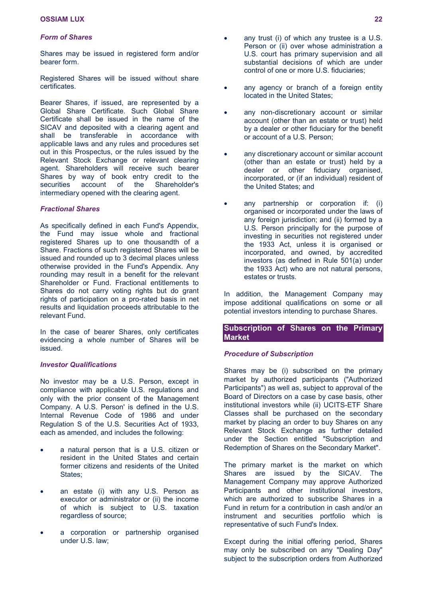### *Form of Shares*

Shares may be issued in registered form and/or bearer form.

Registered Shares will be issued without share certificates.

Bearer Shares, if issued, are represented by a Global Share Certificate. Such Global Share Certificate shall be issued in the name of the SICAV and deposited with a clearing agent and shall be transferable in accordance with applicable laws and any rules and procedures set out in this Prospectus, or the rules issued by the Relevant Stock Exchange or relevant clearing agent. Shareholders will receive such bearer Shares by way of book entry credit to the securities account of the Shareholder's intermediary opened with the clearing agent.

### *Fractional Shares*

As specifically defined in each Fund's Appendix, the Fund may issue whole and fractional registered Shares up to one thousandth of a Share. Fractions of such registered Shares will be issued and rounded up to 3 decimal places unless otherwise provided in the Fund's Appendix. Any rounding may result in a benefit for the relevant Shareholder or Fund. Fractional entitlements to Shares do not carry voting rights but do grant rights of participation on a pro-rated basis in net results and liquidation proceeds attributable to the relevant Fund.

In the case of bearer Shares, only certificates evidencing a whole number of Shares will be issued.

### *Investor Qualifications*

No investor may be a U.S. Person, except in compliance with applicable U.S. regulations and only with the prior consent of the Management Company. A U.S. Person' is defined in the U.S. Internal Revenue Code of 1986 and under Regulation S of the U.S. Securities Act of 1933, each as amended, and includes the following:

- a natural person that is a U.S. citizen or resident in the United States and certain former citizens and residents of the United States:
- an estate (i) with any U.S. Person as executor or administrator or (ii) the income of which is subject to U.S. taxation regardless of source;
- a corporation or partnership organised under U.S. law;
- any trust (i) of which any trustee is a U.S. Person or (ii) over whose administration a U.S. court has primary supervision and all substantial decisions of which are under control of one or more U.S. fiduciaries;
- any agency or branch of a foreign entity located in the United States;
- any non-discretionary account or similar account (other than an estate or trust) held by a dealer or other fiduciary for the benefit or account of a U.S. Person;
- any discretionary account or similar account (other than an estate or trust) held by a dealer or other fiduciary organised, incorporated, or (if an individual) resident of the United States; and
- any partnership or corporation if: (i) organised or incorporated under the laws of any foreign jurisdiction; and (ii) formed by a U.S. Person principally for the purpose of investing in securities not registered under the 1933 Act, unless it is organised or incorporated, and owned, by accredited investors (as defined in Rule 501(a) under the 1933 Act) who are not natural persons, estates or trusts.

In addition, the Management Company may impose additional qualifications on some or all potential investors intending to purchase Shares.

**Subscription of Shares on the Primary Market**

### *Procedure of Subscription*

Shares may be (i) subscribed on the primary market by authorized participants ("Authorized Participants") as well as, subject to approval of the Board of Directors on a case by case basis, other institutional investors while (ii) UCITS-ETF Share Classes shall be purchased on the secondary market by placing an order to buy Shares on any Relevant Stock Exchange as further detailed under the Section entitled "Subscription and Redemption of Shares on the Secondary Market".

The primary market is the market on which Shares are issued by the SICAV. The Management Company may approve Authorized Participants and other institutional investors, which are authorized to subscribe Shares in a Fund in return for a contribution in cash and/or an instrument and securities portfolio which is representative of such Fund's Index.

Except during the initial offering period, Shares may only be subscribed on any "Dealing Day" subject to the subscription orders from Authorized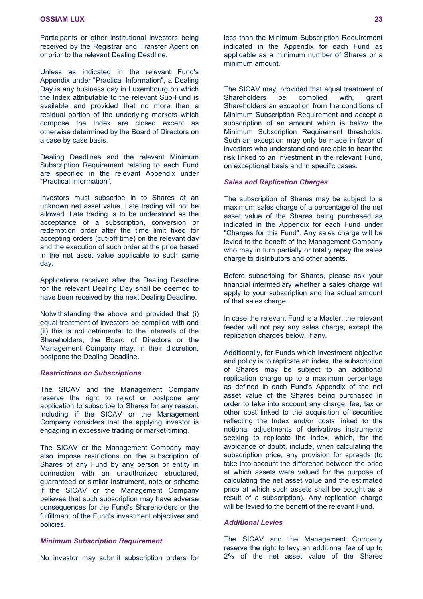Participants or other institutional investors being received by the Registrar and Transfer Agent on or prior to the relevant Dealing Deadline.

Unless as indicated in the relevant Fund's Appendix under "Practical Information", a Dealing Day is any business day in Luxembourg on which the Index attributable to the relevant Sub-Fund is available and provided that no more than a residual portion of the underlying markets which compose the Index are closed except as otherwise determined by the Board of Directors on a case by case basis.

Dealing Deadlines and the relevant Minimum Subscription Requirement relating to each Fund are specified in the relevant Appendix under "Practical Information".

Investors must subscribe in to Shares at an unknown net asset value. Late trading will not be allowed. Late trading is to be understood as the acceptance of a subscription, conversion or redemption order after the time limit fixed for accepting orders (cut-off time) on the relevant day and the execution of such order at the price based in the net asset value applicable to such same day.

Applications received after the Dealing Deadline for the relevant Dealing Day shall be deemed to have been received by the next Dealing Deadline.

Notwithstanding the above and provided that (i) equal treatment of investors be complied with and (ii) this is not detrimental to the interests of the Shareholders, the Board of Directors or the Management Company may, in their discretion, postpone the Dealing Deadline.

#### *Restrictions on Subscriptions*

The SICAV and the Management Company reserve the right to reject or postpone any application to subscribe to Shares for any reason, including if the SICAV or the Management Company considers that the applying investor is engaging in excessive trading or market-timing.

The SICAV or the Management Company may also impose restrictions on the subscription of Shares of any Fund by any person or entity in connection with an unauthorized structured, guaranteed or similar instrument, note or scheme if the SICAV or the Management Company believes that such subscription may have adverse consequences for the Fund's Shareholders or the fulfillment of the Fund's investment objectives and policies.

### *Minimum Subscription Requirement*

No investor may submit subscription orders for

less than the Minimum Subscription Requirement indicated in the Appendix for each Fund as applicable as a minimum number of Shares or a minimum amount.

The SICAV may, provided that equal treatment of Shareholders be complied with, grant Shareholders an exception from the conditions of Minimum Subscription Requirement and accept a subscription of an amount which is below the Minimum Subscription Requirement thresholds. Such an exception may only be made in favor of investors who understand and are able to bear the risk linked to an investment in the relevant Fund, on exceptional basis and in specific cases.

### *Sales and Replication Charges*

The subscription of Shares may be subject to a maximum sales charge of a percentage of the net asset value of the Shares being purchased as indicated in the Appendix for each Fund under "Charges for this Fund". Any sales charge will be levied to the benefit of the Management Company who may in turn partially or totally repay the sales charge to distributors and other agents.

Before subscribing for Shares, please ask your financial intermediary whether a sales charge will apply to your subscription and the actual amount of that sales charge.

In case the relevant Fund is a Master, the relevant feeder will not pay any sales charge, except the replication charges below, if any.

Additionally, for Funds which investment objective and policy is to replicate an index, the subscription of Shares may be subject to an additional replication charge up to a maximum percentage as defined in each Fund's Appendix of the net asset value of the Shares being purchased in order to take into account any charge, fee, tax or other cost linked to the acquisition of securities reflecting the Index and/or costs linked to the notional adjustments of derivatives instruments seeking to replicate the Index, which, for the avoidance of doubt, include, when calculating the subscription price, any provision for spreads (to take into account the difference between the price at which assets were valued for the purpose of calculating the net asset value and the estimated price at which such assets shall be bought as a result of a subscription). Any replication charge will be levied to the benefit of the relevant Fund.

### *Additional Levies*

The SICAV and the Management Company reserve the right to levy an additional fee of up to 2% of the net asset value of the Shares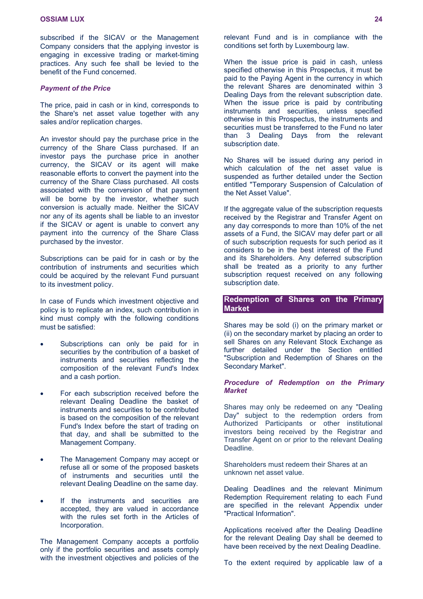subscribed if the SICAV or the Management Company considers that the applying investor is engaging in excessive trading or market-timing practices. Any such fee shall be levied to the benefit of the Fund concerned.

#### *Payment of the Price*

The price, paid in cash or in kind, corresponds to the Share's net asset value together with any sales and/or replication charges.

An investor should pay the purchase price in the currency of the Share Class purchased. If an investor pays the purchase price in another currency, the SICAV or its agent will make reasonable efforts to convert the payment into the currency of the Share Class purchased. All costs associated with the conversion of that payment will be borne by the investor, whether such conversion is actually made. Neither the SICAV nor any of its agents shall be liable to an investor if the SICAV or agent is unable to convert any payment into the currency of the Share Class purchased by the investor.

Subscriptions can be paid for in cash or by the contribution of instruments and securities which could be acquired by the relevant Fund pursuant to its investment policy.

In case of Funds which investment objective and policy is to replicate an index, such contribution in kind must comply with the following conditions must be satisfied:

- Subscriptions can only be paid for in securities by the contribution of a basket of instruments and securities reflecting the composition of the relevant Fund's Index and a cash portion.
- For each subscription received before the relevant Dealing Deadline the basket of instruments and securities to be contributed is based on the composition of the relevant Fund's Index before the start of trading on that day, and shall be submitted to the Management Company.
- The Management Company may accept or refuse all or some of the proposed baskets of instruments and securities until the relevant Dealing Deadline on the same day.
- If the instruments and securities are accepted, they are valued in accordance with the rules set forth in the Articles of Incorporation.

The Management Company accepts a portfolio only if the portfolio securities and assets comply with the investment objectives and policies of the

relevant Fund and is in compliance with the conditions set forth by Luxembourg law.

When the issue price is paid in cash, unless specified otherwise in this Prospectus, it must be paid to the Paying Agent in the currency in which the relevant Shares are denominated within 3 Dealing Days from the relevant subscription date. When the issue price is paid by contributing instruments and securities, unless specified otherwise in this Prospectus, the instruments and securities must be transferred to the Fund no later than 3 Dealing Days from the relevant subscription date.

No Shares will be issued during any period in which calculation of the net asset value is suspended as further detailed under the Section entitled "Temporary Suspension of Calculation of the Net Asset Value".

If the aggregate value of the subscription requests received by the Registrar and Transfer Agent on any day corresponds to more than 10% of the net assets of a Fund, the SICAV may defer part or all of such subscription requests for such period as it considers to be in the best interest of the Fund and its Shareholders. Any deferred subscription shall be treated as a priority to any further subscription request received on any following subscription date.

### **Redemption of Shares on the Primary Market**

Shares may be sold (i) on the primary market or (ii) on the secondary market by placing an order to sell Shares on any Relevant Stock Exchange as further detailed under the Section entitled "Subscription and Redemption of Shares on the Secondary Market".

### *Procedure of Redemption on the Primary Market*

Shares may only be redeemed on any "Dealing Day" subject to the redemption orders from Authorized Participants or other institutional investors being received by the Registrar and Transfer Agent on or prior to the relevant Dealing Deadline.

Shareholders must redeem their Shares at an unknown net asset value.

Dealing Deadlines and the relevant Minimum Redemption Requirement relating to each Fund are specified in the relevant Appendix under "Practical Information".

Applications received after the Dealing Deadline for the relevant Dealing Day shall be deemed to have been received by the next Dealing Deadline.

To the extent required by applicable law of a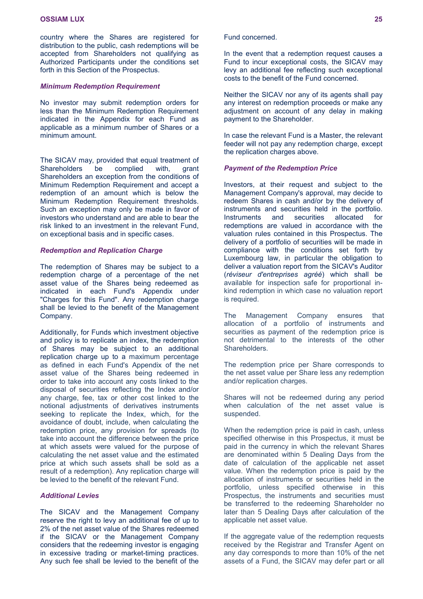country where the Shares are registered for distribution to the public, cash redemptions will be accepted from Shareholders not qualifying as Authorized Participants under the conditions set forth in this Section of the Prospectus.

### *Minimum Redemption Requirement*

No investor may submit redemption orders for less than the Minimum Redemption Requirement indicated in the Appendix for each Fund as applicable as a minimum number of Shares or a minimum amount.

The SICAV may, provided that equal treatment of Shareholders be complied with, grant Shareholders an exception from the conditions of Minimum Redemption Requirement and accept a redemption of an amount which is below the Minimum Redemption Requirement thresholds. Such an exception may only be made in favor of investors who understand and are able to bear the risk linked to an investment in the relevant Fund, on exceptional basis and in specific cases.

### *Redemption and Replication Charge*

The redemption of Shares may be subject to a redemption charge of a percentage of the net asset value of the Shares being redeemed as indicated in each Fund's Appendix under "Charges for this Fund". Any redemption charge shall be levied to the benefit of the Management Company.

Additionally, for Funds which investment objective and policy is to replicate an index, the redemption of Shares may be subject to an additional replication charge up to a maximum percentage as defined in each Fund's Appendix of the net asset value of the Shares being redeemed in order to take into account any costs linked to the disposal of securities reflecting the Index and/or any charge, fee, tax or other cost linked to the notional adjustments of derivatives instruments seeking to replicate the Index, which, for the avoidance of doubt, include, when calculating the redemption price, any provision for spreads (to take into account the difference between the price at which assets were valued for the purpose of calculating the net asset value and the estimated price at which such assets shall be sold as a result of a redemption). Any replication charge will be levied to the benefit of the relevant Fund.

### *Additional Levies*

The SICAV and the Management Company reserve the right to levy an additional fee of up to 2% of the net asset value of the Shares redeemed if the SICAV or the Management Company considers that the redeeming investor is engaging in excessive trading or market-timing practices. Any such fee shall be levied to the benefit of the

### Fund concerned.

In the event that a redemption request causes a Fund to incur exceptional costs, the SICAV may levy an additional fee reflecting such exceptional costs to the benefit of the Fund concerned.

Neither the SICAV nor any of its agents shall pay any interest on redemption proceeds or make any adjustment on account of any delay in making payment to the Shareholder.

In case the relevant Fund is a Master, the relevant feeder will not pay any redemption charge, except the replication charges above.

### *Payment of the Redemption Price*

Investors, at their request and subject to the Management Company's approval, may decide to redeem Shares in cash and/or by the delivery of instruments and securities held in the portfolio. Instruments and securities allocated for redemptions are valued in accordance with the valuation rules contained in this Prospectus. The delivery of a portfolio of securities will be made in compliance with the conditions set forth by Luxembourg law, in particular the obligation to deliver a valuation report from the SICAV's Auditor (*réviseur d'entreprises agréé*) which shall be available for inspection safe for proportional inkind redemption in which case no valuation report is required.

The Management Company ensures that allocation of a portfolio of instruments and securities as payment of the redemption price is not detrimental to the interests of the other Shareholders.

The redemption price per Share corresponds to the net asset value per Share less any redemption and/or replication charges.

Shares will not be redeemed during any period when calculation of the net asset value is suspended.

When the redemption price is paid in cash, unless specified otherwise in this Prospectus, it must be paid in the currency in which the relevant Shares are denominated within 5 Dealing Days from the date of calculation of the applicable net asset value. When the redemption price is paid by the allocation of instruments or securities held in the portfolio, unless specified otherwise in this Prospectus, the instruments and securities must be transferred to the redeeming Shareholder no later than 5 Dealing Days after calculation of the applicable net asset value.

If the aggregate value of the redemption requests received by the Registrar and Transfer Agent on any day corresponds to more than 10% of the net assets of a Fund, the SICAV may defer part or all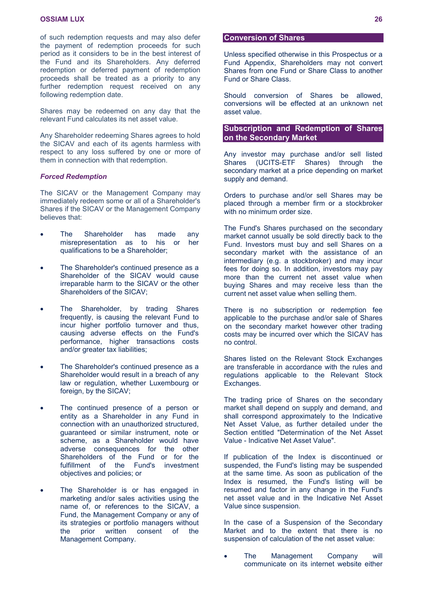of such redemption requests and may also defer the payment of redemption proceeds for such period as it considers to be in the best interest of the Fund and its Shareholders. Any deferred redemption or deferred payment of redemption proceeds shall be treated as a priority to any further redemption request received on any following redemption date.

Shares may be redeemed on any day that the relevant Fund calculates its net asset value.

Any Shareholder redeeming Shares agrees to hold the SICAV and each of its agents harmless with respect to any loss suffered by one or more of them in connection with that redemption.

### *Forced Redemption*

The SICAV or the Management Company may immediately redeem some or all of a Shareholder's Shares if the SICAV or the Management Company believes that:

- The Shareholder has made any misrepresentation as to his or her qualifications to be a Shareholder;
- The Shareholder's continued presence as a Shareholder of the SICAV would cause irreparable harm to the SICAV or the other Shareholders of the SICAV;
- The Shareholder, by trading Shares frequently, is causing the relevant Fund to incur higher portfolio turnover and thus, causing adverse effects on the Fund's performance, higher transactions costs and/or greater tax liabilities;
- The Shareholder's continued presence as a Shareholder would result in a breach of any law or regulation, whether Luxembourg or foreign, by the SICAV;
- The continued presence of a person or entity as a Shareholder in any Fund in connection with an unauthorized structured, guaranteed or similar instrument, note or scheme, as a Shareholder would have adverse consequences for the other Shareholders of the Fund or for the fulfillment of the Fund's investment objectives and policies; or
- The Shareholder is or has engaged in marketing and/or sales activities using the name of, or references to the SICAV, a Fund, the Management Company or any of its strategies or portfolio managers without the prior written consent of the Management Company.

### **Conversion of Shares**

Unless specified otherwise in this Prospectus or a Fund Appendix, Shareholders may not convert Shares from one Fund or Share Class to another Fund or Share Class.

Should conversion of Shares be allowed, conversions will be effected at an unknown net asset value.

### **Subscription and Redemption of Shares on the Secondary Market**

Any investor may purchase and/or sell listed Shares (UCITS-ETF Shares) through the secondary market at a price depending on market supply and demand.

Orders to purchase and/or sell Shares may be placed through a member firm or a stockbroker with no minimum order size.

The Fund's Shares purchased on the secondary market cannot usually be sold directly back to the Fund. Investors must buy and sell Shares on a secondary market with the assistance of an intermediary (e.g. a stockbroker) and may incur fees for doing so. In addition, investors may pay more than the current net asset value when buying Shares and may receive less than the current net asset value when selling them.

There is no subscription or redemption fee applicable to the purchase and/or sale of Shares on the secondary market however other trading costs may be incurred over which the SICAV has no control.

Shares listed on the Relevant Stock Exchanges are transferable in accordance with the rules and regulations applicable to the Relevant Stock Exchanges.

The trading price of Shares on the secondary market shall depend on supply and demand, and shall correspond approximately to the Indicative Net Asset Value, as further detailed under the Section entitled "Determination of the Net Asset Value - Indicative Net Asset Value".

If publication of the Index is discontinued or suspended, the Fund's listing may be suspended at the same time. As soon as publication of the Index is resumed, the Fund's listing will be resumed and factor in any change in the Fund's net asset value and in the Indicative Net Asset Value since suspension.

In the case of a Suspension of the Secondary Market and to the extent that there is no suspension of calculation of the net asset value:

 The Management Company will communicate on its internet website either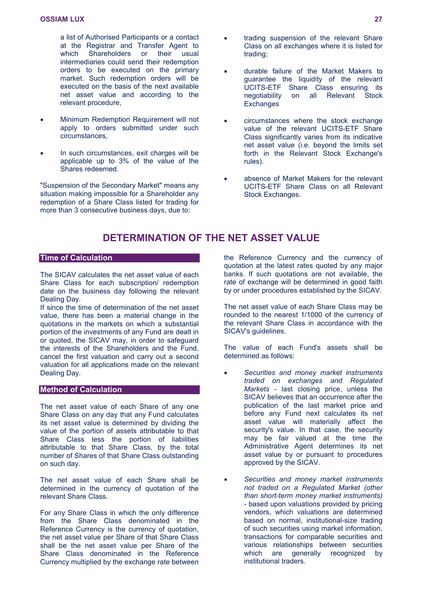a list of Authorised Participants or a contact at the Registrar and Transfer Agent to which Shareholders or their usual intermediaries could send their redemption orders to be executed on the primary market. Such redemption orders will be executed on the basis of the next available net asset value and according to the relevant procedure,

- Minimum Redemption Requirement will not apply to orders submitted under such circumstances,
- In such circumstances, exit charges will be applicable up to 3% of the value of the Shares redeemed.

"Suspension of the Secondary Market" means any situation making impossible for a Shareholder any redemption of a Share Class listed for trading for more than 3 consecutive business days, due to:

- trading suspension of the relevant Share Class on all exchanges where it is listed for trading;
- durable failure of the Market Makers to guarantee the liquidity of the relevant UCITS-ETF Share Class ensuring its negotiability on all Relevant Stock **Exchanges**
- circumstances where the stock exchange value of the relevant UCITS-ETF Share Class significantly varies from its indicative net asset value (i.e. beyond the limits set forth in the Relevant Stock Exchange's rules).
- absence of Market Makers for the relevant UCITS-ETF Share Class on all Relevant Stock Exchanges.

## <span id="page-26-0"></span>**DETERMINATION OF THE NET ASSET VALUE**

### **Time of Calculation**

The SICAV calculates the net asset value of each Share Class for each subscription/ redemption date on the business day following the relevant Dealing Day.

If since the time of determination of the net asset value, there has been a material change in the quotations in the markets on which a substantial portion of the investments of any Fund are dealt in or quoted, the SICAV may, in order to safeguard the interests of the Shareholders and the Fund, cancel the first valuation and carry out a second valuation for all applications made on the relevant Dealing Day.

### **Method of Calculation**

The net asset value of each Share of any one Share Class on any day that any Fund calculates its net asset value is determined by dividing the value of the portion of assets attributable to that Share Class less the portion of liabilities attributable to that Share Class, by the total number of Shares of that Share Class outstanding on such day.

The net asset value of each Share shall be determined in the currency of quotation of the relevant Share Class.

For any Share Class in which the only difference from the Share Class denominated in the Reference Currency is the currency of quotation, the net asset value per Share of that Share Class shall be the net asset value per Share of the Share Class denominated in the Reference Currency multiplied by the exchange rate between the Reference Currency and the currency of quotation at the latest rates quoted by any major banks. If such quotations are not available, the rate of exchange will be determined in good faith by or under procedures established by the SICAV.

The net asset value of each Share Class may be rounded to the nearest 1/1000 of the currency of the relevant Share Class in accordance with the SICAV's guidelines.

The value of each Fund's assets shall be determined as follows:

- *Securities and money market instruments traded on exchanges and Regulated Markets* - last closing price, unless the SICAV believes that an occurrence after the publication of the last market price and before any Fund next calculates its net asset value will materially affect the security's value. In that case, the security may be fair valued at the time the Administrative Agent determines its net asset value by or pursuant to procedures approved by the SICAV.
- *Securities and money market instruments not traded on a Regulated Market (other than short-term money market instruments)* - based upon valuations provided by pricing vendors, which valuations are determined based on normal, institutional-size trading of such securities using market information, transactions for comparable securities and various relationships between securities which are generally recognized by institutional traders.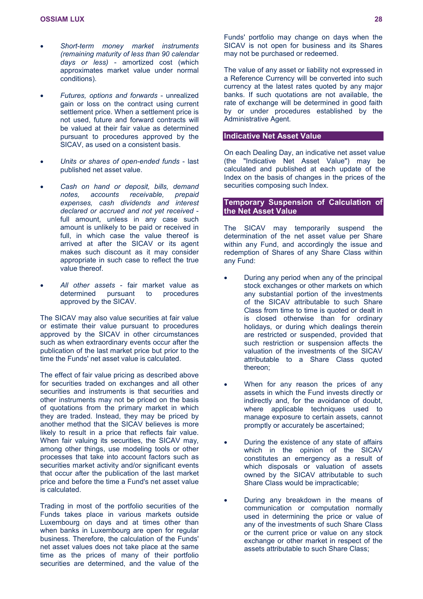- *Short-term money market instruments (remaining maturity of less than 90 calendar days or less)* - amortized cost (which approximates market value under normal conditions).
- *Futures, options and forwards* unrealized gain or loss on the contract using current settlement price. When a settlement price is not used, future and forward contracts will be valued at their fair value as determined pursuant to procedures approved by the SICAV, as used on a consistent basis.
- *Units or shares of open-ended funds* last published net asset value.
- *Cash on hand or deposit, bills, demand notes, accounts receivable, prepaid expenses, cash dividends and interest declared or accrued and not yet received* full amount, unless in any case such amount is unlikely to be paid or received in full, in which case the value thereof is arrived at after the SICAV or its agent makes such discount as it may consider appropriate in such case to reflect the true value thereof.
- *All other assets*  fair market value as determined pursuant to procedures approved by the SICAV.

The SICAV may also value securities at fair value or estimate their value pursuant to procedures approved by the SICAV in other circumstances such as when extraordinary events occur after the publication of the last market price but prior to the time the Funds' net asset value is calculated.

The effect of fair value pricing as described above for securities traded on exchanges and all other securities and instruments is that securities and other instruments may not be priced on the basis of quotations from the primary market in which they are traded. Instead, they may be priced by another method that the SICAV believes is more likely to result in a price that reflects fair value. When fair valuing its securities, the SICAV may, among other things, use modeling tools or other processes that take into account factors such as securities market activity and/or significant events that occur after the publication of the last market price and before the time a Fund's net asset value is calculated.

Trading in most of the portfolio securities of the Funds takes place in various markets outside Luxembourg on days and at times other than when banks in Luxembourg are open for regular business. Therefore, the calculation of the Funds' net asset values does not take place at the same time as the prices of many of their portfolio securities are determined, and the value of the Funds' portfolio may change on days when the SICAV is not open for business and its Shares may not be purchased or redeemed.

The value of any asset or liability not expressed in a Reference Currency will be converted into such currency at the latest rates quoted by any major banks. If such quotations are not available, the rate of exchange will be determined in good faith by or under procedures established by the Administrative Agent.

### **Indicative Net Asset Value**

On each Dealing Day, an indicative net asset value (the "Indicative Net Asset Value") may be calculated and published at each update of the Index on the basis of changes in the prices of the securities composing such Index.

### **Temporary Suspension of Calculation of the Net Asset Value**

The SICAV may temporarily suspend the determination of the net asset value per Share within any Fund, and accordingly the issue and redemption of Shares of any Share Class within any Fund:

- During any period when any of the principal stock exchanges or other markets on which any substantial portion of the investments of the SICAV attributable to such Share Class from time to time is quoted or dealt in is closed otherwise than for ordinary holidays, or during which dealings therein are restricted or suspended, provided that such restriction or suspension affects the valuation of the investments of the SICAV attributable to a Share Class quoted thereon;
- When for any reason the prices of any assets in which the Fund invests directly or indirectly and, for the avoidance of doubt, where applicable techniques used to manage exposure to certain assets, cannot promptly or accurately be ascertained;
- During the existence of any state of affairs which in the opinion of the SICAV constitutes an emergency as a result of which disposals or valuation of assets owned by the SICAV attributable to such Share Class would be impracticable;
- During any breakdown in the means of communication or computation normally used in determining the price or value of any of the investments of such Share Class or the current price or value on any stock exchange or other market in respect of the assets attributable to such Share Class;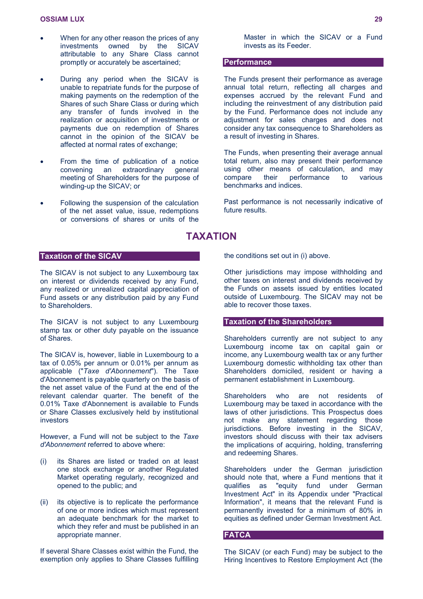- When for any other reason the prices of any investments owned by the SICAV attributable to any Share Class cannot promptly or accurately be ascertained;
- During any period when the SICAV is unable to repatriate funds for the purpose of making payments on the redemption of the Shares of such Share Class or during which any transfer of funds involved in the realization or acquisition of investments or payments due on redemption of Shares cannot in the opinion of the SICAV be affected at normal rates of exchange;
- From the time of publication of a notice convening an extraordinary general meeting of Shareholders for the purpose of winding-up the SICAV; or
- Following the suspension of the calculation of the net asset value, issue, redemptions or conversions of shares or units of the

**Taxation of the SICAV**

The SICAV is not subject to any Luxembourg tax on interest or dividends received by any Fund, any realized or unrealized capital appreciation of Fund assets or any distribution paid by any Fund to Shareholders.

The SICAV is not subject to any Luxembourg stamp tax or other duty payable on the issuance of Shares.

The SICAV is, however, liable in Luxembourg to a tax of 0.05% per annum or 0.01% per annum as applicable ("*Taxe d'Abonnement*"). The Taxe d'Abonnement is payable quarterly on the basis of the net asset value of the Fund at the end of the relevant calendar quarter. The benefit of the 0.01% Taxe d'Abonnement is available to Funds or Share Classes exclusively held by institutional investors

However, a Fund will not be subject to the *Taxe d'Abonnement* referred to above where:

- (i) its Shares are listed or traded on at least one stock exchange or another Regulated Market operating regularly, recognized and opened to the public; and
- (ii) its objective is to replicate the performance of one or more indices which must represent an adequate benchmark for the market to which they refer and must be published in an appropriate manner.

If several Share Classes exist within the Fund, the exemption only applies to Share Classes fulfilling Master in which the SICAV or a Fund invests as its Feeder.

### **Performance**

The Funds present their performance as average annual total return, reflecting all charges and expenses accrued by the relevant Fund and including the reinvestment of any distribution paid by the Fund. Performance does not include any adjustment for sales charges and does not consider any tax consequence to Shareholders as a result of investing in Shares.

The Funds, when presenting their average annual total return, also may present their performance using other means of calculation, and may compare their performance to various benchmarks and indices.

Past performance is not necessarily indicative of future results.

### <span id="page-28-0"></span>**TAXATION**

the conditions set out in (i) above.

Other jurisdictions may impose withholding and other taxes on interest and dividends received by the Funds on assets issued by entities located outside of Luxembourg. The SICAV may not be able to recover those taxes.

### **Taxation of the Shareholders**

Shareholders currently are not subject to any Luxembourg income tax on capital gain or income, any Luxembourg wealth tax or any further Luxembourg domestic withholding tax other than Shareholders domiciled, resident or having a permanent establishment in Luxembourg.

Shareholders who are not residents of Luxembourg may be taxed in accordance with the laws of other jurisdictions. This Prospectus does not make any statement regarding those jurisdictions. Before investing in the SICAV, investors should discuss with their tax advisers the implications of acquiring, holding, transferring and redeeming Shares.

Shareholders under the German jurisdiction should note that, where a Fund mentions that it qualifies as "equity fund under German Investment Act" in its Appendix under "Practical Information", it means that the relevant Fund is permanently invested for a minimum of 80% in equities as defined under German Investment Act.

#### **FATCA**

The SICAV (or each Fund) may be subject to the Hiring Incentives to Restore Employment Act (the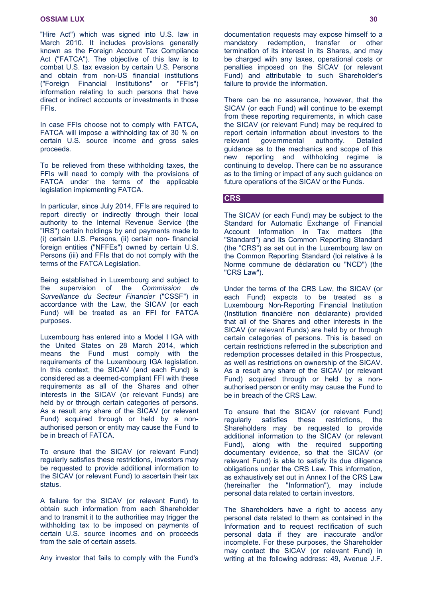"Hire Act") which was signed into U.S. law in March 2010. It includes provisions generally known as the Foreign Account Tax Compliance Act ("FATCA"). The objective of this law is to combat U.S. tax evasion by certain U.S. Persons and obtain from non-US financial institutions ("Foreign Financial Institutions" or "FFIs") information relating to such persons that have direct or indirect accounts or investments in those FFIs.

In case FFIs choose not to comply with FATCA, FATCA will impose a withholding tax of 30 % on certain U.S. source income and gross sales proceeds.

To be relieved from these withholding taxes, the FFIs will need to comply with the provisions of FATCA under the terms of the applicable legislation implementing FATCA.

In particular, since July 2014, FFIs are required to report directly or indirectly through their local authority to the Internal Revenue Service (the "IRS") certain holdings by and payments made to (i) certain U.S. Persons, (ii) certain non- financial foreign entities ("NFFEs") owned by certain U.S. Persons (iii) and FFIs that do not comply with the terms of the FATCA Legislation.

Being established in Luxembourg and subject to the supervision of the *Commission de Surveillance du Secteur Financier* ("CSSF") in accordance with the Law, the SICAV (or each Fund) will be treated as an FFI for FATCA purposes.

Luxembourg has entered into a Model I IGA with the United States on 28 March 2014, which means the Fund must comply with the requirements of the Luxembourg IGA legislation. In this context, the SICAV (and each Fund) is considered as a deemed-compliant FFI with these requirements as all of the Shares and other interests in the SICAV (or relevant Funds) are held by or through certain categories of persons. As a result any share of the SICAV (or relevant Fund) acquired through or held by a nonauthorised person or entity may cause the Fund to be in breach of FATCA.

To ensure that the SICAV (or relevant Fund) regularly satisfies these restrictions, investors may be requested to provide additional information to the SICAV (or relevant Fund) to ascertain their tax status.

A failure for the SICAV (or relevant Fund) to obtain such information from each Shareholder and to transmit it to the authorities may trigger the withholding tax to be imposed on payments of certain U.S. source incomes and on proceeds from the sale of certain assets.

Any investor that fails to comply with the Fund's

documentation requests may expose himself to a<br>mandatory redemption. transfer or other mandatory redemption, transfer or other termination of its interest in its Shares, and may be charged with any taxes, operational costs or penalties imposed on the SICAV (or relevant Fund) and attributable to such Shareholder's failure to provide the information.

There can be no assurance, however, that the SICAV (or each Fund) will continue to be exempt from these reporting requirements, in which case the SICAV (or relevant Fund) may be required to report certain information about investors to the relevant governmental authority. Detailed guidance as to the mechanics and scope of this new reporting and withholding regime is continuing to develop. There can be no assurance as to the timing or impact of any such guidance on future operations of the SICAV or the Funds.

### **CRS**

The SICAV (or each Fund) may be subject to the Standard for Automatic Exchange of Financial Account Information in Tax matters (the "Standard") and its Common Reporting Standard (the "CRS") as set out in the Luxembourg law on the Common Reporting Standard (loi relative à la Norme commune de déclaration ou "NCD") (the "CRS Law").

Under the terms of the CRS Law, the SICAV (or each Fund) expects to be treated as a Luxembourg Non-Reporting Financial Institution (Institution financière non déclarante) provided that all of the Shares and other interests in the SICAV (or relevant Funds) are held by or through certain categories of persons. This is based on certain restrictions referred in the subscription and redemption processes detailed in this Prospectus, as well as restrictions on ownership of the SICAV. As a result any share of the SICAV (or relevant Fund) acquired through or held by a nonauthorised person or entity may cause the Fund to be in breach of the CRS Law.

To ensure that the SICAV (or relevant Fund) regularly satisfies these restrictions, the Shareholders may be requested to provide additional information to the SICAV (or relevant Fund), along with the required supporting documentary evidence, so that the SICAV (or relevant Fund) is able to satisfy its due diligence obligations under the CRS Law. This information, as exhaustively set out in Annex I of the CRS Law (hereinafter the "Information"), may include personal data related to certain investors.

The Shareholders have a right to access any personal data related to them as contained in the Information and to request rectification of such personal data if they are inaccurate and/or incomplete. For these purposes, the Shareholder may contact the SICAV (or relevant Fund) in writing at the following address: 49, Avenue J.F.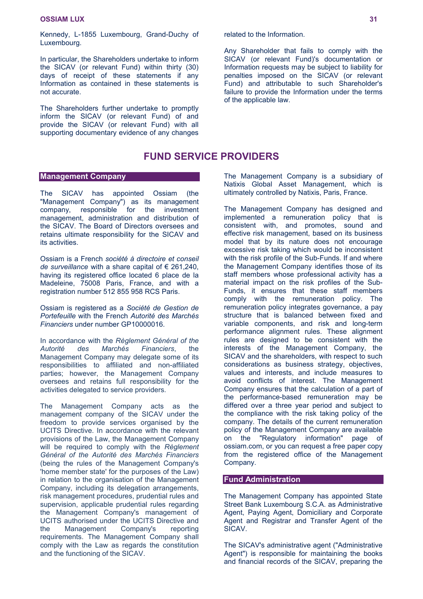Kennedy, L-1855 Luxembourg, Grand-Duchy of Luxembourg.

In particular, the Shareholders undertake to inform the SICAV (or relevant Fund) within thirty (30) days of receipt of these statements if any Information as contained in these statements is not accurate.

The Shareholders further undertake to promptly inform the SICAV (or relevant Fund) of and provide the SICAV (or relevant Fund) with all supporting documentary evidence of any changes

### <span id="page-30-0"></span>**FUND SERVICE PROVIDERS**

### **Management Company**

The SICAV has appointed Ossiam (the "Management Company") as its management company, responsible for the investment management, administration and distribution of the SICAV. The Board of Directors oversees and retains ultimate responsibility for the SICAV and its activities.

Ossiam is a French *société à directoire et conseil de surveillance* with a share capital of € 261,240, having its registered office located 6 place de la Madeleine, 75008 Paris, France, and with a registration number 512 855 958 RCS Paris.

Ossiam is registered as a *Société de Gestion de Portefeuille* with the French *Autorité des Marchés Financiers* under number GP10000016.

In accordance with the *Règlement Général of the Autorité des Marchés Financiers*, the Management Company may delegate some of its responsibilities to affiliated and non-affiliated parties; however, the Management Company oversees and retains full responsibility for the activities delegated to service providers.

The Management Company acts as the management company of the SICAV under the freedom to provide services organised by the UCITS Directive. In accordance with the relevant provisions of the Law, the Management Company will be required to comply with the *Règlement Général of the Autorité des Marchés Financiers* (being the rules of the Management Company's 'home member state' for the purposes of the Law) in relation to the organisation of the Management Company, including its delegation arrangements, risk management procedures, prudential rules and supervision, applicable prudential rules regarding the Management Company's management of UCITS authorised under the UCITS Directive and the Management Company's reporting requirements. The Management Company shall comply with the Law as regards the constitution and the functioning of the SICAV.

related to the Information.

Any Shareholder that fails to comply with the SICAV (or relevant Fund)'s documentation or Information requests may be subject to liability for penalties imposed on the SICAV (or relevant Fund) and attributable to such Shareholder's failure to provide the Information under the terms of the applicable law.

The Management Company is a subsidiary of Natixis Global Asset Management, which is ultimately controlled by Natixis, Paris, France.

The Management Company has designed and implemented a remuneration policy that is consistent with, and promotes, sound and effective risk management, based on its business model that by its nature does not encourage excessive risk taking which would be inconsistent with the risk profile of the Sub-Funds. If and where the Management Company identifies those of its staff members whose professional activity has a material impact on the risk profiles of the Sub-Funds, it ensures that these staff members comply with the remuneration policy. The remuneration policy integrates governance, a pay structure that is balanced between fixed and variable components, and risk and long-term performance alignment rules. These alignment rules are designed to be consistent with the interests of the Management Company, the SICAV and the shareholders, with respect to such considerations as business strategy, objectives, values and interests, and include measures to avoid conflicts of interest. The Management Company ensures that the calculation of a part of the performance-based remuneration may be differed over a three year period and subject to the compliance with the risk taking policy of the company. The details of the current remuneration policy of the Management Company are available on the "Regulatory information" page of ossiam.com, or you can request a free paper copy from the registered office of the Management Company.

### **Fund Administration**

The Management Company has appointed State Street Bank Luxembourg S.C.A. as Administrative Agent, Paying Agent, Domiciliary and Corporate Agent and Registrar and Transfer Agent of the SICAV.

The SICAV's administrative agent ("Administrative Agent") is responsible for maintaining the books and financial records of the SICAV, preparing the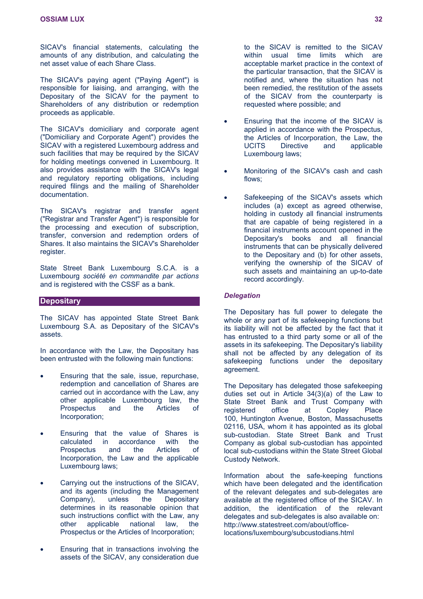SICAV's financial statements, calculating the amounts of any distribution, and calculating the net asset value of each Share Class.

The SICAV's paying agent ("Paying Agent") is responsible for liaising, and arranging, with the Depositary of the SICAV for the payment to Shareholders of any distribution or redemption proceeds as applicable.

The SICAV's domiciliary and corporate agent ("Domiciliary and Corporate Agent") provides the SICAV with a registered Luxembourg address and such facilities that may be required by the SICAV for holding meetings convened in Luxembourg. It also provides assistance with the SICAV's legal and regulatory reporting obligations, including required filings and the mailing of Shareholder documentation.

The SICAV's registrar and transfer agent ("Registrar and Transfer Agent") is responsible for the processing and execution of subscription, transfer, conversion and redemption orders of Shares. It also maintains the SICAV's Shareholder register.

State Street Bank Luxembourg S.C.A. is a Luxembourg *société en commandite par actions* and is registered with the CSSF as a bank.

### **Depositary**

The SICAV has appointed State Street Bank Luxembourg S.A. as Depositary of the SICAV's assets.

In accordance with the Law, the Depositary has been entrusted with the following main functions:

- Ensuring that the sale, issue, repurchase, redemption and cancellation of Shares are carried out in accordance with the Law, any other applicable Luxembourg law, the Prospectus and the Articles of Incorporation;
- Ensuring that the value of Shares is calculated in accordance with the Prospectus and the Articles of Incorporation, the Law and the applicable Luxembourg laws;
- Carrying out the instructions of the SICAV, and its agents (including the Management Company), unless the Depositary determines in its reasonable opinion that such instructions conflict with the Law, any other applicable national law, the Prospectus or the Articles of Incorporation;
- Ensuring that in transactions involving the assets of the SICAV, any consideration due

to the SICAV is remitted to the SICAV within usual time limits which are acceptable market practice in the context of the particular transaction, that the SICAV is notified and, where the situation has not been remedied, the restitution of the assets of the SICAV from the counterparty is requested where possible; and

- Ensuring that the income of the SICAV is applied in accordance with the Prospectus, the Articles of Incorporation, the Law, the UCITS Directive and applicable Luxembourg laws;
- Monitoring of the SICAV's cash and cash flows;
- Safekeeping of the SICAV's assets which includes (a) except as agreed otherwise, holding in custody all financial instruments that are capable of being registered in a financial instruments account opened in the Depositary's books and all financial instruments that can be physically delivered to the Depositary and (b) for other assets, verifying the ownership of the SICAV of such assets and maintaining an up-to-date record accordingly.

### *Delegation*

The Depositary has full power to delegate the whole or any part of its safekeeping functions but its liability will not be affected by the fact that it has entrusted to a third party some or all of the assets in its safekeeping. The Depositary's liability shall not be affected by any delegation of its safekeeping functions under the depositary agreement.

The Depositary has delegated those safekeeping duties set out in Article 34(3)(a) of the Law to State Street Bank and Trust Company with registered office at Copley Place 100, Huntington Avenue, Boston, Massachusetts 02116, USA, whom it has appointed as its global sub-custodian. State Street Bank and Trust Company as global sub-custodian has appointed local sub-custodians within the State Street Global Custody Network.

Information about the safe-keeping functions which have been delegated and the identification of the relevant delegates and sub-delegates are available at the registered office of the SICAV. In addition, the identification of the relevant delegates and sub-delegates is also available on: [http://www.statestreet.com/about/office](http://www.statestreet.com/about/office-locations/luxembourg/subcustodians.html)locations/luxembourg/subcustodians.html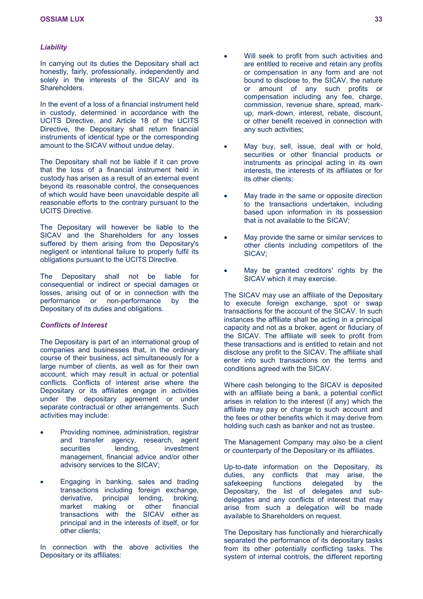### *Liability*

In carrying out its duties the Depositary shall act honestly, fairly, professionally, independently and solely in the interests of the SICAV and its Shareholders.

In the event of a loss of a financial instrument held in custody, determined in accordance with the UCITS Directive, and Article 18 of the UCITS Directive, the Depositary shall return financial instruments of identical type or the corresponding amount to the SICAV without undue delay.

The Depositary shall not be liable if it can prove that the loss of a financial instrument held in custody has arisen as a result of an external event beyond its reasonable control, the consequences of which would have been unavoidable despite all reasonable efforts to the contrary pursuant to the UCITS Directive.

The Depositary will however be liable to the SICAV and the Shareholders for any losses suffered by them arising from the Depositary's negligent or intentional failure to properly fulfil its obligations pursuant to the UCITS Directive.

The Depositary shall not be liable for consequential or indirect or special damages or losses, arising out of or in connection with the performance or non-performance by the Depositary of its duties and obligations.

### *Conflicts of Interest*

The Depositary is part of an international group of companies and businesses that, in the ordinary course of their business, act simultaneously for a large number of clients, as well as for their own account, which may result in actual or potential conflicts. Conflicts of interest arise where the Depositary or its affiliates engage in activities under the depositary agreement or under separate contractual or other arrangements. Such activities may include:

- Providing nominee, administration, registrar and transfer agency, research, agent securities lending, investment management, financial advice and/or other advisory services to the SICAV;
- Engaging in banking, sales and trading transactions including foreign exchange, derivative, principal lending, broking, market making or other financial transactions with the SICAV either as principal and in the interests of itself, or for other clients;

In connection with the above activities the Depositary or its affiliates:

- Will seek to profit from such activities and are entitled to receive and retain any profits or compensation in any form and are not bound to disclose to, the SICAV, the nature or amount of any such profits or compensation including any fee, charge, commission, revenue share, spread, markup, mark-down, interest, rebate, discount, or other benefit received in connection with any such activities;
- May buy, sell, issue, deal with or hold, securities or other financial products or instruments as principal acting in its own interests, the interests of its affiliates or for its other clients;
- May trade in the same or opposite direction to the transactions undertaken, including based upon information in its possession that is not available to the SICAV;
- May provide the same or similar services to other clients including competitors of the SICAV;
- May be granted creditors' rights by the SICAV which it may exercise.

The SICAV may use an affiliate of the Depositary to execute foreign exchange, spot or swap transactions for the account of the SICAV. In such instances the affiliate shall be acting in a principal capacity and not as a broker, agent or fiduciary of the SICAV. The affiliate will seek to profit from these transactions and is entitled to retain and not disclose any profit to the SICAV. The affiliate shall enter into such transactions on the terms and conditions agreed with the SICAV.

Where cash belonging to the SICAV is deposited with an affiliate being a bank, a potential conflict arises in relation to the interest (if any) which the affiliate may pay or charge to such account and the fees or other benefits which it may derive from holding such cash as banker and not as trustee.

The Management Company may also be a client or counterparty of the Depositary or its affiliates.

Up-to-date information on the Depositary, its duties, any conflicts that may arise, the safekeeping functions delegated by the Depositary, the list of delegates and subdelegates and any conflicts of interest that may arise from such a delegation will be made available to Shareholders on request.

The Depositary has functionally and hierarchically separated the performance of its depositary tasks from its other potentially conflicting tasks. The system of internal controls, the different reporting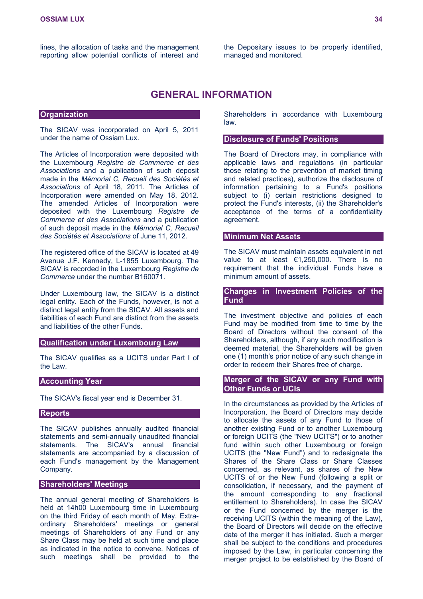the Depositary issues to be properly identified, managed and monitored.

### <span id="page-33-0"></span>**GENERAL INFORMATION**

### **Organization**

The SICAV was incorporated on April 5, 2011 under the name of Ossiam Lux.

The Articles of Incorporation were deposited with the Luxembourg *Registre de Commerce et des Associations* and a publication of such deposit made in the *Mémorial C, Recueil des Sociétés et Associations* of April 18, 2011. The Articles of Incorporation were amended on May 18, 2012. The amended Articles of Incorporation were deposited with the Luxembourg *Registre de Commerce et des Associations* and a publication of such deposit made in the *Mémorial C, Recueil des Sociétés et Associations* of June 11, 2012.

The registered office of the SICAV is located at 49 Avenue J.F. Kennedy, L-1855 Luxembourg. The SICAV is recorded in the Luxembourg *Registre de Commerce* under the number B160071.

Under Luxembourg law, the SICAV is a distinct legal entity. Each of the Funds, however, is not a distinct legal entity from the SICAV. All assets and liabilities of each Fund are distinct from the assets and liabilities of the other Funds.

### **Qualification under Luxembourg Law**

The SICAV qualifies as a UCITS under Part I of the Law.

### **Accounting Year**

The SICAV's fiscal year end is December 31.

### **Reports**

The SICAV publishes annually audited financial statements and semi-annually unaudited financial statements. The SICAV's annual financial statements are accompanied by a discussion of each Fund's management by the Management Company.

### **Shareholders' Meetings**

The annual general meeting of Shareholders is held at 14h00 Luxembourg time in Luxembourg on the third Friday of each month of May. Extraordinary Shareholders' meetings or general meetings of Shareholders of any Fund or any Share Class may be held at such time and place as indicated in the notice to convene. Notices of such meetings shall be provided to the

Shareholders in accordance with Luxembourg law.

### **Disclosure of Funds' Positions**

The Board of Directors may, in compliance with applicable laws and regulations (in particular those relating to the prevention of market timing and related practices), authorize the disclosure of information pertaining to a Fund's positions subject to (i) certain restrictions designed to protect the Fund's interests, (ii) the Shareholder's acceptance of the terms of a confidentiality agreement.

### **Minimum Net Assets**

The SICAV must maintain assets equivalent in net value to at least €1,250,000. There is no requirement that the individual Funds have a minimum amount of assets.

### **Changes in Investment Policies of the Fund**

The investment objective and policies of each Fund may be modified from time to time by the Board of Directors without the consent of the Shareholders, although, if any such modification is deemed material, the Shareholders will be given one (1) month's prior notice of any such change in order to redeem their Shares free of charge.

### **Merger of the SICAV or any Fund with Other Funds or UCIs**

In the circumstances as provided by the Articles of Incorporation, the Board of Directors may decide to allocate the assets of any Fund to those of another existing Fund or to another Luxembourg or foreign UCITS (the "New UCITS") or to another fund within such other Luxembourg or foreign UCITS (the "New Fund") and to redesignate the Shares of the Share Class or Share Classes concerned, as relevant, as shares of the New UCITS of or the New Fund (following a split or consolidation, if necessary, and the payment of the amount corresponding to any fractional entitlement to Shareholders). In case the SICAV or the Fund concerned by the merger is the receiving UCITS (within the meaning of the Law), the Board of Directors will decide on the effective date of the merger it has initiated. Such a merger shall be subject to the conditions and procedures imposed by the Law, in particular concerning the merger project to be established by the Board of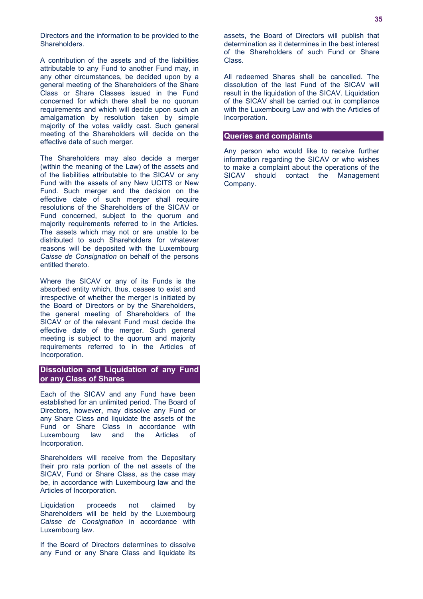Directors and the information to be provided to the Shareholders.

A contribution of the assets and of the liabilities attributable to any Fund to another Fund may, in any other circumstances, be decided upon by a general meeting of the Shareholders of the Share Class or Share Classes issued in the Fund concerned for which there shall be no quorum requirements and which will decide upon such an amalgamation by resolution taken by simple majority of the votes validly cast. Such general meeting of the Shareholders will decide on the effective date of such merger.

The Shareholders may also decide a merger (within the meaning of the Law) of the assets and of the liabilities attributable to the SICAV or any Fund with the assets of any New UCITS or New Fund. Such merger and the decision on the effective date of such merger shall require resolutions of the Shareholders of the SICAV or Fund concerned, subject to the quorum and majority requirements referred to in the Articles. The assets which may not or are unable to be distributed to such Shareholders for whatever reasons will be deposited with the Luxembourg *Caisse de Consignation* on behalf of the persons entitled thereto.

Where the SICAV or any of its Funds is the absorbed entity which, thus, ceases to exist and irrespective of whether the merger is initiated by the Board of Directors or by the Shareholders, the general meeting of Shareholders of the SICAV or of the relevant Fund must decide the effective date of the merger. Such general meeting is subject to the quorum and majority requirements referred to in the Articles of Incorporation.

### **Dissolution and Liquidation of any Fund or any Class of Shares**

Each of the SICAV and any Fund have been established for an unlimited period. The Board of Directors, however, may dissolve any Fund or any Share Class and liquidate the assets of the Fund or Share Class in accordance with Luxembourg law and the Articles of Incorporation.

Shareholders will receive from the Depositary their pro rata portion of the net assets of the SICAV, Fund or Share Class, as the case may be, in accordance with Luxembourg law and the Articles of Incorporation.

Liquidation proceeds not claimed by Shareholders will be held by the Luxembourg *Caisse de Consignation* in accordance with Luxembourg law.

If the Board of Directors determines to dissolve any Fund or any Share Class and liquidate its

assets, the Board of Directors will publish that determination as it determines in the best interest of the Shareholders of such Fund or Share Class.

All redeemed Shares shall be cancelled. The dissolution of the last Fund of the SICAV will result in the liquidation of the SICAV. Liquidation of the SICAV shall be carried out in compliance with the Luxembourg Law and with the Articles of Incorporation.

### **Queries and complaints**

Any person who would like to receive further information regarding the SICAV or who wishes to make a complaint about the operations of the SICAV should contact the Management Company.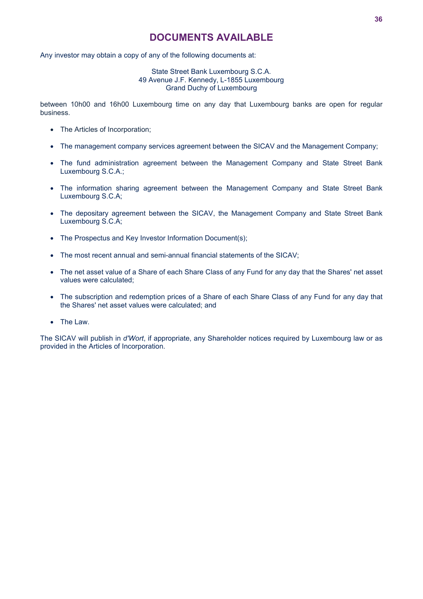## <span id="page-35-0"></span>**DOCUMENTS AVAILABLE**

Any investor may obtain a copy of any of the following documents at:

### State Street Bank Luxembourg S.C.A. 49 Avenue J.F. Kennedy, L-1855 Luxembourg Grand Duchy of Luxembourg

between 10h00 and 16h00 Luxembourg time on any day that Luxembourg banks are open for regular business.

- The Articles of Incorporation:
- The management company services agreement between the SICAV and the Management Company;
- The fund administration agreement between the Management Company and State Street Bank Luxembourg S.C.A.;
- The information sharing agreement between the Management Company and State Street Bank Luxembourg S.C.A;
- The depositary agreement between the SICAV, the Management Company and State Street Bank Luxembourg S.C.A;
- The Prospectus and Key Investor Information Document(s):
- The most recent annual and semi-annual financial statements of the SICAV;
- The net asset value of a Share of each Share Class of any Fund for any day that the Shares' net asset values were calculated;
- The subscription and redemption prices of a Share of each Share Class of any Fund for any day that the Shares' net asset values were calculated; and
- The Law.

The SICAV will publish in *d'Wort*, if appropriate, any Shareholder notices required by Luxembourg law or as provided in the Articles of Incorporation.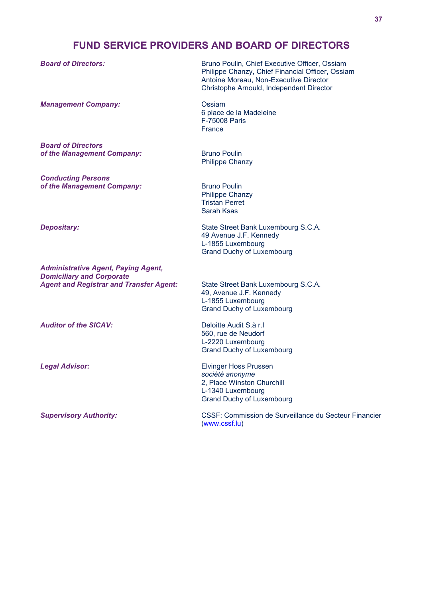# **FUND SERVICE PROVIDERS AND BOARD OF DIRECTORS**

Philippe Chanzy, Chief Financial Officer, Ossiam

Antoine Moreau, Non-Executive Director

**Board of Directors:** Bruno Poulin, Chief Executive Officer, Ossiam

|                                                                                | Christophe Arnould, Independent Director                                                                                               |
|--------------------------------------------------------------------------------|----------------------------------------------------------------------------------------------------------------------------------------|
| <b>Management Company:</b>                                                     | Ossiam<br>6 place de la Madeleine<br>F-75008 Paris<br>France                                                                           |
| <b>Board of Directors</b><br>of the Management Company:                        | <b>Bruno Poulin</b><br><b>Philippe Chanzy</b>                                                                                          |
| <b>Conducting Persons</b><br>of the Management Company:                        | <b>Bruno Poulin</b><br><b>Philippe Chanzy</b><br><b>Tristan Perret</b><br><b>Sarah Ksas</b>                                            |
| <b>Depositary:</b>                                                             | State Street Bank Luxembourg S.C.A.<br>49 Avenue J.F. Kennedy<br>L-1855 Luxembourg<br><b>Grand Duchy of Luxembourg</b>                 |
| <b>Administrative Agent, Paying Agent,</b><br><b>Domiciliary and Corporate</b> |                                                                                                                                        |
| <b>Agent and Registrar and Transfer Agent:</b>                                 | State Street Bank Luxembourg S.C.A.<br>49, Avenue J.F. Kennedy<br>L-1855 Luxembourg<br><b>Grand Duchy of Luxembourg</b>                |
| <b>Auditor of the SICAV:</b>                                                   | Deloitte Audit S.à r.I<br>560, rue de Neudorf<br>L-2220 Luxembourg<br><b>Grand Duchy of Luxembourg</b>                                 |
| <b>Legal Advisor:</b>                                                          | <b>Elvinger Hoss Prussen</b><br>société anonyme<br>2, Place Winston Churchill<br>L-1340 Luxembourg<br><b>Grand Duchy of Luxembourg</b> |

*Supervisory Authority:* CSSF: Commission de Surveillance du Secteur Financier ([www.cssf.lu\)](http://www.cssf.lu/)

**37**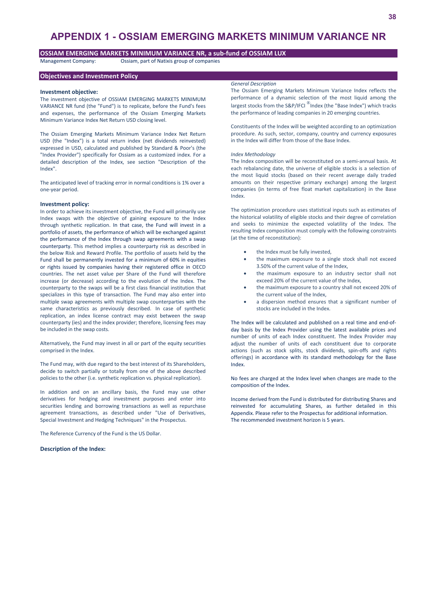# **APPENDIX 1 - OSSIAM EMERGING MARKETS MINIMUM VARIANCE NR**

# **OSSIAM EMERGING MARKETS MINIMUM VARIANCE NR, a sub-fund of OSSIAM LUX**

Management Company: Ossiam, part of Natixis group of companies

## **Objectives and Investment Policy**

### **Investment objective:**

The investment objective of OSSIAM EMERGING MARKETS MINIMUM VARIANCE NR fund (the "Fund") is to replicate, before the Fund's fees and expenses, the performance of the Ossiam Emerging Markets Minimum Variance Index Net Return USD closing level.

The Ossiam Emerging Markets Minimum Variance Index Net Return USD (the "Index") is a total return index (net dividends reinvested) expressed in USD, calculated and published by Standard & Poor's (the "Index Provider") specifically for Ossiam as a customized index. For a detailed description of the Index, see section "Description of the Index".

The anticipated level of tracking error in normal conditions is 1% over a one-year period.

### **Investment policy:**

In order to achieve its investment objective, the Fund will primarily use Index swaps with the objective of gaining exposure to the Index through synthetic replication. In that case, the Fund will invest in a portfolio of assets, the performance of which will be exchanged against the performance of the Index through swap agreements with a swap counterparty. This method implies a counterparty risk as described in the below Risk and Reward Profile. The portfolio of assets held by the Fund shall be permanently invested for a minimum of 60% in equities or rights issued by companies having their registered office in OECD countries. The net asset value per Share of the Fund will therefore increase (or decrease) according to the evolution of the Index. The counterparty to the swaps will be a first class financial institution that specializes in this type of transaction. The Fund may also enter into multiple swap agreements with multiple swap counterparties with the same characteristics as previously described. In case of synthetic replication, an index license contract may exist between the swap counterparty (ies) and the index provider; therefore, licensing fees may be included in the swap costs.

Alternatively, the Fund may invest in all or part of the equity securities comprised in the Index.

The Fund may, with due regard to the best interest of its Shareholders, decide to switch partially or totally from one of the above described policies to the other (i.e. synthetic replication vs. physical replication).

In addition and on an ancillary basis, the Fund may use other derivatives for hedging and investment purposes and enter into securities lending and borrowing transactions as well as repurchase agreement transactions, as described under "Use of Derivatives, Special Investment and Hedging Techniques" in the Prospectus.

The Reference Currency of the Fund is the US Dollar.

**Description of the Index:** 

### *General Description*

The Ossiam Emerging Markets Minimum Variance Index reflects the performance of a dynamic selection of the most liquid among the largest stocks from the S&P/IFCI  $^{\circledR}$ Index (the "Base Index") which tracks the performance of leading companies in 20 emerging countries.

Constituents of the Index will be weighted according to an optimization procedure. As such, sector, company, country and currency exposures in the Index will differ from those of the Base Index.

### *Index Methodology*

The Index composition will be reconstituted on a semi-annual basis. At each rebalancing date, the universe of eligible stocks is a selection of the most liquid stocks (based on their recent average daily traded amounts on their respective primary exchange) among the largest companies (in terms of free float market capitalization) in the Base Index.

The optimization procedure uses statistical inputs such as estimates of the historical volatility of eligible stocks and their degree of correlation and seeks to minimize the expected volatility of the Index. The resulting Index composition must comply with the following constraints (at the time of reconstitution):

- the Index must be fully invested,
- the maximum exposure to a single stock shall not exceed 3.50% of the current value of the Index,
- the maximum exposure to an industry sector shall not exceed 20% of the current value of the Index,
- the maximum exposure to a country shall not exceed 20% of the current value of the Index,
- a dispersion method ensures that a significant number of stocks are included in the Index.

The Index will be calculated and published on a real time and end-ofday basis by the Index Provider using the latest available prices and number of units of each Index constituent. The Index Provider may adjust the number of units of each constituent due to corporate actions (such as stock splits, stock dividends, spin-offs and rights offerings) in accordance with its standard methodology for the Base Index.

No fees are charged at the Index level when changes are made to the composition of the Index.

Income derived from the Fund is distributed for distributing Shares and reinvested for accumulating Shares, as further detailed in this Appendix. Please refer to the Prospectus for additional information. The recommended investment horizon is 5 years.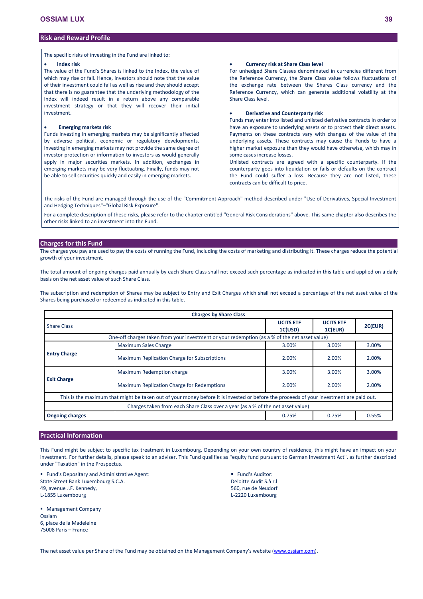## **Risk and Reward Profile**

The specific risks of investing in the Fund are linked to:

### **Index risk**

The value of the Fund's Shares is linked to the Index, the value of which may rise or fall. Hence, investors should note that the value of their investment could fall as well as rise and they should accept that there is no guarantee that the underlying methodology of the Index will indeed result in a return above any comparable investment strategy or that they will recover their initial investment.

# **Emerging markets risk**

Funds investing in emerging markets may be significantly affected by adverse political, economic or regulatory developments. Investing in emerging markets may not provide the same degree of investor protection or information to investors as would generally apply in major securities markets. In addition, exchanges in emerging markets may be very fluctuating. Finally, funds may not be able to sell securities quickly and easily in emerging markets.

### **Currency risk at Share Class level**

For unhedged Share Classes denominated in currencies different from the Reference Currency, the Share Class value follows fluctuations of the exchange rate between the Shares Class currency and the Reference Currency, which can generate additional volatility at the Share Class level.

# **Derivative and Counterparty risk**

Funds may enter into listed and unlisted derivative contracts in order to have an exposure to underlying assets or to protect their direct assets. Payments on these contracts vary with changes of the value of the underlying assets. These contracts may cause the Funds to have a higher market exposure than they would have otherwise, which may in some cases increase losses.

Unlisted contracts are agreed with a specific counterparty. If the counterparty goes into liquidation or fails or defaults on the contract the Fund could suffer a loss. Because they are not listed, these contracts can be difficult to price.

The risks of the Fund are managed through the use of the "Commitment Approach" method described under "Use of Derivatives, Special Investment and Hedging Techniques"–"Global Risk Exposure".

For a complete description of these risks, please refer to the chapter entitled "General Risk Considerations" above. This same chapter also describes the other risks linked to an investment into the Fund.

# **Charges for this Fund**

The charges you pay are used to pay the costs of running the Fund, including the costs of marketing and distributing it. These charges reduce the potential growth of your investment.

The total amount of ongoing charges paid annually by each Share Class shall not exceed such percentage as indicated in this table and applied on a daily basis on the net asset value of such Share Class.

The subscription and redemption of Shares may be subject to Entry and Exit Charges which shall not exceed a percentage of the net asset value of the Shares being purchased or redeemed as indicated in this table.

| <b>Charges by Share Class</b>                                                                 |                                                                                                                                         |                             |                             |         |  |  |  |  |
|-----------------------------------------------------------------------------------------------|-----------------------------------------------------------------------------------------------------------------------------------------|-----------------------------|-----------------------------|---------|--|--|--|--|
| <b>Share Class</b>                                                                            |                                                                                                                                         | <b>UCITS ETF</b><br>1C(USD) | <b>UCITS ETF</b><br>1C(EUR) | 2C(EUR) |  |  |  |  |
| One-off charges taken from your investment or your redemption (as a % of the net asset value) |                                                                                                                                         |                             |                             |         |  |  |  |  |
|                                                                                               | <b>Maximum Sales Charge</b>                                                                                                             | 3.00%                       | 3.00%                       | 3.00%   |  |  |  |  |
| <b>Entry Charge</b>                                                                           | Maximum Replication Charge for Subscriptions                                                                                            | 2.00%                       | 2.00%                       | 2.00%   |  |  |  |  |
|                                                                                               | Maximum Redemption charge                                                                                                               | 3.00%                       | 3.00%                       | 3.00%   |  |  |  |  |
| <b>Exit Charge</b>                                                                            | Maximum Replication Charge for Redemptions                                                                                              | 2.00%                       | 2.00%                       | 2.00%   |  |  |  |  |
|                                                                                               | This is the maximum that might be taken out of your money before it is invested or before the proceeds of your investment are paid out. |                             |                             |         |  |  |  |  |
|                                                                                               | Charges taken from each Share Class over a year (as a % of the net asset value)                                                         |                             |                             |         |  |  |  |  |
| <b>Ongoing charges</b>                                                                        |                                                                                                                                         | 0.75%                       | 0.75%                       | 0.55%   |  |  |  |  |

# **Practical Information**

This Fund might be subject to specific tax treatment in Luxembourg. Depending on your own country of residence, this might have an impact on your investment. For further details, please speak to an adviser. This Fund qualifies as "equity fund pursuant to German Investment Act", as further described under "Taxation" in the Prospectus.

 Fund's Depositary and Administrative Agent: State Street Bank Luxembourg S.C.A. 49, avenue J.F. Kennedy, L-1855 Luxembourg

**Management Company Ossiam** 6, place de la Madeleine 75008 Paris – France

 Fund's Auditor: Deloitte Audit S.à r.l 560, rue de Neudorf L-2220 Luxembourg

The net asset value per Share of the Fund may be obtained on the Management Company's website [\(www.ossiam.com](http://www.ossiam.com/)).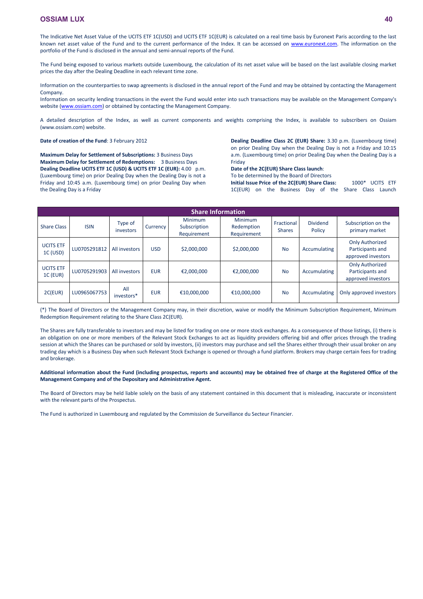The Indicative Net Asset Value of the UCITS ETF 1C(USD) and UCITS ETF 1C(EUR) is calculated on a real time basis by Euronext Paris according to the last known net asset value of the Fund and to the current performance of the Index. It can be accessed on [www.euronext.com.](http://www.euronext.com/) The information on the portfolio of the Fund is disclosed in the annual and semi-annual reports of the Fund.

The Fund being exposed to various markets outside Luxembourg, the calculation of its net asset value will be based on the last available closing market prices the day after the Dealing Deadline in each relevant time zone.

Information on the counterparties to swap agreements is disclosed in the annual report of the Fund and may be obtained by contacting the Management Company.

Information on security lending transactions in the event the Fund would enter into such transactions may be available on the Management Company's website [\(www.ossiam.com](http://www.ossiam.com/)) or obtained by contacting the Management Company.

A detailed description of the Index, as well as current components and weights comprising the Index, is available to subscribers on Ossiam (www.ossiam.com) website.

**Date of creation of the Fund**: 3 February 2012

**Maximum Delay for Settlement of Subscriptions:** 3 Business Days **Maximum Delay for Settlement of Redemptions:** 3 Business Days **Dealing Deadline UCITS ETF 1C (USD) & UCITS ETF 1C (EUR):** 4.00 p.m. (Luxembourg time) on prior Dealing Day when the Dealing Day is not a Friday and 10:45 a.m. (Luxembourg time) on prior Dealing Day when the Dealing Day is a Friday

**Dealing Deadline Class 2C (EUR) Share:** 3.30 p.m. (Luxembourg time) on prior Dealing Day when the Dealing Day is not a Friday and 10:15 a.m. (Luxembourg time) on prior Dealing Day when the Dealing Day is a Friday

# **Date of the 2C(EUR) Share Class launch**:

To be determined by the Board of Directors

**Initial Issue Price of the 2C(EUR) Share Class:** 1000\* UCITS ETF 1C(EUR) on the Business Day of the Share Class Launch

|                              | <b>Share Information</b> |                      |            |                                        |                                             |                             |                           |                                                                  |  |  |  |  |
|------------------------------|--------------------------|----------------------|------------|----------------------------------------|---------------------------------------------|-----------------------------|---------------------------|------------------------------------------------------------------|--|--|--|--|
| <b>Share Class</b>           | <b>ISIN</b>              | Type of<br>investors | Currency   | Minimum<br>Subscription<br>Requirement | <b>Minimum</b><br>Redemption<br>Requirement | Fractional<br><b>Shares</b> | <b>Dividend</b><br>Policy | Subscription on the<br>primary market                            |  |  |  |  |
| <b>UCITS ETF</b><br>1C (USD) | LU0705291812             | All investors        | <b>USD</b> | \$2,000,000                            | \$2,000,000                                 | <b>No</b>                   | Accumulating              | <b>Only Authorized</b><br>Participants and<br>approved investors |  |  |  |  |
| <b>UCITS ETF</b><br>1C (EUR) | LU0705291903             | All investors        | <b>EUR</b> | €2,000,000                             | €2,000,000                                  | <b>No</b>                   | Accumulating              | <b>Only Authorized</b><br>Participants and<br>approved investors |  |  |  |  |
| 2C(EUR)                      | LU0965067753             | All<br>investors*    | <b>EUR</b> | €10,000,000                            | €10,000,000                                 | <b>No</b>                   | Accumulating              | Only approved investors                                          |  |  |  |  |

(\*) The Board of Directors or the Management Company may, in their discretion, waive or modify the Minimum Subscription Requirement, Minimum Redemption Requirement relating to the Share Class 2C(EUR).

The Shares are fully transferable to investors and may be listed for trading on one or more stock exchanges. As a consequence of those listings, (i) there is an obligation on one or more members of the Relevant Stock Exchanges to act as liquidity providers offering bid and offer prices through the trading session at which the Shares can be purchased or sold by investors, (ii) investors may purchase and sell the Shares either through their usual broker on any trading day which is a Business Day when such Relevant Stock Exchange is opened or through a fund platform. Brokers may charge certain fees for trading and brokerage.

**Additional information about the Fund (including prospectus, reports and accounts) may be obtained free of charge at the Registered Office of the Management Company and of the Depositary and Administrative Agent.**

The Board of Directors may be held liable solely on the basis of any statement contained in this document that is misleading, inaccurate or inconsistent with the relevant parts of the Prospectus.

The Fund is authorized in Luxembourg and regulated by the Commission de Surveillance du Secteur Financier.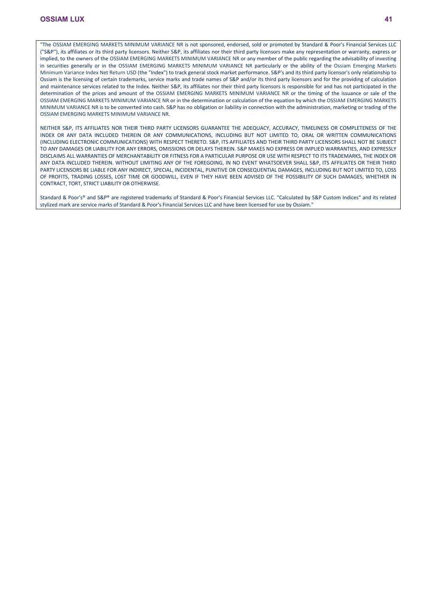"The OSSIAM EMERGING MARKETS MINIMUM VARIANCE NR is not sponsored, endorsed, sold or promoted by Standard & Poor's Financial Services LLC ("S&P"), its affiliates or its third party licensors. Neither S&P, its affiliates nor their third party licensors make any representation or warranty, express or implied, to the owners of the OSSIAM EMERGING MARKETS MINIMUM VARIANCE NR or any member of the public regarding the advisability of investing in securities generally or in the OSSIAM EMERGING MARKETS MINIMUM VARIANCE NR particularly or the ability of the Ossiam Emerging Markets Minimum Variance Index Net Return USD (the "Index") to track general stock market performance. S&P's and its third party licensor's only relationship to Ossiam is the licensing of certain trademarks, service marks and trade names of S&P and/or its third party licensors and for the providing of calculation and maintenance services related to the Index. Neither S&P, its affiliates nor their third party licensors is responsible for and has not participated in the determination of the prices and amount of the OSSIAM EMERGING MARKETS MINIMUM VARIANCE NR or the timing of the issuance or sale of the OSSIAM EMERGING MARKETS MINIMUM VARIANCE NR or in the determination or calculation of the equation by which the OSSIAM EMERGING MARKETS MINIMUM VARIANCE NR is to be converted into cash. S&P has no obligation or liability in connection with the administration, marketing or trading of the OSSIAM EMERGING MARKETS MINIMUM VARIANCE NR.

NEITHER S&P, ITS AFFILIATES NOR THEIR THIRD PARTY LICENSORS GUARANTEE THE ADEQUACY, ACCURACY, TIMELINESS OR COMPLETENESS OF THE INDEX OR ANY DATA INCLUDED THEREIN OR ANY COMMUNICATIONS, INCLUDING BUT NOT LIMITED TO, ORAL OR WRITTEN COMMUNICATIONS (INCLUDING ELECTRONIC COMMUNICATIONS) WITH RESPECT THERETO. S&P, ITS AFFILIATES AND THEIR THIRD PARTY LICENSORS SHALL NOT BE SUBJECT TO ANY DAMAGES OR LIABILITY FOR ANY ERRORS, OMISSIONS OR DELAYS THEREIN. S&P MAKES NO EXPRESS OR IMPLIED WARRANTIES, AND EXPRESSLY DISCLAIMS ALL WARRANTIES OF MERCHANTABILITY OR FITNESS FOR A PARTICULAR PURPOSE OR USE WITH RESPECT TO ITS TRADEMARKS, THE INDEX OR ANY DATA INCLUDED THEREIN. WITHOUT LIMITING ANY OF THE FOREGOING, IN NO EVENT WHATSOEVER SHALL S&P, ITS AFFILIATES OR THEIR THIRD PARTY LICENSORS BE LIABLE FOR ANY INDIRECT, SPECIAL, INCIDENTAL, PUNITIVE OR CONSEQUENTIAL DAMAGES, INCLUDING BUT NOT LIMITED TO, LOSS OF PROFITS, TRADING LOSSES, LOST TIME OR GOODWILL, EVEN IF THEY HAVE BEEN ADVISED OF THE POSSIBILITY OF SUCH DAMAGES, WHETHER IN CONTRACT, TORT, STRICT LIABILITY OR OTHERWISE.

Standard & Poor's® and S&P® are registered trademarks of Standard & Poor's Financial Services LLC. "Calculated by S&P Custom Indices" and its related stylized mark are service marks of Standard & Poor's Financial Services LLC and have been licensed for use by Ossiam."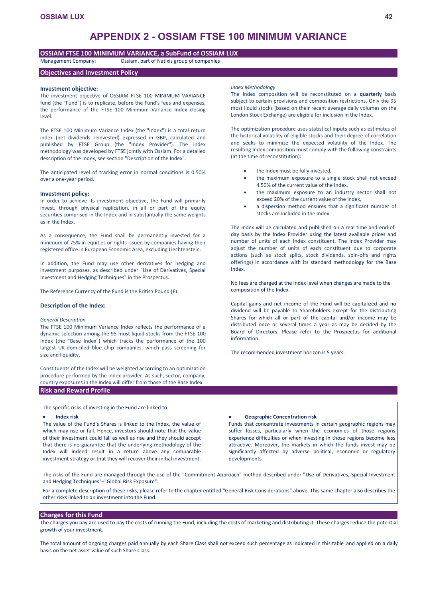# **APPENDIX 2 - OSSIAM FTSE 100 MINIMUM VARIANCE**

## **OSSIAM FTSE 100 MINIMUM VARIANCE, a SubFund of OSSIAM LUX**

Management Company: Ossiam, part of Natixis group of companies

# **Objectives and Investment Policy**

### **Investment objective:**

The investment objective of OSSIAM FTSE 100 MINIMUM VARIANCE fund (the "Fund") is to replicate, before the Fund's fees and expenses, the performance of the FTSE 100 Minimum Variance Index closing level.

The FTSE 100 Minimum Variance Index (the "Index") is a total return index (net dividends reinvested) expressed in GBP, calculated and published by FTSE Group (the "Index Provider"). The index methodology was developed by FTSE jointly with Ossiam. For a detailed description of the Index, see section "Description of the Index".

The anticipated level of tracking error in normal conditions is 0.50% over a one-year period.

### **Investment policy:**

In order to achieve its investment objective, the Fund will primarily invest, through physical replication, in all or part of the equity securities comprised in the Index and in substantially the same weights as in the Index.

As a consequence, the Fund shall be permanently invested for a minimum of 75% in equities or rights issued by companies having their registered office in European Economic Area, excluding Liechtenstein.

In addition, the Fund may use other derivatives for hedging and investment purposes, as described under "Use of Derivatives, Special Investment and Hedging Techniques" in the Prospectus.

The Reference Currency of the Fund is the British Pound (£).

## **Description of the Index:**

### *General Description*

The FTSE 100 Minimum Variance Index reflects the performance of a dynamic selection among the 95 most liquid stocks from the FTSE 100 Index (the "Base Index") which tracks the performance of the 100 largest UK-domiciled blue chip companies, which pass screening for size and liquidity.

Constituents of the Index will be weighted according to an optimization procedure performed by the index provider. As such, sector, company, country exposures in the Index will differ from those of the Base Index. **Risk and Reward Profile**

The specific risks of investing in the Fund are linked to:

### **Index risk**

The value of the Fund's Shares is linked to the Index, the value of which may rise or fall. Hence, investors should note that the value of their investment could fall as well as rise and they should accept that there is no guarantee that the underlying methodology of the Index will indeed result in a return above any comparable investment strategy or that they will recover their initial investment.

#### *Index Methodology*

The Index composition will be reconstituted on a **quarterly** basis subject to certain provisions and composition restrictions. Only the 95 most liquid stocks (based on their recent average daily volumes on the London Stock Exchange) are eligible for inclusion in the Index.

The optimization procedure uses statistical inputs such as estimates of the historical volatility of eligible stocks and their degree of correlation and seeks to minimize the expected volatility of the Index. The resulting Index composition must comply with the following constraints (at the time of reconstitution):

- the Index must be fully invested,
- the maximum exposure to a single stock shall not exceed 4.50% of the current value of the Index,
- the maximum exposure to an industry sector shall not exceed 20% of the current value of the Index,
- a dispersion method ensures that a significant number of stocks are included in the Index.

The Index will be calculated and published on a real time and end-ofday basis by the Index Provider using the latest available prices and number of units of each Index constituent. The Index Provider may adjust the number of units of each constituent due to corporate actions (such as stock splits, stock dividends, spin-offs and rights offerings) in accordance with its standard methodology for the Base Index.

No fees are charged at the Index level when changes are made to the composition of the Index.

Capital gains and net income of the Fund will be capitalized and no dividend will be payable to Shareholders except for the distributing Shares for which all or part of the capital and/or income may be distributed once or several times a year as may be decided by the Board of Directors. Please refer to the Prospectus for additional information.

The recommended investment horizon is 5 years.

### **Geographic Concentration risk**

Funds that concentrate investments in certain geographic regions may suffer losses, particularly when the economies of those regions experience difficulties or when investing in those regions become less attractive. Moreover, the markets in which the funds invest may be significantly affected by adverse political, economic or regulatory developments.

The risks of the Fund are managed through the use of the "Commitment Approach" method described under "Use of Derivatives, Special Investment and Hedging Techniques"–"Global Risk Exposure".

For a complete description of these risks, please refer to the chapter entitled "General Risk Considerations" above. This same chapter also describes the other risks linked to an investment into the Fund.

# **Charges for this Fund**

The charges you pay are used to pay the costs of running the Fund, including the costs of marketing and distributing it. These charges reduce the potential growth of your investment.

The total amount of ongoing charges paid annually by each Share Class shall not exceed such percentage as indicated in this table and applied on a daily basis on the net asset value of such Share Class.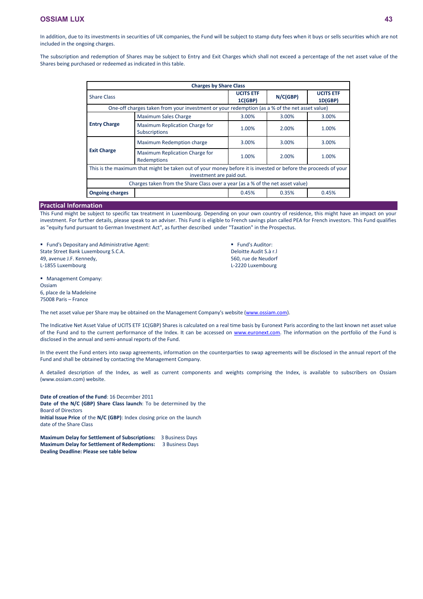In addition, due to its investments in securities of UK companies, the Fund will be subject to stamp duty fees when it buys or sells securities which are not included in the ongoing charges.

The subscription and redemption of Shares may be subject to Entry and Exit Charges which shall not exceed a percentage of the net asset value of the Shares being purchased or redeemed as indicated in this table.

| <b>Charges by Share Class</b>                                                                                                              |                                                                                               |                             |          |                             |  |  |  |  |
|--------------------------------------------------------------------------------------------------------------------------------------------|-----------------------------------------------------------------------------------------------|-----------------------------|----------|-----------------------------|--|--|--|--|
| <b>Share Class</b>                                                                                                                         |                                                                                               | <b>UCITS ETF</b><br>1C(GBP) | N/C(GBP) | <b>UCITS ETF</b><br>1D(GBP) |  |  |  |  |
|                                                                                                                                            | One-off charges taken from your investment or your redemption (as a % of the net asset value) |                             |          |                             |  |  |  |  |
|                                                                                                                                            | <b>Maximum Sales Charge</b>                                                                   | 3.00%                       | 3.00%    | 3.00%                       |  |  |  |  |
| <b>Entry Charge</b>                                                                                                                        | Maximum Replication Charge for<br><b>Subscriptions</b>                                        | 1.00%                       | 2.00%    | 1.00%                       |  |  |  |  |
|                                                                                                                                            | <b>Maximum Redemption charge</b>                                                              | 3.00%                       | 3.00%    | 3.00%                       |  |  |  |  |
| <b>Exit Charge</b>                                                                                                                         | Maximum Replication Charge for<br>Redemptions                                                 | 1.00%                       | 2.00%    | 1.00%                       |  |  |  |  |
| This is the maximum that might be taken out of your money before it is invested or before the proceeds of your<br>investment are paid out. |                                                                                               |                             |          |                             |  |  |  |  |
|                                                                                                                                            | Charges taken from the Share Class over a year (as a % of the net asset value)                |                             |          |                             |  |  |  |  |
| <b>Ongoing charges</b>                                                                                                                     |                                                                                               | 0.45%                       | 0.35%    | 0.45%                       |  |  |  |  |

# **Practical Information**

This Fund might be subject to specific tax treatment in Luxembourg. Depending on your own country of residence, this might have an impact on your investment. For further details, please speak to an adviser. This Fund is eligible to French savings plan called PEA for French investors. This Fund qualifies as "equity fund pursuant to German Investment Act", as further described under "Taxation" in the Prospectus.

 Fund's Depositary and Administrative Agent: State Street Bank Luxembourg S.C.A. 49, avenue J.F. Kennedy, L-1855 Luxembourg

 Management Company: Ossiam 6, place de la Madeleine 75008 Paris – France

Fund's Auditor: Deloitte Audit S.à r.l 560, rue de Neudorf L-2220 Luxembourg

The net asset value per Share may be obtained on the Management Company's website [\(www.ossiam.com](http://www.ossiam.com/)).

The Indicative Net Asset Value of UCITS ETF 1C(GBP) Shares is calculated on a real time basis by Euronext Paris according to the last known net asset value of the Fund and to the current performance of the Index. It can be accessed on [www.euronext.com](http://www.euronext.com/). The information on the portfolio of the Fund is disclosed in the annual and semi-annual reports of the Fund.

In the event the Fund enters into swap agreements, information on the counterparties to swap agreements will be disclosed in the annual report of the Fund and shall be obtained by contacting the Management Company.

A detailed description of the Index, as well as current components and weights comprising the Index, is available to subscribers on Ossiam (www.ossiam.com) website.

**Date of creation of the Fund**: 16 December 2011 **Date of the N/C (GBP) Share Class launch**: To be determined by the Board of Directors **Initial Issue Price** of the **N/C (GBP)**: Index closing price on the launch date of the Share Class

**Maximum Delay for Settlement of Subscriptions:** 3 Business Days **Maximum Delay for Settlement of Redemptions:** 3 Business Days **Dealing Deadline: Please see table below**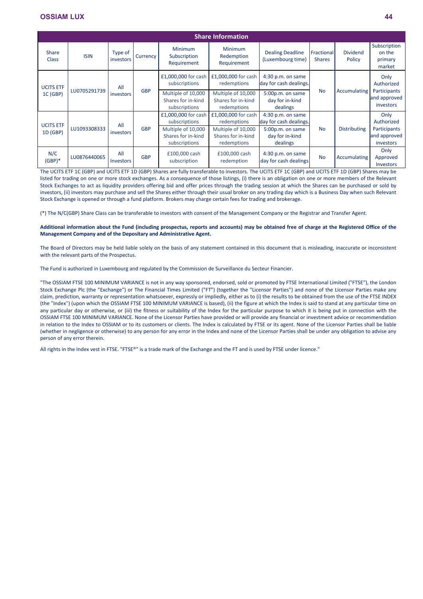|                                              | <b>Share Information</b> |                      |                                      |                                                           |                                                            |                                                          |                                                                 |                             |                                             |                                    |                           |  |
|----------------------------------------------|--------------------------|----------------------|--------------------------------------|-----------------------------------------------------------|------------------------------------------------------------|----------------------------------------------------------|-----------------------------------------------------------------|-----------------------------|---------------------------------------------|------------------------------------|---------------------------|--|
| <b>Share</b><br><b>Class</b>                 | <b>ISIN</b>              | Type of<br>investors | <b>Currency</b>                      | <b>Minimum</b><br>Subscription<br>Requirement             | <b>Minimum</b><br>Redemption<br>Requirement                | <b>Dealing Deadline</b><br>(Luxembourg time)             | <b>Fractional</b><br><b>Shares</b>                              | <b>Dividend</b><br>Policy   | Subscription<br>on the<br>primary<br>market |                                    |                           |  |
| <b>UCITS ETF</b><br>LU0705291739<br>1C (GBP) | All                      | <b>GBP</b>           | £1,000,000 for cash<br>subscriptions | £1,000,000 for cash<br>redemptions                        | $4:30$ p.m. on same<br>day for cash dealings.              |                                                          |                                                                 | Only<br>Authorized          |                                             |                                    |                           |  |
|                                              |                          | investors            |                                      | Multiple of 10,000<br>Shares for in-kind<br>subscriptions | Multiple of 10,000<br>Shares for in-kind<br>redemptions    | 5:00p.m. on same<br>day for in-kind<br>dealings          | <b>No</b>                                                       | Accumulating                | Participants<br>and approved<br>investors   |                                    |                           |  |
| <b>UCITS ETF</b><br>1D(GBP)                  | LU1093308333             | All                  |                                      | <b>GBP</b>                                                | £1,000,000 for cash<br>subscriptions<br>Multiple of 10,000 | £1,000,000 for cash<br>redemptions<br>Multiple of 10,000 | 4:30 p.m. on same<br>day for cash dealings.<br>5:00p.m. on same | <b>No</b>                   | <b>Distributing</b>                         | Only<br>Authorized<br>Participants |                           |  |
|                                              |                          |                      |                                      | investors                                                 |                                                            | Shares for in-kind<br>subscriptions                      | Shares for in-kind<br>redemptions                               | day for in-kind<br>dealings |                                             |                                    | and approved<br>investors |  |
| N/C<br>$(GBP)*$                              | LU0876440065             | All<br>Investors     | <b>GBP</b>                           | £100,000 cash<br>subscription                             | £100,000 cash<br>redemption                                | 4:30 p.m. on same<br>day for cash dealings               | <b>No</b>                                                       | Accumulating                | Only<br>Approved<br><b>Investors</b>        |                                    |                           |  |

The UCITS ETF 1C (GBP) and UCITS ETF 1D (GBP) Shares are fully transferable to investors. The UCITS ETF 1C (GBP) and UCITS ETF 1D (GBP) Shares may be listed for trading on one or more stock exchanges. As a consequence of those listings, (i) there is an obligation on one or more members of the Relevant Stock Exchanges to act as liquidity providers offering bid and offer prices through the trading session at which the Shares can be purchased or sold by investors, (ii) investors may purchase and sell the Shares either through their usual broker on any trading day which is a Business Day when such Relevant Stock Exchange is opened or through a fund platform. Brokers may charge certain fees for trading and brokerage.

(\*) The N/C(GBP) Share Class can be transferable to investors with consent of the Management Company or the Registrar and Transfer Agent.

## **Additional information about the Fund (including prospectus, reports and accounts) may be obtained free of charge at the Registered Office of the Management Company and of the Depositary and Administrative Agent.**

The Board of Directors may be held liable solely on the basis of any statement contained in this document that is misleading, inaccurate or inconsistent with the relevant parts of the Prospectus.

The Fund is authorized in Luxembourg and regulated by the Commission de Surveillance du Secteur Financier.

"The OSSIAM FTSE 100 MINIMUM VARIANCE is not in any way sponsored, endorsed, sold or promoted by FTSE International Limited ("FTSE"), the London Stock Exchange Plc (the "Exchange") or The Financial Times Limited ("FT") (together the "Licensor Parties") and none of the Licensor Parties make any claim, prediction, warranty or representation whatsoever, expressly or impliedly, either as to (i) the results to be obtained from the use of the FTSE INDEX (the "Index") (upon which the OSSIAM FTSE 100 MINIMUM VARIANCE is based), (ii) the figure at which the Index is said to stand at any particular time on any particular day or otherwise, or (iii) the fitness or suitability of the Index for the particular purpose to which it is being put in connection with the OSSIAM FTSE 100 MINIMUM VARIANCE. None of the Licensor Parties have provided or will provide any financial or investment advice or recommendation in relation to the Index to OSSIAM or to its customers or clients. The Index is calculated by FTSE or its agent. None of the Licensor Parties shall be liable (whether in negligence or otherwise) to any person for any error in the Index and none of the Licensor Parties shall be under any obligation to advise any person of any error therein.

All rights in the Index vest in FTSE. "FTSE®" is a trade mark of the Exchange and the FT and is used by FTSE under licence."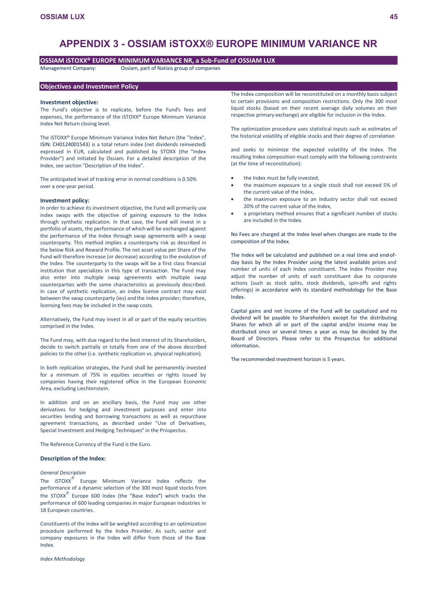# **APPENDIX 3 - OSSIAM iSTOXX® EUROPE MINIMUM VARIANCE NR**

# **OSSIAM iSTOXX® EUROPE MINIMUM VARIANCE NR, a Sub-Fund of OSSIAM LUX**

Management Company: Ossiam, part of Natixis group of companies

## **Objectives and Investment Policy**

### **Investment objective:**

The Fund's objective is to replicate, before the Fund's fees and expenses, the performance of the iSTOXX® Europe Minimum Variance Index Net Return closing level.

The iSTOXX® Europe Minimum Variance Index Net Return (the "Index", ISIN: CH0124001543) is a total return index (net dividends reinvested) expressed in EUR, calculated and published by STOXX (the "Index Provider") and initiated by Ossiam. For a detailed description of the Index, see section "Description of the Index".

The anticipated level of tracking error in normal conditions is 0.50% over a one-year period.

### **Investment policy:**

In order to achieve its investment objective, the Fund will primarily use index swaps with the objective of gaining exposure to the Index through synthetic replication. In that case, the Fund will invest in a portfolio of assets, the performance of which will be exchanged against the performance of the Index through swap agreements with a swap counterparty. This method implies a counterparty risk as described in the below Risk and Reward Profile. The net asset value per Share of the Fund will therefore increase (or decrease) according to the evolution of the Index. The counterparty to the swaps will be a first class financial institution that specializes in this type of transaction. The Fund may also enter into multiple swap agreements with multiple swap counterparties with the same characteristics as previously described. In case of synthetic replication, an index license contract may exist between the swap counterparty (ies) and the index provider; therefore, licensing fees may be included in the swap costs.

Alternatively, the Fund may invest in all or part of the equity securities comprised in the Index.

The Fund may, with due regard to the best interest of its Shareholders, decide to switch partially or totally from one of the above described policies to the other (i.e. synthetic replication vs. physical replication).

In both replication strategies, the Fund shall be permanently invested for a minimum of 75% in equities securities or rights issued by companies having their registered office in the European Economic Area, excluding Liechtenstein.

In addition and on an ancillary basis, the Fund may use other derivatives for hedging and investment purposes and enter into securities lending and borrowing transactions as well as repurchase agreement transactions, as described under "Use of Derivatives, Special Investment and Hedging Techniques" in the Prospectus.

The Reference Currency of the Fund is the Euro.

### **Description of the Index:**

### *General Description*

The  $i$ STOXX $^{\circledR}$  Europe Minimum Variance Index reflects the performance of a dynamic selection of the 300 most liquid stocks from the STOXX® Europe 600 Index (the "Base Index**"**) which tracks the performance of 600 leading companies in major European industries in 18 European countries.

Constituents of the Index will be weighted according to an optimization procedure performed by the Index Provider. As such, sector and company exposures in the Index will differ from those of the Base Index.

*Index Methodology*

The Index composition will be reconstituted on a monthly basis subject to certain provisions and composition restrictions. Only the 300 most liquid stocks (based on their recent average daily volumes on their respective primary exchange) are eligible for inclusion in the Index.

The optimization procedure uses statistical inputs such as estimates of the historical volatility of eligible stocks and their degree of correlation

and seeks to minimize the expected volatility of the Index. The resulting Index composition must comply with the following constraints (at the time of reconstitution):

- the Index must be fully invested,
- the maximum exposure to a single stock shall not exceed 5% of the current value of the Index,
- the maximum exposure to an industry sector shall not exceed 20% of the current value of the Index,
- a proprietary method ensures that a significant number of stocks are included in the Index.

No Fees are charged at the Index level when changes are made to the composition of the Index.

The Index will be calculated and published on a real time and end-ofday basis by the Index Provider using the latest available prices and number of units of each Index constituent. The Index Provider may adjust the number of units of each constituent due to corporate actions (such as stock splits, stock dividends, spin-offs and rights offerings) in accordance with its standard methodology for the Base Index.

Capital gains and net income of the Fund will be capitalized and no dividend will be payable to Shareholders except for the distributing Shares for which all or part of the capital and/or income may be distributed once or several times a year as may be decided by the Board of Directors. Please refer to the Prospectus for additional information.

The recommended investment horizon is 5 years.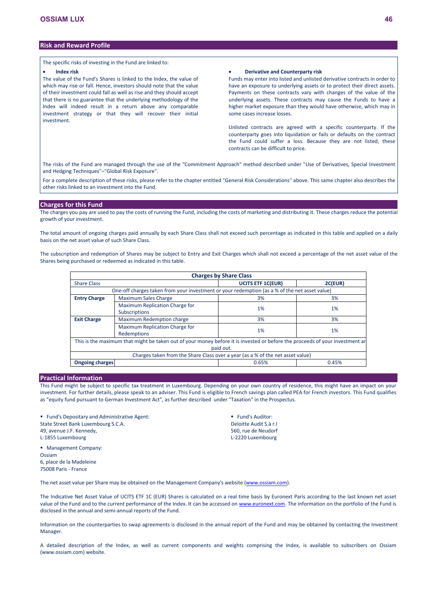# **Risk and Reward Profile**

The specific risks of investing in the Fund are linked to:

#### **Index risk**

The value of the Fund's Shares is linked to the Index, the value of which may rise or fall. Hence, investors should note that the value of their investment could fall as well as rise and they should accept that there is no guarantee that the underlying methodology of the Index will indeed result in a return above any comparable investment strategy or that they will recover their initial investment.

### **Derivative and Counterparty risk**

Funds may enter into listed and unlisted derivative contracts in order to have an exposure to underlying assets or to protect their direct assets. Payments on these contracts vary with changes of the value of the underlying assets. These contracts may cause the Funds to have a higher market exposure than they would have otherwise, which may in some cases increase losses.

Unlisted contracts are agreed with a specific counterparty. If the counterparty goes into liquidation or fails or defaults on the contract the Fund could suffer a loss. Because they are not listed, these contracts can be difficult to price.

The risks of the Fund are managed through the use of the "Commitment Approach" method described under "Use of Derivatives, Special Investment and Hedging Techniques"–"Global Risk Exposure".

For a complete description of these risks, please refer to the chapter entitled "General Risk Considerations" above. This same chapter also describes the other risks linked to an investment into the Fund.

### **Charges for this Fund**

The charges you pay are used to pay the costs of running the Fund, including the costs of marketing and distributing it. These charges reduce the potential growth of your investment.

The total amount of ongoing charges paid annually by each Share Class shall not exceed such percentage as indicated in this table and applied on a daily basis on the net asset value of such Share Class.

The subscription and redemption of Shares may be subject to Entry and Exit Charges which shall not exceed a percentage of the net asset value of the Shares being purchased or redeemed as indicated in this table.

|                                                                                                                                           | <b>Charges by Share Class</b>                                                                 |       |       |  |  |  |  |  |  |  |
|-------------------------------------------------------------------------------------------------------------------------------------------|-----------------------------------------------------------------------------------------------|-------|-------|--|--|--|--|--|--|--|
| <b>Share Class</b>                                                                                                                        | <b>UCITS ETF 1C(EUR)</b><br>2C(EUR)                                                           |       |       |  |  |  |  |  |  |  |
|                                                                                                                                           | One-off charges taken from your investment or your redemption (as a % of the net asset value) |       |       |  |  |  |  |  |  |  |
| <b>Entry Charge</b>                                                                                                                       | <b>Maximum Sales Charge</b>                                                                   | 3%    | 3%    |  |  |  |  |  |  |  |
|                                                                                                                                           | Maximum Replication Charge for<br><b>Subscriptions</b>                                        | 1%    | $1\%$ |  |  |  |  |  |  |  |
| <b>Exit Charge</b>                                                                                                                        | Maximum Redemption charge                                                                     | 3%    | 3%    |  |  |  |  |  |  |  |
|                                                                                                                                           | Maximum Replication Charge for<br>Redemptions                                                 | 1%    | 1%    |  |  |  |  |  |  |  |
| This is the maximum that might be taken out of your money before it is invested or before the proceeds of your investment ar<br>paid out. |                                                                                               |       |       |  |  |  |  |  |  |  |
|                                                                                                                                           | Charges taken from the Share Class over a year (as a % of the net asset value)                |       |       |  |  |  |  |  |  |  |
| <b>Ongoing charges</b>                                                                                                                    |                                                                                               | 0.65% | 0.45% |  |  |  |  |  |  |  |

# **Practical Information**

6, place de la Madeleine 75008 Paris - France

Ossiam

This Fund might be subject to specific tax treatment in Luxembourg. Depending on your own country of residence, this might have an impact on your investment. For further details, please speak to an adviser. This Fund is eligible to French savings plan called PEA for French investors. This Fund qualifies as "equity fund pursuant to German Investment Act", as further described under "Taxation" in the Prospectus.

**Fund's Depositary and Administrative Agent:** State Street Bank Luxembourg S.C.A. 49, avenue J.F. Kennedy, L-1855 Luxembourg Management Company:

**Fund's Auditor:** Deloitte Audit S.à r.l 560, rue de Neudorf L-2220 Luxembourg

The net asset value per Share may be obtained on the Management Company's website [\(www.ossiam.com](http://www.ossiam.com/)).

The Indicative Net Asset Value of UCITS ETF 1C (EUR) Shares is calculated on a real time basis by Euronext Paris according to the last known net asset value of the Fund and to the current performance of the Index. It can be accessed on [www.euronext.com.](http://www.euronext.com/) The information on the portfolio of the Fund is disclosed in the annual and semi-annual reports of the Fund.

Information on the counterparties to swap agreements is disclosed in the annual report of the Fund and may be obtained by contacting the Investment Manager.

A detailed description of the Index, as well as current components and weights comprising the Index, is available to subscribers on Ossiam (www.ossiam.com) website.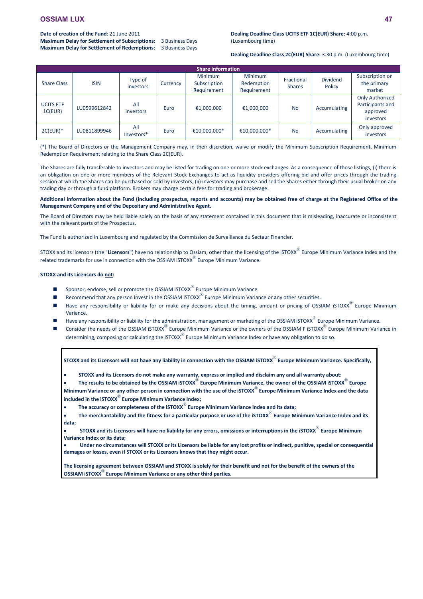# **Date of creation of the Fund**: 21 June 2011

**Maximum Delay for Settlement of Subscriptions:** 3 Business Days **Maximum Delay for Settlement of Redemptions:** 3 Business Days

## **Dealing Deadline Class UCITS ETF 1C(EUR) Share:** 4:00 p.m. (Luxembourg time)

**Dealing Deadline Class 2C(EUR) Share:** 3:30 p.m. (Luxembourg time)

|                             | <b>Share Information</b> |                      |          |                                               |                                             |                             |                           |                                                                     |  |  |  |  |
|-----------------------------|--------------------------|----------------------|----------|-----------------------------------------------|---------------------------------------------|-----------------------------|---------------------------|---------------------------------------------------------------------|--|--|--|--|
| <b>Share Class</b>          | <b>ISIN</b>              | Type of<br>investors | Currency | <b>Minimum</b><br>Subscription<br>Requirement | <b>Minimum</b><br>Redemption<br>Requirement | Fractional<br><b>Shares</b> | <b>Dividend</b><br>Policy | Subscription on<br>the primary<br>market                            |  |  |  |  |
| <b>UCITS ETF</b><br>1C(EUR) | LU0599612842             | All<br>investors     | Euro     | €1,000,000                                    | €1,000,000                                  | <b>No</b>                   | Accumulating              | <b>Only Authorized</b><br>Participants and<br>approved<br>investors |  |  |  |  |
| $2C(EUR)*$                  | LU0811899946             | All<br>Investors*    | Euro     | €10,000,000*                                  | €10,000,000*                                | <b>No</b>                   | Accumulating              | Only approved<br>investors                                          |  |  |  |  |

(\*) The Board of Directors or the Management Company may, in their discretion, waive or modify the Minimum Subscription Requirement, Minimum Redemption Requirement relating to the Share Class 2C(EUR).

The Shares are fully transferable to investors and may be listed for trading on one or more stock exchanges. As a consequence of those listings, (i) there is an obligation on one or more members of the Relevant Stock Exchanges to act as liquidity providers offering bid and offer prices through the trading session at which the Shares can be purchased or sold by investors, (ii) investors may purchase and sell the Shares either through their usual broker on any trading day or through a fund platform. Brokers may charge certain fees for trading and brokerage.

**Additional information about the Fund (including prospectus, reports and accounts) may be obtained free of charge at the Registered Office of the Management Company and of the Depositary and Administrative Agent.**

The Board of Directors may be held liable solely on the basis of any statement contained in this document that is misleading, inaccurate or inconsistent with the relevant parts of the Prospectus.

The Fund is authorized in Luxembourg and regulated by the Commission de Surveillance du Secteur Financier.

STOXX and its licensors (the "**Licensors**") have no relationship to Ossiam, other than the licensing of the iSTOXX® Europe Minimum Variance Index and the related trademarks for use in connection with the OSSIAM iSTOXX $^{\circledR}$  Europe Minimum Variance.

# **STOXX and its Licensors do not:**

- $\blacksquare$  Sponsor, endorse, sell or promote the OSSIAM iSTOXX<sup>®</sup> Europe Minimum Variance.
- Recommend that any person invest in the OSSIAM iSTOXX<sup>®</sup> Europe Minimum Variance or any other securities.
- $\blacksquare$  Have any responsibility or liability for or make any decisions about the timing, amount or pricing of OSSIAM iSTOXX $^\circledR$  Europe Minimum Variance.
- Have any responsibility or liability for the administration, management or marketing of the OSSIAM iSTOXX<sup>®</sup> Europe Minimum Variance.
- Consider the needs of the OSSIAM iSTOXX<sup>®</sup> Europe Minimum Variance or the owners of the OSSIAM F iSTOXX<sup>®</sup> Europe Minimum Variance in determining, composing or calculating the iSTOXX $^{\circledR}$  Europe Minimum Variance Index or have any obligation to do so.

**STOXX and its Licensors will not have any liability in connection with the OSSIAM iSTOXX**® **Europe Minimum Variance. Specifically,**

**STOXX and its Licensors do not make any warranty, express or implied and disclaim any and all warranty about:**

 **The results to be obtained by the OSSIAM iSTOXX**® **Europe Minimum Variance, the owner of the OSSIAM iSTOXX**® **Europe Minimum Variance or any other person in connection with the use of the iSTOXX**® **Europe Minimum Variance Index and the data included in the iSTOXX**® **Europe Minimum Variance Index;**

**The accuracy or completeness of the iSTOXX**® **Europe Minimum Variance Index and its data;**

 **The merchantability and the fitness for a particular purpose or use of the iSTOXX**® **Europe Minimum Variance Index and its data;**

 **STOXX and its Licensors will have no liability for any errors, omissions or interruptions in the iSTOXX**® **Europe Minimum Variance Index or its data;**

 **Under no circumstances will STOXX or its Licensors be liable for any lost profits or indirect, punitive, special or consequential damages or losses, even if STOXX or its Licensors knows that they might occur.**

**The licensing agreement between OSSIAM and STOXX is solely for their benefit and not for the benefit of the owners of the OSSIAM iSTOXX**® **Europe Minimum Variance or any other third parties.**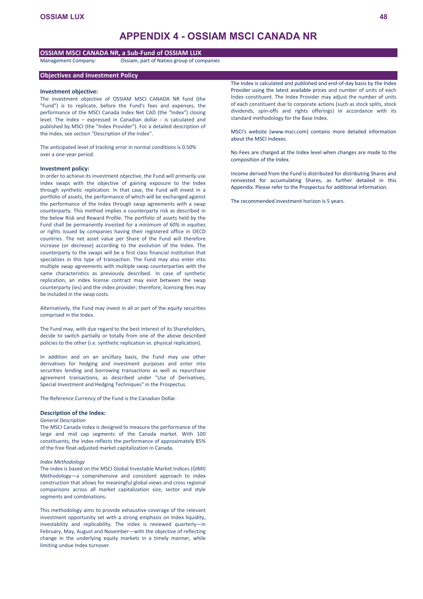# **APPENDIX 4 - OSSIAM MSCI CANADA NR**

# **OSSIAM MSCI CANADA NR, a Sub-Fund of OSSIAM LUX**

Management Company: Ossiam, part of Natixis group of companies

# **Objectives and Investment Policy**

### **Investment objective:**

The investment objective of OSSIAM MSCI CANADA NR fund (the "Fund") is to replicate, before the Fund's fees and expenses, the performance of the MSCI Canada Index Net CAD (the "Index") closing level. The Index – expressed in Canadian dollar - is calculated and published by MSCI (the "Index Provider"). For a detailed description of the Index, see section "Description of the Index".

The anticipated level of tracking error in normal conditions is 0.50% over a one-year period.

### **Investment policy:**

In order to achieve its investment objective, the Fund will primarily use index swaps with the objective of gaining exposure to the Index through synthetic replication. In that case, the Fund will invest in a portfolio of assets, the performance of which will be exchanged against the performance of the Index through swap agreements with a swap counterparty. This method implies a counterparty risk as described in the below Risk and Reward Profile. The portfolio of assets held by the Fund shall be permanently invested for a minimum of 60% in equities or rights issued by companies having their registered office in OECD countries. The net asset value per Share of the Fund will therefore increase (or decrease) according to the evolution of the Index. The counterparty to the swaps will be a first class financial institution that specializes in this type of transaction. The Fund may also enter into multiple swap agreements with multiple swap counterparties with the same characteristics as previously described. In case of synthetic replication, an index license contract may exist between the swap counterparty (ies) and the index provider; therefore, licensing fees may be included in the swap costs.

Alternatively, the Fund may invest in all or part of the equity securities comprised in the Index.

The Fund may, with due regard to the best interest of its Shareholders, decide to switch partially or totally from one of the above described policies to the other (i.e. synthetic replication vs. physical replication).

In addition and on an ancillary basis, the Fund may use other derivatives for hedging and investment purposes and enter into securities lending and borrowing transactions as well as repurchase agreement transactions, as described under "Use of Derivatives, Special Investment and Hedging Techniques" in the Prospectus.

The Reference Currency of the Fund is the Canadian Dollar.

### **Description of the Index:**

### *General Description*

The MSCI Canada Index is designed to measure the performance of the large and mid cap segments of the Canada market. With 100 constituents, the index reflects the performance of approximately 85% of the free float-adjusted market capitalization in Canada.

### *Index Methodology*

The index is based on the MSCI Global Investable Market Indices (GIMI) Methodology—a comprehensive and consistent approach to index construction that allows for meaningful global views and cross regional comparisons across all market capitalization size, sector and style segments and combinations.

This methodology aims to provide exhaustive coverage of the relevant investment opportunity set with a strong emphasis on Index liquidity, investability and replicability. The index is reviewed quarterly—in February, May, August and November—with the objective of reflecting change in the underlying equity markets in a timely manner, while limiting undue Index turnover.

The Index is calculated and published and end-of-day basis by the Index Provider using the latest available prices and number of units of each Index constituent. The Index Provider may adjust the number of units of each constituent due to corporate actions (such as stock splits, stock dividends, spin-offs and rights offerings) in accordance with its standard methodology for the Base Index.

MSCI's website ([www.msci.com](http://www.msci.com/)) contains more detailed information about the MSCI indexes.

No Fees are charged at the Index level when changes are made to the composition of the Index.

Income derived from the Fund is distributed for distributing Shares and reinvested for accumulating Shares, as further detailed in this Appendix. Please refer to the Prospectus for additional information.

The recommended investment horizon is 5 years.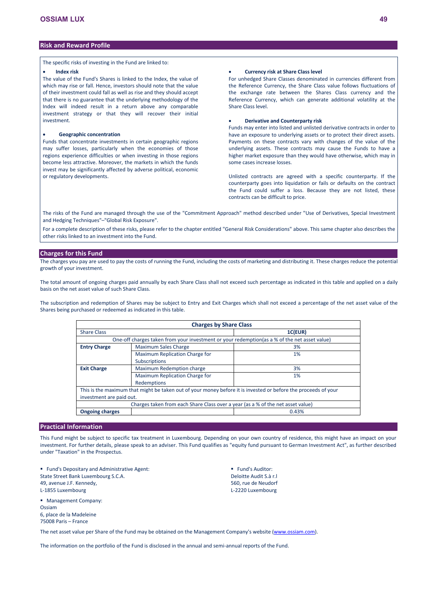# **Risk and Reward Profile**

The specific risks of investing in the Fund are linked to:

#### **Index risk**

The value of the Fund's Shares is linked to the Index, the value of which may rise or fall. Hence, investors should note that the value of their investment could fall as well as rise and they should accept that there is no guarantee that the underlying methodology of the Index will indeed result in a return above any comparable investment strategy or that they will recover their initial investment.

### **Geographic concentration**

Funds that concentrate investments in certain geographic regions may suffer losses, particularly when the economies of those regions experience difficulties or when investing in those regions become less attractive. Moreover, the markets in which the funds invest may be significantly affected by adverse political, economic or regulatory developments.

### **Currency risk at Share Class level**

For unhedged Share Classes denominated in currencies different from the Reference Currency, the Share Class value follows fluctuations of the exchange rate between the Shares Class currency and the Reference Currency, which can generate additional volatility at the Share Class level.

## **Derivative and Counterparty risk**

Funds may enter into listed and unlisted derivative contracts in order to have an exposure to underlying assets or to protect their direct assets. Payments on these contracts vary with changes of the value of the underlying assets. These contracts may cause the Funds to have a higher market exposure than they would have otherwise, which may in some cases increase losses.

Unlisted contracts are agreed with a specific counterparty. If the counterparty goes into liquidation or fails or defaults on the contract the Fund could suffer a loss. Because they are not listed, these contracts can be difficult to price.

The risks of the Fund are managed through the use of the "Commitment Approach" method described under "Use of Derivatives, Special Investment and Hedging Techniques"–"Global Risk Exposure".

For a complete description of these risks, please refer to the chapter entitled "General Risk Considerations" above. This same chapter also describes the other risks linked to an investment into the Fund.

### **Charges for this Fund**

The charges you pay are used to pay the costs of running the Fund, including the costs of marketing and distributing it. These charges reduce the potential growth of your investment.

The total amount of ongoing charges paid annually by each Share Class shall not exceed such percentage as indicated in this table and applied on a daily basis on the net asset value of such Share Class.

The subscription and redemption of Shares may be subject to Entry and Exit Charges which shall not exceed a percentage of the net asset value of the Shares being purchased or redeemed as indicated in this table.

| <b>Charges by Share Class</b> |                                                                                               |                                                                                                                |  |  |  |  |  |  |
|-------------------------------|-----------------------------------------------------------------------------------------------|----------------------------------------------------------------------------------------------------------------|--|--|--|--|--|--|
| 1C(EUR)<br><b>Share Class</b> |                                                                                               |                                                                                                                |  |  |  |  |  |  |
|                               | One-off charges taken from your investment or your redemption (as a % of the net asset value) |                                                                                                                |  |  |  |  |  |  |
| <b>Entry Charge</b>           | <b>Maximum Sales Charge</b>                                                                   | 3%                                                                                                             |  |  |  |  |  |  |
|                               | Maximum Replication Charge for                                                                | 1%                                                                                                             |  |  |  |  |  |  |
|                               | Subscriptions                                                                                 |                                                                                                                |  |  |  |  |  |  |
| <b>Exit Charge</b>            | Maximum Redemption charge                                                                     | 3%                                                                                                             |  |  |  |  |  |  |
|                               | Maximum Replication Charge for                                                                | 1%                                                                                                             |  |  |  |  |  |  |
|                               | Redemptions                                                                                   |                                                                                                                |  |  |  |  |  |  |
|                               |                                                                                               | This is the maximum that might be taken out of your money before it is invested or before the proceeds of your |  |  |  |  |  |  |
| investment are paid out.      |                                                                                               |                                                                                                                |  |  |  |  |  |  |
|                               | Charges taken from each Share Class over a year (as a % of the net asset value)               |                                                                                                                |  |  |  |  |  |  |
| <b>Ongoing charges</b>        |                                                                                               | 0.43%                                                                                                          |  |  |  |  |  |  |

# **Practical Information**

This Fund might be subject to specific tax treatment in Luxembourg. Depending on your own country of residence, this might have an impact on your investment. For further details, please speak to an adviser. This Fund qualifies as "equity fund pursuant to German Investment Act", as further described under "Taxation" in the Prospectus.

**Fund's Depositary and Administrative Agent:** State Street Bank Luxembourg S.C.A. 49, avenue J.F. Kennedy, L-1855 Luxembourg

**Management Company:** Ossiam 6, place de la Madeleine 75008 Paris – France

**Fund's Auditor:** Deloitte Audit S.à r.l 560, rue de Neudorf L-2220 Luxembourg

The net asset value per Share of the Fund may be obtained on the Management Company's website [\(www.ossiam.com](http://www.ossiam.com/)).

The information on the portfolio of the Fund is disclosed in the annual and semi-annual reports of the Fund.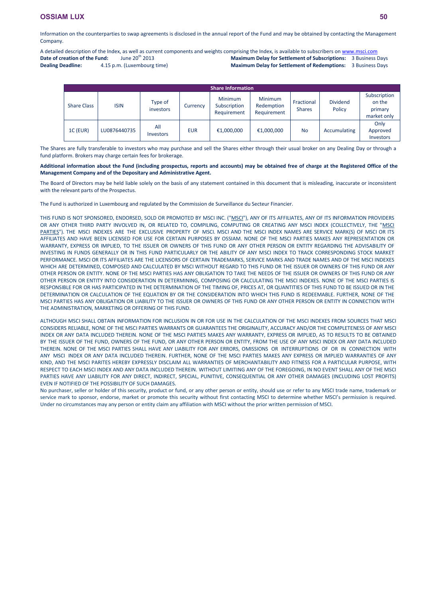Information on the counterparties to swap agreements is disclosed in the annual report of the Fund and may be obtained by contacting the Management Company.

A detailed description of the Index, as well as current components and weights comprising the Index, is available to subscribers on [www.msci.com](http://www.msci.com/)<br> **Date of creation of the Fund:** June 20<sup>th</sup> 2013<br> **Maximum Delay for Settlem Date of creation of the Fund: Maximum Delay for Settlement of Subscriptions:** 3 Business Days

**Dealing Deadline:** 4.15 p.m. (Luxembourg time)

**Maximum Delay for Settlement of Redemptions:** 3 Business Days

|                    | <b>Share Information</b> |                         |            |                                        |                                      |                             |                           |                                                  |  |  |  |  |
|--------------------|--------------------------|-------------------------|------------|----------------------------------------|--------------------------------------|-----------------------------|---------------------------|--------------------------------------------------|--|--|--|--|
| <b>Share Class</b> | <b>ISIN</b>              | Type of<br>investors    | Currency   | Minimum<br>Subscription<br>Requirement | Minimum<br>Redemption<br>Requirement | Fractional<br><b>Shares</b> | <b>Dividend</b><br>Policy | Subscription<br>on the<br>primary<br>market only |  |  |  |  |
| 1C (EUR)           | LU0876440735             | All<br><b>Investors</b> | <b>EUR</b> | €1,000,000                             | €1,000,000                           | <b>No</b>                   | Accumulating              | Only<br>Approved<br>Investors                    |  |  |  |  |

The Shares are fully transferable to investors who may purchase and sell the Shares either through their usual broker on any Dealing Day or through a fund platform. Brokers may charge certain fees for brokerage.

## **Additional information about the Fund (including prospectus, reports and accounts) may be obtained free of charge at the Registered Office of the Management Company and of the Depositary and Administrative Agent.**

The Board of Directors may be held liable solely on the basis of any statement contained in this document that is misleading, inaccurate or inconsistent with the relevant parts of the Prospectus.

The Fund is authorized in Luxembourg and regulated by the Commission de Surveillance du Secteur Financier.

THIS FUND IS NOT SPONSORED, ENDORSED, SOLD OR PROMOTED BY MSCI INC. ("MSCI"), ANY OF ITS AFFILIATES, ANY OF ITS INFORMATION PROVIDERS OR ANY OTHER THIRD PARTY INVOLVED IN, OR RELATED TO, COMPILING, COMPUTING OR CREATING ANY MSCI INDEX (COLLECTIVELY, THE "MSCI PARTIES"). THE MSCI INDEXES ARE THE EXCLUSIVE PROPERTY OF MSCI. MSCI AND THE MSCI INDEX NAMES ARE SERVICE MARK(S) OF MSCI OR ITS AFFILIATES AND HAVE BEEN LICENSED FOR USE FOR CERTAIN PURPOSES BY OSSIAM. NONE OF THE MSCI PARTIES MAKES ANY REPRESENTATION OR WARRANTY, EXPRESS OR IMPLIED, TO THE ISSUER OR OWNERS OF THIS FUND OR ANY OTHER PERSON OR ENTITY REGARDING THE ADVISABILITY OF INVESTING IN FUNDS GENERALLY OR IN THIS FUND PARTICULARLY OR THE ABILITY OF ANY MSCI INDEX TO TRACK CORRESPONDING STOCK MARKET PERFORMANCE. MSCI OR ITS AFFILIATES ARE THE LICENSORS OF CERTAIN TRADEMARKS, SERVICE MARKS AND TRADE NAMES AND OF THE MSCI INDEXES WHICH ARE DETERMINED, COMPOSED AND CALCULATED BY MSCI WITHOUT REGARD TO THIS FUND OR THE ISSUER OR OWNERS OF THIS FUND OR ANY OTHER PERSON OR ENTITY. NONE OF THE MSCI PARTIES HAS ANY OBLIGATION TO TAKE THE NEEDS OF THE ISSUER OR OWNERS OF THIS FUND OR ANY OTHER PERSON OR ENTITY INTO CONSIDERATION IN DETERMINING, COMPOSING OR CALCULATING THE MSCI INDEXES. NONE OF THE MSCI PARTIES IS RESPONSIBLE FOR OR HAS PARTICIPATED IN THE DETERMINATION OF THE TIMING OF, PRICES AT, OR QUANTITIES OF THIS FUND TO BE ISSUED OR IN THE DETERMINATION OR CALCULATION OF THE EQUATION BY OR THE CONSIDERATION INTO WHICH THIS FUND IS REDEEMABLE. FURTHER, NONE OF THE MSCI PARTIES HAS ANY OBLIGATION OR LIABILITY TO THE ISSUER OR OWNERS OF THIS FUND OR ANY OTHER PERSON OR ENTITY IN CONNECTION WITH THE ADMINISTRATION, MARKETING OR OFFERING OF THIS FUND.

ALTHOUGH MSCI SHALL OBTAIN INFORMATION FOR INCLUSION IN OR FOR USE IN THE CALCULATION OF THE MSCI INDEXES FROM SOURCES THAT MSCI CONSIDERS RELIABLE, NONE OF THE MSCI PARTIES WARRANTS OR GUARANTEES THE ORIGINALITY, ACCURACY AND/OR THE COMPLETENESS OF ANY MSCI INDEX OR ANY DATA INCLUDED THEREIN. NONE OF THE MSCI PARTIES MAKES ANY WARRANTY, EXPRESS OR IMPLIED, AS TO RESULTS TO BE OBTAINED BY THE ISSUER OF THE FUND, OWNERS OF THE FUND, OR ANY OTHER PERSON OR ENTITY, FROM THE USE OF ANY MSCI INDEX OR ANY DATA INCLUDED THEREIN. NONE OF THE MSCI PARTIES SHALL HAVE ANY LIABILITY FOR ANY ERRORS, OMISSIONS OR INTERRUPTIONS OF OR IN CONNECTION WITH ANY MSCI INDEX OR ANY DATA INCLUDED THEREIN. FURTHER, NONE OF THE MSCI PARTIES MAKES ANY EXPRESS OR IMPLIED WARRANTIES OF ANY KIND, AND THE MSCI PARITES HEREBY EXPRESSLY DISCLAIM ALL WARRANTIES OF MERCHANTABILITY AND FITNESS FOR A PARTICULAR PURPOSE, WITH RESPECT TO EACH MSCI INDEX AND ANY DATA INCLUDED THEREIN. WITHOUT LIMITING ANY OF THE FOREGOING, IN NO EVENT SHALL ANY OF THE MSCI PARTIES HAVE ANY LIABILITY FOR ANY DIRECT, INDIRECT, SPECIAL, PUNITIVE, CONSEQUENTIAL OR ANY OTHER DAMAGES (INCLUDING LOST PROFITS) EVEN IF NOTIFIED OF THE POSSIBILITY OF SUCH DAMAGES.

No purchaser, seller or holder of this security, product or fund, or any other person or entity, should use or refer to any MSCI trade name, trademark or service mark to sponsor, endorse, market or promote this security without first contacting MSCI to determine whether MSCI's permission is required. Under no circumstances may any person or entity claim any affiliation with MSCI without the prior written permission of MSCI.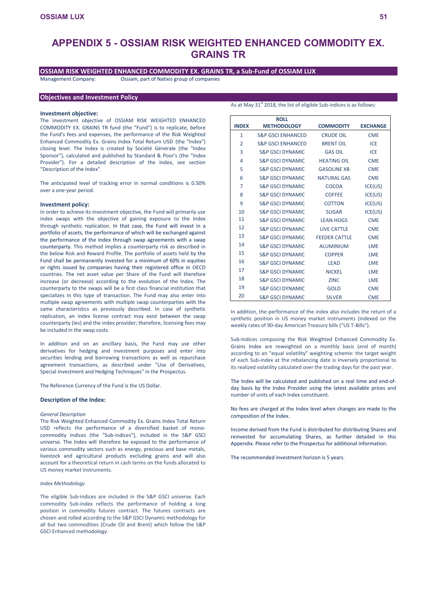# **APPENDIX 5 - OSSIAM RISK WEIGHTED ENHANCED COMMODITY EX. GRAINS TR**

# **OSSIAM RISK WEIGHTED ENHANCED COMMODITY EX. GRAINS TR, a Sub-Fund of OSSIAM LUX**

Management Company: Ossiam, part of Natixis group of companies

# **Objectives and Investment Policy**

### **Investment objective:**

The investment objective of OSSIAM RISK WEIGHTED ENHANCED COMMODITY EX. GRAINS TR fund (the "Fund") is to replicate, before the Fund's fees and expenses, the performance of the Risk Weighted Enhanced Commodity Ex. Grains Index Total Return USD (the "Index") closing level. The Index is created by Société Générale (the "Index Sponsor"), calculated and published by Standard & Poor's (the "Index Provider"). For a detailed description of the Index, see section "Description of the Index".

The anticipated level of tracking error in normal conditions is 0.50% over a one-year period.

### **Investment policy:**

In order to achieve its investment objective, the Fund will primarily use index swaps with the objective of gaining exposure to the Index through synthetic replication. In that case, the Fund will invest in a portfolio of assets, the performance of which will be exchanged against the performance of the Index through swap agreements with a swap counterparty. This method implies a counterparty risk as described in the below Risk and Reward Profile. The portfolio of assets held by the Fund shall be permanently invested for a minimum of 60% in equities or rights issued by companies having their registered office in OECD countries. The net asset value per Share of the Fund will therefore increase (or decrease) according to the evolution of the Index. The counterparty to the swaps will be a first class financial institution that specializes in this type of transaction. The Fund may also enter into multiple swap agreements with multiple swap counterparties with the same characteristics as previously described. In case of synthetic replication, an index license contract may exist between the swap counterparty (ies) and the index provider; therefore, licensing fees may be included in the swap costs.

In addition and on an ancillary basis, the Fund may use other derivatives for hedging and investment purposes and enter into securities lending and borrowing transactions as well as repurchase agreement transactions, as described under "Use of Derivatives, Special Investment and Hedging Techniques" in the Prospectus.

The Reference Currency of the Fund is the US Dollar.

# **Description of the Index:**

#### *General Description*

The Risk Weighted Enhanced Commodity Ex. Grains Index Total Return USD reflects the performance of a diversified basket of monocommodity Indices (the "Sub-indices"), included in the S&P GSCI universe. The Index will therefore be exposed to the performance of various commodity sectors such as energy, precious and base metals, livestock and agricultural products excluding grains and will also account for a theoretical return in cash terms on the funds allocated to US money market instruments.

### *Index Methodology*

The eligible Sub-indices are included in the S&P GSCI universe. Each commodity Sub-index reflects the performance of holding a long position in commodity futures contract. The futures contracts are chosen and rolled according to the S&P GSCI Dynamic methodology for all but two commodities (Crude Oil and Brent) which follow the S&P GSCI Enhanced methodology.

|                | <b>ROLL</b>                    |                    |                 |
|----------------|--------------------------------|--------------------|-----------------|
| <b>INDEX</b>   | <b>METHODOLOGY</b>             | <b>COMMODITY</b>   | <b>EXCHANGE</b> |
| $\mathbf{1}$   | <b>S&amp;P GSCI ENHANCED</b>   | <b>CRUDE OIL</b>   | <b>CME</b>      |
| $\overline{2}$ | <b>S&amp;P GSCI ENHANCED</b>   | <b>BRENT OIL</b>   | ICE             |
| 3              | <b>S&amp;P GSCI DYNAMIC</b>    | <b>GAS OIL</b>     | ICE             |
| $\overline{4}$ | <b>S&amp;P GSCI DYNAMIC</b>    | <b>HEATING OIL</b> | <b>CME</b>      |
| 5              | <b>S&amp;P GSCI DYNAMIC</b>    | <b>GASOLINE XB</b> | <b>CME</b>      |
| 6              | S&P GSCI DYNAMIC               | <b>NATURAL GAS</b> | <b>CME</b>      |
| 7              | <b>S&amp;P GSCI DYNAMIC</b>    | COCOA              | ICE(US)         |
| 8              | <b>S&amp;P GSCI DYNAMIC</b>    | <b>COFFEE</b>      | ICE(US)         |
| 9              | <b>S&amp;P GSCI DYNAMIC</b>    | <b>COTTON</b>      | ICE(US)         |
| 10             | <b>S&amp;P GSCI DYNAMIC</b>    | <b>SUGAR</b>       | ICE(US)         |
| 11             | S&P GSCI DYNAMIC               | <b>LEAN HOGS</b>   | <b>CME</b>      |
| 12             | <b>S&amp;P GSCI DYNAMIC</b>    | <b>LIVE CATTLE</b> | <b>CME</b>      |
| 13             | S&P GSCI DYNAMIC FEEDER CATTLE |                    | <b>CME</b>      |
| 14             | S&P GSCI DYNAMIC               | <b>ALUMINIUM</b>   | LME             |
| 15             | <b>S&amp;P GSCI DYNAMIC</b>    | <b>COPPER</b>      | LME             |
| 16             | <b>S&amp;P GSCI DYNAMIC</b>    | <b>LEAD</b>        | LME             |
| 17             | <b>S&amp;P GSCI DYNAMIC</b>    | <b>NICKEL</b>      | LME             |
| 18             | <b>S&amp;P GSCI DYNAMIC</b>    | <b>ZINC</b>        | LME             |
| 19             | <b>S&amp;P GSCI DYNAMIC</b>    | <b>GOLD</b>        | <b>CME</b>      |
| 20             | <b>S&amp;P GSCI DYNAMIC</b>    | <b>SILVER</b>      | <b>CME</b>      |

In addition, the performance of the index also includes the return of a synthetic position in US money market instruments (indexed on the weekly rates of 90-day American Treasury bills ("US T-Bills").

Sub-Indices composing the Risk Weighted Enhanced Commodity Ex. Grains Index are reweighted on a monthly basis (end of month) according to an "equal volatility" weighting scheme: the target weight of each Sub-index at the rebalancing date is inversely proportional to its realized volatility calculated over the trading days for the past year.

The Index will be calculated and published on a real time and end-ofday basis by the Index Provider using the latest available prices and number of units of each Index constituent.

No fees are charged at the Index level when changes are made to the composition of the Index.

Income derived from the Fund is distributed for distributing Shares and reinvested for accumulating Shares, as further detailed in this Appendix. Please refer to the Prospectus for additional information.

The recommended investment horizon is 5 years.

As at May 31<sup>st</sup> 2018, the list of eligible Sub-indices is as follows: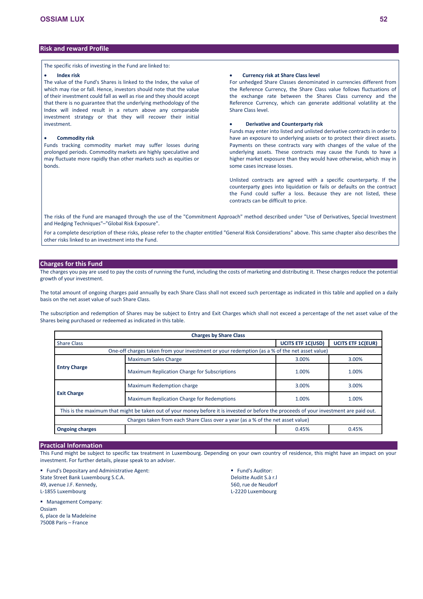# **Risk and reward Profile**

The specific risks of investing in the Fund are linked to:

### **Index risk**

The value of the Fund's Shares is linked to the Index, the value of which may rise or fall. Hence, investors should note that the value of their investment could fall as well as rise and they should accept that there is no guarantee that the underlying methodology of the Index will indeed result in a return above any comparable investment strategy or that they will recover their initial investment.

### **Commodity risk**

Funds tracking commodity market may suffer losses during prolonged periods. Commodity markets are highly speculative and may fluctuate more rapidly than other markets such as equities or bonds.

# **Currency risk at Share Class level**

For unhedged Share Classes denominated in currencies different from the Reference Currency, the Share Class value follows fluctuations of the exchange rate between the Shares Class currency and the Reference Currency, which can generate additional volatility at the Share Class level.

### **Derivative and Counterparty risk**

Funds may enter into listed and unlisted derivative contracts in order to have an exposure to underlying assets or to protect their direct assets. Payments on these contracts vary with changes of the value of the underlying assets. These contracts may cause the Funds to have a higher market exposure than they would have otherwise, which may in some cases increase losses.

Unlisted contracts are agreed with a specific counterparty. If the counterparty goes into liquidation or fails or defaults on the contract the Fund could suffer a loss. Because they are not listed, these contracts can be difficult to price.

The risks of the Fund are managed through the use of the "Commitment Approach" method described under "Use of Derivatives, Special Investment and Hedging Techniques"–"Global Risk Exposure".

For a complete description of these risks, please refer to the chapter entitled "General Risk Considerations" above. This same chapter also describes the other risks linked to an investment into the Fund.

# **Charges for this Fund**

The charges you pay are used to pay the costs of running the Fund, including the costs of marketing and distributing it. These charges reduce the potential growth of your investment.

The total amount of ongoing charges paid annually by each Share Class shall not exceed such percentage as indicated in this table and applied on a daily basis on the net asset value of such Share Class.

The subscription and redemption of Shares may be subject to Entry and Exit Charges which shall not exceed a percentage of the net asset value of the Shares being purchased or redeemed as indicated in this table.

| <b>Charges by Share Class</b>                                              |                                                                                                                                         |       |       |  |  |  |  |  |  |
|----------------------------------------------------------------------------|-----------------------------------------------------------------------------------------------------------------------------------------|-------|-------|--|--|--|--|--|--|
| <b>UCITS ETF 1C(USD)</b><br><b>UCITS ETF 1C(EUR)</b><br><b>Share Class</b> |                                                                                                                                         |       |       |  |  |  |  |  |  |
|                                                                            | One-off charges taken from your investment or your redemption (as a % of the net asset value)                                           |       |       |  |  |  |  |  |  |
|                                                                            | <b>Maximum Sales Charge</b>                                                                                                             | 3.00% | 3.00% |  |  |  |  |  |  |
| <b>Entry Charge</b>                                                        | Maximum Replication Charge for Subscriptions                                                                                            | 1.00% | 1.00% |  |  |  |  |  |  |
|                                                                            | Maximum Redemption charge                                                                                                               | 3.00% | 3.00% |  |  |  |  |  |  |
| <b>Exit Charge</b>                                                         | Maximum Replication Charge for Redemptions                                                                                              | 1.00% | 1.00% |  |  |  |  |  |  |
|                                                                            | This is the maximum that might be taken out of your money before it is invested or before the proceeds of your investment are paid out. |       |       |  |  |  |  |  |  |
|                                                                            | Charges taken from each Share Class over a year (as a % of the net asset value)                                                         |       |       |  |  |  |  |  |  |
| <b>Ongoing charges</b>                                                     |                                                                                                                                         | 0.45% | 0.45% |  |  |  |  |  |  |

# **Practical Information**

This Fund might be subject to specific tax treatment in Luxembourg. Depending on your own country of residence, this might have an impact on your investment. For further details, please speak to an adviser.

**Fund's Depositary and Administrative Agent:** State Street Bank Luxembourg S.C.A. 49, avenue J.F. Kennedy, L-1855 Luxembourg

 Management Company: Ossiam 6, place de la Madeleine 75008 Paris – France

**Fund's Auditor:** Deloitte Audit S.à r.l 560, rue de Neudorf L-2220 Luxembourg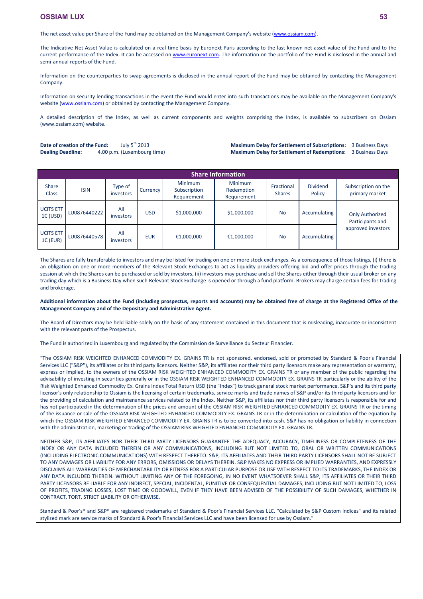The net asset value per Share of the Fund may be obtained on the Management Company's website [\(www.ossiam.com](http://www.ossiam.com/)).

The Indicative Net Asset Value is calculated on a real time basis by Euronext Paris according to the last known net asset value of the Fund and to the current performance of the Index. It can be accessed on [www.euronext.com](http://www.euronext.com/). The information on the portfolio of the Fund is disclosed in the annual and semi-annual reports of the Fund.

Information on the counterparties to swap agreements is disclosed in the annual report of the Fund may be obtained by contacting the Management Company.

Information on security lending transactions in the event the Fund would enter into such transactions may be available on the Management Company's website [\(www.ossiam.com](http://www.ossiam.com/)) or obtained by contacting the Management Company.

A detailed description of the Index, as well as current components and weights comprising the Index, is available to subscribers on Ossiam (www.ossiam.com) website.

**Date of creation of the Fund:** July 5<sup>th</sup> 2013 **Dealing Deadline:** 4.00 p.m. (Luxembourg time)

**Maximum Delay for Settlement of Subscriptions:** 3 Business Days **Maximum Delay for Settlement of Redemptions:** 3 Business Days

|                              | <b>Share Information</b> |                             |                   |                                               |                                             |                             |                    |                                            |  |  |  |
|------------------------------|--------------------------|-----------------------------|-------------------|-----------------------------------------------|---------------------------------------------|-----------------------------|--------------------|--------------------------------------------|--|--|--|
| <b>Share</b><br><b>Class</b> | <b>ISIN</b>              | Type of<br><i>investors</i> | Currency <b>1</b> | <b>Minimum</b><br>Subscription<br>Requirement | <b>Minimum</b><br>Redemption<br>Requirement | Fractional<br><b>Shares</b> | Dividend<br>Policy | Subscription on the<br>primary market      |  |  |  |
| UCITS ETF<br>1C (USD)        | LU0876440222             | All<br>investors            | <b>USD</b>        | \$1,000,000                                   | \$1,000,000                                 | <b>No</b>                   | Accumulating       | <b>Only Authorized</b><br>Participants and |  |  |  |
| UCITS ETF<br>$1C$ (EUR)      | LU0876440578             | All<br>investors            | <b>EUR</b>        | €1,000,000                                    | €1,000,000                                  | <b>No</b>                   | Accumulating       | approved investors                         |  |  |  |

The Shares are fully transferable to investors and may be listed for trading on one or more stock exchanges. As a consequence of those listings, (i) there is an obligation on one or more members of the Relevant Stock Exchanges to act as liquidity providers offering bid and offer prices through the trading session at which the Shares can be purchased or sold by investors, (ii) investors may purchase and sell the Shares either through their usual broker on any trading day which is a Business Day when such Relevant Stock Exchange is opened or through a fund platform. Brokers may charge certain fees for trading and brokerage.

**Additional information about the Fund (including prospectus, reports and accounts) may be obtained free of charge at the Registered Office of the Management Company and of the Depositary and Administrative Agent.**

The Board of Directors may be held liable solely on the basis of any statement contained in this document that is misleading, inaccurate or inconsistent with the relevant parts of the Prospectus.

The Fund is authorized in Luxembourg and regulated by the Commission de Surveillance du Secteur Financier.

"The OSSIAM RISK WEIGHTED ENHANCED COMMODITY EX. GRAINS TR is not sponsored, endorsed, sold or promoted by Standard & Poor's Financial Services LLC ("S&P"), its affiliates or its third party licensors. Neither S&P, its affiliates nor their third party licensors make any representation or warranty, express or implied, to the owners of the OSSIAM RISK WEIGHTED ENHANCED COMMODITY EX. GRAINS TR or any member of the public regarding the advisability of investing in securities generally or in the OSSIAM RISK WEIGHTED ENHANCED COMMODITY EX. GRAINS TR particularly or the ability of the Risk Weighted Enhanced Commodity Ex. Grains Index Total Return USD (the "Index") to track general stock market performance. S&P's and its third party licensor's only relationship to Ossiam is the licensing of certain trademarks, service marks and trade names of S&P and/or its third party licensors and for the providing of calculation and maintenance services related to the Index. Neither S&P, its affiliates nor their third party licensors is responsible for and has not participated in the determination of the prices and amount of the OSSIAM RISK WEIGHTED ENHANCED COMMODITY EX. GRAINS TR or the timing of the issuance or sale of the OSSIAM RISK WEIGHTED ENHANCED COMMODITY EX. GRAINS TR or in the determination or calculation of the equation by which the OSSIAM RISK WEIGHTED ENHANCED COMMODITY EX. GRAINS TR is to be converted into cash. S&P has no obligation or liability in connection with the administration, marketing or trading of the OSSIAM RISK WEIGHTED ENHANCED COMMODITY EX. GRAINS TR.

NEITHER S&P, ITS AFFILIATES NOR THEIR THIRD PARTY LICENSORS GUARANTEE THE ADEQUACY, ACCURACY, TIMELINESS OR COMPLETENESS OF THE INDEX OR ANY DATA INCLUDED THEREIN OR ANY COMMUNICATIONS, INCLUDING BUT NOT LIMITED TO, ORAL OR WRITTEN COMMUNICATIONS (INCLUDING ELECTRONIC COMMUNICATIONS) WITH RESPECT THERETO. S&P, ITS AFFILIATES AND THEIR THIRD PARTY LICENSORS SHALL NOT BE SUBJECT TO ANY DAMAGES OR LIABILITY FOR ANY ERRORS, OMISSIONS OR DELAYS THEREIN. S&P MAKES NO EXPRESS OR IMPLIED WARRANTIES, AND EXPRESSLY DISCLAIMS ALL WARRANTIES OF MERCHANTABILITY OR FITNESS FOR A PARTICULAR PURPOSE OR USE WITH RESPECT TO ITS TRADEMARKS, THE INDEX OR ANY DATA INCLUDED THEREIN. WITHOUT LIMITING ANY OF THE FOREGOING, IN NO EVENT WHATSOEVER SHALL S&P, ITS AFFILIATES OR THEIR THIRD PARTY LICENSORS BE LIABLE FOR ANY INDIRECT, SPECIAL, INCIDENTAL, PUNITIVE OR CONSEQUENTIAL DAMAGES, INCLUDING BUT NOT LIMITED TO, LOSS OF PROFITS, TRADING LOSSES, LOST TIME OR GOODWILL, EVEN IF THEY HAVE BEEN ADVISED OF THE POSSIBILITY OF SUCH DAMAGES, WHETHER IN CONTRACT, TORT, STRICT LIABILITY OR OTHERWISE.

Standard & Poor's® and S&P® are registered trademarks of Standard & Poor's Financial Services LLC. "Calculated by S&P Custom Indices" and its related stylized mark are service marks of Standard & Poor's Financial Services LLC and have been licensed for use by Ossiam."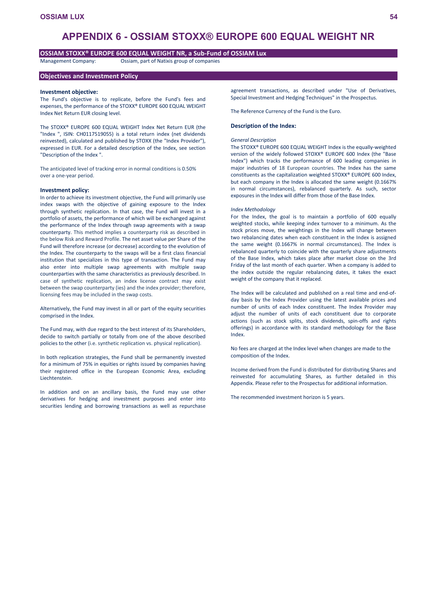# **APPENDIX 6 - OSSIAM STOXX® EUROPE 600 EQUAL WEIGHT NR**

## **OSSIAM STOXX® EUROPE 600 EQUAL WEIGHT NR, a Sub-Fund of OSSIAM Lux**

Management Company: Ossiam, part of Natixis group of companies

## **Objectives and Investment Policy**

### **Investment objective:**

The Fund's objective is to replicate, before the Fund's fees and expenses, the performance of the STOXX® EUROPE 600 EQUAL WEIGHT Index Net Return EUR closing level.

The STOXX® EUROPE 600 EQUAL WEIGHT Index Net Return EUR (the "Index ", ISIN: CH0117519055) is a total return index (net dividends reinvested), calculated and published by STOXX (the "Index Provider"), expressed in EUR. For a detailed description of the Index, see section "Description of the Index ".

The anticipated level of tracking error in normal conditions is 0.50% over a one-year period.

### **Investment policy:**

In order to achieve its investment objective, the Fund will primarily use index swaps with the objective of gaining exposure to the Index through synthetic replication. In that case, the Fund will invest in a portfolio of assets, the performance of which will be exchanged against the performance of the Index through swap agreements with a swap counterparty. This method implies a counterparty risk as described in the below Risk and Reward Profile. The net asset value per Share of the Fund will therefore increase (or decrease) according to the evolution of the Index. The counterparty to the swaps will be a first class financial institution that specializes in this type of transaction. The Fund may also enter into multiple swap agreements with multiple swap counterparties with the same characteristics as previously described. In case of synthetic replication, an index license contract may exist between the swap counterparty (ies) and the index provider; therefore, licensing fees may be included in the swap costs.

Alternatively, the Fund may invest in all or part of the equity securities comprised in the Index.

The Fund may, with due regard to the best interest of its Shareholders, decide to switch partially or totally from one of the above described policies to the other (i.e. synthetic replication vs. physical replication).

In both replication strategies, the Fund shall be permanently invested for a minimum of 75% in equities or rights issued by companies having their registered office in the European Economic Area, excluding Liechtenstein.

In addition and on an ancillary basis, the Fund may use other derivatives for hedging and investment purposes and enter into securities lending and borrowing transactions as well as repurchase

agreement transactions, as described under "Use of Derivatives, Special Investment and Hedging Techniques" in the Prospectus.

The Reference Currency of the Fund is the Euro.

### **Description of the Index:**

#### *General Description*

The STOXX® EUROPE 600 EQUAL WEIGHT Index is the equally-weighted version of the widely followed STOXX® EUROPE 600 Index (the "Base Index") which tracks the performance of 600 leading companies in major industries of 18 European countries. The Index has the same constituents as the capitalization weighted STOXX® EUROPE 600 Index, but each company in the Index is allocated the same weight (0.1667% in normal circumstances), rebalanced quarterly. As such, sector exposures in the Index will differ from those of the Base Index.

### *Index Methodology*

For the Index, the goal is to maintain a portfolio of 600 equally weighted stocks, while keeping index turnover to a minimum. As the stock prices move, the weightings in the Index will change between two rebalancing dates when each constituent in the Index is assigned the same weight (0.1667% in normal circumstances). The Index is rebalanced quarterly to coincide with the quarterly share adjustments of the Base Index, which takes place after market close on the 3rd Friday of the last month of each quarter. When a company is added to the index outside the regular rebalancing dates, it takes the exact weight of the company that it replaced.

The Index will be calculated and published on a real time and end-ofday basis by the Index Provider using the latest available prices and number of units of each Index constituent. The Index Provider may adjust the number of units of each constituent due to corporate actions (such as stock splits, stock dividends, spin-offs and rights offerings) in accordance with its standard methodology for the Base Index.

No fees are charged at the Index level when changes are made to the composition of the Index.

Income derived from the Fund is distributed for distributing Shares and reinvested for accumulating Shares, as further detailed in this Appendix. Please refer to the Prospectus for additional information.

The recommended investment horizon is 5 years.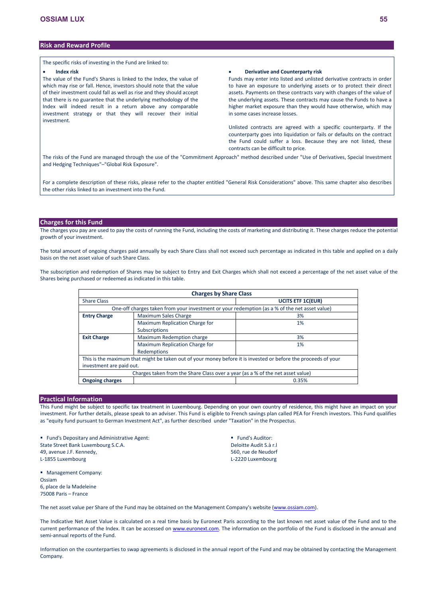# **Risk and Reward Profile**

The specific risks of investing in the Fund are linked to:

### **Index risk**

The value of the Fund's Shares is linked to the Index, the value of which may rise or fall. Hence, investors should note that the value of their investment could fall as well as rise and they should accept that there is no guarantee that the underlying methodology of the Index will indeed result in a return above any comparable investment strategy or that they will recover their initial investment.

### **Derivative and Counterparty risk**

Funds may enter into listed and unlisted derivative contracts in order to have an exposure to underlying assets or to protect their direct assets. Payments on these contracts vary with changes of the value of the underlying assets. These contracts may cause the Funds to have a higher market exposure than they would have otherwise, which may in some cases increase losses.

Unlisted contracts are agreed with a specific counterparty. If the counterparty goes into liquidation or fails or defaults on the contract the Fund could suffer a loss. Because they are not listed, these contracts can be difficult to price.

The risks of the Fund are managed through the use of the "Commitment Approach" method described under "Use of Derivatives, Special Investment and Hedging Techniques"–"Global Risk Exposure".

For a complete description of these risks, please refer to the chapter entitled "General Risk Considerations" above. This same chapter also describes the other risks linked to an investment into the Fund.

# **Charges for this Fund**

The charges you pay are used to pay the costs of running the Fund, including the costs of marketing and distributing it. These charges reduce the potential growth of your investment.

The total amount of ongoing charges paid annually by each Share Class shall not exceed such percentage as indicated in this table and applied on a daily basis on the net asset value of such Share Class.

The subscription and redemption of Shares may be subject to Entry and Exit Charges which shall not exceed a percentage of the net asset value of the Shares being purchased or redeemed as indicated in this table.

| <b>Charges by Share Class</b>                                                                 |                                                                                |                                                                                                                |  |  |  |  |  |  |
|-----------------------------------------------------------------------------------------------|--------------------------------------------------------------------------------|----------------------------------------------------------------------------------------------------------------|--|--|--|--|--|--|
| <b>Share Class</b>                                                                            | <b>UCITS ETF 1C(EUR)</b>                                                       |                                                                                                                |  |  |  |  |  |  |
| One-off charges taken from your investment or your redemption (as a % of the net asset value) |                                                                                |                                                                                                                |  |  |  |  |  |  |
| <b>Entry Charge</b>                                                                           | Maximum Sales Charge                                                           | 3%                                                                                                             |  |  |  |  |  |  |
|                                                                                               | Maximum Replication Charge for                                                 | 1%                                                                                                             |  |  |  |  |  |  |
|                                                                                               | <b>Subscriptions</b>                                                           |                                                                                                                |  |  |  |  |  |  |
| <b>Exit Charge</b>                                                                            | Maximum Redemption charge                                                      | 3%                                                                                                             |  |  |  |  |  |  |
|                                                                                               | Maximum Replication Charge for                                                 | 1%                                                                                                             |  |  |  |  |  |  |
|                                                                                               | Redemptions                                                                    |                                                                                                                |  |  |  |  |  |  |
|                                                                                               |                                                                                | This is the maximum that might be taken out of your money before it is invested or before the proceeds of your |  |  |  |  |  |  |
| investment are paid out.                                                                      |                                                                                |                                                                                                                |  |  |  |  |  |  |
|                                                                                               | Charges taken from the Share Class over a year (as a % of the net asset value) |                                                                                                                |  |  |  |  |  |  |
| <b>Ongoing charges</b>                                                                        |                                                                                | 0.35%                                                                                                          |  |  |  |  |  |  |

# **Practical Information**

This Fund might be subject to specific tax treatment in Luxembourg. Depending on your own country of residence, this might have an impact on your investment. For further details, please speak to an adviser. This Fund is eligible to French savings plan called PEA for French investors. This Fund qualifies as "equity fund pursuant to German Investment Act", as further described under "Taxation" in the Prospectus.

**Fund's Depositary and Administrative Agent:** State Street Bank Luxembourg S.C.A. 49, avenue J.F. Kennedy, L-1855 Luxembourg

 Fund's Auditor: Deloitte Audit S.à r.l 560, rue de Neudorf L-2220 Luxembourg

**Management Company:** Ossiam 6, place de la Madeleine 75008 Paris – France

The net asset value per Share of the Fund may be obtained on the Management Company's website [\(www.ossiam.com](http://www.ossiam.com/)).

The Indicative Net Asset Value is calculated on a real time basis by Euronext Paris according to the last known net asset value of the Fund and to the current performance of the Index. It can be accessed on [www.euronext.com](http://www.euronext.com/). The information on the portfolio of the Fund is disclosed in the annual and semi-annual reports of the Fund.

Information on the counterparties to swap agreements is disclosed in the annual report of the Fund and may be obtained by contacting the Management Company.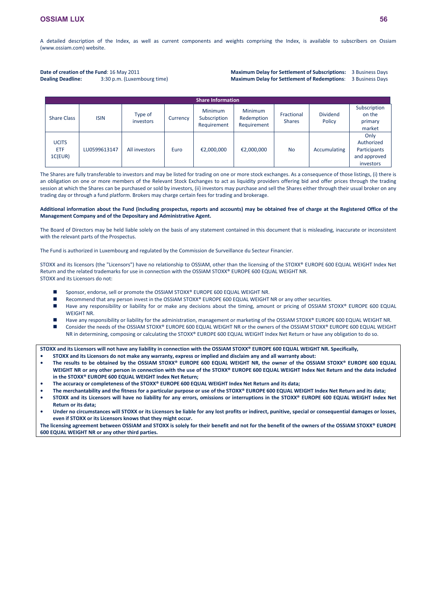A detailed description of the Index, as well as current components and weights comprising the Index, is available to subscribers on Ossiam (www.ossiam.com) website.

### **Date of creation of the Fund**: 16 May 2011 **Dealing Deadline:** 3:30 p.m. (Luxembourg time)

**Maximum Delay for Settlement of Subscriptions:** 3 Business Days **Maximum Delay for Settlement of Redemptions**: 3 Business Days

|                                       | <b>Share Information</b> |                      |          |                                               |                                             |                             |                           |                                                                 |
|---------------------------------------|--------------------------|----------------------|----------|-----------------------------------------------|---------------------------------------------|-----------------------------|---------------------------|-----------------------------------------------------------------|
| <b>Share Class</b>                    | <b>ISIN</b>              | Type of<br>investors | Currency | <b>Minimum</b><br>Subscription<br>Requirement | <b>Minimum</b><br>Redemption<br>Requirement | Fractional<br><b>Shares</b> | <b>Dividend</b><br>Policy | Subscription<br>on the<br>primary<br>market                     |
| <b>UCITS</b><br><b>ETF</b><br>1C(EUR) | LU0599613147             | All investors        | Euro     | €2,000,000                                    | €2,000,000                                  | <b>No</b>                   | Accumulating              | Only<br>Authorized<br>Participants<br>and approved<br>investors |

The Shares are fully transferable to investors and may be listed for trading on one or more stock exchanges. As a consequence of those listings, (i) there is an obligation on one or more members of the Relevant Stock Exchanges to act as liquidity providers offering bid and offer prices through the trading session at which the Shares can be purchased or sold by investors, (ii) investors may purchase and sell the Shares either through their usual broker on any trading day or through a fund platform. Brokers may charge certain fees for trading and brokerage.

## **Additional information about the Fund (including prospectus, reports and accounts) may be obtained free of charge at the Registered Office of the Management Company and of the Depositary and Administrative Agent.**

The Board of Directors may be held liable solely on the basis of any statement contained in this document that is misleading, inaccurate or inconsistent with the relevant parts of the Prospectus.

The Fund is authorized in Luxembourg and regulated by the Commission de Surveillance du Secteur Financier.

STOXX and its licensors (the "Licensors") have no relationship to OSSIAM, other than the licensing of the STOXX® EUROPE 600 EQUAL WEIGHT Index Net Return and the related trademarks for use in connection with the OSSIAM STOXX® EUROPE 600 EQUAL WEIGHT NR. STOXX and its Licensors do not:

- Sponsor, endorse, sell or promote the OSSIAM STOXX® EUROPE 600 EQUAL WEIGHT NR.
- Recommend that any person invest in the OSSIAM STOXX® EUROPE 600 EQUAL WEIGHT NR or any other securities.
- Have any responsibility or liability for or make any decisions about the timing, amount or pricing of OSSIAM STOXX® EUROPE 600 EQUAL WEIGHT NR.
- Have any responsibility or liability for the administration, management or marketing of the OSSIAM STOXX® EUROPE 600 EQUAL WEIGHT NR. ■ Consider the needs of the OSSIAM STOXX® EUROPE 600 EQUAL WEIGHT NR or the owners of the OSSIAM STOXX® EUROPE 600 EQUAL WEIGHT NR in determining, composing or calculating the STOXX® EUROPE 600 EQUAL WEIGHT Index Net Return or have any obligation to do so.

**STOXX and its Licensors will not have any liability in connection with the OSSIAM STOXX® EUROPE 600 EQUAL WEIGHT NR. Specifically, • STOXX and its Licensors do not make any warranty, express or implied and disclaim any and all warranty about:**

- **• The results to be obtained by the OSSIAM STOXX® EUROPE 600 EQUAL WEIGHT NR, the owner of the OSSIAM STOXX® EUROPE 600 EQUAL WEIGHT NR or any other person in connection with the use of the STOXX® EUROPE 600 EQUAL WEIGHT Index Net Return and the data included in the STOXX® EUROPE 600 EQUAL WEIGHT Index Net Return;**
- **• The accuracy or completeness of the STOXX® EUROPE 600 EQUAL WEIGHT Index Net Return and its data;**
- **• The merchantability and the fitness for a particular purpose or use of the STOXX® EUROPE 600 EQUAL WEIGHT Index Net Return and its data;**
- **• STOXX and its Licensors will have no liability for any errors, omissions or interruptions in the STOXX® EUROPE 600 EQUAL WEIGHT Index Net Return or its data;**
- **• Under no circumstances will STOXX or its Licensors be liable for any lost profits or indirect, punitive, special or consequential damages or losses, even if STOXX or its Licensors knows that they might occur.**

**The licensing agreement between OSSIAM and STOXX is solely for their benefit and not for the benefit of the owners of the OSSIAM STOXX® EUROPE 600 EQUAL WEIGHT NR or any other third parties.**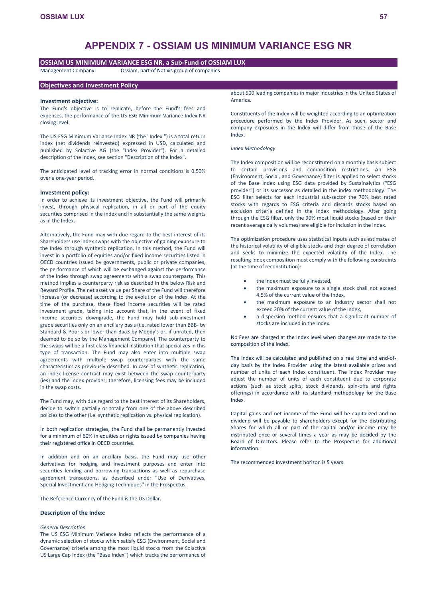# **APPENDIX 7 - OSSIAM US MINIMUM VARIANCE ESG NR**

# **OSSIAM US MINIMUM VARIANCE ESG NR, a Sub-Fund of OSSIAM LUX**

Management Company: Ossiam, part of Natixis group of companies

### **Objectives and Investment Policy**

### **Investment objective:**

The Fund's objective is to replicate, before the Fund's fees and expenses, the performance of the US ESG Minimum Variance Index NR closing level.

The US ESG Minimum Variance Index NR (the "Index ") is a total return index (net dividends reinvested) expressed in USD, calculated and published by Solactive AG (the "Index Provider"). For a detailed description of the Index, see section "Description of the Index".

The anticipated level of tracking error in normal conditions is 0.50% over a one-year period.

### **Investment policy:**

In order to achieve its investment objective, the Fund will primarily invest, through physical replication, in all or part of the equity securities comprised in the index and in substantially the same weights as in the Index.

Alternatively, the Fund may with due regard to the best interest of its Shareholders use index swaps with the objective of gaining exposure to the Index through synthetic replication. In this method, the Fund will invest in a portfolio of equities and/or fixed income securities listed in OECD countries issued by governments, public or private companies, the performance of which will be exchanged against the performance of the Index through swap agreements with a swap counterparty. This method implies a counterparty risk as described in the below Risk and Reward Profile. The net asset value per Share of the Fund will therefore increase (or decrease) according to the evolution of the Index. At the time of the purchase, these fixed income securities will be rated investment grade, taking into account that, in the event of fixed income securities downgrade, the Fund may hold sub-investment grade securities only on an ancillary basis (i.e. rated lower than BBB- by Standard & Poor's or lower than Baa3 by Moody's or, if unrated, then deemed to be so by the Management Company). The counterparty to the swaps will be a first class financial institution that specializes in this type of transaction. The Fund may also enter into multiple swap agreements with multiple swap counterparties with the same characteristics as previously described. In case of synthetic replication, an index license contract may exist between the swap counterparty (ies) and the index provider; therefore, licensing fees may be included in the swap costs.

The Fund may, with due regard to the best interest of its Shareholders, decide to switch partially or totally from one of the above described policies to the other (i.e. synthetic replication vs. physical replication).

In both replication strategies, the Fund shall be permanently invested for a minimum of 60% in equities or rights issued by companies having their registered office in OECD countries.

In addition and on an ancillary basis, the Fund may use other derivatives for hedging and investment purposes and enter into securities lending and borrowing transactions as well as repurchase agreement transactions, as described under "Use of Derivatives, Special Investment and Hedging Techniques" in the Prospectus.

The Reference Currency of the Fund is the US Dollar.

# **Description of the Index:**

### *General Description*

The US ESG Minimum Variance Index reflects the performance of a dynamic selection of stocks which satisfy ESG (Environment, Social and Governance) criteria among the most liquid stocks from the Solactive US Large Cap Index (the "Base Index**"**) which tracks the performance of about 500 leading companies in major industries in the United States of America.

Constituents of the Index will be weighted according to an optimization procedure performed by the Index Provider. As such, sector and company exposures in the Index will differ from those of the Base Index.

## *Index Methodology*

The Index composition will be reconstituted on a monthly basis subject to certain provisions and composition restrictions. An ESG (Environment, Social, and Governance) filter is applied to select stocks of the Base Index using ESG data provided by Sustainalytics ("ESG provider") or its successor as detailed in the index methodology. The ESG filter selects for each industrial sub-sector the 70% best rated stocks with regards to ESG criteria and discards stocks based on exclusion criteria defined in the Index methodology. After going through the ESG filter, only the 90% most liquid stocks (based on their recent average daily volumes) are eligible for inclusion in the Index.

The optimization procedure uses statistical inputs such as estimates of the historical volatility of eligible stocks and their degree of correlation and seeks to minimize the expected volatility of the Index. The resulting Index composition must comply with the following constraints (at the time of reconstitution):

- the Index must be fully invested,
- the maximum exposure to a single stock shall not exceed 4.5% of the current value of the Index,
- the maximum exposure to an industry sector shall not exceed 20% of the current value of the Index,
- a dispersion method ensures that a significant number of stocks are included in the Index.

No Fees are charged at the Index level when changes are made to the composition of the Index.

The Index will be calculated and published on a real time and end-ofday basis by the Index Provider using the latest available prices and number of units of each Index constituent. The Index Provider may adjust the number of units of each constituent due to corporate actions (such as stock splits, stock dividends, spin-offs and rights offerings) in accordance with its standard methodology for the Base Index.

Capital gains and net income of the Fund will be capitalized and no dividend will be payable to shareholders except for the distributing Shares for which all or part of the capital and/or income may be distributed once or several times a year as may be decided by the Board of Directors. Please refer to the Prospectus for additional information.

The recommended investment horizon is 5 years.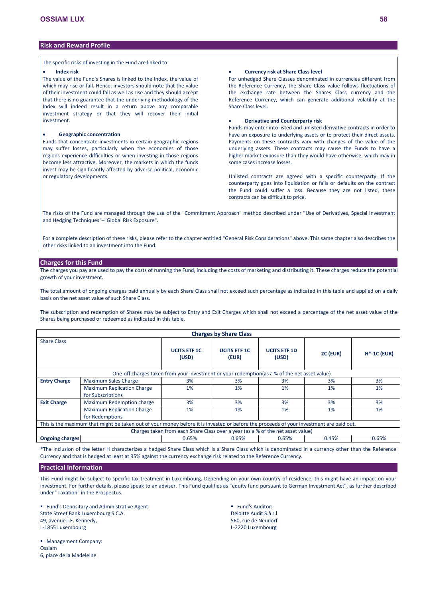# **Risk and Reward Profile**

The specific risks of investing in the Fund are linked to:

# **Index risk**

The value of the Fund's Shares is linked to the Index, the value of which may rise or fall. Hence, investors should note that the value of their investment could fall as well as rise and they should accept that there is no guarantee that the underlying methodology of the Index will indeed result in a return above any comparable investment strategy or that they will recover their initial investment.

# **Geographic concentration**

Funds that concentrate investments in certain geographic regions may suffer losses, particularly when the economies of those regions experience difficulties or when investing in those regions become less attractive. Moreover, the markets in which the funds invest may be significantly affected by adverse political, economic or regulatory developments.

# **Currency risk at Share Class level**

For unhedged Share Classes denominated in currencies different from the Reference Currency, the Share Class value follows fluctuations of the exchange rate between the Shares Class currency and the Reference Currency, which can generate additional volatility at the Share Class level.

# **Derivative and Counterparty risk**

Funds may enter into listed and unlisted derivative contracts in order to have an exposure to underlying assets or to protect their direct assets. Payments on these contracts vary with changes of the value of the underlying assets. These contracts may cause the Funds to have a higher market exposure than they would have otherwise, which may in some cases increase losses.

Unlisted contracts are agreed with a specific counterparty. If the counterparty goes into liquidation or fails or defaults on the contract the Fund could suffer a loss. Because they are not listed, these contracts can be difficult to price.

The risks of the Fund are managed through the use of the "Commitment Approach" method described under "Use of Derivatives, Special Investment and Hedging Techniques"–"Global Risk Exposure".

For a complete description of these risks, please refer to the chapter entitled "General Risk Considerations" above. This same chapter also describes the other risks linked to an investment into the Fund.

## **Charges for this Fund**

The charges you pay are used to pay the costs of running the Fund, including the costs of marketing and distributing it. These charges reduce the potential growth of your investment.

The total amount of ongoing charges paid annually by each Share Class shall not exceed such percentage as indicated in this table and applied on a daily basis on the net asset value of such Share Class.

The subscription and redemption of Shares may be subject to Entry and Exit Charges which shall not exceed a percentage of the net asset value of the Shares being purchased or redeemed as indicated in this table.

| <b>Charges by Share Class</b> |                                                                                                                                         |                                                                                 |                              |                              |          |               |  |  |
|-------------------------------|-----------------------------------------------------------------------------------------------------------------------------------------|---------------------------------------------------------------------------------|------------------------------|------------------------------|----------|---------------|--|--|
| <b>Share Class</b>            |                                                                                                                                         |                                                                                 |                              |                              |          |               |  |  |
|                               |                                                                                                                                         | <b>UCITS ETF 1C</b><br>(USD)                                                    | <b>UCITS ETF 1C</b><br>(EUR) | <b>UCITS ETF 1D</b><br>(USD) | 2C (EUR) | $H*-1C$ (EUR) |  |  |
|                               | One-off charges taken from your investment or your redemption (as a % of the net asset value)                                           |                                                                                 |                              |                              |          |               |  |  |
| <b>Entry Charge</b>           | <b>Maximum Sales Charge</b>                                                                                                             | 3%                                                                              | 3%                           | 3%                           | 3%       | 3%            |  |  |
|                               | <b>Maximum Replication Charge</b>                                                                                                       | 1%                                                                              | 1%                           | 1%                           | 1%       | 1%            |  |  |
|                               | for Subscriptions                                                                                                                       |                                                                                 |                              |                              |          |               |  |  |
| <b>Exit Charge</b>            | Maximum Redemption charge                                                                                                               | 3%                                                                              | 3%                           | 3%                           | 3%       | 3%            |  |  |
|                               | <b>Maximum Replication Charge</b>                                                                                                       | 1%                                                                              | 1%                           | 1%                           | 1%       | 1%            |  |  |
|                               | for Redemptions                                                                                                                         |                                                                                 |                              |                              |          |               |  |  |
|                               | This is the maximum that might be taken out of your money before it is invested or before the proceeds of your investment are paid out. |                                                                                 |                              |                              |          |               |  |  |
|                               |                                                                                                                                         | Charges taken from each Share Class over a year (as a % of the net asset value) |                              |                              |          |               |  |  |
| <b>Ongoing charges</b>        |                                                                                                                                         | 0.65%                                                                           | 0.65%                        | 0.65%                        | 0.45%    | 0.65%         |  |  |

\*The inclusion of the letter H characterizes a hedged Share Class which is a Share Class which is denominated in a currency other than the Reference Currency and that is hedged at least at 95% against the currency exchange risk related to the Reference Currency.

# **Practical Information**

This Fund might be subject to specific tax treatment in Luxembourg. Depending on your own country of residence, this might have an impact on your investment. For further details, please speak to an adviser. This Fund qualifies as "equity fund pursuant to German Investment Act", as further described under "Taxation" in the Prospectus.

 Fund's Depositary and Administrative Agent: State Street Bank Luxembourg S.C.A. 49, avenue J.F. Kennedy, L-1855 Luxembourg

 Fund's Auditor: Deloitte Audit S.à r.l 560, rue de Neudorf L-2220 Luxembourg

**Management Company:** Ossiam 6, place de la Madeleine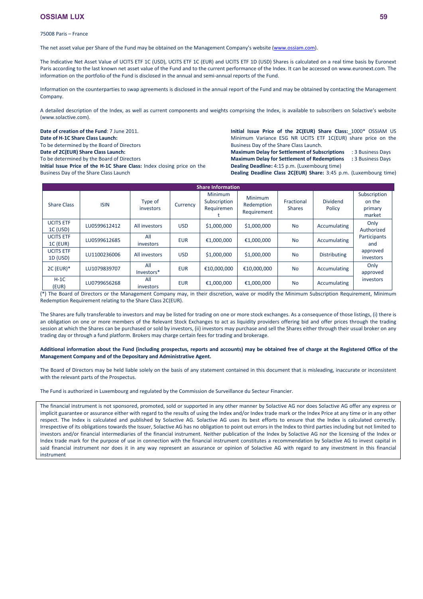75008 Paris – France

The net asset value per Share of the Fund may be obtained on the Management Company's website [\(www.ossiam.com](http://www.ossiam.com/)).

The Indicative Net Asset Value of UCITS ETF 1C (USD), UCITS ETF 1C (EUR) and UCITS ETF 1D (USD) Shares is calculated on a real time basis by Euronext Paris according to the last known net asset value of the Fund and to the current performance of the Index. It can be accessed on [www.euronext.com.](http://www.nyx.com/) The information on the portfolio of the Fund is disclosed in the annual and semi-annual reports of the Fund.

Information on the counterparties to swap agreements is disclosed in the annual report of the Fund and may be obtained by contacting the Management Company.

A detailed description of the Index, as well as current components and weights comprising the Index, is available to subscribers on Solactive's website (www.solactive.com).

**Date of creation of the Fund**: 7 June 2011. **Date of H-1C Share Class Launch:**

To be determined by the Board of Directors

**Date of 2C(EUR) Share Class Launch:** 

To be determined by the Board of Directors

**Initial Issue Price of the H-1C Share Class:** Index closing price on the Business Day of the Share Class Launch

**Initial Issue Price of the 2C(EUR) Share Class:** 1000\* OSSIAM US Minimum Variance ESG NR UCITS ETF 1C(EUR) share price on the Business Day of the Share Class Launch.

**Maximum Delay for Settlement of Subscriptions** : 3 Business Days **Maximum Delay for Settlement of Redemptions :** 3 Business Days **Dealing Deadline:** 4:15 p.m. (Luxembourg time)

**Dealing Deadline Class 2C(EUR) Share:** 3:45 p.m. (Luxembourg time)

|                                | <b>Share Information</b> |                      |            |                                              |                                      |                             |                           |                                             |  |
|--------------------------------|--------------------------|----------------------|------------|----------------------------------------------|--------------------------------------|-----------------------------|---------------------------|---------------------------------------------|--|
| <b>Share Class</b>             | <b>ISIN</b>              | Type of<br>investors | Currency   | <b>Minimum</b><br>Subscription<br>Requiremen | Minimum<br>Redemption<br>Requirement | Fractional<br><b>Shares</b> | <b>Dividend</b><br>Policy | Subscription<br>on the<br>primary<br>market |  |
| <b>UCITS ETF</b><br>$1C$ (USD) | LU0599612412             | All investors        | <b>USD</b> | \$1,000,000                                  | \$1,000,000                          | <b>No</b>                   | Accumulating              | Only<br>Authorized                          |  |
| <b>UCITS ETF</b><br>$1C$ (EUR) | LU0599612685             | All<br>investors     | <b>EUR</b> | €1,000,000                                   | €1,000,000                           | <b>No</b>                   | Accumulating              | Participants<br>and                         |  |
| <b>UCITS ETF</b><br>1D (USD)   | LU1100236006             | All investors        | <b>USD</b> | \$1,000,000                                  | \$1,000,000                          | <b>No</b>                   | <b>Distributing</b>       | approved<br>investors                       |  |
| $2C$ (EUR) $*$                 | LU1079839707             | All<br>Investors*    | <b>EUR</b> | €10,000,000                                  | €10,000,000                          | <b>No</b>                   | Accumulating              | Only<br>approved                            |  |
| $H-1C$<br>(EUR)                | LU0799656268             | All<br>investors     | <b>EUR</b> | €1.000.000                                   | €1,000,000                           | <b>No</b>                   | Accumulating              | investors                                   |  |

(\*) The Board of Directors or the Management Company may, in their discretion, waive or modify the Minimum Subscription Requirement, Minimum Redemption Requirement relating to the Share Class 2C(EUR).

The Shares are fully transferable to investors and may be listed for trading on one or more stock exchanges. As a consequence of those listings, (i) there is an obligation on one or more members of the Relevant Stock Exchanges to act as liquidity providers offering bid and offer prices through the trading session at which the Shares can be purchased or sold by investors, (ii) investors may purchase and sell the Shares either through their usual broker on any trading day or through a fund platform. Brokers may charge certain fees for trading and brokerage.

## **Additional information about the Fund (including prospectus, reports and accounts) may be obtained free of charge at the Registered Office of the Management Company and of the Depositary and Administrative Agent.**

The Board of Directors may be held liable solely on the basis of any statement contained in this document that is misleading, inaccurate or inconsistent with the relevant parts of the Prospectus.

The Fund is authorized in Luxembourg and regulated by the Commission de Surveillance du Secteur Financier.

The financial instrument is not sponsored, promoted, sold or supported in any other manner by Solactive AG nor does Solactive AG offer any express or implicit guarantee or assurance either with regard to the results of using the Index and/or Index trade mark or the Index Price at any time or in any other respect. The Index is calculated and published by Solactive AG. Solactive AG uses its best efforts to ensure that the Index is calculated correctly. Irrespective of its obligations towards the Issuer, Solactive AG has no obligation to point out errors in the Index to third parties including but not limited to investors and/or financial intermediaries of the financial instrument. Neither publication of the Index by Solactive AG nor the licensing of the Index or Index trade mark for the purpose of use in connection with the financial instrument constitutes a recommendation by Solactive AG to invest capital in said financial instrument nor does it in any way represent an assurance or opinion of Solactive AG with regard to any investment in this financial instrument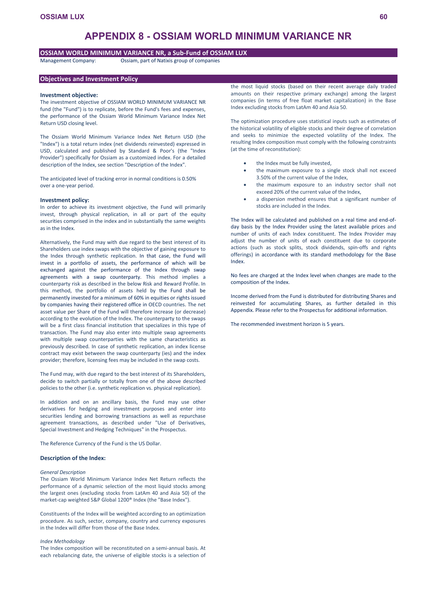# **APPENDIX 8 - OSSIAM WORLD MINIMUM VARIANCE NR**

# **OSSIAM WORLD MINIMUM VARIANCE NR, a Sub-Fund of OSSIAM LUX**

Management Company: Ossiam, part of Natixis group of companies

## **Objectives and Investment Policy**

#### **Investment objective:**

The investment objective of OSSIAM WORLD MINIMUM VARIANCE NR fund (the "Fund") is to replicate, before the Fund's fees and expenses, the performance of the Ossiam World Minimum Variance Index Net Return USD closing level.

The Ossiam World Minimum Variance Index Net Return USD (the "Index") is a total return index (net dividends reinvested) expressed in USD, calculated and published by Standard & Poor's (the "Index Provider") specifically for Ossiam as a customized index. For a detailed description of the Index, see section "Description of the Index".

The anticipated level of tracking error in normal conditions is 0.50% over a one-year period.

## **Investment policy:**

In order to achieve its investment objective, the Fund will primarily invest, through physical replication, in all or part of the equity securities comprised in the index and in substantially the same weights as in the Index.

Alternatively, the Fund may with due regard to the best interest of its Shareholders use index swaps with the objective of gaining exposure to the Index through synthetic replication. In that case, the Fund will invest in a portfolio of assets, the performance of which will be exchanged against the performance of the Index through swap agreements with a swap counterparty. This method implies a counterparty risk as described in the below Risk and Reward Profile. In this method, the portfolio of assets held by the Fund shall be permanently invested for a minimum of 60% in equities or rights issued by companies having their registered office in OECD countries. The net asset value per Share of the Fund will therefore increase (or decrease) according to the evolution of the Index. The counterparty to the swaps will be a first class financial institution that specializes in this type of transaction. The Fund may also enter into multiple swap agreements with multiple swap counterparties with the same characteristics as previously described. In case of synthetic replication, an index license contract may exist between the swap counterparty (ies) and the index provider; therefore, licensing fees may be included in the swap costs.

The Fund may, with due regard to the best interest of its Shareholders, decide to switch partially or totally from one of the above described policies to the other (i.e. synthetic replication vs. physical replication).

In addition and on an ancillary basis, the Fund may use other derivatives for hedging and investment purposes and enter into securities lending and borrowing transactions as well as repurchase agreement transactions, as described under "Use of Derivatives, Special Investment and Hedging Techniques" in the Prospectus.

The Reference Currency of the Fund is the US Dollar.

### **Description of the Index:**

#### *General Description*

The Ossiam World Minimum Variance Index Net Return reflects the performance of a dynamic selection of the most liquid stocks among the largest ones (excluding stocks from LatAm 40 and Asia 50) of the market-cap weighted S&P Global 1200® Index (the "Base Index").

Constituents of the Index will be weighted according to an optimization procedure. As such, sector, company, country and currency exposures in the Index will differ from those of the Base Index.

### *Index Methodology*

The Index composition will be reconstituted on a semi-annual basis. At each rebalancing date, the universe of eligible stocks is a selection of

the most liquid stocks (based on their recent average daily traded amounts on their respective primary exchange) among the largest companies (in terms of free float market capitalization) in the Base Index excluding stocks from LatAm 40 and Asia 50.

The optimization procedure uses statistical inputs such as estimates of the historical volatility of eligible stocks and their degree of correlation and seeks to minimize the expected volatility of the Index. The resulting Index composition must comply with the following constraints (at the time of reconstitution):

- the Index must be fully invested,
- the maximum exposure to a single stock shall not exceed 3.50% of the current value of the Index,
- the maximum exposure to an industry sector shall not exceed 20% of the current value of the Index,
- a dispersion method ensures that a significant number of stocks are included in the Index.

The Index will be calculated and published on a real time and end-ofday basis by the Index Provider using the latest available prices and number of units of each Index constituent. The Index Provider may adjust the number of units of each constituent due to corporate actions (such as stock splits, stock dividends, spin-offs and rights offerings) in accordance with its standard methodology for the Base Index.

No fees are charged at the Index level when changes are made to the composition of the Index.

Income derived from the Fund is distributed for distributing Shares and reinvested for accumulating Shares, as further detailed in this Appendix. Please refer to the Prospectus for additional information.

The recommended investment horizon is 5 years.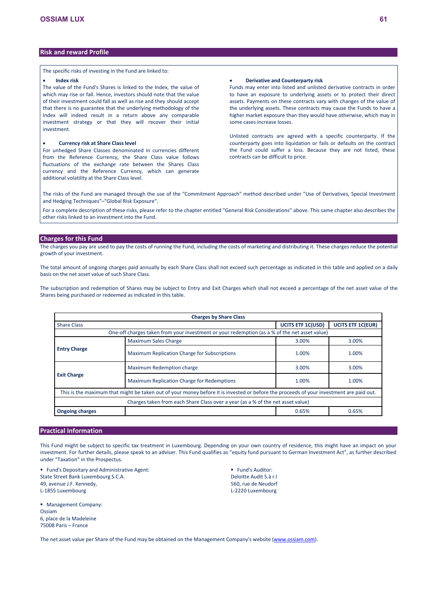# **Risk and reward Profile**

The specific risks of investing in the Fund are linked to:

### **Index risk**

The value of the Fund's Shares is linked to the Index, the value of which may rise or fall. Hence, investors should note that the value of their investment could fall as well as rise and they should accept that there is no guarantee that the underlying methodology of the Index will indeed result in a return above any comparable investment strategy or that they will recover their initial investment.

# **Currency risk at Share Class level**

For unhedged Share Classes denominated in currencies different from the Reference Currency, the Share Class value follows fluctuations of the exchange rate between the Shares Class currency and the Reference Currency, which can generate additional volatility at the Share Class level.

# **Derivative and Counterparty risk**

Funds may enter into listed and unlisted derivative contracts in order to have an exposure to underlying assets or to protect their direct assets. Payments on these contracts vary with changes of the value of the underlying assets. These contracts may cause the Funds to have a higher market exposure than they would have otherwise, which may in some cases increase losses.

Unlisted contracts are agreed with a specific counterparty. If the counterparty goes into liquidation or fails or defaults on the contract the Fund could suffer a loss. Because they are not listed, these contracts can be difficult to price.

The risks of the Fund are managed through the use of the "Commitment Approach" method described under "Use of Derivatives, Special Investment and Hedging Techniques"–"Global Risk Exposure".

For a complete description of these risks, please refer to the chapter entitled "General Risk Considerations" above. This same chapter also describes the other risks linked to an investment into the Fund.

## **Charges for this Fund**

The charges you pay are used to pay the costs of running the Fund, including the costs of marketing and distributing it. These charges reduce the potential growth of your investment.

The total amount of ongoing charges paid annually by each Share Class shall not exceed such percentage as indicated in this table and applied on a daily basis on the net asset value of such Share Class.

The subscription and redemption of Shares may be subject to Entry and Exit Charges which shall not exceed a percentage of the net asset value of the Shares being purchased or redeemed as indicated in this table.

| <b>Charges by Share Class</b>                                                   |                                                                                                                                         |       |       |  |  |  |  |  |  |  |
|---------------------------------------------------------------------------------|-----------------------------------------------------------------------------------------------------------------------------------------|-------|-------|--|--|--|--|--|--|--|
| <b>UCITS ETF 1C(USD)</b><br><b>UCITS ETF 1C(EUR)</b><br><b>Share Class</b>      |                                                                                                                                         |       |       |  |  |  |  |  |  |  |
|                                                                                 | One-off charges taken from your investment or your redemption (as a % of the net asset value)                                           |       |       |  |  |  |  |  |  |  |
|                                                                                 | <b>Maximum Sales Charge</b>                                                                                                             | 3.00% | 3.00% |  |  |  |  |  |  |  |
| <b>Entry Charge</b>                                                             | Maximum Replication Charge for Subscriptions                                                                                            | 1.00% | 1.00% |  |  |  |  |  |  |  |
|                                                                                 | Maximum Redemption charge                                                                                                               | 3.00% | 3.00% |  |  |  |  |  |  |  |
| <b>Exit Charge</b>                                                              | Maximum Replication Charge for Redemptions                                                                                              | 1.00% | 1.00% |  |  |  |  |  |  |  |
|                                                                                 | This is the maximum that might be taken out of your money before it is invested or before the proceeds of your investment are paid out. |       |       |  |  |  |  |  |  |  |
| Charges taken from each Share Class over a year (as a % of the net asset value) |                                                                                                                                         |       |       |  |  |  |  |  |  |  |
| <b>Ongoing charges</b>                                                          |                                                                                                                                         | 0.65% | 0.65% |  |  |  |  |  |  |  |

# **Practical Information**

This Fund might be subject to specific tax treatment in Luxembourg. Depending on your own country of residence, this might have an impact on your investment. For further details, please speak to an adviser. This Fund qualifies as "equity fund pursuant to German Investment Act", as further described under "Taxation" in the Prospectus.

 Fund's Depositary and Administrative Agent: State Street Bank Luxembourg S.C.A. 49, avenue J.F. Kennedy, L-1855 Luxembourg

 Management Company: Ossiam 6, place de la Madeleine 75008 Paris – France

**Fund's Auditor:** Deloitte Audit S.à r.l 560, rue de Neudorf L-2220 Luxembourg

The net asset value per Share of the Fund may be obtained on the Management Company's website [\(www.ossiam.com](http://www.ossiam.com/)).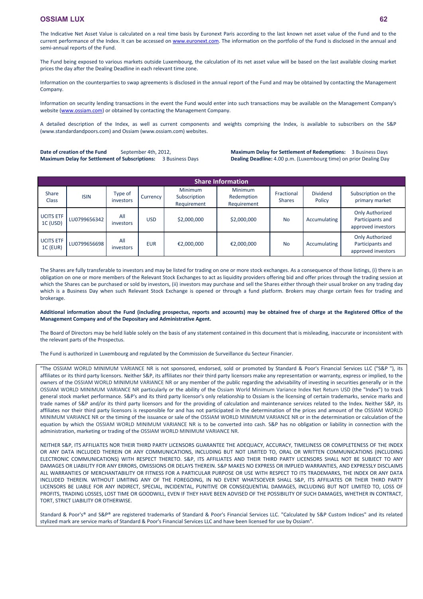The Indicative Net Asset Value is calculated on a real time basis by Euronext Paris according to the last known net asset value of the Fund and to the current performance of the Index. It can be accessed on [www.euronext.com](http://www.euronext.com/). The information on the portfolio of the Fund is disclosed in the annual and semi-annual reports of the Fund.

The Fund being exposed to various markets outside Luxembourg, the calculation of its net asset value will be based on the last available closing market prices the day after the Dealing Deadline in each relevant time zone.

Information on the counterparties to swap agreements is disclosed in the annual report of the Fund and may be obtained by contacting the Management Company.

Information on security lending transactions in the event the Fund would enter into such transactions may be available on the Management Company's website [\(www.ossiam.com](http://www.ossiam.com/)) or obtained by contacting the Management Company.

A detailed description of the Index, as well as current components and weights comprising the Index, is available to subscribers on the S&P (www.standardandpoors.com) and Ossiam (www.ossiam.com) websites.

Date of creation of the Fund<br>
September 4th, 2012, **Maximum Delay for Settlement of Subscriptions:** 3 Business Days **Maximum Delay for Settlement of Redemptions:** 3 Business Days **Dealing Deadline:** 4.00 p.m. (Luxembourg time) on prior Dealing Day

| <b>Share Information</b>            |              |                      |            |                                               |                                             |                             |                           |                                                                  |  |  |
|-------------------------------------|--------------|----------------------|------------|-----------------------------------------------|---------------------------------------------|-----------------------------|---------------------------|------------------------------------------------------------------|--|--|
| <b>Share</b><br><b>Class</b>        | <b>ISIN</b>  | Type of<br>investors | Currency   | <b>Minimum</b><br>Subscription<br>Requirement | <b>Minimum</b><br>Redemption<br>Requirement | Fractional<br><b>Shares</b> | <b>Dividend</b><br>Policy | Subscription on the<br>primary market                            |  |  |
| UCITS ETF<br>1C (USD)               | LU0799656342 | All<br>investors     | <b>USD</b> | \$2,000,000                                   | \$2,000,000                                 | <b>No</b>                   | Accumulating              | <b>Only Authorized</b><br>Participants and<br>approved investors |  |  |
| <b>UCITS ETF</b><br><b>1C (EUR)</b> | LU0799656698 | All<br>investors     | <b>EUR</b> | €2,000,000                                    | €2,000,000                                  | <b>No</b>                   | Accumulating              | <b>Only Authorized</b><br>Participants and<br>approved investors |  |  |

The Shares are fully transferable to investors and may be listed for trading on one or more stock exchanges. As a consequence of those listings, (i) there is an obligation on one or more members of the Relevant Stock Exchanges to act as liquidity providers offering bid and offer prices through the trading session at which the Shares can be purchased or sold by investors, (ii) investors may purchase and sell the Shares either through their usual broker on any trading day which is a Business Day when such Relevant Stock Exchange is opened or through a fund platform. Brokers may charge certain fees for trading and brokerage.

## **Additional information about the Fund (including prospectus, reports and accounts) may be obtained free of charge at the Registered Office of the Management Company and of the Depositary and Administrative Agent.**

The Board of Directors may be held liable solely on the basis of any statement contained in this document that is misleading, inaccurate or inconsistent with the relevant parts of the Prospectus.

The Fund is authorized in Luxembourg and regulated by the Commission de Surveillance du Secteur Financier.

"The OSSIAM WORLD MINIMUM VARIANCE NR is not sponsored, endorsed, sold or promoted by Standard & Poor's Financial Services LLC ("S&P "), its affiliates or its third party licensors. Neither S&P, its affiliates nor their third party licensors make any representation or warranty, express or implied, to the owners of the OSSIAM WORLD MINIMUM VARIANCE NR or any member of the public regarding the advisability of investing in securities generally or in the OSSIAM WORLD MINIMUM VARIANCE NR particularly or the ability of the Ossiam World Minimum Variance Index Net Return USD (the "Index") to track general stock market performance. S&P's and its third party licensor's only relationship to Ossiam is the licensing of certain trademarks, service marks and trade names of S&P and/or its third party licensors and for the providing of calculation and maintenance services related to the Index. Neither S&P, its affiliates nor their third party licensors is responsible for and has not participated in the determination of the prices and amount of the OSSIAM WORLD MINIMUM VARIANCE NR or the timing of the issuance or sale of the OSSIAM WORLD MINIMUM VARIANCE NR or in the determination or calculation of the equation by which the OSSIAM WORLD MINIMUM VARIANCE NR is to be converted into cash. S&P has no obligation or liability in connection with the administration, marketing or trading of the OSSIAM WORLD MINIMUM VARIANCE NR.

NEITHER S&P, ITS AFFILIATES NOR THEIR THIRD PARTY LICENSORS GUARANTEE THE ADEQUACY, ACCURACY, TIMELINESS OR COMPLETENESS OF THE INDEX OR ANY DATA INCLUDED THEREIN OR ANY COMMUNICATIONS, INCLUDING BUT NOT LIMITED TO, ORAL OR WRITTEN COMMUNICATIONS (INCLUDING ELECTRONIC COMMUNICATIONS) WITH RESPECT THERETO. S&P, ITS AFFILIATES AND THEIR THIRD PARTY LICENSORS SHALL NOT BE SUBJECT TO ANY DAMAGES OR LIABILITY FOR ANY ERRORS, OMISSIONS OR DELAYS THEREIN. S&P MAKES NO EXPRESS OR IMPLIED WARRANTIES, AND EXPRESSLY DISCLAIMS ALL WARRANTIES OF MERCHANTABILITY OR FITNESS FOR A PARTICULAR PURPOSE OR USE WITH RESPECT TO ITS TRADEMARKS, THE INDEX OR ANY DATA INCLUDED THEREIN. WITHOUT LIMITING ANY OF THE FOREGOING, IN NO EVENT WHATSOEVER SHALL S&P, ITS AFFILIATES OR THEIR THIRD PARTY LICENSORS BE LIABLE FOR ANY INDIRECT, SPECIAL, INCIDENTAL, PUNITIVE OR CONSEQUENTIAL DAMAGES, INCLUDING BUT NOT LIMITED TO, LOSS OF PROFITS, TRADING LOSSES, LOST TIME OR GOODWILL, EVEN IF THEY HAVE BEEN ADVISED OF THE POSSIBILITY OF SUCH DAMAGES, WHETHER IN CONTRACT, TORT, STRICT LIABILITY OR OTHERWISE.

Standard & Poor's® and S&P® are registered trademarks of Standard & Poor's Financial Services LLC. "Calculated by S&P Custom Indices" and its related stylized mark are service marks of Standard & Poor's Financial Services LLC and have been licensed for use by Ossiam".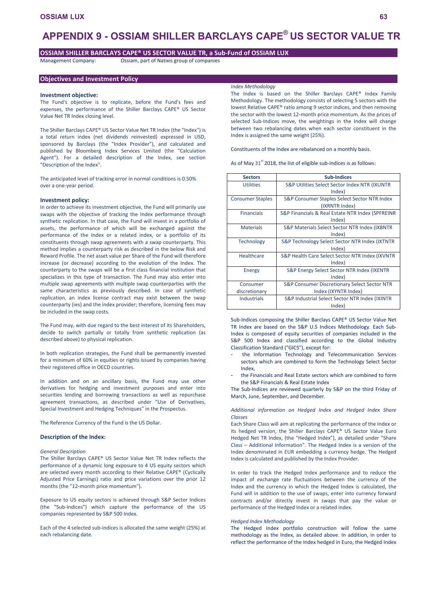# **APPENDIX 9 - OSSIAM SHILLER BARCLAYS CAPE® US SECTOR VALUE TR**

# **OSSIAM SHILLER BARCLAYS CAPE® US SECTOR VALUE TR, a Sub-Fund of OSSIAM LUX**

Management Company: Ossiam, part of Natixis group of companies

## **Objectives and Investment Policy**

#### **Investment objective:**

The Fund's objective is to replicate, before the Fund's fees and expenses, the performance of the Shiller Barclays CAPE® US Sector Value Net TR Index closing level.

The Shiller Barclays CAPE® US Sector Value Net TR Index (the "Index") is a total return index (net dividends reinvested) expressed in USD, sponsored by Barclays (the "Index Provider"), and calculated and published by Bloomberg Index Services Limited (the "Calculation Agent"). For a detailed description of the Index, see section "Description of the Index".

The anticipated level of tracking error in normal conditions is 0.50% over a one-year period.

### **Investment policy:**

In order to achieve its investment objective, the Fund will primarily use swaps with the objective of tracking the Index performance through synthetic replication. In that case, the Fund will invest in a portfolio of assets, the performance of which will be exchanged against the performance of the Index or a related index, or a portfolio of its constituents through swap agreements with a swap counterparty. This method implies a counterparty risk as described in the below Risk and Reward Profile. The net asset value per Share of the Fund will therefore increase (or decrease) according to the evolution of the Index. The counterparty to the swaps will be a first class financial institution that specializes in this type of transaction. The Fund may also enter into multiple swap agreements with multiple swap counterparties with the same characteristics as previously described. In case of synthetic replication, an index license contract may exist between the swap counterparty (ies) and the index provider; therefore, licensing fees may be included in the swap costs.

The Fund may, with due regard to the best interest of its Shareholders, decide to switch partially or totally from synthetic replication (as described above) to physical replication.

In both replication strategies, the Fund shall be permanently invested for a minimum of 60% in equities or rights issued by companies having their registered office in OECD countries.

In addition and on an ancillary basis, the Fund may use other derivatives for hedging and investment purposes and enter into securities lending and borrowing transactions as well as repurchase agreement transactions, as described under "Use of Derivatives, Special Investment and Hedging Techniques" in the Prospectus.

The Reference Currency of the Fund is the US Dollar.

### **Description of the Index:**

### *General Description*

The Shiller Barclays CAPE® US Sector Value Net TR Index reflects the performance of a dynamic long exposure to 4 US equity sectors which are selected every month according to their Relative CAPE® (Cyclically Adjusted Price Earnings) ratio and price variations over the prior 12 months (the "12-month price momentum").

Exposure to US equity sectors is achieved through S&P Sector Indices (the "Sub-Indices") which capture the performance of the US companies represented by S&P 500 Index.

Each of the 4 selected sub-indices is allocated the same weight (25%) at each rebalancing date.

## *Index Methodology*

The Index is based on the Shiller Barclays CAPE® Index Family Methodology. The methodology consists of selecting 5 sectors with the lowest Relative CAPE® ratio among 9 sector indices, and then removing the sector with the lowest 12-month price momentum. As the prices of selected Sub-Indices move, the weightings in the Index will change between two rebalancing dates when each sector constituent in the Index is assigned the same weight (25%).

Constituents of the Index are rebalanced on a monthly basis.

As of May  $31^{st}$  2018, the list of eligible sub-indices is as follows:

| <b>Sectors</b>          | <b>Sub-Indices</b>                               |
|-------------------------|--------------------------------------------------|
| <b>Utilities</b>        | S&P Utilities Select Sector Index NTR (IXUNTR    |
|                         | Index)                                           |
| <b>Consumer Staples</b> | S&P Consumer Staples Select Sector NTR Index     |
|                         | (IXRNTR Index)                                   |
| <b>Financials</b>       | S&P Financials & Real Estate NTR Index (SPFREINR |
|                         | Index)                                           |
| <b>Materials</b>        | S&P Materials Select Sector NTR Index (IXBNTR    |
|                         | Index)                                           |
| <b>Technology</b>       | S&P Technology Select Sector NTR Index (IXTNTR   |
|                         | Index)                                           |
| <b>Healthcare</b>       | S&P Health Care Select Sector NTR Index (IXVNTR  |
|                         | Index)                                           |
| Energy                  | S&P Energy Select Sector NTR Index (IXENTR       |
|                         | Index)                                           |
| Consumer                | S&P Consumer Discretionary Select Sector NTR     |
| discretionary           | Index (IXYNTR Index)                             |
| <b>Industrials</b>      | S&P Industrial Select Sector NTR Index (IXINTR   |
|                         | Index)                                           |

Sub-Indices composing the Shiller Barclays CAPE® US Sector Value Net TR Index are based on the S&P U.S Indices Methodology. Each Sub-Index is composed of equity securities of companies included in the S&P 500 Index and classified according to the Global Industry Classification Standard ("GICS"), except for:

- the Information Technology and Telecommunication Services sectors which are combined to form the Technology Select Sector Index,
- the Financials and Real Estate sectors which are combined to form the S&P Financials & Real Estate Index

The Sub-Indices are reviewed quarterly by S&P on the third Friday of March, June, September, and December.

*Additional information on Hedged Index and Hedged Index Share Classes* 

Each Share Class will aim at replicating the performance of the Index or its hedged version, the Shiller Barclays CAPE® US Sector Value Euro Hedged Net TR Index, (the "Hedged Index"), as detailed under "Share Class – Additional Information". The Hedged Index is a version of the Index denominated in EUR embedding a currency hedge. The Hedged Index is calculated and published by the Index Provider.

In order to track the Hedged Index performance and to reduce the impact of exchange rate fluctuations between the currency of the Index and the currency in which the Hedged Index is calculated, the Fund will in addition to the use of swaps, enter into currency forward contracts and/or directly invest in swaps that pay the value or performance of the Hedged Index or a related index.

### *Hedged Index Methodology*

The Hedged Index portfolio construction will follow the same methodology as the Index, as detailed above. In addition, in order to reflect the performance of the Index hedged in Euro, the Hedged Index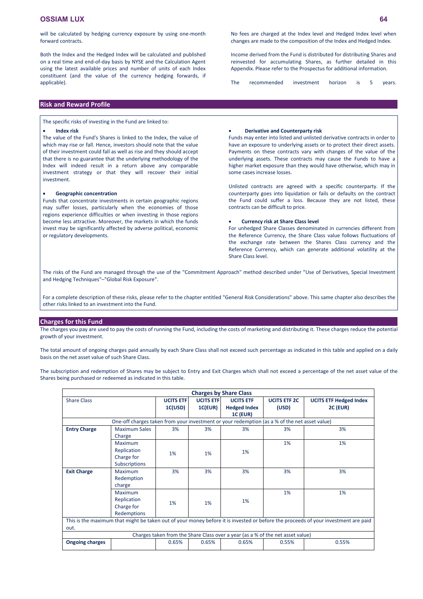Both the Index and the Hedged Index will be calculated and published on a real time and end-of-day basis by NYSE and the Calculation Agent using the latest available prices and number of units of each Index constituent (and the value of the currency hedging forwards, if applicable).

# **Risk and Reward Profile**

The specific risks of investing in the Fund are linked to:

### **Index risk**

The value of the Fund's Shares is linked to the Index, the value of which may rise or fall. Hence, investors should note that the value of their investment could fall as well as rise and they should accept that there is no guarantee that the underlying methodology of the Index will indeed result in a return above any comparable investment strategy or that they will recover their initial investment.

### **Geographic concentration**

Funds that concentrate investments in certain geographic regions may suffer losses, particularly when the economies of those regions experience difficulties or when investing in those regions become less attractive. Moreover, the markets in which the funds invest may be significantly affected by adverse political, economic or regulatory developments.

Income derived from the Fund is distributed for distributing Shares and reinvested for accumulating Shares, as further detailed in this Appendix. Please refer to the Prospectus for additional information.

The recommended investment horizon is 5 years.

#### **Derivative and Counterparty risk**

Funds may enter into listed and unlisted derivative contracts in order to have an exposure to underlying assets or to protect their direct assets. Payments on these contracts vary with changes of the value of the underlying assets. These contracts may cause the Funds to have a higher market exposure than they would have otherwise, which may in some cases increase losses.

Unlisted contracts are agreed with a specific counterparty. If the counterparty goes into liquidation or fails or defaults on the contract the Fund could suffer a loss. Because they are not listed, these contracts can be difficult to price.

### **Currency risk at Share Class level**

For unhedged Share Classes denominated in currencies different from the Reference Currency, the Share Class value follows fluctuations of the exchange rate between the Shares Class currency and the Reference Currency, which can generate additional volatility at the Share Class level.

The risks of the Fund are managed through the use of the "Commitment Approach" method described under "Use of Derivatives, Special Investment and Hedging Techniques"–"Global Risk Exposure".

For a complete description of these risks, please refer to the chapter entitled "General Risk Considerations" above. This same chapter also describes the other risks linked to an investment into the Fund.

## **Charges for this Fund**

The charges you pay are used to pay the costs of running the Fund, including the costs of marketing and distributing it. These charges reduce the potential growth of your investment.

The total amount of ongoing charges paid annually by each Share Class shall not exceed such percentage as indicated in this table and applied on a daily basis on the net asset value of such Share Class.

The subscription and redemption of Shares may be subject to Entry and Exit Charges which shall not exceed a percentage of the net asset value of the Shares being purchased or redeemed as indicated in this table.

| <b>Charges by Share Class</b> |                                                                                               |                  |                  |                                                                                |                     |                                                                                                                                    |  |
|-------------------------------|-----------------------------------------------------------------------------------------------|------------------|------------------|--------------------------------------------------------------------------------|---------------------|------------------------------------------------------------------------------------------------------------------------------------|--|
| <b>Share Class</b>            |                                                                                               | <b>UCITS ETF</b> | <b>UCITS ETF</b> | <b>UCITS ETF</b>                                                               | <b>UCITS ETF 2C</b> | <b>UCITS ETF Hedged Index</b>                                                                                                      |  |
|                               |                                                                                               | 1C(USD)          | <b>1C(EUR)</b>   | <b>Hedged Index</b>                                                            | (USD)               | <b>2C (EUR)</b>                                                                                                                    |  |
|                               |                                                                                               |                  |                  | <b>1C (EUR)</b>                                                                |                     |                                                                                                                                    |  |
|                               | One-off charges taken from your investment or your redemption (as a % of the net asset value) |                  |                  |                                                                                |                     |                                                                                                                                    |  |
| <b>Entry Charge</b>           | <b>Maximum Sales</b>                                                                          | 3%               | 3%               | 3%                                                                             | 3%                  | 3%                                                                                                                                 |  |
|                               | Charge                                                                                        |                  |                  |                                                                                |                     |                                                                                                                                    |  |
|                               | Maximum                                                                                       |                  |                  |                                                                                | 1%                  | 1%                                                                                                                                 |  |
|                               | Replication                                                                                   | 1%               | 1%               | 1%                                                                             |                     |                                                                                                                                    |  |
|                               | Charge for                                                                                    |                  |                  |                                                                                |                     |                                                                                                                                    |  |
|                               | <b>Subscriptions</b>                                                                          |                  |                  |                                                                                |                     |                                                                                                                                    |  |
| <b>Exit Charge</b>            | Maximum                                                                                       | 3%               | 3%               | 3%                                                                             | 3%                  | 3%                                                                                                                                 |  |
|                               | Redemption                                                                                    |                  |                  |                                                                                |                     |                                                                                                                                    |  |
|                               | charge                                                                                        |                  |                  |                                                                                |                     |                                                                                                                                    |  |
|                               | <b>Maximum</b>                                                                                |                  |                  |                                                                                | 1%                  | 1%                                                                                                                                 |  |
|                               | Replication                                                                                   | 1%               | 1%               | 1%                                                                             |                     |                                                                                                                                    |  |
|                               | Charge for                                                                                    |                  |                  |                                                                                |                     |                                                                                                                                    |  |
|                               | Redemptions                                                                                   |                  |                  |                                                                                |                     |                                                                                                                                    |  |
|                               |                                                                                               |                  |                  |                                                                                |                     | This is the maximum that might be taken out of your money before it is invested or before the proceeds of your investment are paid |  |
| out.                          |                                                                                               |                  |                  |                                                                                |                     |                                                                                                                                    |  |
|                               |                                                                                               |                  |                  | Charges taken from the Share Class over a year (as a % of the net asset value) |                     |                                                                                                                                    |  |
| <b>Ongoing charges</b>        |                                                                                               | 0.65%            | 0.65%            | 0.65%                                                                          | 0.55%               | 0.55%                                                                                                                              |  |
|                               |                                                                                               |                  |                  |                                                                                |                     |                                                                                                                                    |  |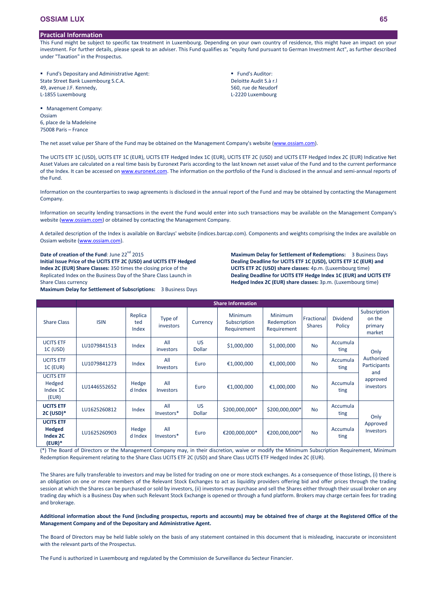# **Practical Information**

This Fund might be subject to specific tax treatment in Luxembourg. Depending on your own country of residence, this might have an impact on your investment. For further details, please speak to an adviser. This Fund qualifies as "equity fund pursuant to German Investment Act", as further described under "Taxation" in the Prospectus.

> **Fund's Auditor:** Deloitte Audit S.à r.l 560, rue de Neudorf L-2220 Luxembourg

| ■ Fund's Depositary and Administrative Agent: |  |
|-----------------------------------------------|--|
| State Street Bank Luxembourg S.C.A.           |  |
| 49, avenue J.F. Kennedy,                      |  |
| L-1855 Luxembourg                             |  |

**Management Company: Ossiam** 6, place de la Madeleine 75008 Paris – France

The net asset value per Share of the Fund may be obtained on the Management Company's website [\(www.ossiam.com](http://www.ossiam.com/)).

The UCITS ETF 1C (USD), UCITS ETF 1C (EUR), UCITS ETF Hedged Index 1C (EUR), UCITS ETF 2C (USD) and UCITS ETF Hedged Index 2C (EUR) Indicative Net Asset Values are calculated on a real time basis by Euronext Paris according to the last known net asset value of the Fund and to the current performance of the Index. It can be accessed on [www.euronext.com.](http://www.euronext.com/) The information on the portfolio of the Fund is disclosed in the annual and semi-annual reports of the Fund.

Information on the counterparties to swap agreements is disclosed in the annual report of the Fund and may be obtained by contacting the Management Company.

Information on security lending transactions in the event the Fund would enter into such transactions may be available on the Management Company's website [\(www.ossiam.com](http://www.ossiam.com/)) or obtained by contacting the Management Company.

A detailed description of the Index is available on Barclays' website (indices.barcap.com). Components and weights comprising the Index are available on Ossiam website ([www.ossiam.com](http://www.ossiam.com/)).

Date of creation of the Fund: June 22<sup>nd</sup> 2015 **Initial Issue Price of the UCITS ETF 2C (USD) and UCITS ETF Hedged Index 2C (EUR) Share Classes:** 350 times the closing price of the Replicated Index on the Business Day of the Share Class Launch in Share Class currency

**Maximum Delay for Settlement of Subscriptions:** 3 Business Days

**Maximum Delay for Settlement of Redemptions:** 3 Business Days **Dealing Deadline for UCITS ETF 1C (USD), UCITS ETF 1C (EUR) and UCITS ETF 2C (USD) share classes:** 4p.m. (Luxembourg time) **Dealing Deadline for UCITS ETF Hedge Index 1C (EUR) and UCITS ETF Hedged Index 2C (EUR) share classes:** 3p.m. (Luxembourg time)

|                                                    | <b>Share Information</b> |                         |                         |                     |                                               |                                      |                             |                           |                                             |  |
|----------------------------------------------------|--------------------------|-------------------------|-------------------------|---------------------|-----------------------------------------------|--------------------------------------|-----------------------------|---------------------------|---------------------------------------------|--|
| <b>Share Class</b>                                 | <b>ISIN</b>              | Replica<br>ted<br>Index | Type of<br>investors    | Currency            | <b>Minimum</b><br>Subscription<br>Requirement | Minimum<br>Redemption<br>Requirement | Fractional<br><b>Shares</b> | <b>Dividend</b><br>Policy | Subscription<br>on the<br>primary<br>market |  |
| <b>UCITS ETF</b><br>1C (USD)                       | LU1079841513             | Index                   | All<br>investors        | US<br><b>Dollar</b> | \$1,000,000                                   | \$1,000,000                          | <b>No</b>                   | Accumula<br>ting          | Only                                        |  |
| <b>UCITS ETF</b><br>$1C$ (EUR)                     | LU1079841273             | Index                   | All<br><b>Investors</b> | Euro                | €1,000,000                                    | €1,000,000                           | <b>No</b>                   | Accumula<br>ting          | Authorized<br>Participants                  |  |
| <b>UCITS ETF</b><br>Hedged<br>Index 1C<br>(EUR)    | LU1446552652             | Hedge<br>d Index        | All<br><b>Investors</b> | Euro                | €1,000,000                                    | €1,000,000                           | <b>No</b>                   | Accumula<br>ting          | and<br>approved<br>investors                |  |
| <b>UCITS ETF</b><br>$2C$ (USD) $*$                 | LU1625260812             | Index                   | All<br>Investors*       | US<br><b>Dollar</b> | \$200,000,000*                                | \$200,000,000*                       | <b>No</b>                   | Accumula<br>ting          | Only                                        |  |
| <b>UCITS ETF</b><br>Hedged<br>Index 2C<br>$(EUR)*$ | LU1625260903             | Hedge<br>d Index        | All<br>Investors*       | Euro                | €200,000,000*                                 | €200,000,000*                        | <b>No</b>                   | Accumula<br>ting          | Approved<br><b>Investors</b>                |  |

(\*) The Board of Directors or the Management Company may, in their discretion, waive or modify the Minimum Subscription Requirement, Minimum Redemption Requirement relating to the Share Class UCITS ETF 2C (USD) and Share Class UCITS ETF Hedged Index 2C (EUR).

The Shares are fully transferable to investors and may be listed for trading on one or more stock exchanges. As a consequence of those listings, (i) there is an obligation on one or more members of the Relevant Stock Exchanges to act as liquidity providers offering bid and offer prices through the trading session at which the Shares can be purchased or sold by investors, (ii) investors may purchase and sell the Shares either through their usual broker on any trading day which is a Business Day when such Relevant Stock Exchange is opened or through a fund platform. Brokers may charge certain fees for trading and brokerage.

**Additional information about the Fund (including prospectus, reports and accounts) may be obtained free of charge at the Registered Office of the Management Company and of the Depositary and Administrative Agent.**

The Board of Directors may be held liable solely on the basis of any statement contained in this document that is misleading, inaccurate or inconsistent with the relevant parts of the Prospectus.

The Fund is authorized in Luxembourg and regulated by the Commission de Surveillance du Secteur Financier.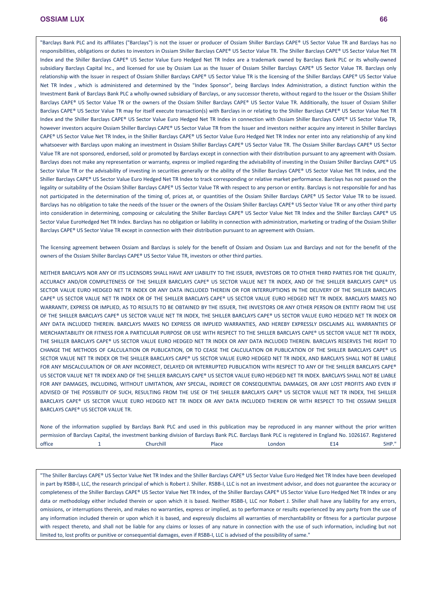"Barclays Bank PLC and its affiliates ("Barclays") is not the issuer or producer of Ossiam Shiller Barclays CAPE® US Sector Value TR and Barclays has no responsibilities, obligations or duties to investors in Ossiam Shiller Barclays CAPE® US Sector Value TR. The Shiller Barclays CAPE® US Sector Value Net TR Index and the Shiller Barclays CAPE® US Sector Value Euro Hedged Net TR Index are a trademark owned by Barclays Bank PLC or its wholly-owned subsidiary Barclays Capital Inc., and licensed for use by Ossiam Lux as the Issuer of Ossiam Shiller Barclays CAPE® US Sector Value TR. Barclays only relationship with the Issuer in respect of Ossiam Shiller Barclays CAPE® US Sector Value TR is the licensing of the Shiller Barclays CAPE® US Sector Value Net TR Index , which is administered and determined by the "Index Sponsor", being Barclays Index Administration, a distinct function within the Investment Bank of Barclays Bank PLC a wholly-owned subsidiary of Barclays, or any successor thereto, without regard to the Issuer or the Ossiam Shiller Barclays CAPE® US Sector Value TR or the owners of the Ossiam Shiller Barclays CAPE® US Sector Value TR. Additionally, the Issuer of Ossiam Shiller Barclays CAPE® US Sector Value TR may for itself execute transaction(s) with Barclays in or relating to the Shiller Barclays CAPE® US Sector Value Net TR Index and the Shiller Barclays CAPE® US Sector Value Euro Hedged Net TR Index in connection with Ossiam Shiller Barclays CAPE® US Sector Value TR, however investors acquire Ossiam Shiller Barclays CAPE® US Sector Value TR from the Issuer and investors neither acquire any interest in Shiller Barclays CAPE® US Sector Value Net TR Index, in the Shiller Barclays CAPE® US Sector Value Euro Hedged Net TR Index nor enter into any relationship of any kind whatsoever with Barclays upon making an investment in Ossiam Shiller Barclays CAPE® US Sector Value TR. The Ossiam Shiller Barclays CAPE® US Sector Value TR are not sponsored, endorsed, sold or promoted by Barclays except in connection with their distribution pursuant to any agreement with Ossiam. Barclays does not make any representation or warranty, express or implied regarding the advisability of investing in the Ossiam Shiller Barclays CAPE® US Sector Value TR or the advisability of investing in securities generally or the ability of the Shiller Barclays CAPE® US Sector Value Net TR Index, and the Shiller Barclays CAPE® US Sector Value Euro Hedged Net TR Index to track corresponding or relative market performance. Barclays has not passed on the legality or suitability of the Ossiam Shiller Barclays CAPE® US Sector Value TR with respect to any person or entity. Barclays is not responsible for and has not participated in the determination of the timing of, prices at, or quantities of the Ossiam Shiller Barclays CAPE® US Sector Value TR to be issued. Barclays has no obligation to take the needs of the Issuer or the owners of the Ossiam Shiller Barclays CAPE® US Sector Value TR or any other third party into consideration in determining, composing or calculating the Shiller Barclays CAPE® US Sector Value Net TR Index and the Shiller Barclays CAPE® US Sector Value EuroHedged Net TR Index. Barclays has no obligation or liability in connection with administration, marketing or trading of the Ossiam Shiller Barclays CAPE® US Sector Value TR except in connection with their distribution pursuant to an agreement with Ossiam.

The licensing agreement between Ossiam and Barclays is solely for the benefit of Ossiam and Ossiam Lux and Barclays and not for the benefit of the owners of the Ossiam Shiller Barclays CAPE® US Sector Value TR, investors or other third parties.

NEITHER BARCLAYS NOR ANY OF ITS LICENSORS SHALL HAVE ANY LIABILITY TO THE ISSUER, INVESTORS OR TO OTHER THIRD PARTIES FOR THE QUALITY, ACCURACY AND/OR COMPLETENESS OF THE SHILLER BARCLAYS CAPE® US SECTOR VALUE NET TR INDEX, AND OF THE SHILLER BARCLAYS CAPE® US SECTOR VALUE EURO HEDGED NET TR INDEX OR ANY DATA INCLUDED THEREIN OR FOR INTERRUPTIONS IN THE DELIVERY OF THE SHILLER BARCLAYS CAPE® US SECTOR VALUE NET TR INDEX OR OF THE SHILLER BARCLAYS CAPE® US SECTOR VALUE EURO HEDGED NET TR INDEX. BARCLAYS MAKES NO WARRANTY, EXPRESS OR IMPLIED, AS TO RESULTS TO BE OBTAINED BY THE ISSUER, THE INVESTORS OR ANY OTHER PERSON OR ENTITY FROM THE USE OF THE SHILLER BARCLAYS CAPE® US SECTOR VALUE NET TR INDEX, THE SHILLER BARCLAYS CAPE® US SECTOR VALUE EURO HEDGED NET TR INDEX OR ANY DATA INCLUDED THEREIN. BARCLAYS MAKES NO EXPRESS OR IMPLIED WARRANTIES, AND HEREBY EXPRESSLY DISCLAIMS ALL WARRANTIES OF MERCHANTABILITY OR FITNESS FOR A PARTICULAR PURPOSE OR USE WITH RESPECT TO THE SHILLER BARCLAYS CAPE® US SECTOR VALUE NET TR INDEX, THE SHILLER BARCLAYS CAPE® US SECTOR VALUE EURO HEDGED NET TR INDEX OR ANY DATA INCLUDED THEREIN. BARCLAYS RESERVES THE RIGHT TO CHANGE THE METHODS OF CALCULATION OR PUBLICATION, OR TO CEASE THE CALCULATION OR PUBLICATION OF THE SHILLER BARCLAYS CAPE® US SECTOR VALUE NET TR INDEX OR THE SHILLER BARCLAYS CAPE® US SECTOR VALUE EURO HEDGED NET TR INDEX, AND BARCLAYS SHALL NOT BE LIABLE FOR ANY MISCALCULATION OF OR ANY INCORRECT, DELAYED OR INTERRUPTED PUBLICATION WITH RESPECT TO ANY OF THE SHILLER BARCLAYS CAPE® US SECTOR VALUE NET TR INDEX AND OF THE SHILLER BARCLAYS CAPE® US SECTOR VALUE EURO HEDGED NET TR INDEX. BARCLAYS SHALL NOT BE LIABLE FOR ANY DAMAGES, INCLUDING, WITHOUT LIMITATION, ANY SPECIAL, INDIRECT OR CONSEQUENTIAL DAMAGES, OR ANY LOST PROFITS AND EVEN IF ADVISED OF THE POSSIBLITY OF SUCH, RESULTING FROM THE USE OF THE SHILLER BARCLAYS CAPE® US SECTOR VALUE NET TR INDEX, THE SHILLER BARCLAYS CAPE® US SECTOR VALUE EURO HEDGED NET TR INDEX OR ANY DATA INCLUDED THEREIN OR WITH RESPECT TO THE OSSIAM SHILLER BARCLAYS CAPE® US SECTOR VALUE TR.

|        | None of the information supplied by Barclays Bank PLC and used in this publication may be reproduced in any manner without the prior written             |              |        |     |              |
|--------|----------------------------------------------------------------------------------------------------------------------------------------------------------|--------------|--------|-----|--------------|
|        | permission of Barclays Capital, the investment banking division of Barclays Bank PLC. Barclays Bank PLC is registered in England No. 1026167. Registered |              |        |     |              |
| office | Churchill                                                                                                                                                | <b>Place</b> | London | E14 | <b>5HP."</b> |

"The Shiller Barclays CAPE® US Sector Value Net TR Index and the Shiller Barclays CAPE® US Sector Value Euro Hedged Net TR Index have been developed in part by RSBB-I, LLC, the research principal of which is Robert J. Shiller. RSBB-I, LLC is not an investment advisor, and does not guarantee the accuracy or completeness of the Shiller Barclays CAPE® US Sector Value Net TR Index, of the Shiller Barclays CAPE® US Sector Value Euro Hedged Net TR Index or any data or methodology either included therein or upon which it is based. Neither RSBB-I, LLC nor Robert J. Shiller shall have any liability for any errors, omissions, or interruptions therein, and makes no warranties, express or implied, as to performance or results experienced by any party from the use of any information included therein or upon which it is based, and expressly disclaims all warranties of merchantability or fitness for a particular purpose with respect thereto, and shall not be liable for any claims or losses of any nature in connection with the use of such information, including but not limited to, lost profits or punitive or consequential damages, even if RSBB-I, LLC is advised of the possibility of same."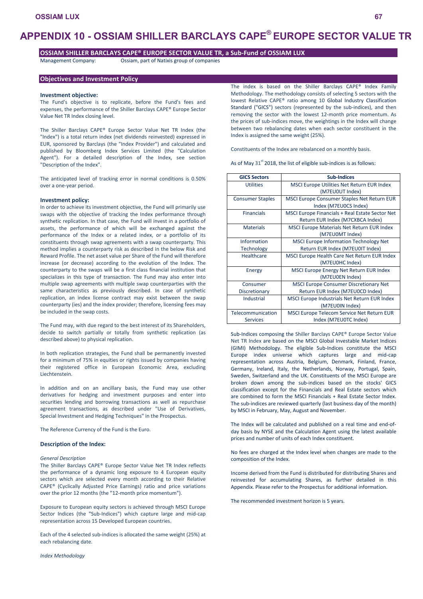# **APPENDIX 10 - OSSIAM SHILLER BARCLAYS CAPE® EUROPE SECTOR VALUE TR**

# **OSSIAM SHILLER BARCLAYS CAPE® EUROPE SECTOR VALUE TR, a Sub-Fund of OSSIAM LUX**

Management Company: Ossiam, part of Natixis group of companies

# **Objectives and Investment Policy**

## **Investment objective:**

The Fund's objective is to replicate, before the Fund's fees and expenses, the performance of the Shiller Barclays CAPE® Europe Sector Value Net TR Index closing level.

The Shiller Barclays CAPE® Europe Sector Value Net TR Index (the "Index") is a total return index (net dividends reinvested) expressed in EUR, sponsored by Barclays (the "Index Provider") and calculated and published by Bloomberg Index Services Limited (the "Calculation Agent"). For a detailed description of the Index, see section "Description of the Index".

The anticipated level of tracking error in normal conditions is 0.50% over a one-year period.

# **Investment policy:**

In order to achieve its investment objective, the Fund will primarily use swaps with the objective of tracking the Index performance through synthetic replication. In that case, the Fund will invest in a portfolio of assets, the performance of which will be exchanged against the performance of the Index or a related index, or a portfolio of its constituents through swap agreements with a swap counterparty. This method implies a counterparty risk as described in the below Risk and Reward Profile. The net asset value per Share of the Fund will therefore increase (or decrease) according to the evolution of the Index. The counterparty to the swaps will be a first class financial institution that specializes in this type of transaction. The Fund may also enter into multiple swap agreements with multiple swap counterparties with the same characteristics as previously described. In case of synthetic replication, an index license contract may exist between the swap counterparty (ies) and the index provider; therefore, licensing fees may be included in the swap costs.

The Fund may, with due regard to the best interest of its Shareholders, decide to switch partially or totally from synthetic replication (as described above) to physical replication.

In both replication strategies, the Fund shall be permanently invested for a minimum of 75% in equities or rights issued by companies having their registered office in European Economic Area, excluding Liechtenstein.

In addition and on an ancillary basis, the Fund may use other derivatives for hedging and investment purposes and enter into securities lending and borrowing transactions as well as repurchase agreement transactions, as described under "Use of Derivatives, Special Investment and Hedging Techniques" in the Prospectus.

The Reference Currency of the Fund is the Euro.

# **Description of the Index:**

### *General Description*

The Shiller Barclays CAPE® Europe Sector Value Net TR Index reflects the performance of a dynamic long exposure to 4 European equity sectors which are selected every month according to their Relative CAPE® (Cyclically Adjusted Price Earnings) ratio and price variations over the prior 12 months (the "12-month price momentum").

Exposure to European equity sectors is achieved through MSCI Europe Sector Indices (the "Sub-Indices") which capture large and mid-cap representation across 15 Developed European countries.

Each of the 4 selected sub-indices is allocated the same weight (25%) at each rebalancing date.

The index is based on the Shiller Barclays CAPE® Index Family Methodology. The methodology consists of selecting 5 sectors with the lowest Relative CAPE® ratio among 10 Global Industry Classification Standard ("GICS") sectors (represented by the sub-indices), and then removing the sector with the lowest 12-month price momentum. As the prices of sub-indices move, the weightings in the Index will change between two rebalancing dates when each sector constituent in the Index is assigned the same weight (25%).

Constituents of the Index are rebalanced on a monthly basis.

As of May  $31^{st}$  2018, the list of eligible sub-indices is as follows:

| <b>GICS Sectors</b>     | <b>Sub-Indices</b>                                 |
|-------------------------|----------------------------------------------------|
| <b>Utilities</b>        | <b>MSCI Europe Utilities Net Return EUR Index</b>  |
|                         | (M7EU0UT Index)                                    |
| <b>Consumer Staples</b> | <b>MSCI Europe Consumer Staples Net Return EUR</b> |
|                         | Index (M7EU0CS Index)                              |
| <b>Financials</b>       | MSCI Europe Financials + Real Estate Sector Net    |
|                         | Return EUR Index (M7CXBCA Index)                   |
| <b>Materials</b>        | <b>MSCI Europe Materials Net Return EUR Index</b>  |
|                         | (M7EU0MT Index)                                    |
| Information             | <b>MSCI Europe Information Technology Net</b>      |
| <b>Technology</b>       | Return EUR Index (M7EU0IT Index)                   |
| Healthcare              | MSCI Europe Health Care Net Return EUR Index       |
|                         | (M7EU0HC Index)                                    |
| Energy                  | MSCI Europe Energy Net Return EUR Index            |
|                         | (M7EU0EN Index)                                    |
| Consumer                | <b>MSCI Europe Consumer Discretionary Net</b>      |
| Discretionary           | Return EUR Index (M7EU0CD Index)                   |
| Industrial              | MSCI Europe Industrials Net Return EUR Index       |
|                         | (M7EU0IN Index)                                    |
| Telecommunication       | MSCI Europe Telecom Service Net Return EUR         |
| <b>Services</b>         | Index (M7EU0TC Index)                              |

Sub-Indices composing the Shiller Barclays CAPE® Europe Sector Value Net TR Index are based on the MSCI Global Investable Market Indices (GIMI) Methodology. The eligible Sub-Indices constitute the MSCI Europe index universe which captures large and mid-cap representation across Austria, Belgium, Denmark, Finland, France, Germany, Ireland, Italy, the Netherlands, Norway, Portugal, Spain, Sweden, Switzerland and the UK. Constituents of the MSCI Europe are broken down among the sub-indices based on the stocks' GICS classification except for the Financials and Real Estate sectors which are combined to form the MSCI Financials + Real Estate Sector Index. The sub-indices are reviewed quarterly (last business day of the month) by MSCI in February, May, August and November.

The Index will be calculated and published on a real time and end-ofday basis by NYSE and the Calculation Agent using the latest available prices and number of units of each Index constituent.

No fees are charged at the Index level when changes are made to the composition of the Index.

Income derived from the Fund is distributed for distributing Shares and reinvested for accumulating Shares, as further detailed in this Appendix. Please refer to the Prospectus for additional information.

The recommended investment horizon is 5 years.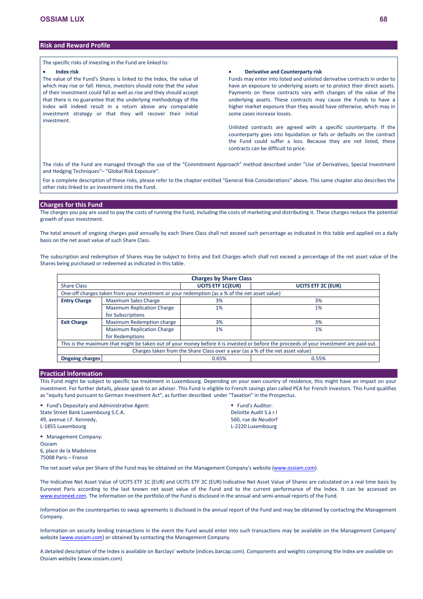# **Risk and Reward Profile**

The specific risks of investing in the Fund are linked to:

#### **Index risk**

The value of the Fund's Shares is linked to the Index, the value of which may rise or fall. Hence, investors should note that the value of their investment could fall as well as rise and they should accept that there is no guarantee that the underlying methodology of the Index will indeed result in a return above any comparable investment strategy or that they will recover their initial investment.

### **Derivative and Counterparty risk**

Funds may enter into listed and unlisted derivative contracts in order to have an exposure to underlying assets or to protect their direct assets. Payments on these contracts vary with changes of the value of the underlying assets. These contracts may cause the Funds to have a higher market exposure than they would have otherwise, which may in some cases increase losses.

Unlisted contracts are agreed with a specific counterparty. If the counterparty goes into liquidation or fails or defaults on the contract the Fund could suffer a loss. Because they are not listed, these contracts can be difficult to price.

The risks of the Fund are managed through the use of the "Commitment Approach" method described under "Use of Derivatives, Special Investment and Hedging Techniques"– "Global Risk Exposure".

For a complete description of these risks, please refer to the chapter entitled "General Risk Considerations" above. This same chapter also describes the other risks linked to an investment into the Fund.

## **Charges for this Fund**

The charges you pay are used to pay the costs of running the Fund, including the costs of marketing and distributing it. These charges reduce the potential growth of your investment.

The total amount of ongoing charges paid annually by each Share Class shall not exceed such percentage as indicated in this table and applied on a daily basis on the net asset value of such Share Class.

The subscription and redemption of Shares may be subject to Entry and Exit Charges which shall not exceed a percentage of the net asset value of the Shares being purchased or redeemed as indicated in this table.

| <b>Charges by Share Class</b>                                                                                                           |                                   |                          |                           |  |  |  |
|-----------------------------------------------------------------------------------------------------------------------------------------|-----------------------------------|--------------------------|---------------------------|--|--|--|
| <b>Share Class</b>                                                                                                                      |                                   | <b>UCITS ETF 1C(EUR)</b> | <b>UCITS ETF 2C (EUR)</b> |  |  |  |
| One-off charges taken from your investment or your redemption (as a % of the net asset value)                                           |                                   |                          |                           |  |  |  |
| <b>Entry Charge</b>                                                                                                                     | <b>Maximum Sales Charge</b>       | 3%                       | 3%                        |  |  |  |
|                                                                                                                                         | <b>Maximum Replication Charge</b> | 1%                       | 1%                        |  |  |  |
|                                                                                                                                         | for Subscriptions                 |                          |                           |  |  |  |
| <b>Exit Charge</b>                                                                                                                      | Maximum Redemption charge         | 3%                       | 3%                        |  |  |  |
|                                                                                                                                         | <b>Maximum Replication Charge</b> | 1%                       | $1\%$                     |  |  |  |
|                                                                                                                                         | for Redemptions                   |                          |                           |  |  |  |
| This is the maximum that might be taken out of your money before it is invested or before the proceeds of your investment are paid out. |                                   |                          |                           |  |  |  |
| Charges taken from the Share Class over a year (as a % of the net asset value)                                                          |                                   |                          |                           |  |  |  |
| <b>Ongoing charges</b>                                                                                                                  |                                   | 0.65%                    | 0.55%                     |  |  |  |

# **Practical Information**

This Fund might be subject to specific tax treatment in Luxembourg. Depending on your own country of residence, this might have an impact on your investment. For further details, please speak to an adviser. This Fund is eligible to French savings plan called PEA for French investors. This Fund qualifies as "equity fund pursuant to German Investment Act", as further described under "Taxation" in the Prospectus.

 Fund's Depositary and Administrative Agent: State Street Bank Luxembourg S.C.A. 49, avenue J.F. Kennedy, L-1855 Luxembourg

**Fund's Auditor:** Deloitte Audit S.à r.l 560, rue de Neudorf L-2220 Luxembourg

 Management Company: Ossiam 6, place de la Madeleine 75008 Paris – France

The net asset value per Share of the Fund may be obtained on the Management Company's website [\(www.ossiam.com](http://www.ossiam.com/)).

The Indicative Net Asset Value of UCITS ETF 1C (EUR) and UCITS ETF 2C (EUR) Indicative Net Asset Value of Shares are calculated on a real time basis by Euronext Paris according to the last known net asset value of the Fund and to the current performance of the Index. It can be accessed on [www.euronext.com](http://www.euronext.com/). The information on the portfolio of the Fund is disclosed in the annual and semi-annual reports of the Fund.

Information on the counterparties to swap agreements is disclosed in the annual report of the Fund and may be obtained by contacting the Management Company.

Information on security lending transactions in the event the Fund would enter into such transactions may be available on the Management Company' website [\(www.ossiam.com](http://www.ossiam.com/)) or obtained by contacting the Management Company.

A detailed description of the Index is available on Barclays' website (indices.barcap.com). Components and weights comprising the Index are available on Ossiam website (www.ossiam.com)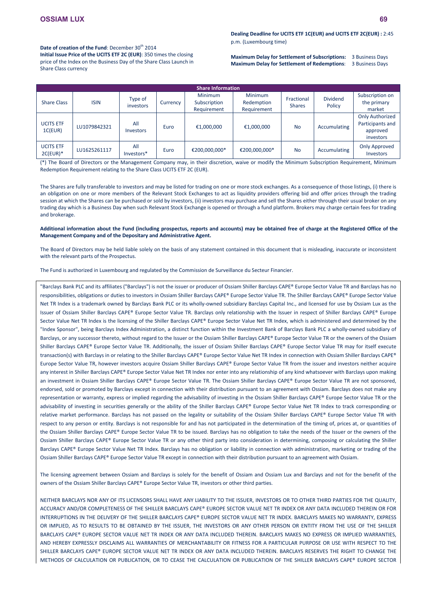Date of creation of the Fund: December 30<sup>th</sup> 2014

**Initial Issue Price of the UCITS ETF 2C (EUR)**: 350 times the closing price of the Index on the Business Day of the Share Class Launch in Share Class currency

**Maximum Delay for Settlement of Subscriptions:** 3 Business Days **Maximum Delay for Settlement of Redemptions**: 3 Business Days

| <b>Share Information</b>       |              |                         |          |                                               |                                             |                             |                           |                                                                     |
|--------------------------------|--------------|-------------------------|----------|-----------------------------------------------|---------------------------------------------|-----------------------------|---------------------------|---------------------------------------------------------------------|
| <b>Share Class</b>             | <b>ISIN</b>  | Type of<br>investors    | Currency | <b>Minimum</b><br>Subscription<br>Requirement | <b>Minimum</b><br>Redemption<br>Requirement | Fractional<br><b>Shares</b> | <b>Dividend</b><br>Policy | Subscription on<br>the primary<br>market                            |
| <b>UCITS ETF</b><br>1C(EUR)    | LU1079842321 | All<br><b>Investors</b> | Euro     | €1,000,000                                    | €1,000,000                                  | <b>No</b>                   | Accumulating              | <b>Only Authorized</b><br>Participants and<br>approved<br>investors |
| <b>UCITS ETF</b><br>$2C(EUR)*$ | LU1625261117 | All<br>Investors*       | Euro     | €200,000,000*                                 | €200,000,000*                               | <b>No</b>                   | Accumulating              | <b>Only Approved</b><br>Investors                                   |

(\*) The Board of Directors or the Management Company may, in their discretion, waive or modify the Minimum Subscription Requirement, Minimum Redemption Requirement relating to the Share Class UCITS ETF 2C (EUR).

The Shares are fully transferable to investors and may be listed for trading on one or more stock exchanges. As a consequence of those listings, (i) there is an obligation on one or more members of the Relevant Stock Exchanges to act as liquidity providers offering bid and offer prices through the trading session at which the Shares can be purchased or sold by investors, (ii) investors may purchase and sell the Shares either through their usual broker on any trading day which is a Business Day when such Relevant Stock Exchange is opened or through a fund platform. Brokers may charge certain fees for trading and brokerage.

## **Additional information about the Fund (including prospectus, reports and accounts) may be obtained free of charge at the Registered Office of the Management Company and of the Depositary and Administrative Agent.**

The Board of Directors may be held liable solely on the basis of any statement contained in this document that is misleading, inaccurate or inconsistent with the relevant parts of the Prospectus.

The Fund is authorized in Luxembourg and regulated by the Commission de Surveillance du Secteur Financier.

"Barclays Bank PLC and its affiliates ("Barclays") is not the issuer or producer of Ossiam Shiller Barclays CAPE® Europe Sector Value TR and Barclays has no responsibilities, obligations or duties to investors in Ossiam Shiller Barclays CAPE® Europe Sector Value TR. The Shiller Barclays CAPE® Europe Sector Value Net TR Index is a trademark owned by Barclays Bank PLC or its wholly-owned subsidiary Barclays Capital Inc., and licensed for use by Ossiam Lux as the Issuer of Ossiam Shiller Barclays CAPE® Europe Sector Value TR. Barclays only relationship with the Issuer in respect of Shiller Barclays CAPE® Europe Sector Value Net TR Index is the licensing of the Shiller Barclays CAPE® Europe Sector Value Net TR Index, which is administered and determined by the "Index Sponsor", being Barclays Index Administration, a distinct function within the Investment Bank of Barclays Bank PLC a wholly-owned subsidiary of Barclays, or any successor thereto, without regard to the Issuer or the Ossiam Shiller Barclays CAPE® Europe Sector Value TR or the owners of the Ossiam Shiller Barclays CAPE® Europe Sector Value TR. Additionally, the issuer of Ossiam Shiller Barclays CAPE® Europe Sector Value TR may for itself execute transaction(s) with Barclays in or relating to the Shiller Barclays CAPE® Europe Sector Value Net TR Index in connection with Ossiam Shiller Barclays CAPE® Europe Sector Value TR, however investors acquire Ossiam Shiller Barclays CAPE® Europe Sector Value TR from the issuer and investors neither acquire any interest in Shiller Barclays CAPE® Europe Sector Value Net TR Index nor enter into any relationship of any kind whatsoever with Barclays upon making an investment in Ossiam Shiller Barclays CAPE® Europe Sector Value TR. The Ossiam Shiller Barclays CAPE® Europe Sector Value TR are not sponsored, endorsed, sold or promoted by Barclays except in connection with their distribution pursuant to an agreement with Ossiam. Barclays does not make any representation or warranty, express or implied regarding the advisability of investing in the Ossiam Shiller Barclays CAPE® Europe Sector Value TR or the advisability of investing in securities generally or the ability of the Shiller Barclays CAPE® Europe Sector Value Net TR Index to track corresponding or relative market performance. Barclays has not passed on the legality or suitability of the Ossiam Shiller Barclays CAPE® Europe Sector Value TR with respect to any person or entity. Barclays is not responsible for and has not participated in the determination of the timing of, prices at, or quantities of the Ossiam Shiller Barclays CAPE® Europe Sector Value TR to be issued. Barclays has no obligation to take the needs of the Issuer or the owners of the Ossiam Shiller Barclays CAPE® Europe Sector Value TR or any other third party into consideration in determining, composing or calculating the Shiller Barclays CAPE® Europe Sector Value Net TR Index. Barclays has no obligation or liability in connection with administration, marketing or trading of the Ossiam Shiller Barclays CAPE® Europe Sector Value TR except in connection with their distribution pursuant to an agreement with Ossiam.

The licensing agreement between Ossiam and Barclays is solely for the benefit of Ossiam and Ossiam Lux and Barclays and not for the benefit of the owners of the Ossiam Shiller Barclays CAPE® Europe Sector Value TR, investors or other third parties.

NEITHER BARCLAYS NOR ANY OF ITS LICENSORS SHALL HAVE ANY LIABILITY TO THE ISSUER, INVESTORS OR TO OTHER THIRD PARTIES FOR THE QUALITY, ACCURACY AND/OR COMPLETENESS OF THE SHILLER BARCLAYS CAPE® EUROPE SECTOR VALUE NET TR INDEX OR ANY DATA INCLUDED THEREIN OR FOR INTERRUPTIONS IN THE DELIVERY OF THE SHILLER BARCLAYS CAPE® EUROPE SECTOR VALUE NET TR INDEX. BARCLAYS MAKES NO WARRANTY, EXPRESS OR IMPLIED, AS TO RESULTS TO BE OBTAINED BY THE ISSUER, THE INVESTORS OR ANY OTHER PERSON OR ENTITY FROM THE USE OF THE SHILLER BARCLAYS CAPE® EUROPE SECTOR VALUE NET TR INDEX OR ANY DATA INCLUDED THEREIN. BARCLAYS MAKES NO EXPRESS OR IMPLIED WARRANTIES, AND HEREBY EXPRESSLY DISCLAIMS ALL WARRANTIES OF MERCHANTABILITY OR FITNESS FOR A PARTICULAR PURPOSE OR USE WITH RESPECT TO THE SHILLER BARCLAYS CAPE® EUROPE SECTOR VALUE NET TR INDEX OR ANY DATA INCLUDED THEREIN. BARCLAYS RESERVES THE RIGHT TO CHANGE THE METHODS OF CALCULATION OR PUBLICATION, OR TO CEASE THE CALCULATION OR PUBLICATION OF THE SHILLER BARCLAYS CAPE® EUROPE SECTOR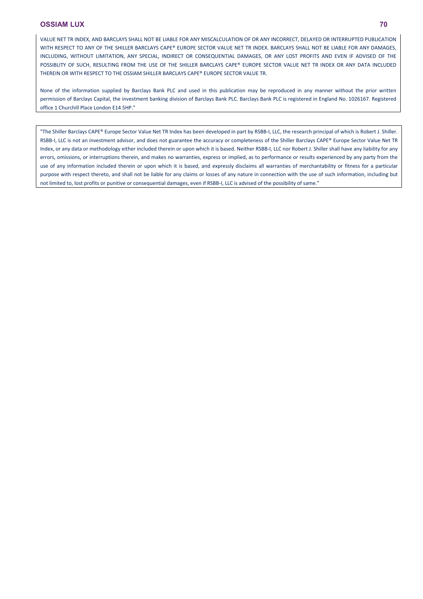VALUE NET TR INDEX, AND BARCLAYS SHALL NOT BE LIABLE FOR ANY MISCALCULATION OF OR ANY INCORRECT, DELAYED OR INTERRUPTED PUBLICATION WITH RESPECT TO ANY OF THE SHILLER BARCLAYS CAPE® EUROPE SECTOR VALUE NET TR INDEX. BARCLAYS SHALL NOT BE LIABLE FOR ANY DAMAGES. INCLUDING, WITHOUT LIMITATION, ANY SPECIAL, INDIRECT OR CONSEQUENTIAL DAMAGES, OR ANY LOST PROFITS AND EVEN IF ADVISED OF THE POSSIBLITY OF SUCH, RESULTING FROM THE USE OF THE SHILLER BARCLAYS CAPE® EUROPE SECTOR VALUE NET TR INDEX OR ANY DATA INCLUDED THEREIN OR WITH RESPECT TO THE OSSIAM SHILLER BARCLAYS CAPE® EUROPE SECTOR VALUE TR.

None of the information supplied by Barclays Bank PLC and used in this publication may be reproduced in any manner without the prior written permission of Barclays Capital, the investment banking division of Barclays Bank PLC. Barclays Bank PLC is registered in England No. 1026167. Registered office 1 Churchill Place London E14 5HP."

"The Shiller Barclays CAPE® Europe Sector Value Net TR Index has been developed in part by RSBB-I, LLC, the research principal of which is Robert J. Shiller. RSBB-I, LLC is not an investment advisor, and does not guarantee the accuracy or completeness of the Shiller Barclays CAPE® Europe Sector Value Net TR Index, or any data or methodology either included therein or upon which it is based. Neither RSBB-I, LLC nor Robert J. Shiller shall have any liability for any errors, omissions, or interruptions therein, and makes no warranties, express or implied, as to performance or results experienced by any party from the use of any information included therein or upon which it is based, and expressly disclaims all warranties of merchantability or fitness for a particular purpose with respect thereto, and shall not be liable for any claims or losses of any nature in connection with the use of such information, including but not limited to, lost profits or punitive or consequential damages, even if RSBB-I, LLC is advised of the possibility of same."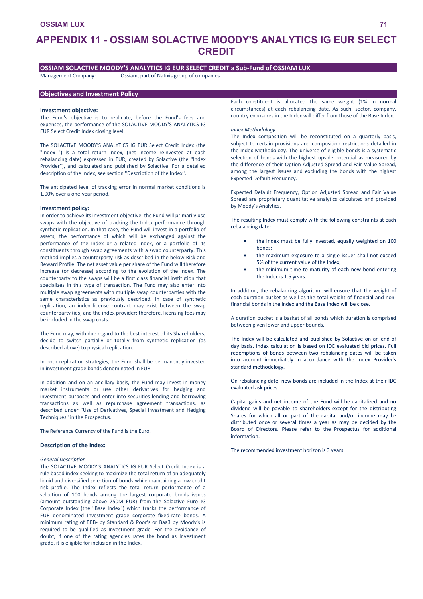# **APPENDIX 11 - OSSIAM SOLACTIVE MOODY'S ANALYTICS IG EUR SELECT CREDIT**

# **OSSIAM SOLACTIVE MOODY'S ANALYTICS IG EUR SELECT CREDIT a Sub-Fund of OSSIAM LUX**

**Objectives and Investment Policy**

Management Company: Ossiam, part of Natixis group of companies

### **Investment objective:**

The Fund's objective is to replicate, before the Fund's fees and expenses, the performance of the SOLACTIVE MOODY'S ANALYTICS IG EUR Select Credit Index closing level.

The SOLACTIVE MOODY'S ANALYTICS IG EUR Select Credit Index (the "Index ") is a total return index, (net income reinvested at each rebalancing date) expressed in EUR, created by Solactive (the "Index Provider"), and calculated and published by Solactive. For a detailed description of the Index, see section "Description of the Index".

The anticipated level of tracking error in normal market conditions is 1.00% over a one-year period.

#### **Investment policy:**

In order to achieve its investment objective, the Fund will primarily use swaps with the objective of tracking the Index performance through synthetic replication. In that case, the Fund will invest in a portfolio of assets, the performance of which will be exchanged against the performance of the Index or a related index, or a portfolio of its constituents through swap agreements with a swap counterparty. This method implies a counterparty risk as described in the below Risk and Reward Profile. The net asset value per share of the Fund will therefore increase (or decrease) according to the evolution of the Index. The counterparty to the swaps will be a first class financial institution that specializes in this type of transaction. The Fund may also enter into multiple swap agreements with multiple swap counterparties with the same characteristics as previously described. In case of synthetic replication, an index license contract may exist between the swap counterparty (ies) and the index provider; therefore, licensing fees may be included in the swap costs.

The Fund may, with due regard to the best interest of its Shareholders, decide to switch partially or totally from synthetic replication (as described above) to physical replication.

In both replication strategies, the Fund shall be permanently invested in investment grade bonds denominated in EUR.

In addition and on an ancillary basis, the Fund may invest in money market instruments or use other derivatives for hedging and investment purposes and enter into securities lending and borrowing transactions as well as repurchase agreement transactions, as described under "Use of Derivatives, Special Investment and Hedging Techniques" in the Prospectus.

The Reference Currency of the Fund is the Euro.

## **Description of the Index:**

### *General Description*

The SOLACTIVE MOODY'S ANALYTICS IG EUR Select Credit Index is a rule based index seeking to maximize the total return of an adequately liquid and diversified selection of bonds while maintaining a low credit risk profile. The Index reflects the total return performance of a selection of 100 bonds among the largest corporate bonds issues (amount outstanding above 750M EUR) from the Solactive Euro IG Corporate Index (the "Base Index") which tracks the performance of EUR denominated Investment grade corporate fixed-rate bonds. A minimum rating of BBB- by Standard & Poor's or Baa3 by Moody's is required to be qualified as Investment grade. For the avoidance of doubt, if one of the rating agencies rates the bond as Investment grade, it is eligible for inclusion in the Index.

Each constituent is allocated the same weight (1% in normal circumstances) at each rebalancing date. As such, sector, company, country exposures in the Index will differ from those of the Base Index.

### *Index Methodology*

The Index composition will be reconstituted on a quarterly basis, subject to certain provisions and composition restrictions detailed in the Index Methodology. The universe of eligible bonds is a systematic selection of bonds with the highest upside potential as measured by the difference of their Option Adjusted Spread and Fair Value Spread, among the largest issues and excluding the bonds with the highest Expected Default Frequency.

Expected Default Frequency, Option Adjusted Spread and Fair Value Spread are proprietary quantitative analytics calculated and provided by Moody's Analytics.

The resulting Index must comply with the following constraints at each rebalancing date:

- the Index must be fully invested, equally weighted on 100 bonds;
- the maximum exposure to a single issuer shall not exceed 5% of the current value of the Index;
- the minimum time to maturity of each new bond entering the Index is 1.5 years.

In addition, the rebalancing algorithm will ensure that the weight of each duration bucket as well as the total weight of financial and nonfinancial bonds in the Index and the Base Index will be close.

A duration bucket is a basket of all bonds which duration is comprised between given lower and upper bounds.

The Index will be calculated and published by Solactive on an end of day basis. Index calculation is based on IDC evaluated bid prices. Full redemptions of bonds between two rebalancing dates will be taken into account immediately in accordance with the Index Provider's standard methodology.

On rebalancing date, new bonds are included in the Index at their IDC evaluated ask prices.

Capital gains and net income of the Fund will be capitalized and no dividend will be payable to shareholders except for the distributing Shares for which all or part of the capital and/or income may be distributed once or several times a year as may be decided by the Board of Directors. Please refer to the Prospectus for additional information.

The recommended investment horizon is 3 years.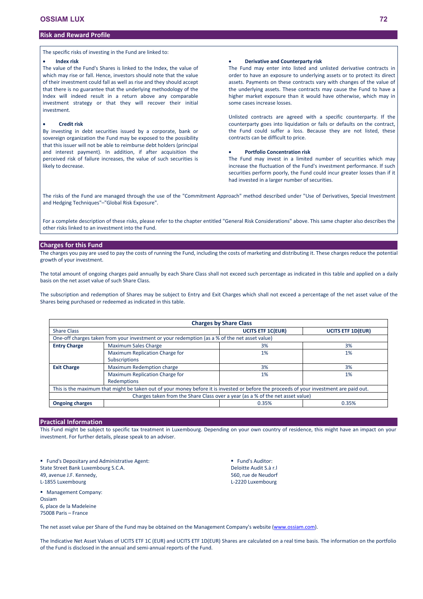# **Risk and Reward Profile**

The specific risks of investing in the Fund are linked to:

### **Index risk**

The value of the Fund's Shares is linked to the Index, the value of which may rise or fall. Hence, investors should note that the value of their investment could fall as well as rise and they should accept that there is no guarantee that the underlying methodology of the Index will indeed result in a return above any comparable investment strategy or that they will recover their initial investment.

### **Credit risk**

By investing in debt securities issued by a corporate, bank or sovereign organization the Fund may be exposed to the possibility that this issuer will not be able to reimburse debt holders (principal and interest payment). In addition, if after acquisition the perceived risk of failure increases, the value of such securities is likely to decrease.

### **Derivative and Counterparty risk**

The Fund may enter into listed and unlisted derivative contracts in order to have an exposure to underlying assets or to protect its direct assets. Payments on these contracts vary with changes of the value of the underlying assets. These contracts may cause the Fund to have a higher market exposure than it would have otherwise, which may in some cases increase losses.

Unlisted contracts are agreed with a specific counterparty. If the counterparty goes into liquidation or fails or defaults on the contract, the Fund could suffer a loss. Because they are not listed, these contracts can be difficult to price.

# **Portfolio Concentration risk**

The Fund may invest in a limited number of securities which may increase the fluctuation of the Fund's investment performance. If such securities perform poorly, the Fund could incur greater losses than if it had invested in a larger number of securities.

The risks of the Fund are managed through the use of the "Commitment Approach" method described under "Use of Derivatives, Special Investment and Hedging Techniques"–"Global Risk Exposure".

For a complete description of these risks, please refer to the chapter entitled "General Risk Considerations" above. This same chapter also describes the other risks linked to an investment into the Fund.

## **Charges for this Fund**

The charges you pay are used to pay the costs of running the Fund, including the costs of marketing and distributing it. These charges reduce the potential growth of your investment.

The total amount of ongoing charges paid annually by each Share Class shall not exceed such percentage as indicated in this table and applied on a daily basis on the net asset value of such Share Class.

The subscription and redemption of Shares may be subject to Entry and Exit Charges which shall not exceed a percentage of the net asset value of the Shares being purchased or redeemed as indicated in this table.

| <b>Charges by Share Class</b>                                                                 |                                                                                                                                         |                          |                          |  |  |  |  |
|-----------------------------------------------------------------------------------------------|-----------------------------------------------------------------------------------------------------------------------------------------|--------------------------|--------------------------|--|--|--|--|
| <b>Share Class</b>                                                                            |                                                                                                                                         | <b>UCITS ETF 1C(EUR)</b> | <b>UCITS ETF 1D(EUR)</b> |  |  |  |  |
| One-off charges taken from your investment or your redemption (as a % of the net asset value) |                                                                                                                                         |                          |                          |  |  |  |  |
| <b>Entry Charge</b>                                                                           | <b>Maximum Sales Charge</b>                                                                                                             | 3%                       | 3%                       |  |  |  |  |
|                                                                                               | Maximum Replication Charge for                                                                                                          | 1%                       | 1%                       |  |  |  |  |
|                                                                                               | <b>Subscriptions</b>                                                                                                                    |                          |                          |  |  |  |  |
| <b>Exit Charge</b>                                                                            | Maximum Redemption charge                                                                                                               | 3%                       | 3%                       |  |  |  |  |
|                                                                                               | Maximum Replication Charge for                                                                                                          | 1%                       | 1%                       |  |  |  |  |
|                                                                                               | Redemptions                                                                                                                             |                          |                          |  |  |  |  |
|                                                                                               | This is the maximum that might be taken out of your money before it is invested or before the proceeds of your investment are paid out. |                          |                          |  |  |  |  |
|                                                                                               | Charges taken from the Share Class over a year (as a % of the net asset value)                                                          |                          |                          |  |  |  |  |
| <b>Ongoing charges</b>                                                                        |                                                                                                                                         | 0.35%                    | 0.35%                    |  |  |  |  |

## **Practical Information**

This Fund might be subject to specific tax treatment in Luxembourg. Depending on your own country of residence, this might have an impact on your investment. For further details, please speak to an adviser.

**Fund's Depositary and Administrative Agent:** State Street Bank Luxembourg S.C.A. 49, avenue J.F. Kennedy, L-1855 Luxembourg

**Management Company:** Ossiam 6, place de la Madeleine 75008 Paris – France

**Fund's Auditor:** Deloitte Audit S.à r.l 560, rue de Neudorf L-2220 Luxembourg

The net asset value per Share of the Fund may be obtained on the Management Company's website [\(www.ossiam.com](http://www.ossiam.com/)).

The Indicative Net Asset Values of UCITS ETF 1C (EUR) and UCITS ETF 1D(EUR) Shares are calculated on a real time basis. The information on the portfolio of the Fund is disclosed in the annual and semi-annual reports of the Fund.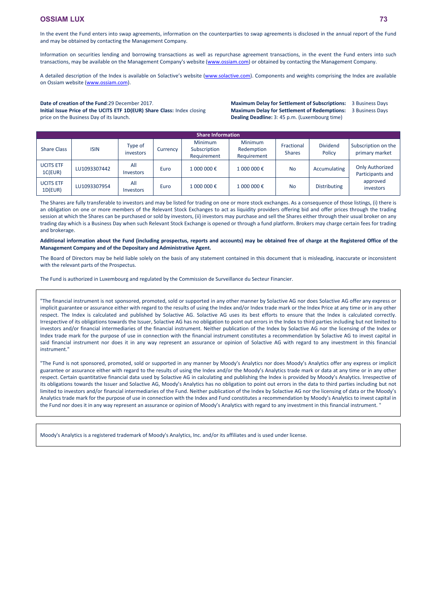In the event the Fund enters into swap agreements, information on the counterparties to swap agreements is disclosed in the annual report of the Fund and may be obtained by contacting the Management Company.

Information on securities lending and borrowing transactions as well as repurchase agreement transactions, in the event the Fund enters into such transactions, may be available on the Management Company's website [\(www.ossiam.com](http://www.ossiam.com/)) or obtained by contacting the Management Company.

A detailed description of the Index is available on Solactive's website ([www.solactive.com\).](http://www.solactive.com/) Components and weights comprising the Index are available on Ossiam website (www.ossiam.com).

#### **Date of creation of the Fund**:29 December 2017.

**Initial Issue Price of the UCITS ETF 1D(EUR) Share Class:** Index closing price on the Business Day of its launch.

**Maximum Delay for Settlement of Subscriptions:** 3 Business Days **Maximum Delay for Settlement of Redemptions:** 3 Business Days **Dealing Deadline:** 3: 45 p.m. (Luxembourg time)

**Share Information** Share Class ISIN Type of  $\begin{array}{c} \text{iype or} \\ \text{investors} \end{array}$  Currency Minimum Subscription Requirement Minimum Redemption Requirement Fractional Shares Dividend Policy Subscription on the primary market UCITS ETF UCITS ETF  $\begin{array}{|c|c|c|c|c|}\n\hline\n\text{LUIO93307442} & \text{Investors}\n\end{array}$ Investors Euro <sup>1</sup> <sup>000</sup> 000 € <sup>1</sup> <sup>000</sup> 000 € No Accumulating Only Authorized Participants and approved investors UCITS ETF<br>1D(EUR)  $LU1093307954$  All  $ALU1093307954$  All  $\begin{array}{c|c|c|c|c} \hline \cdots & \hline \cdots & \hline \end{array}$  Euro | 1 000 000 € | 1 000 000 € | No | Distributing

The Shares are fully transferable to investors and may be listed for trading on one or more stock exchanges. As a consequence of those listings, (i) there is an obligation on one or more members of the Relevant Stock Exchanges to act as liquidity providers offering bid and offer prices through the trading session at which the Shares can be purchased or sold by investors, (ii) investors may purchase and sell the Shares either through their usual broker on any trading day which is a Business Day when such Relevant Stock Exchange is opened or through a fund platform. Brokers may charge certain fees for trading and brokerage.

#### **Additional information about the Fund (including prospectus, reports and accounts) may be obtained free of charge at the Registered Office of the Management Company and of the Depositary and Administrative Agent.**

The Board of Directors may be held liable solely on the basis of any statement contained in this document that is misleading, inaccurate or inconsistent with the relevant parts of the Prospectus.

The Fund is authorized in Luxembourg and regulated by the Commission de Surveillance du Secteur Financier.

"The financial instrument is not sponsored, promoted, sold or supported in any other manner by Solactive AG nor does Solactive AG offer any express or implicit guarantee or assurance either with regard to the results of using the Index and/or Index trade mark or the Index Price at any time or in any other respect. The Index is calculated and published by Solactive AG. Solactive AG uses its best efforts to ensure that the Index is calculated correctly. Irrespective of its obligations towards the Issuer, Solactive AG has no obligation to point out errors in the Index to third parties including but not limited to investors and/or financial intermediaries of the financial instrument. Neither publication of the Index by Solactive AG nor the licensing of the Index or Index trade mark for the purpose of use in connection with the financial instrument constitutes a recommendation by Solactive AG to invest capital in said financial instrument nor does it in any way represent an assurance or opinion of Solactive AG with regard to any investment in this financial instrument."

"The Fund is not sponsored, promoted, sold or supported in any manner by Moody's Analytics nor does Moody's Analytics offer any express or implicit guarantee or assurance either with regard to the results of using the Index and/or the Moody's Analytics trade mark or data at any time or in any other respect. Certain quantitative financial data used by Solactive AG in calculating and publishing the Index is provided by Moody's Analytics. Irrespective of its obligations towards the Issuer and Solactive AG, Moody's Analytics has no obligation to point out errors in the data to third parties including but not limited to investors and/or financial intermediaries of the Fund. Neither publication of the Index by Solactive AG nor the licensing of data or the Moody's Analytics trade mark for the purpose of use in connection with the Index and Fund constitutes a recommendation by Moody's Analytics to invest capital in the Fund nor does it in any way represent an assurance or opinion of Moody's Analytics with regard to any investment in this financial instrument. "

Moody's Analytics is a registered trademark of Moody's Analytics, Inc. and/or its affiliates and is used under license.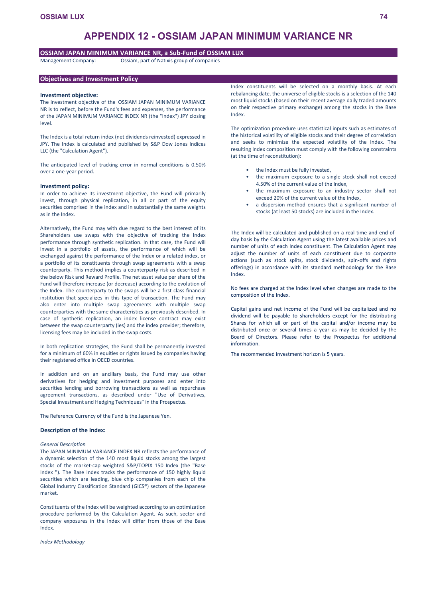# **APPENDIX 12 - OSSIAM JAPAN MINIMUM VARIANCE NR**

# **OSSIAM JAPAN MINIMUM VARIANCE NR, a Sub-Fund of OSSIAM LUX**

Management Company: Ossiam, part of Natixis group of companies

## **Objectives and Investment Policy**

#### **Investment objective:**

The investment objective of the OSSIAM JAPAN MINIMUM VARIANCE NR is to reflect, before the Fund's fees and expenses, the performance of the JAPAN MINIMUM VARIANCE INDEX NR (the "Index") JPY closing level.

The Index is a total return index (net dividends reinvested) expressed in JPY. The Index is calculated and published by S&P Dow Jones Indices LLC (the "Calculation Agent").

The anticipated level of tracking error in normal conditions is 0.50% over a one-year period.

## **Investment policy:**

In order to achieve its investment objective, the Fund will primarily invest, through physical replication, in all or part of the equity securities comprised in the index and in substantially the same weights as in the Index.

Alternatively, the Fund may with due regard to the best interest of its Shareholders use swaps with the objective of tracking the Index performance through synthetic replication. In that case, the Fund will invest in a portfolio of assets, the performance of which will be exchanged against the performance of the Index or a related index, or a portfolio of its constituents through swap agreements with a swap counterparty. This method implies a counterparty risk as described in the below Risk and Reward Profile. The net asset value per share of the Fund will therefore increase (or decrease) according to the evolution of the Index. The counterparty to the swaps will be a first class financial institution that specializes in this type of transaction. The Fund may also enter into multiple swap agreements with multiple swap counterparties with the same characteristics as previously described. In case of synthetic replication, an index license contract may exist between the swap counterparty (ies) and the index provider; therefore, licensing fees may be included in the swap costs.

In both replication strategies, the Fund shall be permanently invested for a minimum of 60% in equities or rights issued by companies having their registered office in OECD countries.

In addition and on an ancillary basis, the Fund may use other derivatives for hedging and investment purposes and enter into securities lending and borrowing transactions as well as repurchase agreement transactions, as described under "Use of Derivatives, Special Investment and Hedging Techniques" in the Prospectus.

The Reference Currency of the Fund is the Japanese Yen.

#### **Description of the Index:**

#### *General Description*

The JAPAN MINIMUM VARIANCE INDEX NR reflects the performance of a dynamic selection of the 140 most liquid stocks among the largest stocks of the market-cap weighted S&P/TOPIX 150 Index (the "Base Index "). The Base Index tracks the performance of 150 highly liquid securities which are leading, blue chip companies from each of the Global Industry Classification Standard (GICS®) sectors of the Japanese market.

Constituents of the Index will be weighted according to an optimization procedure performed by the Calculation Agent. As such, sector and company exposures in the Index will differ from those of the Base Index.

*Index Methodology*

Index constituents will be selected on a monthly basis. At each rebalancing date, the universe of eligible stocks is a selection of the 140 most liquid stocks (based on their recent average daily traded amounts on their respective primary exchange) among the stocks in the Base Index.

The optimization procedure uses statistical inputs such as estimates of the historical volatility of eligible stocks and their degree of correlation and seeks to minimize the expected volatility of the Index. The resulting Index composition must comply with the following constraints (at the time of reconstitution):

- the Index must be fully invested.
- the maximum exposure to a single stock shall not exceed 4.50% of the current value of the Index,
- the maximum exposure to an industry sector shall not exceed 20% of the current value of the Index,
- a dispersion method ensures that a significant number of stocks (at least 50 stocks) are included in the Index.

The Index will be calculated and published on a real time and end-ofday basis by the Calculation Agent using the latest available prices and number of units of each Index constituent. The Calculation Agent may adjust the number of units of each constituent due to corporate actions (such as stock splits, stock dividends, spin-offs and rights offerings) in accordance with its standard methodology for the Base Index.

No fees are charged at the Index level when changes are made to the composition of the Index.

Capital gains and net income of the Fund will be capitalized and no dividend will be payable to shareholders except for the distributing Shares for which all or part of the capital and/or income may be distributed once or several times a year as may be decided by the Board of Directors. Please refer to the Prospectus for additional information.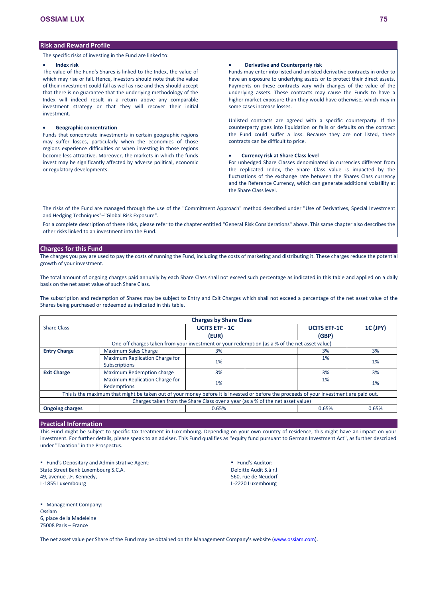The specific risks of investing in the Fund are linked to:

#### **Index risk**

The value of the Fund's Shares is linked to the Index, the value of which may rise or fall. Hence, investors should note that the value of their investment could fall as well as rise and they should accept that there is no guarantee that the underlying methodology of the Index will indeed result in a return above any comparable investment strategy or that they will recover their initial investment.

### **Geographic concentration**

Funds that concentrate investments in certain geographic regions may suffer losses, particularly when the economies of those regions experience difficulties or when investing in those regions become less attractive. Moreover, the markets in which the funds invest may be significantly affected by adverse political, economic or regulatory developments.

#### **Derivative and Counterparty risk**

Funds may enter into listed and unlisted derivative contracts in order to have an exposure to underlying assets or to protect their direct assets. Payments on these contracts vary with changes of the value of the underlying assets. These contracts may cause the Funds to have a higher market exposure than they would have otherwise, which may in some cases increase losses.

Unlisted contracts are agreed with a specific counterparty. If the counterparty goes into liquidation or fails or defaults on the contract the Fund could suffer a loss. Because they are not listed, these contracts can be difficult to price.

#### **Currency risk at Share Class level**

For unhedged Share Classes denominated in currencies different from the replicated Index, the Share Class value is impacted by the fluctuations of the exchange rate between the Shares Class currency and the Reference Currency, which can generate additional volatility at the Share Class level.

The risks of the Fund are managed through the use of the "Commitment Approach" method described under "Use of Derivatives, Special Investment and Hedging Techniques"–"Global Risk Exposure".

For a complete description of these risks, please refer to the chapter entitled "General Risk Considerations" above. This same chapter also describes the other risks linked to an investment into the Fund.

#### **Charges for this Fund**

The charges you pay are used to pay the costs of running the Fund, including the costs of marketing and distributing it. These charges reduce the potential growth of your investment.

The total amount of ongoing charges paid annually by each Share Class shall not exceed such percentage as indicated in this table and applied on a daily basis on the net asset value of such Share Class.

The subscription and redemption of Shares may be subject to Entry and Exit Charges which shall not exceed a percentage of the net asset value of the Shares being purchased or redeemed as indicated in this table.

|                                                                                                                                         |                                                                                               | <b>Charges by Share Class</b> |  |                     |          |  |
|-----------------------------------------------------------------------------------------------------------------------------------------|-----------------------------------------------------------------------------------------------|-------------------------------|--|---------------------|----------|--|
| <b>Share Class</b>                                                                                                                      |                                                                                               | <b>UCITS ETF - 1C</b>         |  | <b>UCITS ETF-1C</b> | 1C (JPY) |  |
|                                                                                                                                         |                                                                                               | (EUR)                         |  | (GBP)               |          |  |
|                                                                                                                                         | One-off charges taken from your investment or your redemption (as a % of the net asset value) |                               |  |                     |          |  |
| <b>Entry Charge</b>                                                                                                                     | <b>Maximum Sales Charge</b>                                                                   | 3%                            |  | 3%                  | 3%       |  |
|                                                                                                                                         | Maximum Replication Charge for                                                                | 1%                            |  | $1\%$               | 1%       |  |
|                                                                                                                                         | <b>Subscriptions</b>                                                                          |                               |  |                     |          |  |
| <b>Exit Charge</b>                                                                                                                      | Maximum Redemption charge                                                                     | 3%                            |  | 3%                  | 3%       |  |
|                                                                                                                                         | Maximum Replication Charge for                                                                | 1%                            |  | 1%                  | 1%       |  |
|                                                                                                                                         | Redemptions                                                                                   |                               |  |                     |          |  |
| This is the maximum that might be taken out of your money before it is invested or before the proceeds of your investment are paid out. |                                                                                               |                               |  |                     |          |  |
| Charges taken from the Share Class over a year (as a % of the net asset value)                                                          |                                                                                               |                               |  |                     |          |  |
| <b>Ongoing charges</b>                                                                                                                  |                                                                                               | 0.65%                         |  | 0.65%               | 0.65%    |  |

# **Practical Information**

**Management Company:** 

6, place de la Madeleine 75008 Paris – France

Ossiam

This Fund might be subject to specific tax treatment in Luxembourg. Depending on your own country of residence, this might have an impact on your investment. For further details, please speak to an adviser. This Fund qualifies as "equity fund pursuant to German Investment Act", as further described under "Taxation" in the Prospectus.

**Fund's Depositary and Administrative Agent:** State Street Bank Luxembourg S.C.A. 49, avenue J.F. Kennedy, L-1855 Luxembourg

**Fund's Auditor:** Deloitte Audit S.à r.l 560, rue de Neudorf L-2220 Luxembourg

The net asset value per Share of the Fund may be obtained on the Management Company's website [\(www.ossiam.com](http://www.ossiam.com/)).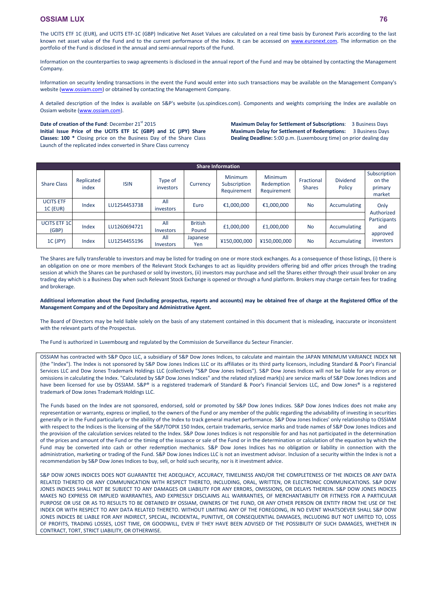The UCITS ETF 1C (EUR), and UCITS ETF-1C (GBP) Indicative Net Asset Values are calculated on a real time basis by Euronext Paris according to the last known net asset value of the Fund and to the current performance of the Index. It can be accessed on [www.euronext.com.](http://www.euronext.com/) The information on the portfolio of the Fund is disclosed in the annual and semi-annual reports of the Fund.

Information on the counterparties to swap agreements is disclosed in the annual report of the Fund and may be obtained by contacting the Management Company.

Information on security lending transactions in the event the Fund would enter into such transactions may be available on the Management Company's website [\(www.ossiam.com](http://www.ossiam.com/)) or obtained by contacting the Management Company.

A detailed description of the Index is available on S&P's website (us.spindices.com). Components and weights comprising the Index are available on Ossiam website ([www.ossiam.com](http://www.ossiam.com/)).

### Date of creation of the Fund: December 21<sup>st</sup> 2015 **Initial Issue Price of the UCITS ETF 1C (GBP) and 1C (JPY) Share Classes: 100 \*** Closing price on the Business Day of the Share Class Launch of the replicated index converted in Share Class currency

**Maximum Delay for Settlement of Subscriptions**: 3 Business Days **Maximum Delay for Settlement of Redemptions:** 3 Business Days **Dealing Deadline:** 5:00 p.m. (Luxembourg time) on prior dealing day

| <b>Share Information</b>            |                     |              |                      |                         |                                               |                                      |                             |                           |                                             |
|-------------------------------------|---------------------|--------------|----------------------|-------------------------|-----------------------------------------------|--------------------------------------|-----------------------------|---------------------------|---------------------------------------------|
| <b>Share Class</b>                  | Replicated<br>index | <b>ISIN</b>  | Type of<br>investors | Currency                | <b>Minimum</b><br>Subscription<br>Requirement | Minimum<br>Redemption<br>Requirement | Fractional<br><b>Shares</b> | <b>Dividend</b><br>Policy | Subscription<br>on the<br>primary<br>market |
| <b>UCITS ETF</b><br><b>1C (EUR)</b> | Index               | LU1254453738 | All<br>investors     | Euro                    | €1,000,000                                    | €1,000,000                           | <b>No</b>                   | Accumulating              | Only                                        |
|                                     |                     |              |                      |                         |                                               |                                      |                             |                           | Authorized                                  |
| <b>UCITS ETF 1C</b><br>(GBP)        | Index               | LU1260694721 | All<br>Investors     | <b>British</b><br>Pound | £1,000,000                                    | £1,000,000                           | <b>No</b>                   | Accumulating              | Participants<br>and                         |
| 1C (JPY)                            | Index               | LU1254455196 | All<br>Investors     | Japanese<br>Yen         | ¥150,000,000                                  | ¥150,000,000                         | <b>No</b>                   | Accumulating              | approved<br>investors                       |

The Shares are fully transferable to investors and may be listed for trading on one or more stock exchanges. As a consequence of those listings, (i) there is an obligation on one or more members of the Relevant Stock Exchanges to act as liquidity providers offering bid and offer prices through the trading session at which the Shares can be purchased or sold by investors, (ii) investors may purchase and sell the Shares either through their usual broker on any trading day which is a Business Day when such Relevant Stock Exchange is opened or through a fund platform. Brokers may charge certain fees for trading and brokerage.

### **Additional information about the Fund (including prospectus, reports and accounts) may be obtained free of charge at the Registered Office of the Management Company and of the Depositary and Administrative Agent.**

The Board of Directors may be held liable solely on the basis of any statement contained in this document that is misleading, inaccurate or inconsistent with the relevant parts of the Prospectus.

The Fund is authorized in Luxembourg and regulated by the Commission de Surveillance du Secteur Financier.

OSSIAM has contracted with S&P Opco LLC, a subsidiary of S&P Dow Jones Indices, to calculate and maintain the JAPAN MINIMUM VARIANCE INDEX NR (the "Index"). The Index is not sponsored by S&P Dow Jones Indices LLC or its affiliates or its third party licensors, including Standard & Poor's Financial Services LLC and Dow Jones Trademark Holdings LLC (collectively "S&P Dow Jones Indices"). S&P Dow Jones Indices will not be liable for any errors or omissions in calculating the Index. "Calculated by S&P Dow Jones Indices" and the related stylized mark(s) are service marks of S&P Dow Jones Indices and have been licensed for use by OSSIAM. S&P® is a registered trademark of Standard & Poor's Financial Services LLC, and Dow Jones® is a registered trademark of Dow Jones Trademark Holdings LLC.

The Funds based on the Index are not sponsored, endorsed, sold or promoted by S&P Dow Jones Indices. S&P Dow Jones Indices does not make any representation or warranty, express or implied, to the owners of the Fund or any member of the public regarding the advisability of investing in securities generally or in the Fund particularly or the ability of the Index to track general market performance. S&P Dow Jones Indices' only relationship to OSSIAM with respect to the Indices is the licensing of the S&P/TOPIX 150 Index, certain trademarks, service marks and trade names of S&P Dow Jones Indices and the provision of the calculation services related to the Index. S&P Dow Jones Indices is not responsible for and has not participated in the determination of the prices and amount of the Fund or the timing of the issuance or sale of the Fund or in the determination or calculation of the equation by which the Fund may be converted into cash or other redemption mechanics. S&P Dow Jones Indices has no obligation or liability in connection with the administration, marketing or trading of the Fund. S&P Dow Jones Indices LLC is not an investment advisor. Inclusion of a security within the Index is not a recommendation by S&P Dow Jones Indices to buy, sell, or hold such security, nor is it investment advice.

S&P DOW JONES INDICES DOES NOT GUARANTEE THE ADEQUACY, ACCURACY, TIMELINESS AND/OR THE COMPLETENESS OF THE INDICES OR ANY DATA RELATED THERETO OR ANY COMMUNICATION WITH RESPECT THERETO, INCLUDING, ORAL, WRITTEN, OR ELECTRONIC COMMUNICATIONS. S&P DOW JONES INDICES SHALL NOT BE SUBJECT TO ANY DAMAGES OR LIABILITY FOR ANY ERRORS, OMISSIONS, OR DELAYS THEREIN. S&P DOW JONES INDICES MAKES NO EXPRESS OR IMPLIED WARRANTIES, AND EXPRESSLY DISCLAIMS ALL WARRANTIES, OF MERCHANTABILITY OR FITNESS FOR A PARTICULAR PURPOSE OR USE OR AS TO RESULTS TO BE OBTAINED BY OSSIAM, OWNERS OF THE FUND, OR ANY OTHER PERSON OR ENTITY FROM THE USE OF THE INDEX OR WITH RESPECT TO ANY DATA RELATED THERETO. WITHOUT LIMITING ANY OF THE FOREGOING, IN NO EVENT WHATSOEVER SHALL S&P DOW JONES INDICES BE LIABLE FOR ANY INDIRECT, SPECIAL, INCIDENTAL, PUNITIVE, OR CONSEQUENTIAL DAMAGES, INCLUDING BUT NOT LIMITED TO, LOSS OF PROFITS, TRADING LOSSES, LOST TIME, OR GOODWILL, EVEN IF THEY HAVE BEEN ADVISED OF THE POSSIBILITY OF SUCH DAMAGES, WHETHER IN CONTRACT, TORT, STRICT LIABILITY, OR OTHERWISE.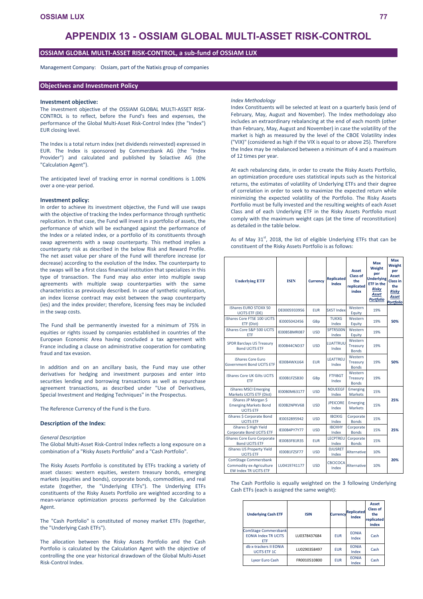# **APPENDIX 13 - OSSIAM GLOBAL MULTI-ASSET RISK-CONTROL**

## **OSSIAM GLOBAL MULTI-ASSET RISK-CONTROL, a sub-fund of OSSIAM LUX**

Management Company: Ossiam, part of the Natixis group of companies

## **Objectives and Investment Policy**

#### **Investment objective:**

The investment objective of the OSSIAM GLOBAL MULTI-ASSET RISK-CONTROL is to reflect, before the Fund's fees and expenses, the performance of the Global Multi-Asset Risk-Control Index (the "Index") EUR closing level.

The Index is a total return index (net dividends reinvested) expressed in EUR. The Index is sponsored by Commerzbank AG (the "Index Provider") and calculated and published by Solactive AG (the "Calculation Agent").

The anticipated level of tracking error in normal conditions is 1.00% over a one-year period.

#### **Investment policy:**

In order to achieve its investment objective, the Fund will use swaps with the objective of tracking the Index performance through synthetic replication. In that case, the Fund will invest in a portfolio of assets, the performance of which will be exchanged against the performance of the Index or a related index, or a portfolio of its constituents through swap agreements with a swap counterparty. This method implies a counterparty risk as described in the below Risk and Reward Profile. The net asset value per share of the Fund will therefore increase (or decrease) according to the evolution of the Index. The counterparty to the swaps will be a first class financial institution that specializes in this type of transaction. The Fund may also enter into multiple swap agreements with multiple swap counterparties with the same characteristics as previously described. In case of synthetic replication, an index license contract may exist between the swap counterparty (ies) and the index provider; therefore, licensing fees may be included in the swap costs.

The Fund shall be permanently invested for a minimum of 75% in equities or rights issued by companies established in countries of the European Economic Area having concluded a tax agreement with France including a clause on administrative cooperation for combating fraud and tax evasion.

In addition and on an ancillary basis, the Fund may use other derivatives for hedging and investment purposes and enter into securities lending and borrowing transactions as well as repurchase agreement transactions, as described under "Use of Derivatives, Special Investment and Hedging Techniques" in the Prospectus.

The Reference Currency of the Fund is the Euro.

## **Description of the Index:**

#### *General Description*

The Global Multi-Asset Risk-Control Index reflects a long exposure on a combination of a "Risky Assets Portfolio" and a "Cash Portfolio".

The Risky Assets Portfolio is constituted by ETFs tracking a variety of asset classes: western equities, western treasury bonds, emerging markets (equities and bonds), corporate bonds, commodities, and real estate (together, the "Underlying ETFs"). The Underlying ETFs constituents of the Risky Assets Portfolio are weighted according to a mean-variance optimization process performed by the Calculation Agent.

The "Cash Portfolio" is constituted of money market ETFs (together, the "Underlying Cash ETFs").

The allocation between the Risky Assets Portfolio and the Cash Portfolio is calculated by the Calculation Agent with the objective of controlling the one year historical drawdown of the Global Multi-Asset Risk-Control Index.

#### *Index Methodology*

Index Constituents will be selected at least on a quarterly basis (end of February, May, August and November). The Index methodology also includes an extraordinary rebalancing at the end of each month (other than February, May, August and November) in case the volatility of the market is high as measured by the level of the CBOE Volatility index ("VIX)" (considered as high if the VIX is equal to or above 25). Therefore the Index may be rebalanced between a minimum of 4 and a maximum of 12 times per year.

At each rebalancing date, in order to create the Risky Assets Portfolio, an optimization procedure uses statistical inputs such as the historical returns, the estimates of volatility of Underlying ETFs and their degree of correlation in order to seek to maximize the expected return while minimizing the expected volatility of the Portfolio. The Risky Assets Portfolio must be fully invested and the resulting weights of each Asset Class and of each Underlying ETF in the Risky Assets Portfolio must comply with the maximum weight caps (at the time of reconstitution) as detailed in the table below.

As of May  $31^{st}$ , 2018, the list of eligible Underlying ETFs that can be constituent of the Risky Assets Portfolio is as follows:

| <b>Underlying ETF</b>                                                            | <b>ISIN</b>  | <b>Currency</b> | <b>Replicated</b><br>Index | Asset<br>Class of<br>the<br>replicated<br>index | Max<br>Weight<br>per<br><b>Underlying</b><br><b>ETF</b> in the<br><b>Risky</b><br>Asset<br><b>Portfolio</b> | Max<br>Weight<br>per<br>Asset<br><b>Class in</b><br>the<br>Risky<br>Asset<br><b>Portfolic</b> |
|----------------------------------------------------------------------------------|--------------|-----------------|----------------------------|-------------------------------------------------|-------------------------------------------------------------------------------------------------------------|-----------------------------------------------------------------------------------------------|
| iShares EURO STOXX 50<br><b>UCITS ETF (DE)</b>                                   | DE0005933956 | <b>EUR</b>      | <b>SX5T Index</b>          | Western<br>Equity                               | 19%                                                                                                         |                                                                                               |
| iShares Core FTSE 100 UCITS<br>ETF (Dist)                                        | IE0005042456 | GBp             | <b>TUKXG</b><br>Index      | Western<br>Equity                               | 19%                                                                                                         | 50%                                                                                           |
| iShares Core S&P 500 UCITS<br>ETF                                                | IE00B5BMR087 | <b>USD</b>      | SPTR500N<br>Index          | Western<br>Equity                               | 19%                                                                                                         |                                                                                               |
| <b>SPDR Barclays US Treasury</b><br><b>Bond UCITS ETF</b>                        | IE00B44CND37 | <b>USD</b>      | LUATTRUU<br>Index          | Western<br>Treasury<br><b>Bonds</b>             | 19%                                                                                                         |                                                                                               |
| iShares Core Euro<br><b>Government Bond UCITS ETF</b>                            | IE00B4WXJJ64 | <b>EUR</b>      | LEATTREU<br>Index          | Western<br>Treasury<br><b>Bonds</b>             | 19%                                                                                                         | 50%                                                                                           |
| iShares Core UK Gilts UCITS<br><b>FTF</b>                                        | IE00B1FZSB30 | GBp             | <b>FTFIBGT</b><br>Index    | Western<br>Treasury<br><b>Bonds</b>             | 19%                                                                                                         |                                                                                               |
| iShares MSCI Emerging<br>Markets UCITS ETF (Dist)                                | IE00B0M63177 | <b>USD</b>      | <b>NDUEEGF</b><br>Index    | Emerging<br>Markets                             | 15%                                                                                                         |                                                                                               |
| iShares JP Morgan \$<br><b>Emerging Markets Bond</b><br><b>UCITS ETF</b>         | IE00B2NPKV68 | <b>USD</b>      | <b>JPFICORF</b><br>Index   | Emerging<br><b>Markets</b>                      | 15%                                                                                                         | 25%                                                                                           |
| iShares \$ Corporate Bond<br><b>UCITS ETF</b>                                    | IE0032895942 | <b>USD</b>      | <b>IBOXIG</b><br>Index     | Corporate<br><b>Bonds</b>                       | 15%                                                                                                         |                                                                                               |
| iShares \$ High Yield<br>Corporate Bond UCITS ETF                                | IE00B4PY7Y77 | <b>USD</b>      | <b>IBOXHY</b><br>Index     | Corporate<br><b>Bonds</b>                       | 15%                                                                                                         | 25%                                                                                           |
| iShares Core Euro Corporate<br><b>Bond UCITS ETF</b>                             | IE00B3F81R35 |                 | LECPTREU<br>Index          | Corporate<br><b>Bonds</b>                       | 15%                                                                                                         |                                                                                               |
| iShares US Property Yield<br><b>UCITS ETF</b>                                    | IE00B1FZSF77 | <b>USD</b>      | <b>DJUSRET</b><br>Index    | Alternative                                     | 10%                                                                                                         |                                                                                               |
| ComStage Commerzbank<br>Commodity ex-Agriculture<br><b>EW Index TR UCITS ETF</b> | LU0419741177 | <b>USD</b>      | <b>CBCICOCA</b><br>Index   | Alternative                                     | 10%                                                                                                         | 20%                                                                                           |

The Cash Portfolio is equally weighted on the 3 following Underlying Cash ETFs (each is assigned the same weight):

| <b>Underlying Cash ETF</b>                                               | <b>ISIN</b>  | <b>Currency</b> | <b>Replicated</b><br>Index | Asset<br>Class of<br>the<br>replicated<br>index |
|--------------------------------------------------------------------------|--------------|-----------------|----------------------------|-------------------------------------------------|
| <b>ComStage Commerzbank</b><br><b>FONIA Index TR UCITS</b><br><b>FTF</b> | LU0378437684 | <b>FUR</b>      | <b>FONIA</b><br>Index      | Cash                                            |
| db x-trackers II EONIA<br><b>UCITS ETF 1C</b>                            | LU0290358497 | <b>FUR</b>      | <b>FONIA</b><br>Index      | Cash                                            |
| <b>Lyxor Euro Cash</b>                                                   | FR0010510800 | <b>FUR</b>      | <b>FONIA</b><br>Index      | Cash                                            |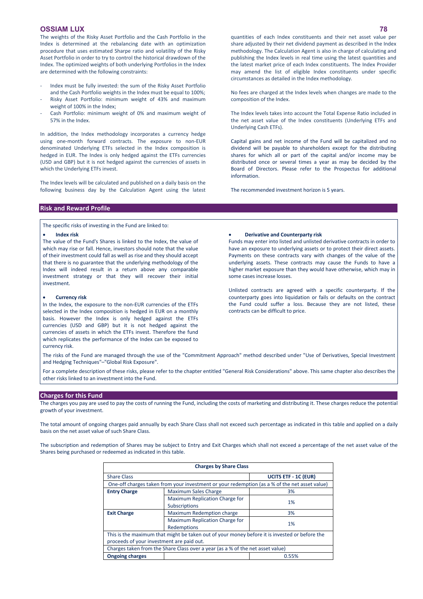The weights of the Risky Asset Portfolio and the Cash Portfolio in the Index is determined at the rebalancing date with an optimization procedure that uses estimated Sharpe ratio and volatility of the Risky Asset Portfolio in order to try to control the historical drawdown of the Index. The optimized weights of both underlying Portfolios in the Index are determined with the following constraints:

- Index must be fully invested: the sum of the Risky Asset Portfolio and the Cash Portfolio weights in the Index must be equal to 100%; Risky Asset Portfolio: minimum weight of 43% and maximum weight of 100% in the Index;
- Cash Portfolio: minimum weight of 0% and maximum weight of 57% in the Index.

In addition, the Index methodology incorporates a currency hedge using one-month forward contracts. The exposure to non-EUR denominated Underlying ETFs selected in the Index composition is hedged in EUR. The Index is only hedged against the ETFs currencies (USD and GBP) but it is not hedged against the currencies of assets in which the Underlying ETFs invest.

The Index levels will be calculated and published on a daily basis on the following business day by the Calculation Agent using the latest

**Risk and Reward Profile**

The specific risks of investing in the Fund are linked to:

#### **Index risk**

The value of the Fund's Shares is linked to the Index, the value of which may rise or fall. Hence, investors should note that the value of their investment could fall as well as rise and they should accept that there is no guarantee that the underlying methodology of the Index will indeed result in a return above any comparable investment strategy or that they will recover their initial investment.

#### **Currency risk**

In the Index, the exposure to the non-EUR currencies of the ETFs selected in the Index composition is hedged in EUR on a monthly basis. However the Index is only hedged against the ETFs currencies (USD and GBP) but it is not hedged against the currencies of assets in which the ETFs invest. Therefore the fund which replicates the performance of the Index can be exposed to currency risk.

quantities of each Index constituents and their net asset value per share adjusted by their net dividend payment as described in the Index methodology. The Calculation Agent is also in charge of calculating and publishing the Index levels in real time using the latest quantities and the latest market price of each Index constituents. The Index Provider may amend the list of eligible Index constituents under specific circumstances as detailed in the Index methodology.

No fees are charged at the Index levels when changes are made to the composition of the Index.

The Index levels takes into account the Total Expense Ratio included in the net asset value of the Index constituents (Underlying ETFs and Underlying Cash ETFs).

Capital gains and net income of the Fund will be capitalized and no dividend will be payable to shareholders except for the distributing shares for which all or part of the capital and/or income may be distributed once or several times a year as may be decided by the Board of Directors. Please refer to the Prospectus for additional information.

The recommended investment horizon is 5 years.

#### **Derivative and Counterparty risk**

Funds may enter into listed and unlisted derivative contracts in order to have an exposure to underlying assets or to protect their direct assets. Payments on these contracts vary with changes of the value of the underlying assets. These contracts may cause the Funds to have a higher market exposure than they would have otherwise, which may in some cases increase losses.

Unlisted contracts are agreed with a specific counterparty. If the counterparty goes into liquidation or fails or defaults on the contract the Fund could suffer a loss. Because they are not listed, these contracts can be difficult to price.

The risks of the Fund are managed through the use of the "Commitment Approach" method described under "Use of Derivatives, Special Investment and Hedging Techniques"–"Global Risk Exposure".

For a complete description of these risks, please refer to the chapter entitled "General Risk Considerations" above. This same chapter also describes the other risks linked to an investment into the Fund.

#### **Charges for this Fund**

The charges you pay are used to pay the costs of running the Fund, including the costs of marketing and distributing it. These charges reduce the potential growth of your investment.

The total amount of ongoing charges paid annually by each Share Class shall not exceed such percentage as indicated in this table and applied on a daily basis on the net asset value of such Share Class.

The subscription and redemption of Shares may be subject to Entry and Exit Charges which shall not exceed a percentage of the net asset value of the Shares being purchased or redeemed as indicated in this table.

|                                 | <b>Charges by Share Class</b>                                                                                                              |                             |  |  |  |  |
|---------------------------------|--------------------------------------------------------------------------------------------------------------------------------------------|-----------------------------|--|--|--|--|
| <b>Share Class</b>              |                                                                                                                                            | <b>UCITS ETF - 1C (EUR)</b> |  |  |  |  |
|                                 | One-off charges taken from your investment or your redemption (as a % of the net asset value)                                              |                             |  |  |  |  |
| <b>Entry Charge</b>             | <b>Maximum Sales Charge</b>                                                                                                                | 3%                          |  |  |  |  |
|                                 | Maximum Replication Charge for<br>Subscriptions                                                                                            | 1%                          |  |  |  |  |
| <b>Exit Charge</b>              | Maximum Redemption charge                                                                                                                  | 3%                          |  |  |  |  |
|                                 | Maximum Replication Charge for<br>Redemptions                                                                                              | 1%                          |  |  |  |  |
|                                 | This is the maximum that might be taken out of your money before it is invested or before the<br>proceeds of your investment are paid out. |                             |  |  |  |  |
|                                 | Charges taken from the Share Class over a year (as a % of the net asset value)                                                             |                             |  |  |  |  |
| <b>Ongoing charges</b><br>0.55% |                                                                                                                                            |                             |  |  |  |  |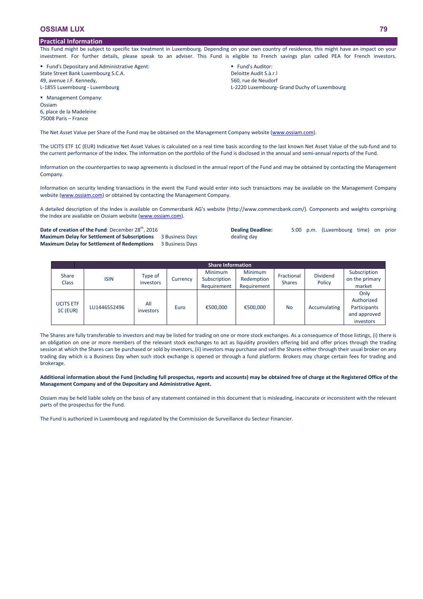## **Practical Information**

This Fund might be subject to specific tax treatment in Luxembourg. Depending on your own country of residence, this might have an impact on your investment. For further details, please speak to an adviser. This Fund is eligible to French savings plan called PEA for French investors.

 Fund's Depositary and Administrative Agent: State Street Bank Luxembourg S.C.A. 49, avenue J.F. Kennedy, L-1855 Luxembourg - Luxembourg

**Fund's Auditor:** Deloitte Audit S.à.r.l 560, rue de Neudorf L-2220 Luxembourg- Grand Duchy of Luxembourg

**Management Company:** Ossiam 6, place de la Madeleine 75008 Paris – France

The Net Asset Value per Share of the Fund may be obtained on the Management Company website [\(www.ossiam.com](http://www.ossiam.com/)).

The UCITS ETF 1C (EUR) Indicative Net Asset Values is calculated on a real time basis according to the last known Net Asset Value of the sub-fund and to the current performance of the Index. The information on the portfolio of the Fund is disclosed in the annual and semi-annual reports of the Fund.

Information on the counterparties to swap agreements is disclosed in the annual report of the Fund and may be obtained by contacting the Management Company.

Information on security lending transactions in the event the Fund would enter into such transactions may be available on the Management Company website [\(www.ossiam.com](http://www.ossiam.com/)) or obtained by contacting the Management Company.

A detailed description of the Index is available on Commerzbank AG's website (http://www.commerzbank.com/). Components and weights comprising the Index are available on Ossiam website [\(www.ossiam.com](http://www.ossiam.com/)).

Date of creation of the Fund: December 28<sup>th</sup>, 2016 **Maximum Delay for Settlement of Subscriptions** 3 Business Days **Maximum Delay for Settlement of Redemptions** 3 Business Days

**Dealing Deadline:** 5:00 p.m. (Luxembourg time) on prior dealing day

|                              | <b>Share Information</b> |                      |          |                                               |                                             |                             |                           |                                                                 |  |
|------------------------------|--------------------------|----------------------|----------|-----------------------------------------------|---------------------------------------------|-----------------------------|---------------------------|-----------------------------------------------------------------|--|
| <b>Share</b><br><b>Class</b> | <b>ISIN</b>              | Type of<br>investors | Currency | <b>Minimum</b><br>Subscription<br>Requirement | <b>Minimum</b><br>Redemption<br>Requirement | Fractional<br><b>Shares</b> | <b>Dividend</b><br>Policy | Subscription<br>on the primary<br>market                        |  |
| <b>UCITS ETF</b><br>1C (EUR) | LU1446552496             | All<br>investors     | Euro     | €500,000                                      | €500,000                                    | <b>No</b>                   | Accumulating              | Only<br>Authorized<br>Participants<br>and approved<br>investors |  |

The Shares are fully transferable to investors and may be listed for trading on one or more stock exchanges. As a consequence of those listings, (i) there is an obligation on one or more members of the relevant stock exchanges to act as liquidity providers offering bid and offer prices through the trading session at which the Shares can be purchased or sold by investors, (ii) investors may purchase and sell the Shares either through their usual broker on any trading day which is a Business Day when such stock exchange is opened or through a fund platform. Brokers may charge certain fees for trading and brokerage.

**Additional information about the Fund (including full prospectus, reports and accounts) may be obtained free of charge at the Registered Office of the Management Company and of the Depositary and Administrative Agent.**

Ossiam may be held liable solely on the basis of any statement contained in this document that is misleading, inaccurate or inconsistent with the relevant parts of the prospectus for the Fund.

The Fund is authorized in Luxembourg and regulated by the Commission de Surveillance du Secteur Financier.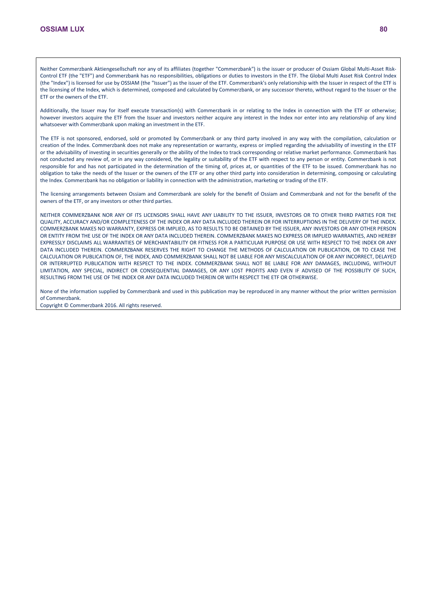Neither Commerzbank Aktiengesellschaft nor any of its affiliates (together "Commerzbank") is the issuer or producer of Ossiam Global Multi-Asset Risk-Control ETF (the "ETF") and Commerzbank has no responsibilities, obligations or duties to investors in the ETF. The Global Multi Asset Risk Control Index (the "Index") is licensed for use by OSSIAM (the "Issuer") as the issuer of the ETF. Commerzbank's only relationship with the Issuer in respect of the ETF is the licensing of the Index, which is determined, composed and calculated by Commerzbank, or any successor thereto, without regard to the Issuer or the ETF or the owners of the ETF.

Additionally, the Issuer may for itself execute transaction(s) with Commerzbank in or relating to the Index in connection with the ETF or otherwise; however investors acquire the ETF from the Issuer and investors neither acquire any interest in the Index nor enter into any relationship of any kind whatsoever with Commerzbank upon making an investment in the ETF.

The ETF is not sponsored, endorsed, sold or promoted by Commerzbank or any third party involved in any way with the compilation, calculation or creation of the Index. Commerzbank does not make any representation or warranty, express or implied regarding the advisability of investing in the ETF or the advisability of investing in securities generally or the ability of the Index to track corresponding or relative market performance. Commerzbank has not conducted any review of, or in any way considered, the legality or suitability of the ETF with respect to any person or entity. Commerzbank is not responsible for and has not participated in the determination of the timing of, prices at, or quantities of the ETF to be issued. Commerzbank has no obligation to take the needs of the Issuer or the owners of the ETF or any other third party into consideration in determining, composing or calculating the Index. Commerzbank has no obligation or liability in connection with the administration, marketing or trading of the ETF.

The licensing arrangements between Ossiam and Commerzbank are solely for the benefit of Ossiam and Commerzbank and not for the benefit of the owners of the ETF, or any investors or other third parties.

NEITHER COMMERZBANK NOR ANY OF ITS LICENSORS SHALL HAVE ANY LIABILITY TO THE ISSUER, INVESTORS OR TO OTHER THIRD PARTIES FOR THE QUALITY, ACCURACY AND/OR COMPLETENESS OF THE INDEX OR ANY DATA INCLUDED THEREIN OR FOR INTERRUPTIONS IN THE DELIVERY OF THE INDEX. COMMERZBANK MAKES NO WARRANTY, EXPRESS OR IMPLIED, AS TO RESULTS TO BE OBTAINED BY THE ISSUER, ANY INVESTORS OR ANY OTHER PERSON OR ENTITY FROM THE USE OF THE INDEX OR ANY DATA INCLUDED THEREIN. COMMERZBANK MAKES NO EXPRESS OR IMPLIED WARRANTIES, AND HEREBY EXPRESSLY DISCLAIMS ALL WARRANTIES OF MERCHANTABILITY OR FITNESS FOR A PARTICULAR PURPOSE OR USE WITH RESPECT TO THE INDEX OR ANY DATA INCLUDED THEREIN. COMMERZBANK RESERVES THE RIGHT TO CHANGE THE METHODS OF CALCULATION OR PUBLICATION, OR TO CEASE THE CALCULATION OR PUBLICATION OF, THE INDEX, AND COMMERZBANK SHALL NOT BE LIABLE FOR ANY MISCALCULATION OF OR ANY INCORRECT, DELAYED OR INTERRUPTED PUBLICATION WITH RESPECT TO THE INDEX. COMMERZBANK SHALL NOT BE LIABLE FOR ANY DAMAGES, INCLUDING, WITHOUT LIMITATION, ANY SPECIAL, INDIRECT OR CONSEQUENTIAL DAMAGES, OR ANY LOST PROFITS AND EVEN IF ADVISED OF THE POSSIBLITY OF SUCH, RESULTING FROM THE USE OF THE INDEX OR ANY DATA INCLUDED THEREIN OR WITH RESPECT THE ETF OR OTHERWISE.

None of the information supplied by Commerzbank and used in this publication may be reproduced in any manner without the prior written permission of Commerzbank.

Copyright © Commerzbank 2016. All rights reserved.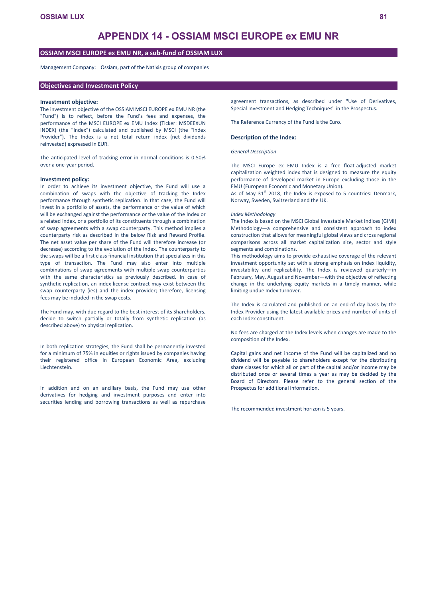# **APPENDIX 14 - OSSIAM MSCI EUROPE ex EMU NR**

## **OSSIAM MSCI EUROPE ex EMU NR, a sub-fund of OSSIAM LUX**

Management Company: Ossiam, part of the Natixis group of companies

## **Objectives and Investment Policy**

#### **Investment objective:**

The investment objective of the OSSIAM MSCI EUROPE ex EMU NR (the "Fund") is to reflect, before the Fund's fees and expenses, the performance of the MSCI EUROPE ex EMU Index (Ticker: MSDEEXUN INDEX) (the "Index") calculated and published by MSCI (the "Index Provider"). The Index is a net total return index (net dividends reinvested) expressed in EUR.

The anticipated level of tracking error in normal conditions is 0.50% over a one-year period.

#### **Investment policy:**

In order to achieve its investment objective, the Fund will use a combination of swaps with the objective of tracking the Index performance through synthetic replication. In that case, the Fund will invest in a portfolio of assets, the performance or the value of which will be exchanged against the performance or the value of the Index or a related index, or a portfolio of its constituents through a combination of swap agreements with a swap counterparty. This method implies a counterparty risk as described in the below Risk and Reward Profile. The net asset value per share of the Fund will therefore increase (or decrease) according to the evolution of the Index. The counterparty to the swaps will be a first class financial institution that specializes in this type of transaction. The Fund may also enter into multiple combinations of swap agreements with multiple swap counterparties with the same characteristics as previously described. In case of synthetic replication, an index license contract may exist between the swap counterparty (ies) and the index provider; therefore, licensing fees may be included in the swap costs.

The Fund may, with due regard to the best interest of its Shareholders, decide to switch partially or totally from synthetic replication (as described above) to physical replication.

In both replication strategies, the Fund shall be permanently invested for a minimum of 75% in equities or rights issued by companies having their registered office in European Economic Area, excluding Liechtenstein.

In addition and on an ancillary basis, the Fund may use other derivatives for hedging and investment purposes and enter into securities lending and borrowing transactions as well as repurchase

agreement transactions, as described under "Use of Derivatives, Special Investment and Hedging Techniques" in the Prospectus.

The Reference Currency of the Fund is the Euro.

#### **Description of the Index:**

#### *General Description*

The MSCI Europe ex EMU Index is a free float-adjusted market capitalization weighted index that is designed to measure the equity performance of developed market in Europe excluding those in the EMU (European Economic and Monetary Union).

As of May  $31<sup>st</sup>$  2018, the Index is exposed to 5 countries: Denmark, Norway, Sweden, Switzerland and the UK.

#### *Index Methodology*

The Index is based on the MSCI Global Investable Market Indices (GIMI) Methodology—a comprehensive and consistent approach to index construction that allows for meaningful global views and cross regional comparisons across all market capitalization size, sector and style segments and combinations.

This methodology aims to provide exhaustive coverage of the relevant investment opportunity set with a strong emphasis on index liquidity, investability and replicability. The Index is reviewed quarterly—in February, May, August and November—with the objective of reflecting change in the underlying equity markets in a timely manner, while limiting undue Index turnover.

The Index is calculated and published on an end-of-day basis by the Index Provider using the latest available prices and number of units of each Index constituent.

No fees are charged at the Index levels when changes are made to the composition of the Index.

Capital gains and net income of the Fund will be capitalized and no dividend will be payable to shareholders except for the distributing share classes for which all or part of the capital and/or income may be distributed once or several times a year as may be decided by the Board of Directors. Please refer to the general section of the Prospectus for additional information.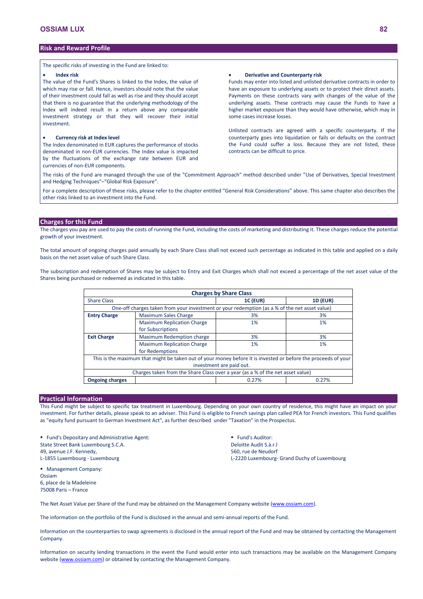The specific risks of investing in the Fund are linked to:

#### **Index risk**

The value of the Fund's Shares is linked to the Index, the value of which may rise or fall. Hence, investors should note that the value of their investment could fall as well as rise and they should accept that there is no guarantee that the underlying methodology of the Index will indeed result in a return above any comparable investment strategy or that they will recover their initial investment.

#### **Currency risk at Index level**

The Index denominated in EUR captures the performance of stocks denominated in non-EUR currencies. The Index value is impacted by the fluctuations of the exchange rate between EUR and currencies of non-EUR components.

#### **Derivative and Counterparty risk**

Funds may enter into listed and unlisted derivative contracts in order to have an exposure to underlying assets or to protect their direct assets. Payments on these contracts vary with changes of the value of the underlying assets. These contracts may cause the Funds to have a higher market exposure than they would have otherwise, which may in some cases increase losses.

Unlisted contracts are agreed with a specific counterparty. If the counterparty goes into liquidation or fails or defaults on the contract the Fund could suffer a loss. Because they are not listed, these contracts can be difficult to price.

The risks of the Fund are managed through the use of the "Commitment Approach" method described under "Use of Derivatives, Special Investment and Hedging Techniques"–"Global Risk Exposure".

For a complete description of these risks, please refer to the chapter entitled "General Risk Considerations" above. This same chapter also describes the other risks linked to an investment into the Fund.

# **Charges for this Fund**

The charges you pay are used to pay the costs of running the Fund, including the costs of marketing and distributing it. These charges reduce the potential growth of your investment.

The total amount of ongoing charges paid annually by each Share Class shall not exceed such percentage as indicated in this table and applied on a daily basis on the net asset value of such Share Class.

The subscription and redemption of Shares may be subject to Entry and Exit Charges which shall not exceed a percentage of the net asset value of the Shares being purchased or redeemed as indicated in this table.

|                          | <b>Charges by Share Class</b>                                                                                  |                 |                 |  |  |  |  |  |
|--------------------------|----------------------------------------------------------------------------------------------------------------|-----------------|-----------------|--|--|--|--|--|
| <b>Share Class</b>       |                                                                                                                | <b>1C (EUR)</b> | <b>1D (EUR)</b> |  |  |  |  |  |
|                          | One-off charges taken from your investment or your redemption (as a % of the net asset value)                  |                 |                 |  |  |  |  |  |
| <b>Entry Charge</b>      | <b>Maximum Sales Charge</b>                                                                                    | 3%              | 3%              |  |  |  |  |  |
|                          | <b>Maximum Replication Charge</b>                                                                              | 1%              | 1%              |  |  |  |  |  |
|                          | for Subscriptions                                                                                              |                 |                 |  |  |  |  |  |
| <b>Exit Charge</b>       | Maximum Redemption charge                                                                                      | 3%              | 3%              |  |  |  |  |  |
|                          | <b>Maximum Replication Charge</b>                                                                              | 1%              | 1%              |  |  |  |  |  |
|                          | for Redemptions                                                                                                |                 |                 |  |  |  |  |  |
|                          | This is the maximum that might be taken out of your money before it is invested or before the proceeds of your |                 |                 |  |  |  |  |  |
| investment are paid out. |                                                                                                                |                 |                 |  |  |  |  |  |
|                          | Charges taken from the Share Class over a year (as a % of the net asset value)                                 |                 |                 |  |  |  |  |  |
| <b>Ongoing charges</b>   |                                                                                                                | 0.27%           | 0.27%           |  |  |  |  |  |

## **Practical Information**

This Fund might be subject to specific tax treatment in Luxembourg. Depending on your own country of residence, this might have an impact on your investment. For further details, please speak to an adviser. This Fund is eligible to French savings plan called PEA for French investors. This Fund qualifies as "equity fund pursuant to German Investment Act", as further described under "Taxation" in the Prospectus.

 Fund's Depositary and Administrative Agent: State Street Bank Luxembourg S.C.A. 49, avenue J.F. Kennedy, L-1855 Luxembourg - Luxembourg

**Fund's Auditor:** Deloitte Audit S.à.r.l 560, rue de Neudorf L-2220 Luxembourg- Grand Duchy of Luxembourg

 Management Company: Ossiam 6, place de la Madeleine 75008 Paris – France

The Net Asset Value per Share of the Fund may be obtained on the Management Company website [\(www.ossiam.com](http://www.ossiam.com/)).

The information on the portfolio of the Fund is disclosed in the annual and semi-annual reports of the Fund.

Information on the counterparties to swap agreements is disclosed in the annual report of the Fund and may be obtained by contacting the Management Company.

Information on security lending transactions in the event the Fund would enter into such transactions may be available on the Management Company website [\(www.ossiam.com](http://www.ossiam.com/)) or obtained by contacting the Management Company.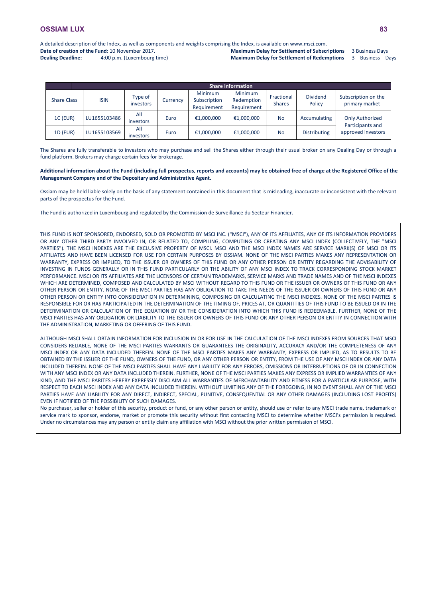A detailed description of the Index, as well as components and weights comprising the Index, is available on www.msci.com. **Date of creation of the Fund**: 10 November 2017.

**Dealing Deadline:** 4:00 p.m. (Luxembourg time)

**Maximum Delay for Settlement of Subscriptions** 3 Business Days **Maximum Delay for Settlement of Redemptions** 3 Business Days

|                    | <b>Share Information</b> |                      |          |                                        |                                             |                             |                           |                                            |  |
|--------------------|--------------------------|----------------------|----------|----------------------------------------|---------------------------------------------|-----------------------------|---------------------------|--------------------------------------------|--|
| <b>Share Class</b> | <b>ISIN</b>              | Type of<br>investors | Currency | Minimum<br>Subscription<br>Requirement | <b>Minimum</b><br>Redemption<br>Requirement | Fractional<br><b>Shares</b> | <b>Dividend</b><br>Policy | Subscription on the<br>primary market      |  |
| 1C (EUR)           | LU1655103486             | All<br>investors     | Euro     | €1,000,000                             | €1,000,000                                  | <b>No</b>                   | Accumulating              | <b>Only Authorized</b><br>Participants and |  |
| <b>1D (EUR)</b>    | LU1655103569             | All<br>investors     | Euro     | €1,000,000                             | €1,000,000                                  | <b>No</b>                   | <b>Distributing</b>       | approved investors                         |  |

The Shares are fully transferable to investors who may purchase and sell the Shares either through their usual broker on any Dealing Day or through a fund platform. Brokers may charge certain fees for brokerage.

#### **Additional information about the Fund (including full prospectus, reports and accounts) may be obtained free of charge at the Registered Office of the Management Company and of the Depositary and Administrative Agent.**

Ossiam may be held liable solely on the basis of any statement contained in this document that is misleading, inaccurate or inconsistent with the relevant parts of the prospectus for the Fund.

The Fund is authorized in Luxembourg and regulated by the Commission de Surveillance du Secteur Financier.

THIS FUND IS NOT SPONSORED, ENDORSED, SOLD OR PROMOTED BY MSCI INC. ("MSCI"), ANY OF ITS AFFILIATES, ANY OF ITS INFORMATION PROVIDERS OR ANY OTHER THIRD PARTY INVOLVED IN, OR RELATED TO, COMPILING, COMPUTING OR CREATING ANY MSCI INDEX (COLLECTIVELY, THE "MSCI PARTIES"). THE MSCI INDEXES ARE THE EXCLUSIVE PROPERTY OF MSCI. MSCI AND THE MSCI INDEX NAMES ARE SERVICE MARK(S) OF MSCI OR ITS AFFILIATES AND HAVE BEEN LICENSED FOR USE FOR CERTAIN PURPOSES BY OSSIAM. NONE OF THE MSCI PARTIES MAKES ANY REPRESENTATION OR WARRANTY, EXPRESS OR IMPLIED, TO THE ISSUER OR OWNERS OF THIS FUND OR ANY OTHER PERSON OR ENTITY REGARDING THE ADVISABILITY OF INVESTING IN FUNDS GENERALLY OR IN THIS FUND PARTICULARLY OR THE ABILITY OF ANY MSCI INDEX TO TRACK CORRESPONDING STOCK MARKET PERFORMANCE. MSCI OR ITS AFFILIATES ARE THE LICENSORS OF CERTAIN TRADEMARKS, SERVICE MARKS AND TRADE NAMES AND OF THE MSCI INDEXES WHICH ARE DETERMINED, COMPOSED AND CALCULATED BY MSCI WITHOUT REGARD TO THIS FUND OR THE ISSUER OR OWNERS OF THIS FUND OR ANY OTHER PERSON OR ENTITY. NONE OF THE MSCI PARTIES HAS ANY OBLIGATION TO TAKE THE NEEDS OF THE ISSUER OR OWNERS OF THIS FUND OR ANY OTHER PERSON OR ENTITY INTO CONSIDERATION IN DETERMINING, COMPOSING OR CALCULATING THE MSCI INDEXES. NONE OF THE MSCI PARTIES IS RESPONSIBLE FOR OR HAS PARTICIPATED IN THE DETERMINATION OF THE TIMING OF, PRICES AT, OR QUANTITIES OF THIS FUND TO BE ISSUED OR IN THE DETERMINATION OR CALCULATION OF THE EQUATION BY OR THE CONSIDERATION INTO WHICH THIS FUND IS REDEEMABLE. FURTHER, NONE OF THE MSCI PARTIES HAS ANY OBLIGATION OR LIABILITY TO THE ISSUER OR OWNERS OF THIS FUND OR ANY OTHER PERSON OR ENTITY IN CONNECTION WITH THE ADMINISTRATION, MARKETING OR OFFERING OF THIS FUND.

ALTHOUGH MSCI SHALL OBTAIN INFORMATION FOR INCLUSION IN OR FOR USE IN THE CALCULATION OF THE MSCI INDEXES FROM SOURCES THAT MSCI CONSIDERS RELIABLE, NONE OF THE MSCI PARTIES WARRANTS OR GUARANTEES THE ORIGINALITY, ACCURACY AND/OR THE COMPLETENESS OF ANY MSCI INDEX OR ANY DATA INCLUDED THEREIN. NONE OF THE MSCI PARTIES MAKES ANY WARRANTY, EXPRESS OR IMPLIED, AS TO RESULTS TO BE OBTAINED BY THE ISSUER OF THE FUND, OWNERS OF THE FUND, OR ANY OTHER PERSON OR ENTITY, FROM THE USE OF ANY MSCI INDEX OR ANY DATA INCLUDED THEREIN. NONE OF THE MSCI PARTIES SHALL HAVE ANY LIABILITY FOR ANY ERRORS, OMISSIONS OR INTERRUPTIONS OF OR IN CONNECTION WITH ANY MSCI INDEX OR ANY DATA INCLUDED THEREIN. FURTHER, NONE OF THE MSCI PARTIES MAKES ANY EXPRESS OR IMPLIED WARRANTIES OF ANY KIND, AND THE MSCI PARITES HEREBY EXPRESSLY DISCLAIM ALL WARRANTIES OF MERCHANTABILITY AND FITNESS FOR A PARTICULAR PURPOSE, WITH RESPECT TO EACH MSCI INDEX AND ANY DATA INCLUDED THEREIN. WITHOUT LIMITING ANY OF THE FOREGOING, IN NO EVENT SHALL ANY OF THE MSCI PARTIES HAVE ANY LIABILITY FOR ANY DIRECT, INDIRECT, SPECIAL, PUNITIVE, CONSEQUENTIAL OR ANY OTHER DAMAGES (INCLUDING LOST PROFITS) EVEN IF NOTIFIED OF THE POSSIBILITY OF SUCH DAMAGES.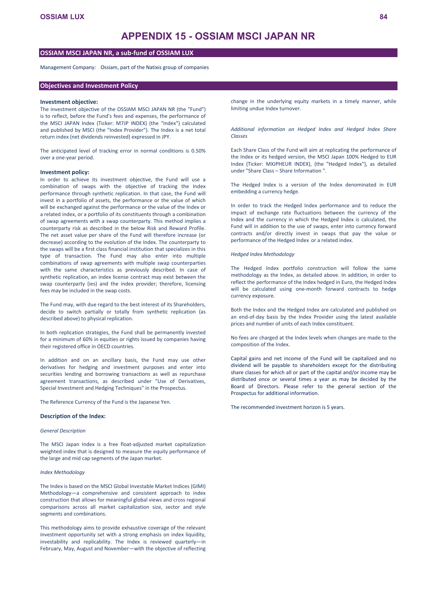# **APPENDIX 15 - OSSIAM MSCI JAPAN NR**

# **OSSIAM MSCI JAPAN NR, a sub-fund of OSSIAM LUX**

Management Company: Ossiam, part of the Natixis group of companies

## **Objectives and Investment Policy**

#### **Investment objective:**

The investment objective of the OSSIAM MSCI JAPAN NR (the "Fund") is to reflect, before the Fund's fees and expenses, the performance of the MSCI JAPAN Index (Ticker: M7JP INDEX) (the "Index") calculated and published by MSCI (the "Index Provider"). The Index is a net total return index (net dividends reinvested) expressed in JPY.

The anticipated level of tracking error in normal conditions is 0.50% over a one-year period.

#### **Investment policy:**

In order to achieve its investment objective, the Fund will use a combination of swaps with the objective of tracking the Index performance through synthetic replication. In that case, the Fund will invest in a portfolio of assets, the performance or the value of which will be exchanged against the performance or the value of the Index or a related index, or a portfolio of its constituents through a combination of swap agreements with a swap counterparty. This method implies a counterparty risk as described in the below Risk and Reward Profile. The net asset value per share of the Fund will therefore increase (or decrease) according to the evolution of the Index. The counterparty to the swaps will be a first class financial institution that specializes in this type of transaction. The Fund may also enter into multiple combinations of swap agreements with multiple swap counterparties with the same characteristics as previously described. In case of synthetic replication, an index license contract may exist between the swap counterparty (ies) and the index provider; therefore, licensing fees may be included in the swap costs.

The Fund may, with due regard to the best interest of its Shareholders, decide to switch partially or totally from synthetic replication (as described above) to physical replication.

In both replication strategies, the Fund shall be permanently invested for a minimum of 60% in equities or rights issued by companies having their registered office in OECD countries.

In addition and on an ancillary basis, the Fund may use other derivatives for hedging and investment purposes and enter into securities lending and borrowing transactions as well as repurchase agreement transactions, as described under "Use of Derivatives, Special Investment and Hedging Techniques" in the Prospectus.

The Reference Currency of the Fund is the Japanese Yen.

#### **Description of the Index:**

#### *General Description*

The MSCI Japan Index is a free float-adjusted market capitalization weighted index that is designed to measure the equity performance of the large and mid cap segments of the Japan market.

#### *Index Methodology*

The Index is based on the MSCI Global Investable Market Indices (GIMI) Methodology—a comprehensive and consistent approach to index construction that allows for meaningful global views and cross regional comparisons across all market capitalization size, sector and style segments and combinations.

This methodology aims to provide exhaustive coverage of the relevant investment opportunity set with a strong emphasis on index liquidity, investability and replicability. The Index is reviewed quarterly—in February, May, August and November—with the objective of reflecting

change in the underlying equity markets in a timely manner, while limiting undue Index turnover.

*Additional information on Hedged Index and Hedged Index Share Classes* 

Each Share Class of the Fund will aim at replicating the performance of the Index or its hedged version, the MSCI Japan 100% Hedged to EUR Index (Ticker: MXJPHEUR INDEX), (the "Hedged Index"), as detailed under "Share Class – Share Information ".

The Hedged Index is a version of the Index denominated in EUR embedding a currency hedge.

In order to track the Hedged Index performance and to reduce the impact of exchange rate fluctuations between the currency of the Index and the currency in which the Hedged Index is calculated, the Fund will in addition to the use of swaps, enter into currency forward contracts and/or directly invest in swaps that pay the value or performance of the Hedged Index or a related index.

#### *Hedged Index Methodology*

The Hedged Index portfolio construction will follow the same methodology as the Index, as detailed above. In addition, in order to reflect the performance of the Index hedged in Euro, the Hedged Index will be calculated using one-month forward contracts to hedge currency exposure.

Both the Index and the Hedged Index are calculated and published on an end-of-day basis by the Index Provider using the latest available prices and number of units of each Index constituent.

No fees are charged at the Index levels when changes are made to the composition of the Index.

Capital gains and net income of the Fund will be capitalized and no dividend will be payable to shareholders except for the distributing share classes for which all or part of the capital and/or income may be distributed once or several times a year as may be decided by the Board of Directors. Please refer to the general section of the Prospectus for additional information.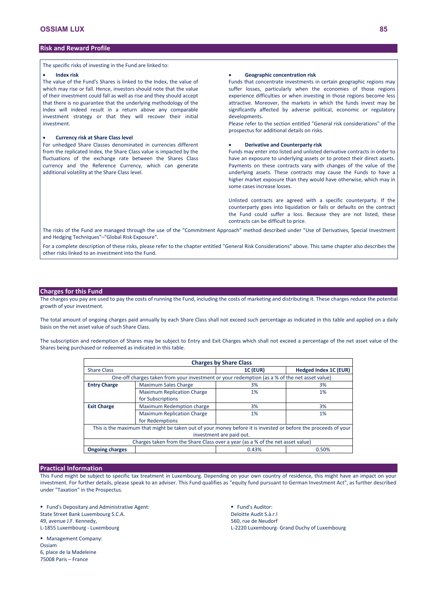The specific risks of investing in the Fund are linked to:

#### **Index risk**

The value of the Fund's Shares is linked to the Index, the value of which may rise or fall. Hence, investors should note that the value of their investment could fall as well as rise and they should accept that there is no guarantee that the underlying methodology of the Index will indeed result in a return above any comparable investment strategy or that they will recover their initial investment.

## **Currency risk at Share Class level**

For unhedged Share Classes denominated in currencies different from the replicated Index, the Share Class value is impacted by the fluctuations of the exchange rate between the Shares Class currency and the Reference Currency, which can generate additional volatility at the Share Class level.

#### **Geographic concentration risk**

Funds that concentrate investments in certain geographic regions may suffer losses, particularly when the economies of those regions experience difficulties or when investing in those regions become less attractive. Moreover, the markets in which the funds invest may be significantly affected by adverse political, economic or regulatory developments.

Please refer to the section entitled "General risk considerations" of the prospectus for additional details on risks.

#### **Derivative and Counterparty risk**

Funds may enter into listed and unlisted derivative contracts in order to have an exposure to underlying assets or to protect their direct assets. Payments on these contracts vary with changes of the value of the underlying assets. These contracts may cause the Funds to have a higher market exposure than they would have otherwise, which may in some cases increase losses.

Unlisted contracts are agreed with a specific counterparty. If the counterparty goes into liquidation or fails or defaults on the contract the Fund could suffer a loss. Because they are not listed, these contracts can be difficult to price.

The risks of the Fund are managed through the use of the "Commitment Approach" method described under "Use of Derivatives, Special Investment and Hedging Techniques"–"Global Risk Exposure".

For a complete description of these risks, please refer to the chapter entitled "General Risk Considerations" above. This same chapter also describes the other risks linked to an investment into the Fund.

## **Charges for this Fund**

The charges you pay are used to pay the costs of running the Fund, including the costs of marketing and distributing it. These charges reduce the potential growth of your investment.

The total amount of ongoing charges paid annually by each Share Class shall not exceed such percentage as indicated in this table and applied on a daily basis on the net asset value of such Share Class.

The subscription and redemption of Shares may be subject to Entry and Exit Charges which shall not exceed a percentage of the net asset value of the Shares being purchased or redeemed as indicated in this table.

| <b>Charges by Share Class</b> |                                                                                                                |                 |                       |  |  |  |
|-------------------------------|----------------------------------------------------------------------------------------------------------------|-----------------|-----------------------|--|--|--|
| <b>Share Class</b>            |                                                                                                                | <b>1C (EUR)</b> | Hedged Index 1C (EUR) |  |  |  |
|                               | One-off charges taken from your investment or your redemption (as a % of the net asset value)                  |                 |                       |  |  |  |
| <b>Entry Charge</b>           | <b>Maximum Sales Charge</b>                                                                                    | 3%              | 3%                    |  |  |  |
|                               | <b>Maximum Replication Charge</b>                                                                              | 1%              | 1%                    |  |  |  |
|                               | for Subscriptions                                                                                              |                 |                       |  |  |  |
| <b>Exit Charge</b>            | Maximum Redemption charge                                                                                      | 3%              | 3%                    |  |  |  |
|                               | <b>Maximum Replication Charge</b>                                                                              | 1%              | 1%                    |  |  |  |
|                               | for Redemptions                                                                                                |                 |                       |  |  |  |
|                               | This is the maximum that might be taken out of your money before it is invested or before the proceeds of your |                 |                       |  |  |  |
| investment are paid out.      |                                                                                                                |                 |                       |  |  |  |
|                               | Charges taken from the Share Class over a year (as a % of the net asset value)                                 |                 |                       |  |  |  |
| <b>Ongoing charges</b>        |                                                                                                                | 0.43%           | 0.50%                 |  |  |  |

#### **Practical Information**

This Fund might be subject to specific tax treatment in Luxembourg. Depending on your own country of residence, this might have an impact on your investment. For further details, please speak to an adviser. This Fund qualifies as "equity fund pursuant to German Investment Act", as further described under "Taxation" in the Prospectus.

 Fund's Depositary and Administrative Agent: State Street Bank Luxembourg S.C.A. 49, avenue J.F. Kennedy, L-1855 Luxembourg - Luxembourg

**Fund's Auditor:** Deloitte Audit S.à.r.l 560, rue de Neudorf L-2220 Luxembourg- Grand Duchy of Luxembourg

**Management Company: Ossiam** 6, place de la Madeleine 75008 Paris – France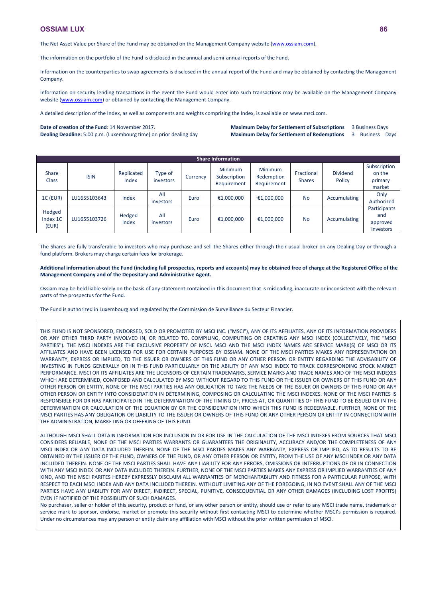The Net Asset Value per Share of the Fund may be obtained on the Management Company website [\(www.ossiam.com](http://www.ossiam.com/)).

The information on the portfolio of the Fund is disclosed in the annual and semi-annual reports of the Fund.

Information on the counterparties to swap agreements is disclosed in the annual report of the Fund and may be obtained by contacting the Management Company.

Information on security lending transactions in the event the Fund would enter into such transactions may be available on the Management Company website [\(www.ossiam.com](http://www.ossiam.com/)) or obtained by contacting the Management Company.

A detailed description of the Index, as well as components and weights comprising the Index, is available on www.msci.com.

#### **Date of creation of the Fund**: 14 November 2017.

**Dealing Deadline:** 5:00 p.m. (Luxembourg time) on prior dealing day

#### **Maximum Delay for Settlement of Subscriptions** 3 Business Days **Maximum Delay for Settlement of Redemptions** 3 Business Days

**Share Information** Share Share ISIN Replicated<br>Class ISIN Index Index Type of investors Currency Minimum **Subscription** Requirement Minimum Redemption Requirement Fractional Shares Dividend Policy Subscription on the primary market 1C (EUR) LU1655103643 Index All investors Euro €1,000,000 €1,000,000 No Accumulating Only Authorized **Participants** and approved investors Hedged Index 1C (EUR) LU1655103726 Hedged Index All investors Euro €1,000,000 €1,000,000 No Accumulating

The Shares are fully transferable to investors who may purchase and sell the Shares either through their usual broker on any Dealing Day or through a fund platform. Brokers may charge certain fees for brokerage.

## **Additional information about the Fund (including full prospectus, reports and accounts) may be obtained free of charge at the Registered Office of the Management Company and of the Depositary and Administrative Agent.**

Ossiam may be held liable solely on the basis of any statement contained in this document that is misleading, inaccurate or inconsistent with the relevant parts of the prospectus for the Fund.

The Fund is authorized in Luxembourg and regulated by the Commission de Surveillance du Secteur Financier.

THIS FUND IS NOT SPONSORED, ENDORSED, SOLD OR PROMOTED BY MSCI INC. ("MSCI"), ANY OF ITS AFFILIATES, ANY OF ITS INFORMATION PROVIDERS OR ANY OTHER THIRD PARTY INVOLVED IN, OR RELATED TO, COMPILING, COMPUTING OR CREATING ANY MSCI INDEX (COLLECTIVELY, THE "MSCI PARTIES"). THE MSCI INDEXES ARE THE EXCLUSIVE PROPERTY OF MSCI. MSCI AND THE MSCI INDEX NAMES ARE SERVICE MARK(S) OF MSCI OR ITS AFFILIATES AND HAVE BEEN LICENSED FOR USE FOR CERTAIN PURPOSES BY OSSIAM. NONE OF THE MSCI PARTIES MAKES ANY REPRESENTATION OR WARRANTY, EXPRESS OR IMPLIED, TO THE ISSUER OR OWNERS OF THIS FUND OR ANY OTHER PERSON OR ENTITY REGARDING THE ADVISABILITY OF INVESTING IN FUNDS GENERALLY OR IN THIS FUND PARTICULARLY OR THE ABILITY OF ANY MSCI INDEX TO TRACK CORRESPONDING STOCK MARKET PERFORMANCE. MSCI OR ITS AFFILIATES ARE THE LICENSORS OF CERTAIN TRADEMARKS, SERVICE MARKS AND TRADE NAMES AND OF THE MSCI INDEXES WHICH ARE DETERMINED, COMPOSED AND CALCULATED BY MSCI WITHOUT REGARD TO THIS FUND OR THE ISSUER OR OWNERS OF THIS FUND OR ANY OTHER PERSON OR ENTITY. NONE OF THE MSCI PARTIES HAS ANY OBLIGATION TO TAKE THE NEEDS OF THE ISSUER OR OWNERS OF THIS FUND OR ANY OTHER PERSON OR ENTITY INTO CONSIDERATION IN DETERMINING, COMPOSING OR CALCULATING THE MSCI INDEXES. NONE OF THE MSCI PARTIES IS RESPONSIBLE FOR OR HAS PARTICIPATED IN THE DETERMINATION OF THE TIMING OF, PRICES AT, OR QUANTITIES OF THIS FUND TO BE ISSUED OR IN THE DETERMINATION OR CALCULATION OF THE EQUATION BY OR THE CONSIDERATION INTO WHICH THIS FUND IS REDEEMABLE. FURTHER, NONE OF THE MSCI PARTIES HAS ANY OBLIGATION OR LIABILITY TO THE ISSUER OR OWNERS OF THIS FUND OR ANY OTHER PERSON OR ENTITY IN CONNECTION WITH THE ADMINISTRATION, MARKETING OR OFFERING OF THIS FUND.

ALTHOUGH MSCI SHALL OBTAIN INFORMATION FOR INCLUSION IN OR FOR USE IN THE CALCULATION OF THE MSCI INDEXES FROM SOURCES THAT MSCI CONSIDERS RELIABLE, NONE OF THE MSCI PARTIES WARRANTS OR GUARANTEES THE ORIGINALITY, ACCURACY AND/OR THE COMPLETENESS OF ANY MSCI INDEX OR ANY DATA INCLUDED THEREIN. NONE OF THE MSCI PARTIES MAKES ANY WARRANTY, EXPRESS OR IMPLIED, AS TO RESULTS TO BE OBTAINED BY THE ISSUER OF THE FUND, OWNERS OF THE FUND, OR ANY OTHER PERSON OR ENTITY, FROM THE USE OF ANY MSCI INDEX OR ANY DATA INCLUDED THEREIN. NONE OF THE MSCI PARTIES SHALL HAVE ANY LIABILITY FOR ANY ERRORS, OMISSIONS OR INTERRUPTIONS OF OR IN CONNECTION WITH ANY MSCI INDEX OR ANY DATA INCLUDED THEREIN. FURTHER, NONE OF THE MSCI PARTIES MAKES ANY EXPRESS OR IMPLIED WARRANTIES OF ANY KIND, AND THE MSCI PARITES HEREBY EXPRESSLY DISCLAIM ALL WARRANTIES OF MERCHANTABILITY AND FITNESS FOR A PARTICULAR PURPOSE, WITH RESPECT TO EACH MSCI INDEX AND ANY DATA INCLUDED THEREIN. WITHOUT LIMITING ANY OF THE FOREGOING, IN NO EVENT SHALL ANY OF THE MSCI PARTIES HAVE ANY LIABILITY FOR ANY DIRECT, INDIRECT, SPECIAL, PUNITIVE, CONSEQUENTIAL OR ANY OTHER DAMAGES (INCLUDING LOST PROFITS) EVEN IF NOTIFIED OF THE POSSIBILITY OF SUCH DAMAGES.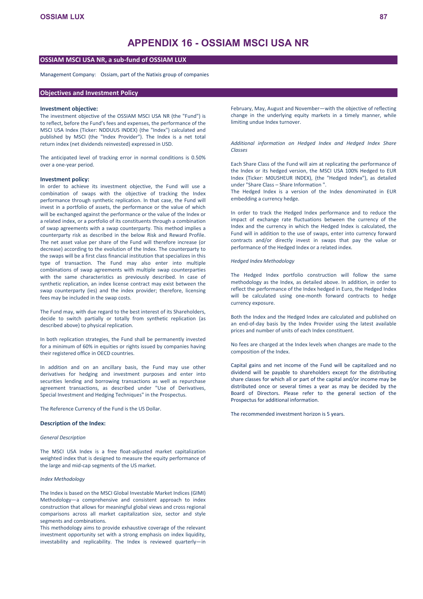# **OSSIAM MSCI USA NR, a sub-fund of OSSIAM LUX**

Management Company: Ossiam, part of the Natixis group of companies

## **Objectives and Investment Policy**

#### **Investment objective:**

The investment objective of the OSSIAM MSCI USA NR (the "Fund") is to reflect, before the Fund's fees and expenses, the performance of the MSCI USA Index (Ticker: NDDUUS INDEX) (the "Index") calculated and published by MSCI (the "Index Provider"). The Index is a net total return index (net dividends reinvested) expressed in USD.

The anticipated level of tracking error in normal conditions is 0.50% over a one-year period.

#### **Investment policy:**

In order to achieve its investment objective, the Fund will use a combination of swaps with the objective of tracking the Index performance through synthetic replication. In that case, the Fund will invest in a portfolio of assets, the performance or the value of which will be exchanged against the performance or the value of the Index or a related index, or a portfolio of its constituents through a combination of swap agreements with a swap counterparty. This method implies a counterparty risk as described in the below Risk and Reward Profile. The net asset value per share of the Fund will therefore increase (or decrease) according to the evolution of the Index. The counterparty to the swaps will be a first class financial institution that specializes in this type of transaction. The Fund may also enter into multiple combinations of swap agreements with multiple swap counterparties with the same characteristics as previously described. In case of synthetic replication, an index license contract may exist between the swap counterparty (ies) and the index provider; therefore, licensing fees may be included in the swap costs.

The Fund may, with due regard to the best interest of its Shareholders, decide to switch partially or totally from synthetic replication (as described above) to physical replication.

In both replication strategies, the Fund shall be permanently invested for a minimum of 60% in equities or rights issued by companies having their registered office in OECD countries.

In addition and on an ancillary basis, the Fund may use other derivatives for hedging and investment purposes and enter into securities lending and borrowing transactions as well as repurchase agreement transactions, as described under "Use of Derivatives, Special Investment and Hedging Techniques" in the Prospectus.

The Reference Currency of the Fund is the US Dollar.

## **Description of the Index:**

#### *General Description*

The MSCI USA Index is a free float-adjusted market capitalization weighted index that is designed to measure the equity performance of the large and mid-cap segments of the US market.

### *Index Methodology*

The Index is based on the MSCI Global Investable Market Indices (GIMI) Methodology—a comprehensive and consistent approach to index construction that allows for meaningful global views and cross regional comparisons across all market capitalization size, sector and style segments and combinations.

This methodology aims to provide exhaustive coverage of the relevant investment opportunity set with a strong emphasis on index liquidity, investability and replicability. The Index is reviewed quarterly—in

February, May, August and November—with the objective of reflecting change in the underlying equity markets in a timely manner, while limiting undue Index turnover.

*Additional information on Hedged Index and Hedged Index Share Classes* 

Each Share Class of the Fund will aim at replicating the performance of the Index or its hedged version, the MSCI USA 100% Hedged to EUR Index (Ticker: M0USHEUR INDEX), (the "Hedged Index"), as detailed under "Share Class – Share Information ".

The Hedged Index is a version of the Index denominated in EUR embedding a currency hedge.

In order to track the Hedged Index performance and to reduce the impact of exchange rate fluctuations between the currency of the Index and the currency in which the Hedged Index is calculated, the Fund will in addition to the use of swaps, enter into currency forward contracts and/or directly invest in swaps that pay the value or performance of the Hedged Index or a related index.

#### *Hedged Index Methodology*

The Hedged Index portfolio construction will follow the same methodology as the Index, as detailed above. In addition, in order to reflect the performance of the Index hedged in Euro, the Hedged Index will be calculated using one-month forward contracts to hedge currency exposure.

Both the Index and the Hedged Index are calculated and published on an end-of-day basis by the Index Provider using the latest available prices and number of units of each Index constituent.

No fees are charged at the Index levels when changes are made to the composition of the Index.

Capital gains and net income of the Fund will be capitalized and no dividend will be payable to shareholders except for the distributing share classes for which all or part of the capital and/or income may be distributed once or several times a year as may be decided by the Board of Directors. Please refer to the general section of the Prospectus for additional information.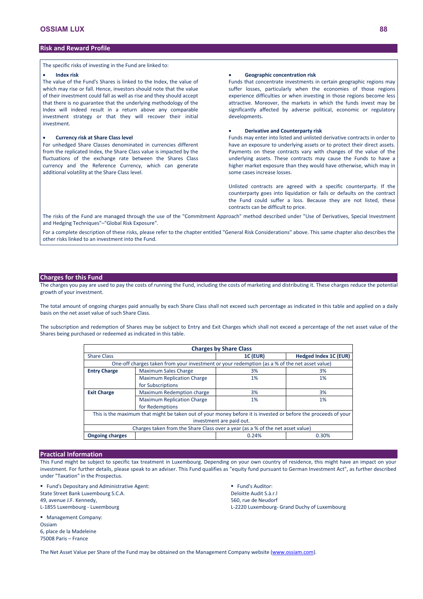The specific risks of investing in the Fund are linked to:

#### **Index risk**

The value of the Fund's Shares is linked to the Index, the value of which may rise or fall. Hence, investors should note that the value of their investment could fall as well as rise and they should accept that there is no guarantee that the underlying methodology of the Index will indeed result in a return above any comparable investment strategy or that they will recover their initial investment.

#### **Currency risk at Share Class level**

For unhedged Share Classes denominated in currencies different from the replicated Index, the Share Class value is impacted by the fluctuations of the exchange rate between the Shares Class currency and the Reference Currency, which can generate additional volatility at the Share Class level.

#### **Geographic concentration risk**

Funds that concentrate investments in certain geographic regions may suffer losses, particularly when the economies of those regions experience difficulties or when investing in those regions become less attractive. Moreover, the markets in which the funds invest may be significantly affected by adverse political, economic or regulatory developments.

#### **Derivative and Counterparty risk**

Funds may enter into listed and unlisted derivative contracts in order to have an exposure to underlying assets or to protect their direct assets. Payments on these contracts vary with changes of the value of the underlying assets. These contracts may cause the Funds to have a higher market exposure than they would have otherwise, which may in some cases increase losses.

Unlisted contracts are agreed with a specific counterparty. If the counterparty goes into liquidation or fails or defaults on the contract the Fund could suffer a loss. Because they are not listed, these contracts can be difficult to price.

The risks of the Fund are managed through the use of the "Commitment Approach" method described under "Use of Derivatives, Special Investment and Hedging Techniques"–"Global Risk Exposure".

For a complete description of these risks, please refer to the chapter entitled "General Risk Considerations" above. This same chapter also describes the other risks linked to an investment into the Fund.

# **Charges for this Fund**

The charges you pay are used to pay the costs of running the Fund, including the costs of marketing and distributing it. These charges reduce the potential growth of your investment.

The total amount of ongoing charges paid annually by each Share Class shall not exceed such percentage as indicated in this table and applied on a daily basis on the net asset value of such Share Class.

The subscription and redemption of Shares may be subject to Entry and Exit Charges which shall not exceed a percentage of the net asset value of the Shares being purchased or redeemed as indicated in this table.

| <b>Charges by Share Class</b> |                                                                                                                |                          |                       |  |  |  |
|-------------------------------|----------------------------------------------------------------------------------------------------------------|--------------------------|-----------------------|--|--|--|
| <b>Share Class</b>            |                                                                                                                | <b>1C (EUR)</b>          | Hedged Index 1C (EUR) |  |  |  |
|                               | One-off charges taken from your investment or your redemption (as a % of the net asset value)                  |                          |                       |  |  |  |
| <b>Entry Charge</b>           | Maximum Sales Charge                                                                                           | 3%                       | 3%                    |  |  |  |
|                               | <b>Maximum Replication Charge</b>                                                                              | 1%                       | 1%                    |  |  |  |
|                               | for Subscriptions                                                                                              |                          |                       |  |  |  |
| <b>Exit Charge</b>            | Maximum Redemption charge                                                                                      | 3%                       | 3%                    |  |  |  |
|                               | <b>Maximum Replication Charge</b>                                                                              | 1%                       | 1%                    |  |  |  |
|                               | for Redemptions                                                                                                |                          |                       |  |  |  |
|                               | This is the maximum that might be taken out of your money before it is invested or before the proceeds of your |                          |                       |  |  |  |
|                               |                                                                                                                | investment are paid out. |                       |  |  |  |
|                               | Charges taken from the Share Class over a year (as a % of the net asset value)                                 |                          |                       |  |  |  |
| <b>Ongoing charges</b>        |                                                                                                                | 0.24%                    | 0.30%                 |  |  |  |

## **Practical Information**

This Fund might be subject to specific tax treatment in Luxembourg. Depending on your own country of residence, this might have an impact on your investment. For further details, please speak to an adviser. This Fund qualifies as "equity fund pursuant to German Investment Act", as further described under "Taxation" in the Prospectus.

**Fund's Depositary and Administrative Agent:** State Street Bank Luxembourg S.C.A. 49, avenue J.F. Kennedy, L-1855 Luxembourg - Luxembourg

**Management Company:** Ossiam 6, place de la Madeleine 75008 Paris – France

**Fund's Auditor:** Deloitte Audit S.à.r.l 560, rue de Neudorf L-2220 Luxembourg- Grand Duchy of Luxembourg

The Net Asset Value per Share of the Fund may be obtained on the Management Company website [\(www.ossiam.com](http://www.ossiam.com/)).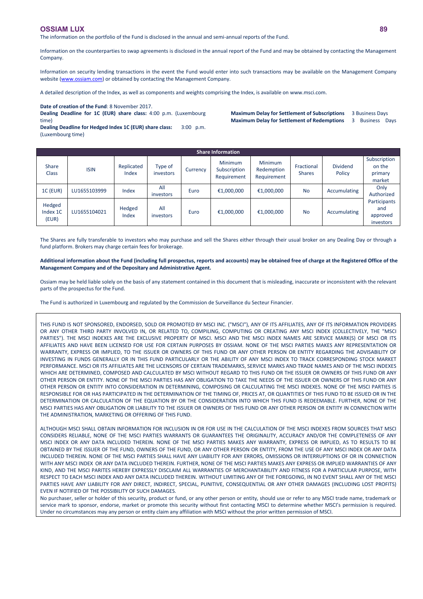The information on the portfolio of the Fund is disclosed in the annual and semi-annual reports of the Fund.

Information on the counterparties to swap agreements is disclosed in the annual report of the Fund and may be obtained by contacting the Management Company.

Information on security lending transactions in the event the Fund would enter into such transactions may be available on the Management Company website [\(www.ossiam.com](http://www.ossiam.com/)) or obtained by contacting the Management Company.

A detailed description of the Index, as well as components and weights comprising the Index, is available on www.msci.com.

**Date of creation of the Fund**: 8 November 2017.

**Dealing Deadline for 1C (EUR) share class:** 4:00 p.m. (Luxembourg time)

**Dealing Deadline for Hedged Index 1C (EUR) share class:** 3:00 p.m. (Luxembourg time)

**Maximum Delay for Settlement of Subscriptions** 3 Business Days **Maximum Delay for Settlement of Redemptions** 3 Business Days

|                             | <b>Share Information</b> |                     |                      |          |                                               |                                             |                             |                           |                                              |
|-----------------------------|--------------------------|---------------------|----------------------|----------|-----------------------------------------------|---------------------------------------------|-----------------------------|---------------------------|----------------------------------------------|
| <b>Share</b><br>Class       | <b>ISIN</b>              | Replicated<br>Index | Type of<br>investors | Currency | <b>Minimum</b><br>Subscription<br>Requirement | <b>Minimum</b><br>Redemption<br>Requirement | Fractional<br><b>Shares</b> | <b>Dividend</b><br>Policy | Subscription<br>on the<br>primary<br>market  |
| <b>1C (EUR)</b>             | LU1655103999             | Index               | All<br>investors     | Euro     | €1,000,000                                    | €1,000,000                                  | <b>No</b>                   | Accumulating              | Only<br>Authorized                           |
| Hedged<br>Index 1C<br>(EUR) | LU1655104021             | Hedged<br>Index     | All<br>investors     | Euro     | €1,000,000                                    | €1,000,000                                  | <b>No</b>                   | Accumulating              | Participants<br>and<br>approved<br>investors |

The Shares are fully transferable to investors who may purchase and sell the Shares either through their usual broker on any Dealing Day or through a fund platform. Brokers may charge certain fees for brokerage.

**Additional information about the Fund (including full prospectus, reports and accounts) may be obtained free of charge at the Registered Office of the Management Company and of the Depositary and Administrative Agent.**

Ossiam may be held liable solely on the basis of any statement contained in this document that is misleading, inaccurate or inconsistent with the relevant parts of the prospectus for the Fund.

The Fund is authorized in Luxembourg and regulated by the Commission de Surveillance du Secteur Financier.

THIS FUND IS NOT SPONSORED, ENDORSED, SOLD OR PROMOTED BY MSCI INC. ("MSCI"), ANY OF ITS AFFILIATES, ANY OF ITS INFORMATION PROVIDERS OR ANY OTHER THIRD PARTY INVOLVED IN, OR RELATED TO, COMPILING, COMPUTING OR CREATING ANY MSCI INDEX (COLLECTIVELY, THE "MSCI PARTIES"). THE MSCI INDEXES ARE THE EXCLUSIVE PROPERTY OF MSCI. MSCI AND THE MSCI INDEX NAMES ARE SERVICE MARK(S) OF MSCI OR ITS AFFILIATES AND HAVE BEEN LICENSED FOR USE FOR CERTAIN PURPOSES BY OSSIAM. NONE OF THE MSCI PARTIES MAKES ANY REPRESENTATION OR WARRANTY, EXPRESS OR IMPLIED, TO THE ISSUER OR OWNERS OF THIS FUND OR ANY OTHER PERSON OR ENTITY REGARDING THE ADVISABILITY OF INVESTING IN FUNDS GENERALLY OR IN THIS FUND PARTICULARLY OR THE ABILITY OF ANY MSCI INDEX TO TRACK CORRESPONDING STOCK MARKET PERFORMANCE. MSCI OR ITS AFFILIATES ARE THE LICENSORS OF CERTAIN TRADEMARKS, SERVICE MARKS AND TRADE NAMES AND OF THE MSCI INDEXES WHICH ARE DETERMINED, COMPOSED AND CALCULATED BY MSCI WITHOUT REGARD TO THIS FUND OR THE ISSUER OR OWNERS OF THIS FUND OR ANY OTHER PERSON OR ENTITY. NONE OF THE MSCI PARTIES HAS ANY OBLIGATION TO TAKE THE NEEDS OF THE ISSUER OR OWNERS OF THIS FUND OR ANY OTHER PERSON OR ENTITY INTO CONSIDERATION IN DETERMINING, COMPOSING OR CALCULATING THE MSCI INDEXES. NONE OF THE MSCI PARTIES IS RESPONSIBLE FOR OR HAS PARTICIPATED IN THE DETERMINATION OF THE TIMING OF, PRICES AT, OR QUANTITIES OF THIS FUND TO BE ISSUED OR IN THE DETERMINATION OR CALCULATION OF THE EQUATION BY OR THE CONSIDERATION INTO WHICH THIS FUND IS REDEEMABLE. FURTHER, NONE OF THE MSCI PARTIES HAS ANY OBLIGATION OR LIABILITY TO THE ISSUER OR OWNERS OF THIS FUND OR ANY OTHER PERSON OR ENTITY IN CONNECTION WITH THE ADMINISTRATION, MARKETING OR OFFERING OF THIS FUND.

ALTHOUGH MSCI SHALL OBTAIN INFORMATION FOR INCLUSION IN OR FOR USE IN THE CALCULATION OF THE MSCI INDEXES FROM SOURCES THAT MSCI CONSIDERS RELIABLE, NONE OF THE MSCI PARTIES WARRANTS OR GUARANTEES THE ORIGINALITY, ACCURACY AND/OR THE COMPLETENESS OF ANY MSCI INDEX OR ANY DATA INCLUDED THEREIN. NONE OF THE MSCI PARTIES MAKES ANY WARRANTY, EXPRESS OR IMPLIED, AS TO RESULTS TO BE OBTAINED BY THE ISSUER OF THE FUND, OWNERS OF THE FUND, OR ANY OTHER PERSON OR ENTITY, FROM THE USE OF ANY MSCI INDEX OR ANY DATA INCLUDED THEREIN. NONE OF THE MSCI PARTIES SHALL HAVE ANY LIABILITY FOR ANY ERRORS, OMISSIONS OR INTERRUPTIONS OF OR IN CONNECTION WITH ANY MSCI INDEX OR ANY DATA INCLUDED THEREIN. FURTHER, NONE OF THE MSCI PARTIES MAKES ANY EXPRESS OR IMPLIED WARRANTIES OF ANY KIND, AND THE MSCI PARITES HEREBY EXPRESSLY DISCLAIM ALL WARRANTIES OF MERCHANTABILITY AND FITNESS FOR A PARTICULAR PURPOSE, WITH RESPECT TO EACH MSCI INDEX AND ANY DATA INCLUDED THEREIN. WITHOUT LIMITING ANY OF THE FOREGOING, IN NO EVENT SHALL ANY OF THE MSCI PARTIES HAVE ANY LIABILITY FOR ANY DIRECT, INDIRECT, SPECIAL, PUNITIVE, CONSEQUENTIAL OR ANY OTHER DAMAGES (INCLUDING LOST PROFITS) EVEN IF NOTIFIED OF THE POSSIBILITY OF SUCH DAMAGES.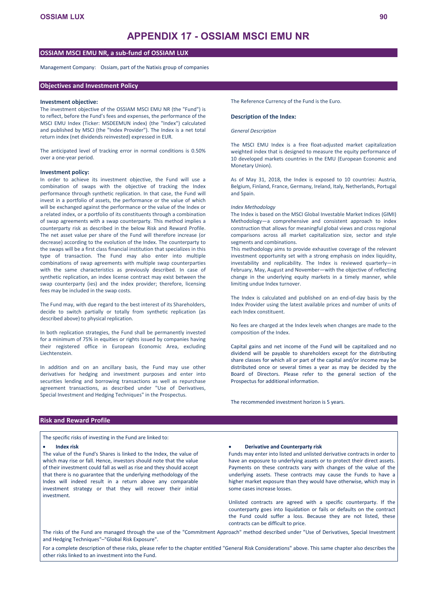# **APPENDIX 17 - OSSIAM MSCI EMU NR**

# **OSSIAM MSCI EMU NR, a sub-fund of OSSIAM LUX**

Management Company: Ossiam, part of the Natixis group of companies

## **Objectives and Investment Policy**

#### **Investment objective:**

The investment objective of the OSSIAM MSCI EMU NR (the "Fund") is to reflect, before the Fund's fees and expenses, the performance of the MSCI EMU Index (Ticker: MSDEEMUN index) (the "Index") calculated and published by MSCI (the "Index Provider"). The Index is a net total return index (net dividends reinvested) expressed in EUR.

The anticipated level of tracking error in normal conditions is 0.50% over a one-year period.

#### **Investment policy:**

In order to achieve its investment objective, the Fund will use a combination of swaps with the objective of tracking the Index performance through synthetic replication. In that case, the Fund will invest in a portfolio of assets, the performance or the value of which will be exchanged against the performance or the value of the Index or a related index, or a portfolio of its constituents through a combination of swap agreements with a swap counterparty. This method implies a counterparty risk as described in the below Risk and Reward Profile. The net asset value per share of the Fund will therefore increase (or decrease) according to the evolution of the Index. The counterparty to the swaps will be a first class financial institution that specializes in this type of transaction. The Fund may also enter into multiple combinations of swap agreements with multiple swap counterparties with the same characteristics as previously described. In case of synthetic replication, an index license contract may exist between the swap counterparty (ies) and the index provider; therefore, licensing fees may be included in the swap costs.

The Fund may, with due regard to the best interest of its Shareholders, decide to switch partially or totally from synthetic replication (as described above) to physical replication.

In both replication strategies, the Fund shall be permanently invested for a minimum of 75% in equities or rights issued by companies having their registered office in European Economic Area, excluding Liechtenstein.

In addition and on an ancillary basis, the Fund may use other derivatives for hedging and investment purposes and enter into securities lending and borrowing transactions as well as repurchase agreement transactions, as described under "Use of Derivatives, Special Investment and Hedging Techniques" in the Prospectus.

The Reference Currency of the Fund is the Euro.

#### **Description of the Index:**

#### *General Description*

The MSCI EMU Index is a free float-adjusted market capitalization weighted index that is designed to measure the equity performance of 10 developed markets countries in the EMU (European Economic and Monetary Union).

As of May 31, 2018, the Index is exposed to 10 countries: Austria, Belgium, Finland, France, Germany, Ireland, Italy, Netherlands, Portugal and Spain.

#### *Index Methodology*

The Index is based on the MSCI Global Investable Market Indices (GIMI) Methodology—a comprehensive and consistent approach to index construction that allows for meaningful global views and cross regional comparisons across all market capitalization size, sector and style segments and combinations.

This methodology aims to provide exhaustive coverage of the relevant investment opportunity set with a strong emphasis on index liquidity. investability and replicability. The Index is reviewed quarterly—in February, May, August and November—with the objective of reflecting change in the underlying equity markets in a timely manner, while limiting undue Index turnover.

The Index is calculated and published on an end-of-day basis by the Index Provider using the latest available prices and number of units of each Index constituent.

No fees are charged at the Index levels when changes are made to the composition of the Index.

Capital gains and net income of the Fund will be capitalized and no dividend will be payable to shareholders except for the distributing share classes for which all or part of the capital and/or income may be distributed once or several times a year as may be decided by the Board of Directors. Please refer to the general section of the Prospectus for additional information.

The recommended investment horizon is 5 years.

## **Risk and Reward Profile**

The specific risks of investing in the Fund are linked to:

#### **Index risk**

The value of the Fund's Shares is linked to the Index, the value of which may rise or fall. Hence, investors should note that the value of their investment could fall as well as rise and they should accept that there is no guarantee that the underlying methodology of the Index will indeed result in a return above any comparable investment strategy or that they will recover their initial investment.

## **Derivative and Counterparty risk**

Funds may enter into listed and unlisted derivative contracts in order to have an exposure to underlying assets or to protect their direct assets. Payments on these contracts vary with changes of the value of the underlying assets. These contracts may cause the Funds to have a higher market exposure than they would have otherwise, which may in some cases increase losses.

Unlisted contracts are agreed with a specific counterparty. If the counterparty goes into liquidation or fails or defaults on the contract the Fund could suffer a loss. Because they are not listed, these contracts can be difficult to price.

The risks of the Fund are managed through the use of the "Commitment Approach" method described under "Use of Derivatives, Special Investment and Hedging Techniques"–"Global Risk Exposure".

For a complete description of these risks, please refer to the chapter entitled "General Risk Considerations" above. This same chapter also describes the other risks linked to an investment into the Fund.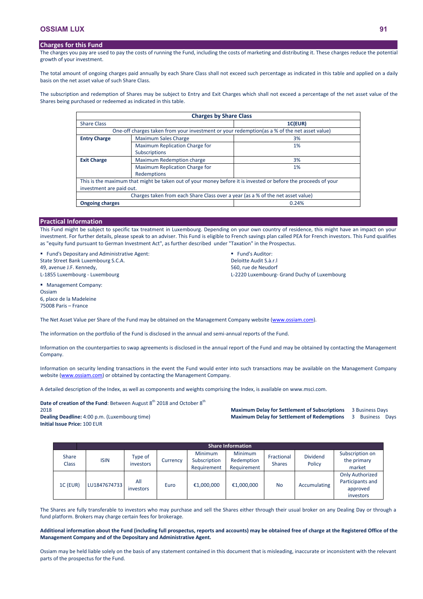## **Charges for this Fund**

The charges you pay are used to pay the costs of running the Fund, including the costs of marketing and distributing it. These charges reduce the potential growth of your investment.

The total amount of ongoing charges paid annually by each Share Class shall not exceed such percentage as indicated in this table and applied on a daily basis on the net asset value of such Share Class.

The subscription and redemption of Shares may be subject to Entry and Exit Charges which shall not exceed a percentage of the net asset value of the Shares being purchased or redeemed as indicated in this table.

| <b>Charges by Share Class</b>                                                   |                                                                                               |                                                                                                                |  |  |  |  |
|---------------------------------------------------------------------------------|-----------------------------------------------------------------------------------------------|----------------------------------------------------------------------------------------------------------------|--|--|--|--|
| <b>Share Class</b>                                                              |                                                                                               | 1C(EUR)                                                                                                        |  |  |  |  |
|                                                                                 | One-off charges taken from your investment or your redemption (as a % of the net asset value) |                                                                                                                |  |  |  |  |
| <b>Entry Charge</b>                                                             | <b>Maximum Sales Charge</b>                                                                   | 3%                                                                                                             |  |  |  |  |
|                                                                                 | Maximum Replication Charge for                                                                | 1%                                                                                                             |  |  |  |  |
|                                                                                 | <b>Subscriptions</b>                                                                          |                                                                                                                |  |  |  |  |
| <b>Exit Charge</b>                                                              | Maximum Redemption charge                                                                     | 3%                                                                                                             |  |  |  |  |
|                                                                                 | Maximum Replication Charge for                                                                | 1%                                                                                                             |  |  |  |  |
|                                                                                 | Redemptions                                                                                   |                                                                                                                |  |  |  |  |
|                                                                                 |                                                                                               | This is the maximum that might be taken out of your money before it is invested or before the proceeds of your |  |  |  |  |
| investment are paid out.                                                        |                                                                                               |                                                                                                                |  |  |  |  |
| Charges taken from each Share Class over a year (as a % of the net asset value) |                                                                                               |                                                                                                                |  |  |  |  |
| <b>Ongoing charges</b>                                                          |                                                                                               | 0.24%                                                                                                          |  |  |  |  |

## **Practical Information**

This Fund might be subject to specific tax treatment in Luxembourg. Depending on your own country of residence, this might have an impact on your investment. For further details, please speak to an adviser. This Fund is eligible to French savings plan called PEA for French investors. This Fund qualifies as "equity fund pursuant to German Investment Act", as further described under "Taxation" in the Prospectus.

**Fund's Depositary and Administrative Agent:** State Street Bank Luxembourg S.C.A. 49, avenue J.F. Kennedy, L-1855 Luxembourg - Luxembourg

**Fund's Auditor:** Deloitte Audit S.à.r.l 560, rue de Neudorf L-2220 Luxembourg- Grand Duchy of Luxembourg

**Management Company:** Ossiam 6, place de la Madeleine 75008 Paris – France

The Net Asset Value per Share of the Fund may be obtained on the Management Company website [\(www.ossiam.com](http://www.ossiam.com/)).

The information on the portfolio of the Fund is disclosed in the annual and semi-annual reports of the Fund.

Information on the counterparties to swap agreements is disclosed in the annual report of the Fund and may be obtained by contacting the Management Company.

Information on security lending transactions in the event the Fund would enter into such transactions may be available on the Management Company website [\(www.ossiam.com](http://www.ossiam.com/)) or obtained by contacting the Management Company.

A detailed description of the Index, as well as components and weights comprising the Index, is available on www.msci.com.

**Date of creation of the Fund**: Between August 8<sup>th</sup> 2018 and October 8<sup>th</sup> 2018 **Dealing Deadline:** 4:00 p.m. (Luxembourg time) **Initial Issue Price:** 100 EUR

**Maximum Delay for Settlement of Subscriptions** 3 Business Days **Maximum Delay for Settlement of Redemptions** 3 Business Days

|                              | <b>Share Information</b> |                      |          |                                               |                                             |                             |                           |                                                                     |
|------------------------------|--------------------------|----------------------|----------|-----------------------------------------------|---------------------------------------------|-----------------------------|---------------------------|---------------------------------------------------------------------|
| <b>Share</b><br><b>Class</b> | <b>ISIN</b>              | Type of<br>investors | Currency | <b>Minimum</b><br>Subscription<br>Requirement | <b>Minimum</b><br>Redemption<br>Requirement | Fractional<br><b>Shares</b> | <b>Dividend</b><br>Policy | Subscription on<br>the primary<br>market                            |
| <b>1C (EUR)</b>              | LU1847674733             | All<br>investors     | Euro     | €1,000,000                                    | €1,000,000                                  | <b>No</b>                   | Accumulating              | <b>Only Authorized</b><br>Participants and<br>approved<br>investors |

The Shares are fully transferable to investors who may purchase and sell the Shares either through their usual broker on any Dealing Day or through a fund platform. Brokers may charge certain fees for brokerage.

**Additional information about the Fund (including full prospectus, reports and accounts) may be obtained free of charge at the Registered Office of the Management Company and of the Depositary and Administrative Agent.**

Ossiam may be held liable solely on the basis of any statement contained in this document that is misleading, inaccurate or inconsistent with the relevant parts of the prospectus for the Fund.